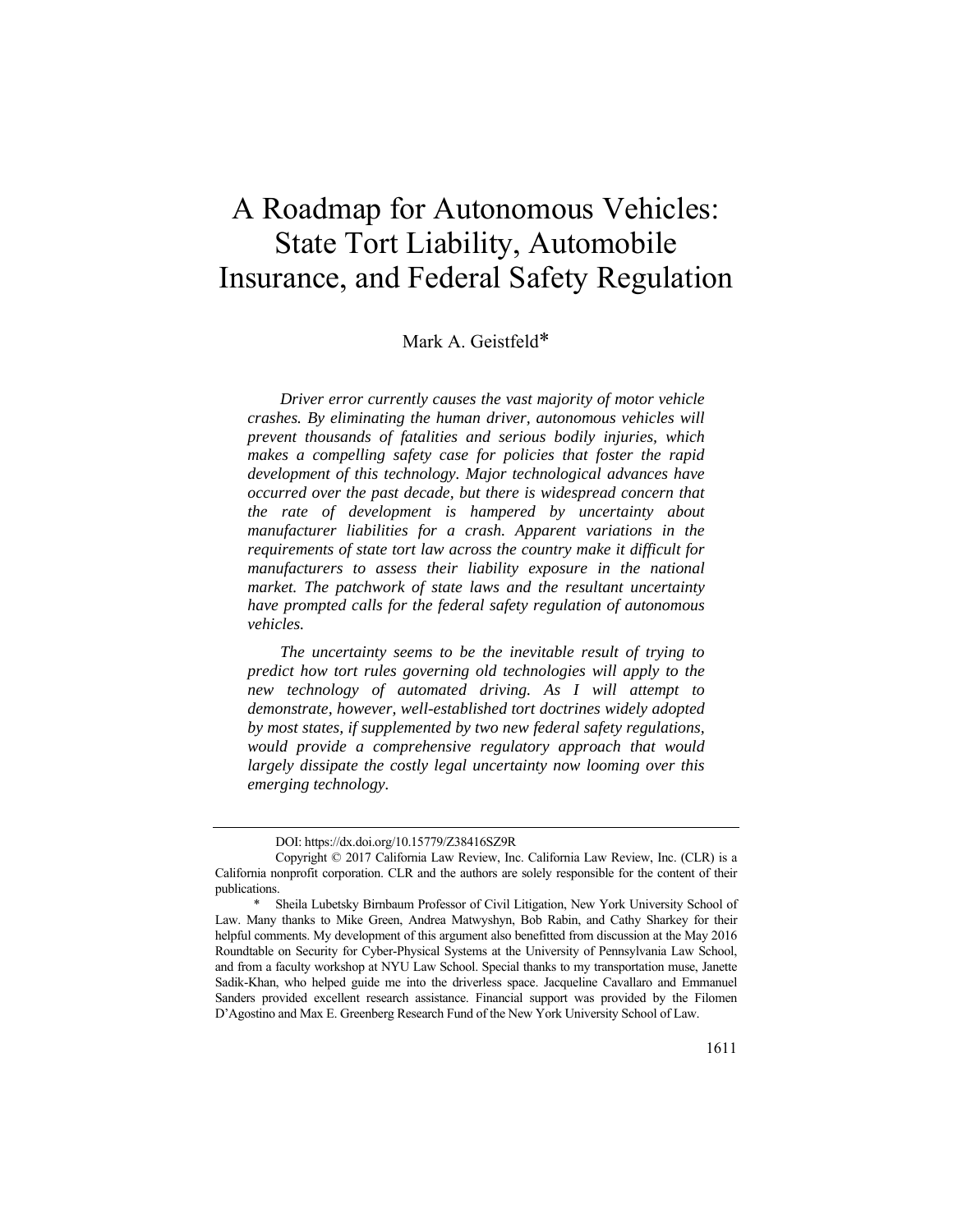# A Roadmap for Autonomous Vehicles: State Tort Liability, Automobile Insurance, and Federal Safety Regulation

# Mark A. Geistfeld\*

*Driver error currently causes the vast majority of motor vehicle crashes. By eliminating the human driver, autonomous vehicles will prevent thousands of fatalities and serious bodily injuries, which makes a compelling safety case for policies that foster the rapid development of this technology. Major technological advances have occurred over the past decade, but there is widespread concern that the rate of development is hampered by uncertainty about manufacturer liabilities for a crash. Apparent variations in the requirements of state tort law across the country make it difficult for manufacturers to assess their liability exposure in the national market. The patchwork of state laws and the resultant uncertainty have prompted calls for the federal safety regulation of autonomous vehicles.* 

*The uncertainty seems to be the inevitable result of trying to predict how tort rules governing old technologies will apply to the new technology of automated driving. As I will attempt to demonstrate, however, well-established tort doctrines widely adopted by most states, if supplemented by two new federal safety regulations, would provide a comprehensive regulatory approach that would largely dissipate the costly legal uncertainty now looming over this emerging technology.* 

DOI: https://dx.doi.org/10.15779/Z38416SZ9R

Copyright © 2017 California Law Review, Inc. California Law Review, Inc. (CLR) is a California nonprofit corporation. CLR and the authors are solely responsible for the content of their publications.

Sheila Lubetsky Birnbaum Professor of Civil Litigation, New York University School of Law. Many thanks to Mike Green, Andrea Matwyshyn, Bob Rabin, and Cathy Sharkey for their helpful comments. My development of this argument also benefitted from discussion at the May 2016 Roundtable on Security for Cyber-Physical Systems at the University of Pennsylvania Law School, and from a faculty workshop at NYU Law School. Special thanks to my transportation muse, Janette Sadik-Khan, who helped guide me into the driverless space. Jacqueline Cavallaro and Emmanuel Sanders provided excellent research assistance. Financial support was provided by the Filomen D'Agostino and Max E. Greenberg Research Fund of the New York University School of Law.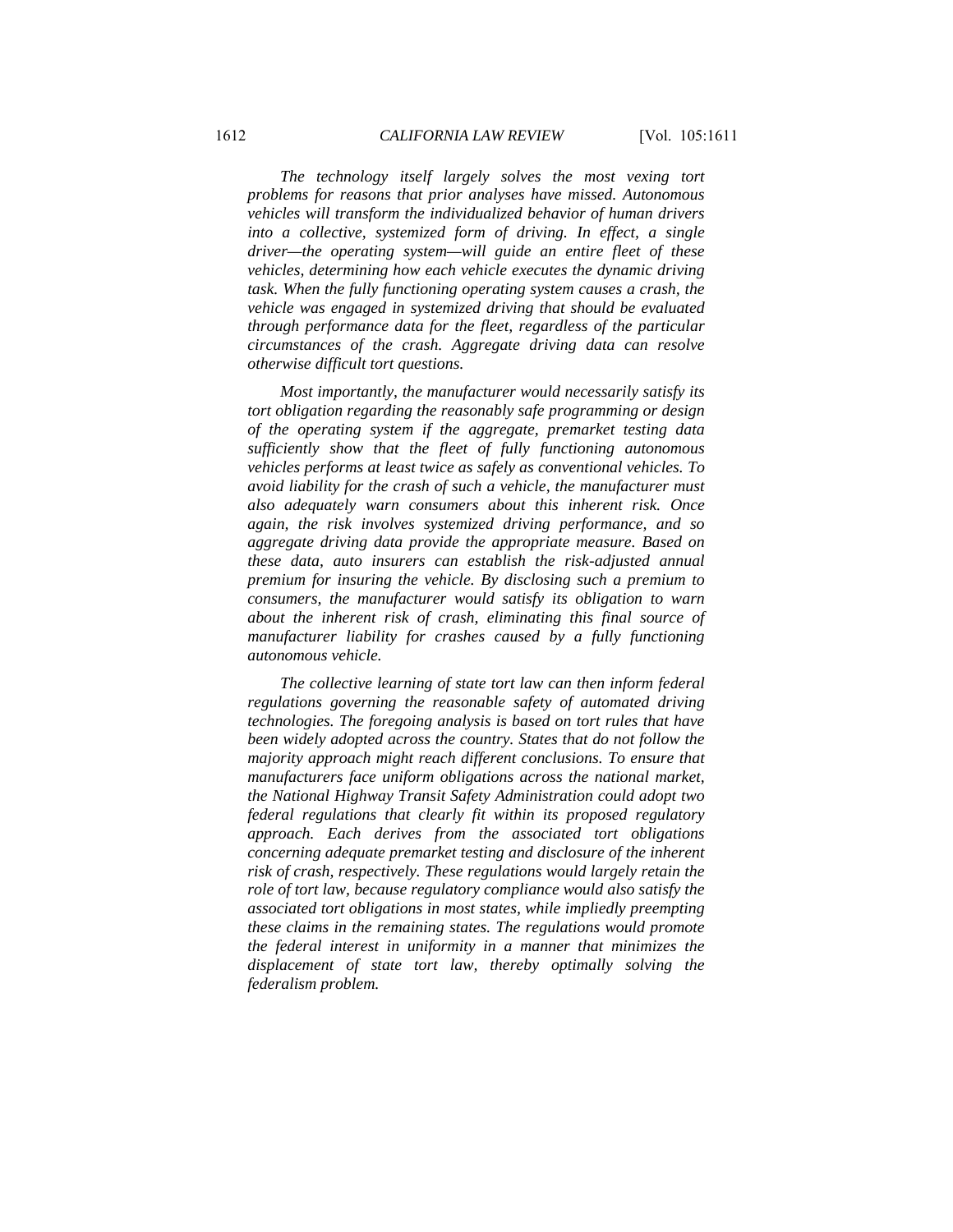*The technology itself largely solves the most vexing tort problems for reasons that prior analyses have missed. Autonomous vehicles will transform the individualized behavior of human drivers into a collective, systemized form of driving. In effect, a single driver—the operating system—will guide an entire fleet of these vehicles, determining how each vehicle executes the dynamic driving task. When the fully functioning operating system causes a crash, the vehicle was engaged in systemized driving that should be evaluated through performance data for the fleet, regardless of the particular circumstances of the crash. Aggregate driving data can resolve otherwise difficult tort questions.* 

*Most importantly, the manufacturer would necessarily satisfy its tort obligation regarding the reasonably safe programming or design of the operating system if the aggregate, premarket testing data sufficiently show that the fleet of fully functioning autonomous vehicles performs at least twice as safely as conventional vehicles. To avoid liability for the crash of such a vehicle, the manufacturer must also adequately warn consumers about this inherent risk. Once again, the risk involves systemized driving performance, and so aggregate driving data provide the appropriate measure. Based on these data, auto insurers can establish the risk-adjusted annual premium for insuring the vehicle. By disclosing such a premium to consumers, the manufacturer would satisfy its obligation to warn about the inherent risk of crash, eliminating this final source of manufacturer liability for crashes caused by a fully functioning autonomous vehicle.* 

*The collective learning of state tort law can then inform federal regulations governing the reasonable safety of automated driving technologies. The foregoing analysis is based on tort rules that have been widely adopted across the country. States that do not follow the majority approach might reach different conclusions. To ensure that manufacturers face uniform obligations across the national market, the National Highway Transit Safety Administration could adopt two federal regulations that clearly fit within its proposed regulatory approach. Each derives from the associated tort obligations concerning adequate premarket testing and disclosure of the inherent risk of crash, respectively. These regulations would largely retain the role of tort law, because regulatory compliance would also satisfy the associated tort obligations in most states, while impliedly preempting these claims in the remaining states. The regulations would promote the federal interest in uniformity in a manner that minimizes the displacement of state tort law, thereby optimally solving the federalism problem.*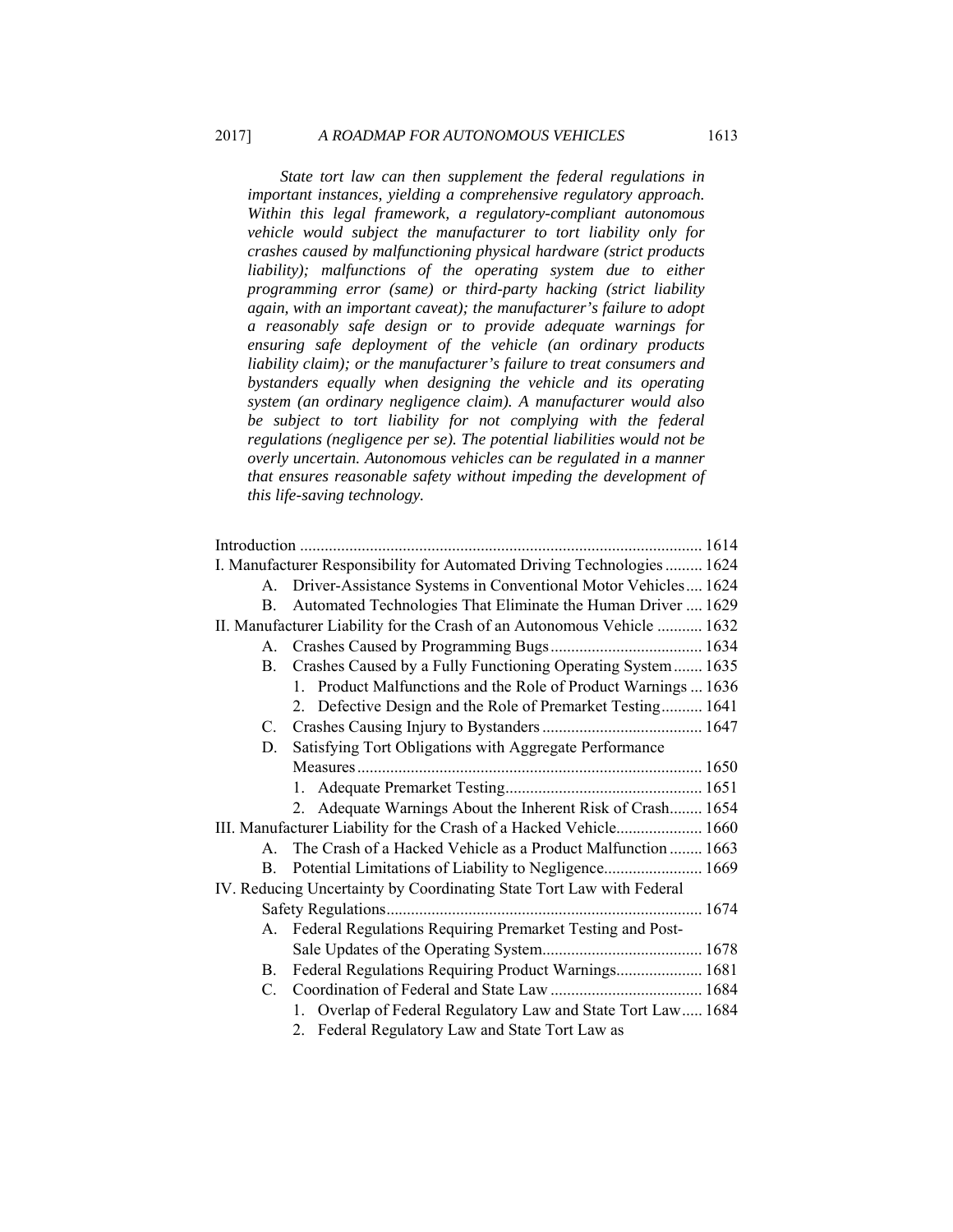*State tort law can then supplement the federal regulations in important instances, yielding a comprehensive regulatory approach. Within this legal framework, a regulatory-compliant autonomous vehicle would subject the manufacturer to tort liability only for crashes caused by malfunctioning physical hardware (strict products liability);* malfunctions of the operating system due to either *programming error (same) or third-party hacking (strict liability again, with an important caveat); the manufacturer's failure to adopt a reasonably safe design or to provide adequate warnings for ensuring safe deployment of the vehicle (an ordinary products liability claim); or the manufacturer's failure to treat consumers and bystanders equally when designing the vehicle and its operating system (an ordinary negligence claim). A manufacturer would also be subject to tort liability for not complying with the federal regulations (negligence per se). The potential liabilities would not be overly uncertain. Autonomous vehicles can be regulated in a manner that ensures reasonable safety without impeding the development of this life-saving technology.* 

|                                                                         | I. Manufacturer Responsibility for Automated Driving Technologies  1624 |  |
|-------------------------------------------------------------------------|-------------------------------------------------------------------------|--|
|                                                                         | A. Driver-Assistance Systems in Conventional Motor Vehicles 1624        |  |
| B.                                                                      | Automated Technologies That Eliminate the Human Driver  1629            |  |
| II. Manufacturer Liability for the Crash of an Autonomous Vehicle  1632 |                                                                         |  |
|                                                                         |                                                                         |  |
| B.                                                                      | Crashes Caused by a Fully Functioning Operating System 1635             |  |
|                                                                         | 1. Product Malfunctions and the Role of Product Warnings  1636          |  |
|                                                                         | 2. Defective Design and the Role of Premarket Testing 1641              |  |
|                                                                         |                                                                         |  |
| D.                                                                      | Satisfying Tort Obligations with Aggregate Performance                  |  |
|                                                                         |                                                                         |  |
|                                                                         |                                                                         |  |
|                                                                         | 2. Adequate Warnings About the Inherent Risk of Crash 1654              |  |
| III. Manufacturer Liability for the Crash of a Hacked Vehicle 1660      |                                                                         |  |
| A.                                                                      | The Crash of a Hacked Vehicle as a Product Malfunction  1663            |  |
| B.                                                                      | Potential Limitations of Liability to Negligence 1669                   |  |
|                                                                         | IV. Reducing Uncertainty by Coordinating State Tort Law with Federal    |  |
|                                                                         |                                                                         |  |
| А.                                                                      | Federal Regulations Requiring Premarket Testing and Post-               |  |
|                                                                         |                                                                         |  |
| B.                                                                      | Federal Regulations Requiring Product Warnings 1681                     |  |
|                                                                         |                                                                         |  |
|                                                                         | 1. Overlap of Federal Regulatory Law and State Tort Law 1684            |  |
|                                                                         | 2. Federal Regulatory Law and State Tort Law as                         |  |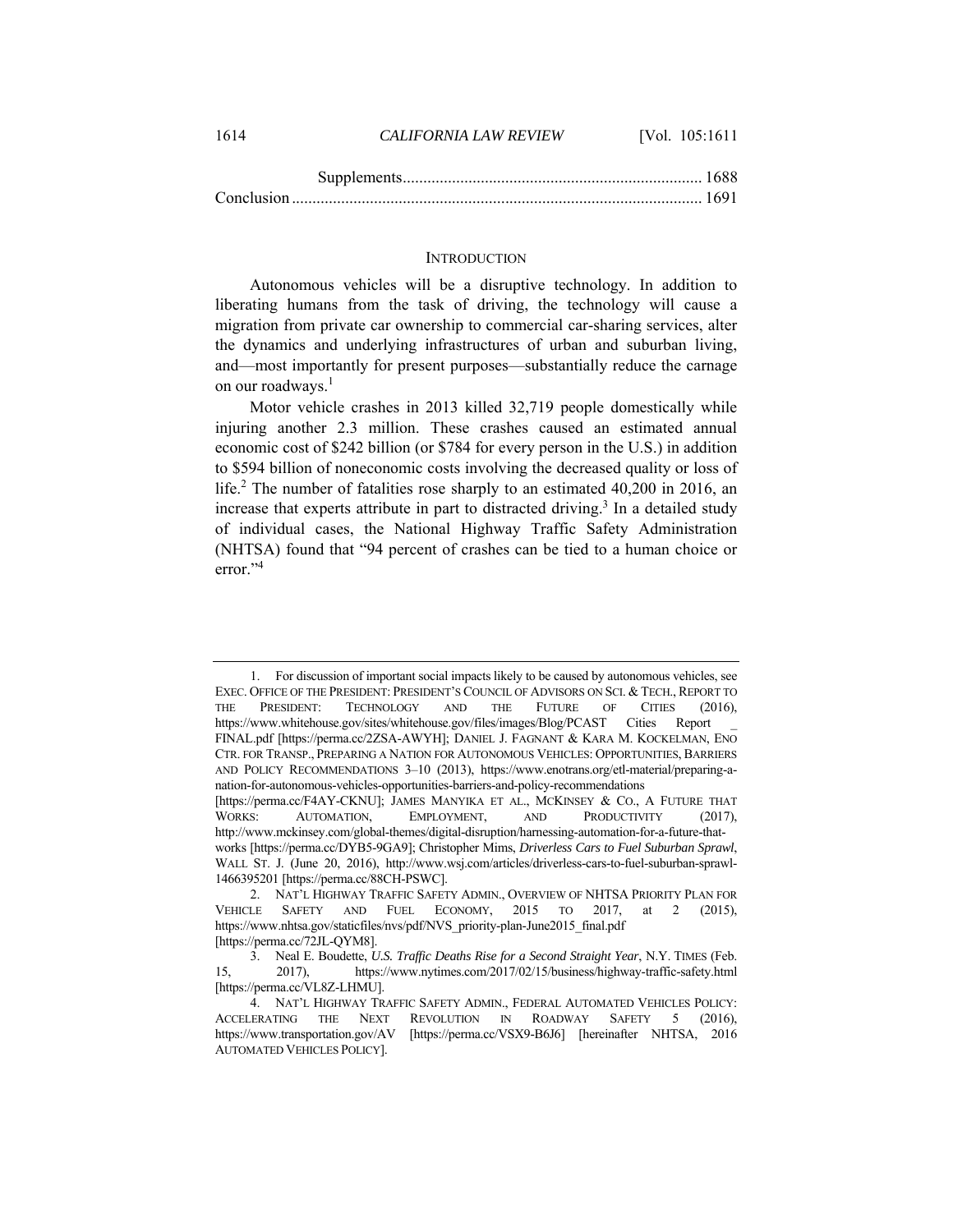1614 *CALIFORNIA LAW REVIEW* [Vol. 105:1611

#### **INTRODUCTION**

Autonomous vehicles will be a disruptive technology. In addition to liberating humans from the task of driving, the technology will cause a migration from private car ownership to commercial car-sharing services, alter the dynamics and underlying infrastructures of urban and suburban living, and—most importantly for present purposes—substantially reduce the carnage on our roadways.<sup>1</sup>

Motor vehicle crashes in 2013 killed 32,719 people domestically while injuring another 2.3 million. These crashes caused an estimated annual economic cost of \$242 billion (or \$784 for every person in the U.S.) in addition to \$594 billion of noneconomic costs involving the decreased quality or loss of life.<sup>2</sup> The number of fatalities rose sharply to an estimated 40,200 in 2016, an increase that experts attribute in part to distracted driving.<sup>3</sup> In a detailed study of individual cases, the National Highway Traffic Safety Administration (NHTSA) found that "94 percent of crashes can be tied to a human choice or error."<sup>4</sup>

 <sup>1.</sup> For discussion of important social impacts likely to be caused by autonomous vehicles, see EXEC. OFFICE OF THE PRESIDENT: PRESIDENT'S COUNCIL OF ADVISORS ON SCI. & TECH., REPORT TO THE PRESIDENT: TECHNOLOGY AND THE FUTURE OF CITIES (2016), https://www.whitehouse.gov/sites/whitehouse.gov/files/images/Blog/PCAST Cities Report \_ FINAL.pdf [https://perma.cc/2ZSA-AWYH]; DANIEL J. FAGNANT & KARA M. KOCKELMAN, ENO CTR. FOR TRANSP., PREPARING A NATION FOR AUTONOMOUS VEHICLES: OPPORTUNITIES, BARRIERS AND POLICY RECOMMENDATIONS 3–10 (2013), https://www.enotrans.org/etl-material/preparing-anation-for-autonomous-vehicles-opportunities-barriers-and-policy-recommendations [https://perma.cc/F4AY-CKNU]; JAMES MANYIKA ET AL., MCKINSEY & CO., A FUTURE THAT WORKS: AUTOMATION, EMPLOYMENT, AND PRODUCTIVITY (2017),

http://www.mckinsey.com/global-themes/digital-disruption/harnessing-automation-for-a-future-thatworks [https://perma.cc/DYB5-9GA9]; Christopher Mims, *Driverless Cars to Fuel Suburban Sprawl*, WALL ST. J. (June 20, 2016), http://www.wsj.com/articles/driverless-cars-to-fuel-suburban-sprawl-1466395201 [https://perma.cc/88CH-PSWC].

 <sup>2.</sup> NAT'L HIGHWAY TRAFFIC SAFETY ADMIN., OVERVIEW OF NHTSA PRIORITY PLAN FOR VEHICLE SAFETY AND FUEL ECONOMY, 2015 TO 2017, at 2 (2015), https://www.nhtsa.gov/staticfiles/nvs/pdf/NVS\_priority-plan-June2015\_final.pdf [https://perma.cc/72JL-QYM8].

 <sup>3.</sup> Neal E. Boudette, *U.S. Traffic Deaths Rise for a Second Straight Year*, N.Y. TIMES (Feb. 15, 2017), https://www.nytimes.com/2017/02/15/business/highway-traffic-safety.html [https://perma.cc/VL8Z-LHMU].

 <sup>4.</sup> NAT'L HIGHWAY TRAFFIC SAFETY ADMIN., FEDERAL AUTOMATED VEHICLES POLICY: ACCELERATING THE NEXT REVOLUTION IN ROADWAY SAFETY 5 (2016), https://www.transportation.gov/AV [https://perma.cc/VSX9-B6J6] [hereinafter NHTSA, 2016 AUTOMATED VEHICLES POLICY].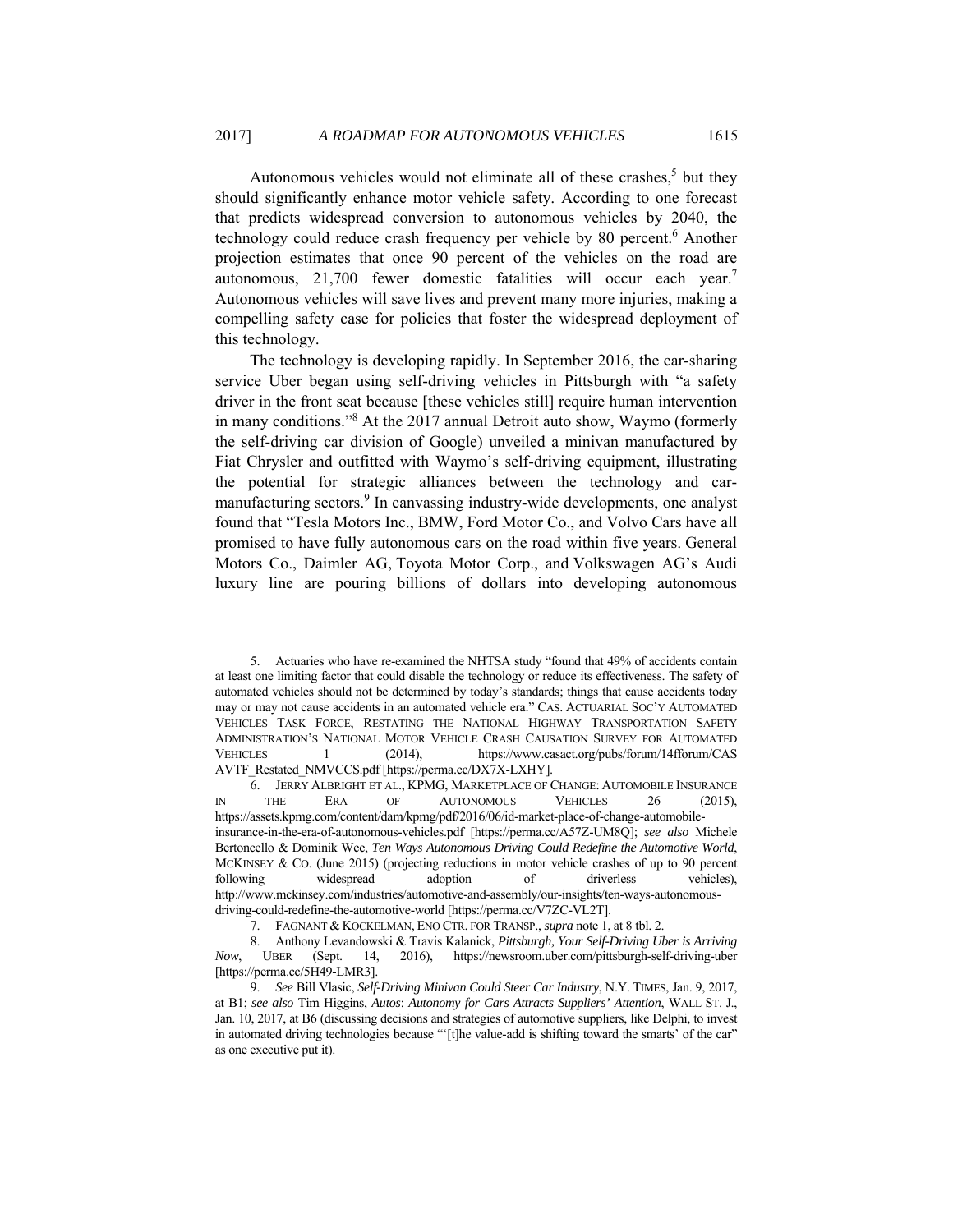Autonomous vehicles would not eliminate all of these crashes, $5$  but they should significantly enhance motor vehicle safety. According to one forecast that predicts widespread conversion to autonomous vehicles by 2040, the technology could reduce crash frequency per vehicle by 80 percent.<sup>6</sup> Another projection estimates that once 90 percent of the vehicles on the road are autonomous, 21,700 fewer domestic fatalities will occur each year.7 Autonomous vehicles will save lives and prevent many more injuries, making a compelling safety case for policies that foster the widespread deployment of this technology.

The technology is developing rapidly. In September 2016, the car-sharing service Uber began using self-driving vehicles in Pittsburgh with "a safety driver in the front seat because [these vehicles still] require human intervention in many conditions."8 At the 2017 annual Detroit auto show, Waymo (formerly the self-driving car division of Google) unveiled a minivan manufactured by Fiat Chrysler and outfitted with Waymo's self-driving equipment, illustrating the potential for strategic alliances between the technology and carmanufacturing sectors.<sup>9</sup> In canvassing industry-wide developments, one analyst found that "Tesla Motors Inc., BMW, Ford Motor Co., and Volvo Cars have all promised to have fully autonomous cars on the road within five years. General Motors Co., Daimler AG, Toyota Motor Corp., and Volkswagen AG's Audi luxury line are pouring billions of dollars into developing autonomous

 <sup>5.</sup> Actuaries who have re-examined the NHTSA study "found that 49% of accidents contain at least one limiting factor that could disable the technology or reduce its effectiveness. The safety of automated vehicles should not be determined by today's standards; things that cause accidents today may or may not cause accidents in an automated vehicle era." CAS. ACTUARIAL SOC'Y AUTOMATED VEHICLES TASK FORCE, RESTATING THE NATIONAL HIGHWAY TRANSPORTATION SAFETY ADMINISTRATION'S NATIONAL MOTOR VEHICLE CRASH CAUSATION SURVEY FOR AUTOMATED VEHICLES 1 (2014), https://www.casact.org/pubs/forum/14fforum/CAS AVTF\_Restated\_NMVCCS.pdf [https://perma.cc/DX7X-LXHY].

 <sup>6.</sup> JERRY ALBRIGHT ET AL., KPMG, MARKETPLACE OF CHANGE: AUTOMOBILE INSURANCE IN THE ERA OF AUTONOMOUS VEHICLES 26 (2015), https://assets.kpmg.com/content/dam/kpmg/pdf/2016/06/id-market-place-of-change-automobileinsurance-in-the-era-of-autonomous-vehicles.pdf [https://perma.cc/A57Z-UM8Q]; *see also* Michele Bertoncello & Dominik Wee, *Ten Ways Autonomous Driving Could Redefine the Automotive World*, MCKINSEY & CO. (June 2015) (projecting reductions in motor vehicle crashes of up to 90 percent following widespread adoption of driverless vehicles), http://www.mckinsey.com/industries/automotive-and-assembly/our-insights/ten-ways-autonomousdriving-could-redefine-the-automotive-world [https://perma.cc/V7ZC-VL2T].

 <sup>7.</sup> FAGNANT & KOCKELMAN, ENO CTR. FOR TRANSP., *supra* note 1, at 8 tbl. 2.

 <sup>8.</sup> Anthony Levandowski & Travis Kalanick, *Pittsburgh, Your Self-Driving Uber is Arriving Now*, UBER (Sept. 14, 2016), https://newsroom.uber.com/pittsburgh-self-driving-uber [https://perma.cc/5H49-LMR3].

<sup>9.</sup> *See* Bill Vlasic, *Self-Driving Minivan Could Steer Car Industry*, N.Y. TIMES, Jan. 9, 2017, at B1; *see also* Tim Higgins, *Autos*: *Autonomy for Cars Attracts Suppliers' Attention*, WALL ST. J., Jan. 10, 2017, at B6 (discussing decisions and strategies of automotive suppliers, like Delphi, to invest in automated driving technologies because "'[t]he value-add is shifting toward the smarts' of the car" as one executive put it).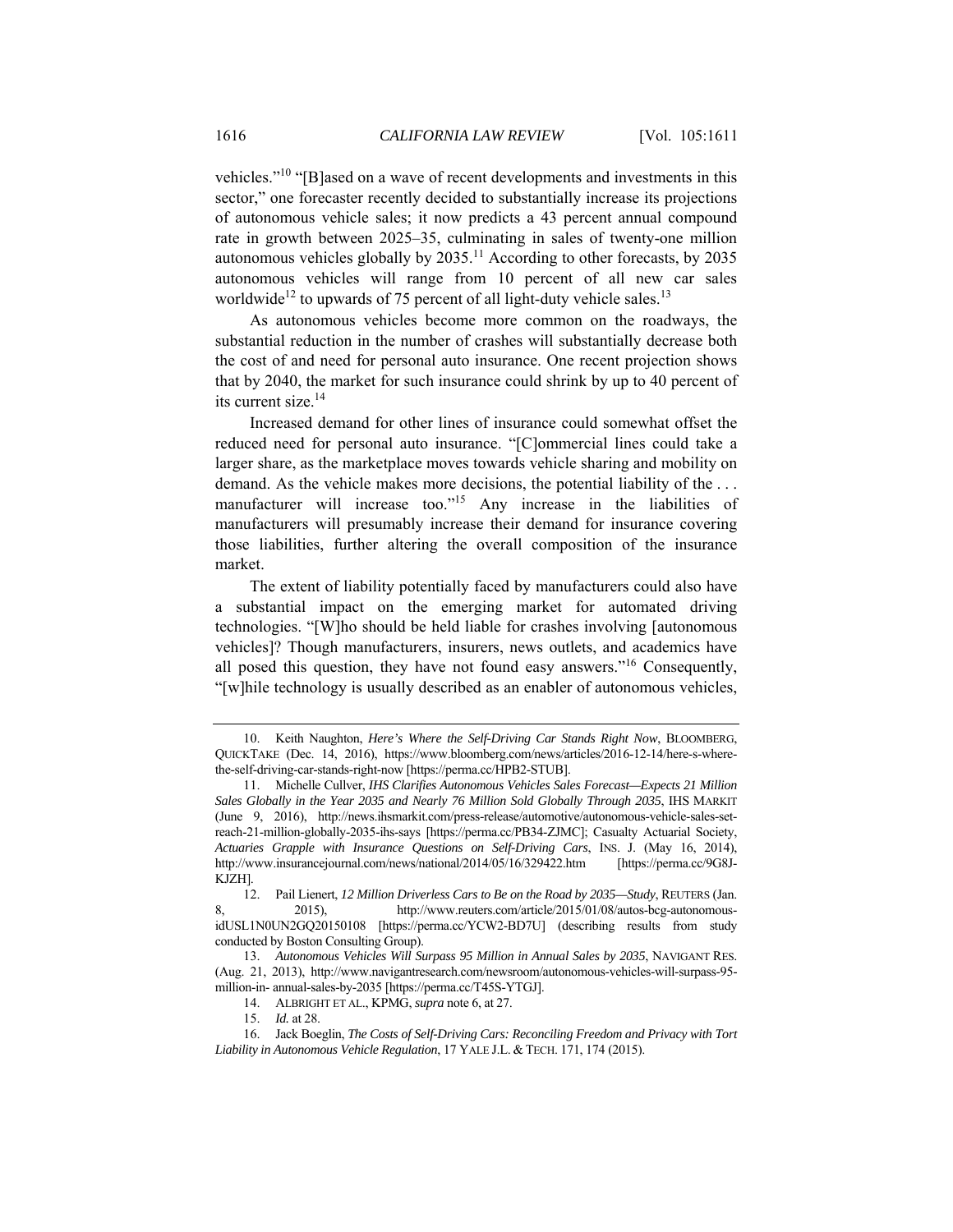vehicles."10 "[B]ased on a wave of recent developments and investments in this sector," one forecaster recently decided to substantially increase its projections of autonomous vehicle sales; it now predicts a 43 percent annual compound rate in growth between 2025–35, culminating in sales of twenty-one million autonomous vehicles globally by  $2035$ .<sup>11</sup> According to other forecasts, by 2035 autonomous vehicles will range from 10 percent of all new car sales worldwide<sup>12</sup> to upwards of 75 percent of all light-duty vehicle sales.<sup>13</sup>

As autonomous vehicles become more common on the roadways, the substantial reduction in the number of crashes will substantially decrease both the cost of and need for personal auto insurance. One recent projection shows that by 2040, the market for such insurance could shrink by up to 40 percent of its current size.<sup>14</sup>

Increased demand for other lines of insurance could somewhat offset the reduced need for personal auto insurance. "[C]ommercial lines could take a larger share, as the marketplace moves towards vehicle sharing and mobility on demand. As the vehicle makes more decisions, the potential liability of the . . . manufacturer will increase too."<sup>15</sup> Any increase in the liabilities of manufacturers will presumably increase their demand for insurance covering those liabilities, further altering the overall composition of the insurance market.

The extent of liability potentially faced by manufacturers could also have a substantial impact on the emerging market for automated driving technologies. "[W]ho should be held liable for crashes involving [autonomous vehicles]? Though manufacturers, insurers, news outlets, and academics have all posed this question, they have not found easy answers."<sup>16</sup> Consequently, "[w]hile technology is usually described as an enabler of autonomous vehicles,

 <sup>10.</sup> Keith Naughton, *Here's Where the Self-Driving Car Stands Right Now*, BLOOMBERG, QUICKTAKE (Dec. 14, 2016), https://www.bloomberg.com/news/articles/2016-12-14/here-s-wherethe-self-driving-car-stands-right-now [https://perma.cc/HPB2-STUB].

 <sup>11.</sup> Michelle Cullver, *IHS Clarifies Autonomous Vehicles Sales Forecast—Expects 21 Million Sales Globally in the Year 2035 and Nearly 76 Million Sold Globally Through 2035*, IHS MARKIT (June 9, 2016), http://news.ihsmarkit.com/press-release/automotive/autonomous-vehicle-sales-setreach-21-million-globally-2035-ihs-says [https://perma.cc/PB34-ZJMC]; Casualty Actuarial Society, *Actuaries Grapple with Insurance Questions on Self-Driving Cars*, INS. J. (May 16, 2014), http://www.insurancejournal.com/news/national/2014/05/16/329422.htm [https://perma.cc/9G8J-KJZH].

 <sup>12.</sup> Pail Lienert, *12 Million Driverless Cars to Be on the Road by 2035—Study*, REUTERS (Jan. 8, 2015), http://www.reuters.com/article/2015/01/08/autos-bcg-autonomousidUSL1N0UN2GQ20150108 [https://perma.cc/YCW2-BD7U] (describing results from study conducted by Boston Consulting Group).

<sup>13.</sup> *Autonomous Vehicles Will Surpass 95 Million in Annual Sales by 2035*, NAVIGANT RES. (Aug. 21, 2013), http://www.navigantresearch.com/newsroom/autonomous-vehicles-will-surpass-95 million-in- annual-sales-by-2035 [https://perma.cc/T45S-YTGJ].

 <sup>14.</sup> ALBRIGHT ET AL., KPMG, *supra* note 6, at 27.

<sup>15.</sup> *Id.* at 28.

 <sup>16.</sup> Jack Boeglin, *The Costs of Self-Driving Cars: Reconciling Freedom and Privacy with Tort Liability in Autonomous Vehicle Regulation*, 17 YALE J.L. & TECH. 171, 174 (2015).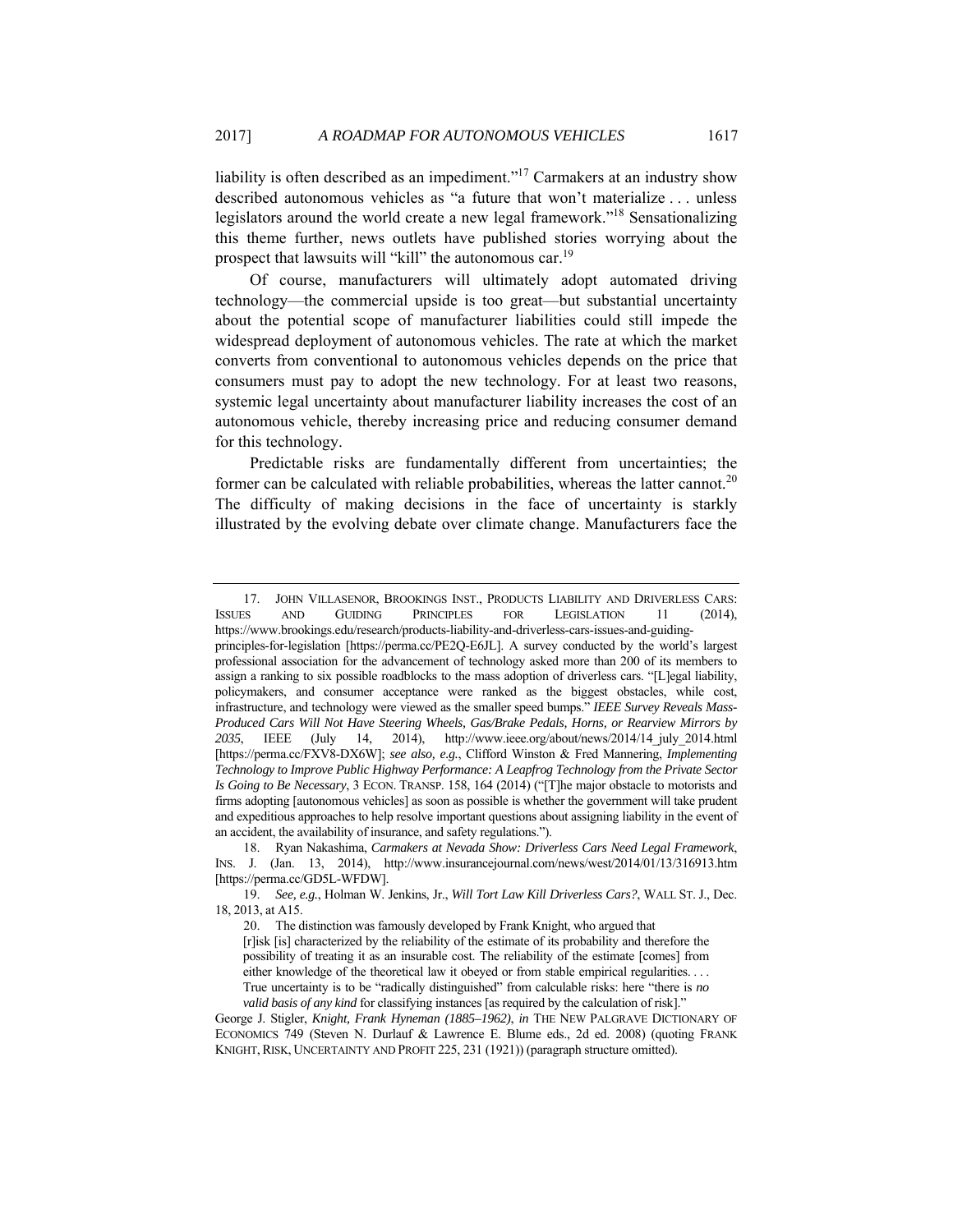liability is often described as an impediment."17 Carmakers at an industry show described autonomous vehicles as "a future that won't materialize . . . unless legislators around the world create a new legal framework."18 Sensationalizing this theme further, news outlets have published stories worrying about the prospect that lawsuits will "kill" the autonomous car.<sup>19</sup>

Of course, manufacturers will ultimately adopt automated driving technology—the commercial upside is too great—but substantial uncertainty about the potential scope of manufacturer liabilities could still impede the widespread deployment of autonomous vehicles. The rate at which the market converts from conventional to autonomous vehicles depends on the price that consumers must pay to adopt the new technology. For at least two reasons, systemic legal uncertainty about manufacturer liability increases the cost of an autonomous vehicle, thereby increasing price and reducing consumer demand for this technology.

Predictable risks are fundamentally different from uncertainties; the former can be calculated with reliable probabilities, whereas the latter cannot.<sup>20</sup> The difficulty of making decisions in the face of uncertainty is starkly illustrated by the evolving debate over climate change. Manufacturers face the

 <sup>17.</sup> JOHN VILLASENOR, BROOKINGS INST., PRODUCTS LIABILITY AND DRIVERLESS CARS: ISSUES AND GUIDING PRINCIPLES FOR LEGISLATION 11 (2014), https://www.brookings.edu/research/products-liability-and-driverless-cars-issues-and-guidingprinciples-for-legislation [https://perma.cc/PE2Q-E6JL]. A survey conducted by the world's largest professional association for the advancement of technology asked more than 200 of its members to assign a ranking to six possible roadblocks to the mass adoption of driverless cars. "[L]egal liability, policymakers, and consumer acceptance were ranked as the biggest obstacles, while cost, infrastructure, and technology were viewed as the smaller speed bumps." *IEEE Survey Reveals Mass-Produced Cars Will Not Have Steering Wheels, Gas/Brake Pedals, Horns, or Rearview Mirrors by 2035*, IEEE (July 14, 2014), http://www.ieee.org/about/news/2014/14\_july\_2014.html [https://perma.cc/FXV8-DX6W]; *see also, e.g.*, Clifford Winston & Fred Mannering, *Implementing Technology to Improve Public Highway Performance: A Leapfrog Technology from the Private Sector Is Going to Be Necessary*, 3 ECON. TRANSP. 158, 164 (2014) ("[T]he major obstacle to motorists and firms adopting [autonomous vehicles] as soon as possible is whether the government will take prudent and expeditious approaches to help resolve important questions about assigning liability in the event of an accident, the availability of insurance, and safety regulations.").

 <sup>18.</sup> Ryan Nakashima, *Carmakers at Nevada Show: Driverless Cars Need Legal Framework*, INS. J. (Jan. 13, 2014), http://www.insurancejournal.com/news/west/2014/01/13/316913.htm [https://perma.cc/GD5L-WFDW].

<sup>19.</sup> *See, e.g.*, Holman W. Jenkins, Jr., *Will Tort Law Kill Driverless Cars?*, WALL ST. J., Dec. 18, 2013, at A15.

 <sup>20.</sup> The distinction was famously developed by Frank Knight, who argued that

<sup>[</sup>r]isk [is] characterized by the reliability of the estimate of its probability and therefore the possibility of treating it as an insurable cost. The reliability of the estimate [comes] from either knowledge of the theoretical law it obeyed or from stable empirical regularities. . . . True uncertainty is to be "radically distinguished" from calculable risks: here "there is *no valid basis of any kind* for classifying instances [as required by the calculation of risk]."

George J. Stigler, *Knight, Frank Hyneman (1885–1962)*, *in* THE NEW PALGRAVE DICTIONARY OF ECONOMICS 749 (Steven N. Durlauf & Lawrence E. Blume eds., 2d ed. 2008) (quoting FRANK KNIGHT, RISK, UNCERTAINTY AND PROFIT 225, 231 (1921)) (paragraph structure omitted).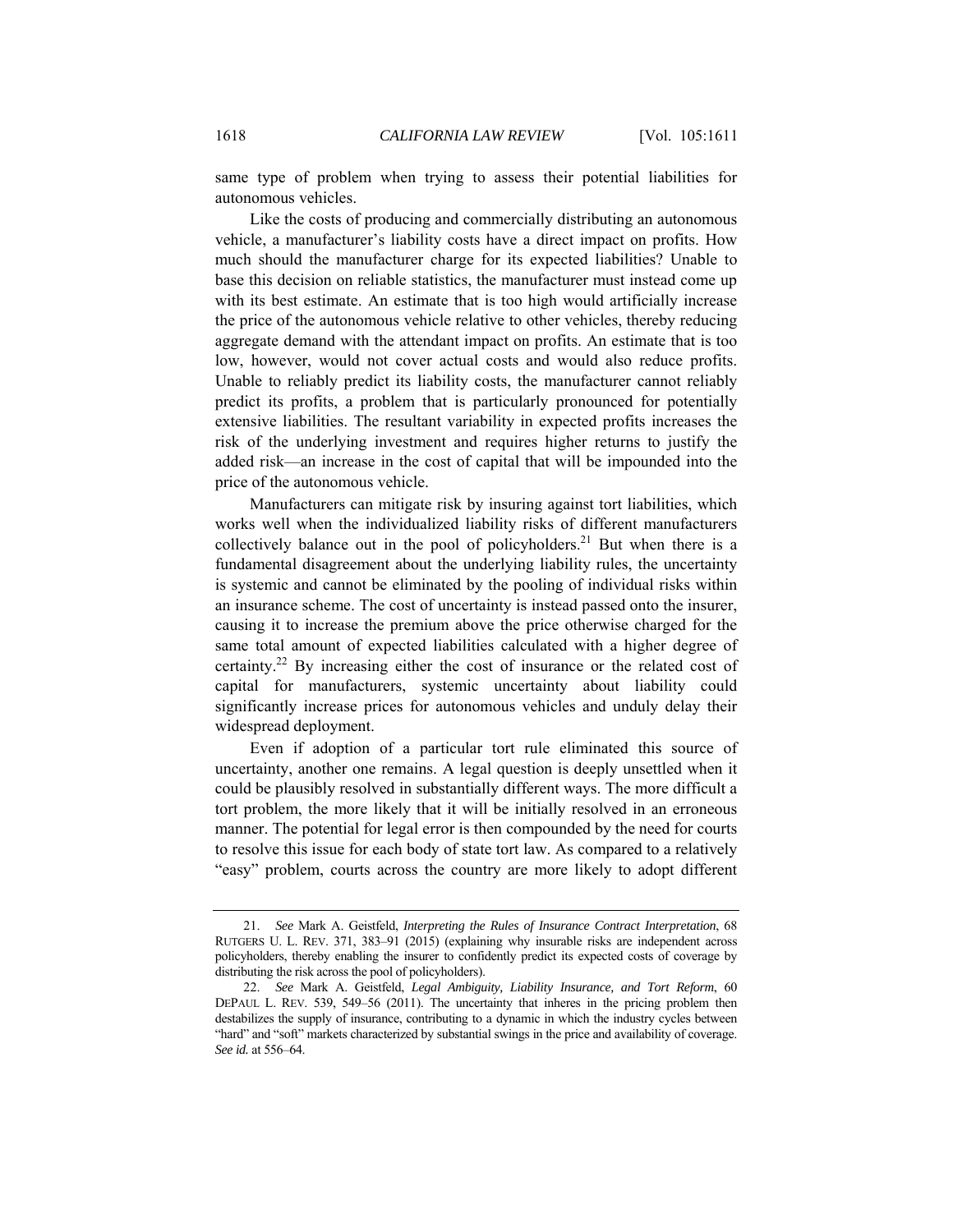same type of problem when trying to assess their potential liabilities for autonomous vehicles.

Like the costs of producing and commercially distributing an autonomous vehicle, a manufacturer's liability costs have a direct impact on profits. How much should the manufacturer charge for its expected liabilities? Unable to base this decision on reliable statistics, the manufacturer must instead come up with its best estimate. An estimate that is too high would artificially increase the price of the autonomous vehicle relative to other vehicles, thereby reducing aggregate demand with the attendant impact on profits. An estimate that is too low, however, would not cover actual costs and would also reduce profits. Unable to reliably predict its liability costs, the manufacturer cannot reliably predict its profits, a problem that is particularly pronounced for potentially extensive liabilities. The resultant variability in expected profits increases the risk of the underlying investment and requires higher returns to justify the added risk—an increase in the cost of capital that will be impounded into the price of the autonomous vehicle.

Manufacturers can mitigate risk by insuring against tort liabilities, which works well when the individualized liability risks of different manufacturers collectively balance out in the pool of policyholders.<sup>21</sup> But when there is a fundamental disagreement about the underlying liability rules, the uncertainty is systemic and cannot be eliminated by the pooling of individual risks within an insurance scheme. The cost of uncertainty is instead passed onto the insurer, causing it to increase the premium above the price otherwise charged for the same total amount of expected liabilities calculated with a higher degree of certainty.22 By increasing either the cost of insurance or the related cost of capital for manufacturers, systemic uncertainty about liability could significantly increase prices for autonomous vehicles and unduly delay their widespread deployment.

Even if adoption of a particular tort rule eliminated this source of uncertainty, another one remains. A legal question is deeply unsettled when it could be plausibly resolved in substantially different ways. The more difficult a tort problem, the more likely that it will be initially resolved in an erroneous manner. The potential for legal error is then compounded by the need for courts to resolve this issue for each body of state tort law. As compared to a relatively "easy" problem, courts across the country are more likely to adopt different

<sup>21.</sup> *See* Mark A. Geistfeld, *Interpreting the Rules of Insurance Contract Interpretation*, 68 RUTGERS U. L. REV. 371, 383–91 (2015) (explaining why insurable risks are independent across policyholders, thereby enabling the insurer to confidently predict its expected costs of coverage by distributing the risk across the pool of policyholders).

<sup>22.</sup> *See* Mark A. Geistfeld, *Legal Ambiguity, Liability Insurance, and Tort Reform*, 60 DEPAUL L. REV. 539, 549–56 (2011). The uncertainty that inheres in the pricing problem then destabilizes the supply of insurance, contributing to a dynamic in which the industry cycles between "hard" and "soft" markets characterized by substantial swings in the price and availability of coverage. *See id.* at 556–64.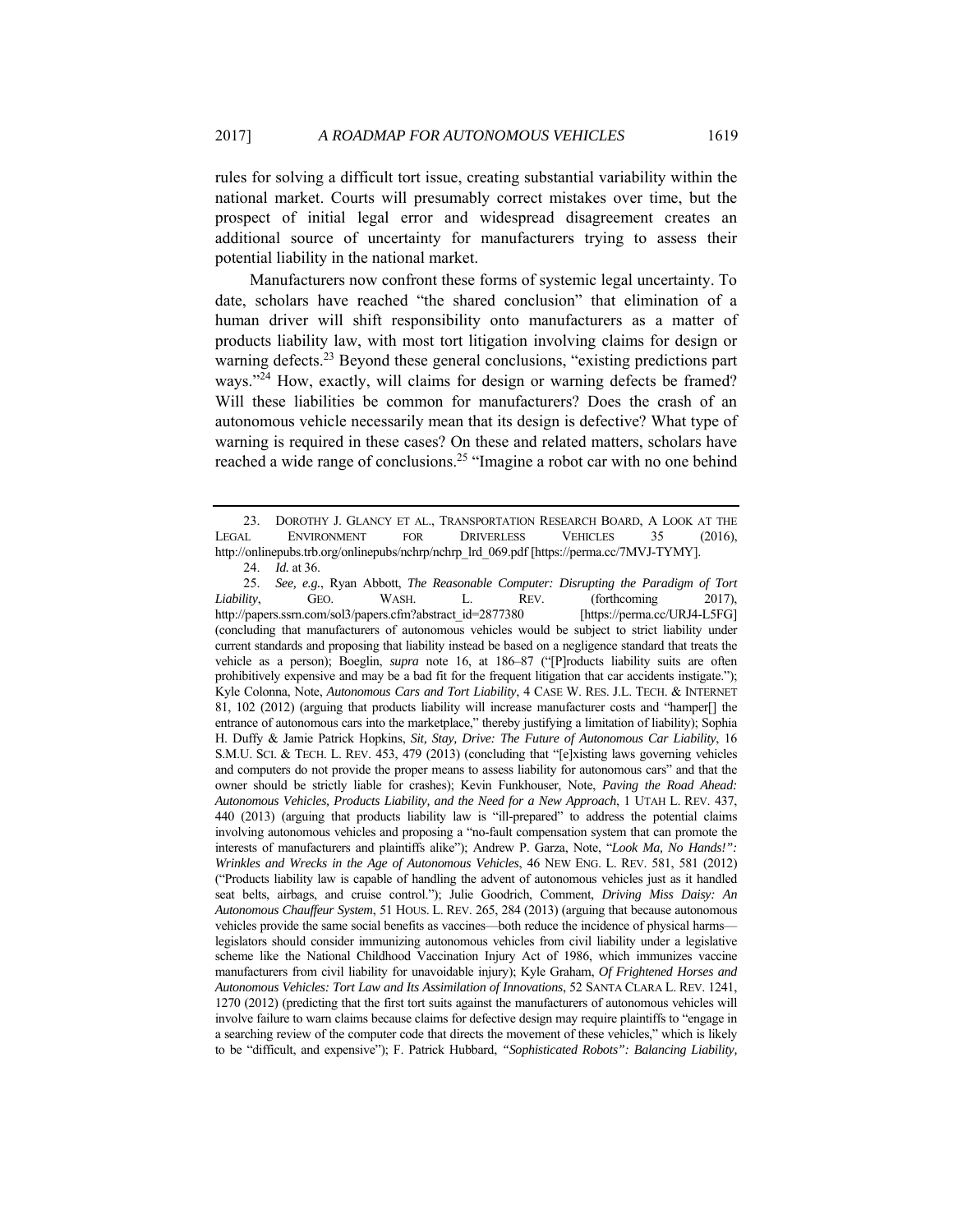rules for solving a difficult tort issue, creating substantial variability within the national market. Courts will presumably correct mistakes over time, but the prospect of initial legal error and widespread disagreement creates an additional source of uncertainty for manufacturers trying to assess their potential liability in the national market.

Manufacturers now confront these forms of systemic legal uncertainty. To date, scholars have reached "the shared conclusion" that elimination of a human driver will shift responsibility onto manufacturers as a matter of products liability law, with most tort litigation involving claims for design or warning defects.<sup>23</sup> Beyond these general conclusions, "existing predictions part ways."<sup>24</sup> How, exactly, will claims for design or warning defects be framed? Will these liabilities be common for manufacturers? Does the crash of an autonomous vehicle necessarily mean that its design is defective? What type of warning is required in these cases? On these and related matters, scholars have reached a wide range of conclusions.<sup>25</sup> "Imagine a robot car with no one behind

25. *See, e.g.*, Ryan Abbott, *The Reasonable Computer: Disrupting the Paradigm of Tort Liability*, GEO. WASH. L. REV. (forthcoming 2017), http://papers.ssrn.com/sol3/papers.cfm?abstract\_id=2877380 [https://perma.cc/URJ4-L5FG] (concluding that manufacturers of autonomous vehicles would be subject to strict liability under current standards and proposing that liability instead be based on a negligence standard that treats the vehicle as a person); Boeglin, *supra* note 16, at 186–87 ("[P]roducts liability suits are often prohibitively expensive and may be a bad fit for the frequent litigation that car accidents instigate."); Kyle Colonna, Note, *Autonomous Cars and Tort Liability*, 4 CASE W. RES. J.L. TECH. & INTERNET 81, 102 (2012) (arguing that products liability will increase manufacturer costs and "hamper[] the entrance of autonomous cars into the marketplace," thereby justifying a limitation of liability); Sophia H. Duffy & Jamie Patrick Hopkins, *Sit, Stay, Drive: The Future of Autonomous Car Liability*, 16 S.M.U. SCI. & TECH. L. REV. 453, 479 (2013) (concluding that "[e]xisting laws governing vehicles and computers do not provide the proper means to assess liability for autonomous cars" and that the owner should be strictly liable for crashes); Kevin Funkhouser, Note, *Paving the Road Ahead: Autonomous Vehicles, Products Liability, and the Need for a New Approach*, 1 UTAH L. REV. 437, 440 (2013) (arguing that products liability law is "ill-prepared" to address the potential claims involving autonomous vehicles and proposing a "no-fault compensation system that can promote the interests of manufacturers and plaintiffs alike"); Andrew P. Garza, Note, "*Look Ma, No Hands!": Wrinkles and Wrecks in the Age of Autonomous Vehicles*, 46 NEW ENG. L. REV. 581, 581 (2012) ("Products liability law is capable of handling the advent of autonomous vehicles just as it handled seat belts, airbags, and cruise control."); Julie Goodrich, Comment, *Driving Miss Daisy: An Autonomous Chauffeur System*, 51 HOUS. L. REV. 265, 284 (2013) (arguing that because autonomous vehicles provide the same social benefits as vaccines—both reduce the incidence of physical harms legislators should consider immunizing autonomous vehicles from civil liability under a legislative scheme like the National Childhood Vaccination Injury Act of 1986, which immunizes vaccine manufacturers from civil liability for unavoidable injury); Kyle Graham, *Of Frightened Horses and Autonomous Vehicles: Tort Law and Its Assimilation of Innovations*, 52 SANTA CLARA L. REV. 1241, 1270 (2012) (predicting that the first tort suits against the manufacturers of autonomous vehicles will involve failure to warn claims because claims for defective design may require plaintiffs to "engage in a searching review of the computer code that directs the movement of these vehicles," which is likely to be "difficult, and expensive"); F. Patrick Hubbard, *"Sophisticated Robots": Balancing Liability,* 

 <sup>23.</sup> DOROTHY J. GLANCY ET AL., TRANSPORTATION RESEARCH BOARD, A LOOK AT THE LEGAL ENVIRONMENT FOR DRIVERLESS VEHICLES 35 (2016), http://onlinepubs.trb.org/onlinepubs/nchrp/nchrp\_lrd\_069.pdf [https://perma.cc/7MVJ-TYMY].

<sup>24.</sup> *Id.* at 36.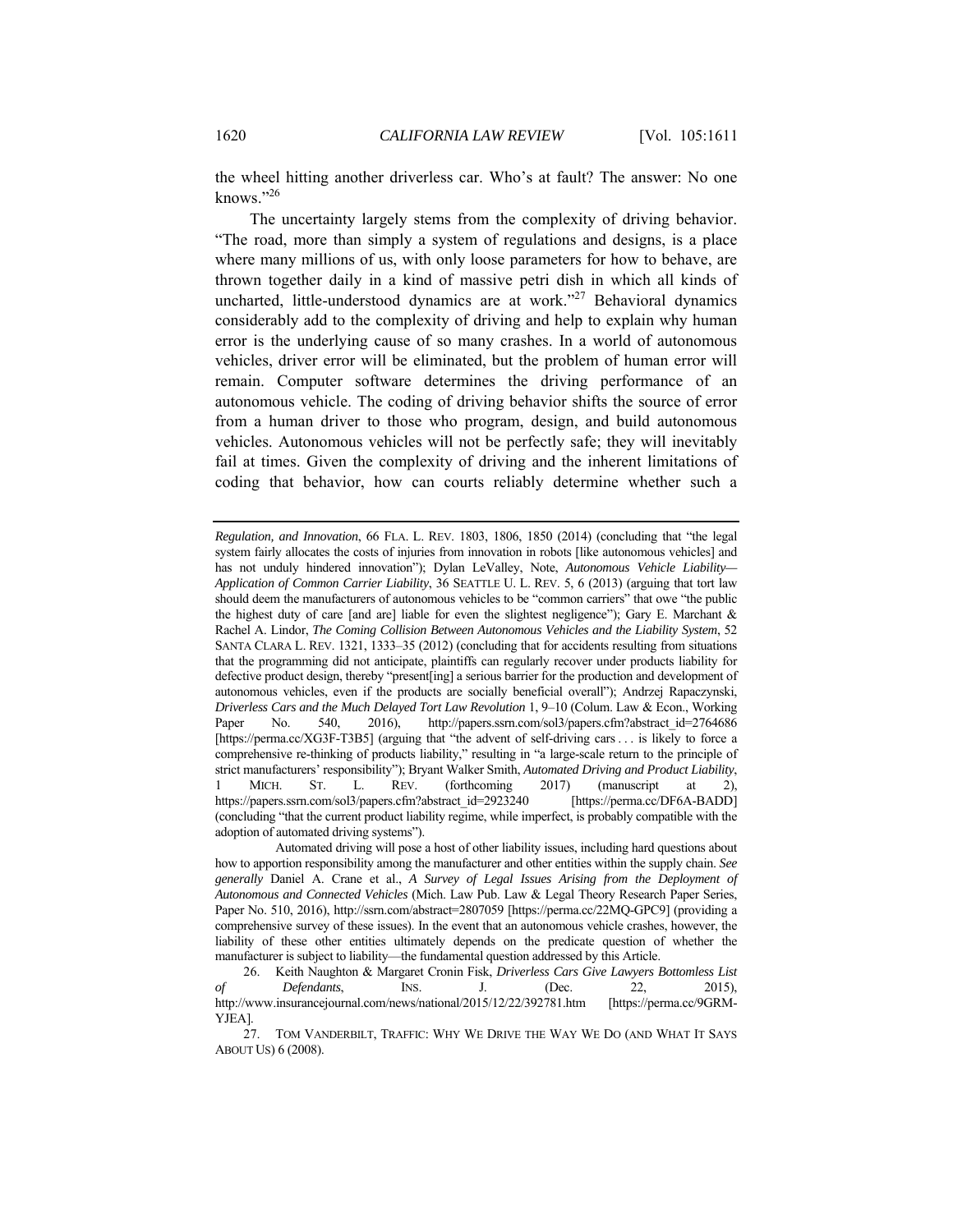the wheel hitting another driverless car. Who's at fault? The answer: No one knows."26

The uncertainty largely stems from the complexity of driving behavior. "The road, more than simply a system of regulations and designs, is a place where many millions of us, with only loose parameters for how to behave, are thrown together daily in a kind of massive petri dish in which all kinds of uncharted, little-understood dynamics are at work."27 Behavioral dynamics considerably add to the complexity of driving and help to explain why human error is the underlying cause of so many crashes. In a world of autonomous vehicles, driver error will be eliminated, but the problem of human error will remain. Computer software determines the driving performance of an autonomous vehicle. The coding of driving behavior shifts the source of error from a human driver to those who program, design, and build autonomous vehicles. Autonomous vehicles will not be perfectly safe; they will inevitably fail at times. Given the complexity of driving and the inherent limitations of coding that behavior, how can courts reliably determine whether such a

*Regulation, and Innovation*, 66 FLA. L. REV. 1803, 1806, 1850 (2014) (concluding that "the legal system fairly allocates the costs of injuries from innovation in robots [like autonomous vehicles] and has not unduly hindered innovation"); Dylan LeValley, Note, *Autonomous Vehicle Liability— Application of Common Carrier Liability*, 36 SEATTLE U. L. REV. 5, 6 (2013) (arguing that tort law should deem the manufacturers of autonomous vehicles to be "common carriers" that owe "the public the highest duty of care [and are] liable for even the slightest negligence"); Gary E. Marchant & Rachel A. Lindor, *The Coming Collision Between Autonomous Vehicles and the Liability System*, 52 SANTA CLARA L. REV. 1321, 1333–35 (2012) (concluding that for accidents resulting from situations that the programming did not anticipate, plaintiffs can regularly recover under products liability for defective product design, thereby "present[ing] a serious barrier for the production and development of autonomous vehicles, even if the products are socially beneficial overall"); Andrzej Rapaczynski, *Driverless Cars and the Much Delayed Tort Law Revolution* 1, 9–10 (Colum. Law & Econ., Working Paper No. 540, 2016), http://papers.ssrn.com/sol3/papers.cfm?abstract\_id=2764686 [https://perma.cc/XG3F-T3B5] (arguing that "the advent of self-driving cars . . . is likely to force a comprehensive re-thinking of products liability," resulting in "a large-scale return to the principle of strict manufacturers' responsibility"); Bryant Walker Smith, *Automated Driving and Product Liability*, 1 MICH. ST. L. REV. (forthcoming 2017) (manuscript at 2), https://papers.ssrn.com/sol3/papers.cfm?abstract\_id=2923240 [https://perma.cc/DF6A-BADD] (concluding "that the current product liability regime, while imperfect, is probably compatible with the adoption of automated driving systems").

Automated driving will pose a host of other liability issues, including hard questions about how to apportion responsibility among the manufacturer and other entities within the supply chain. *See generally* Daniel A. Crane et al., *A Survey of Legal Issues Arising from the Deployment of Autonomous and Connected Vehicles* (Mich. Law Pub. Law & Legal Theory Research Paper Series, Paper No. 510, 2016), http://ssrn.com/abstract=2807059 [https://perma.cc/22MQ-GPC9] (providing a comprehensive survey of these issues). In the event that an autonomous vehicle crashes, however, the liability of these other entities ultimately depends on the predicate question of whether the manufacturer is subject to liability—the fundamental question addressed by this Article.

 <sup>26.</sup> Keith Naughton & Margaret Cronin Fisk, *Driverless Cars Give Lawyers Bottomless List of Defendants*, INS. J. (Dec. 22, 2015), http://www.insurancejournal.com/news/national/2015/12/22/392781.htm [https://perma.cc/9GRM-YJEA].

 <sup>27.</sup> TOM VANDERBILT, TRAFFIC: WHY WE DRIVE THE WAY WE DO (AND WHAT IT SAYS ABOUT US) 6 (2008).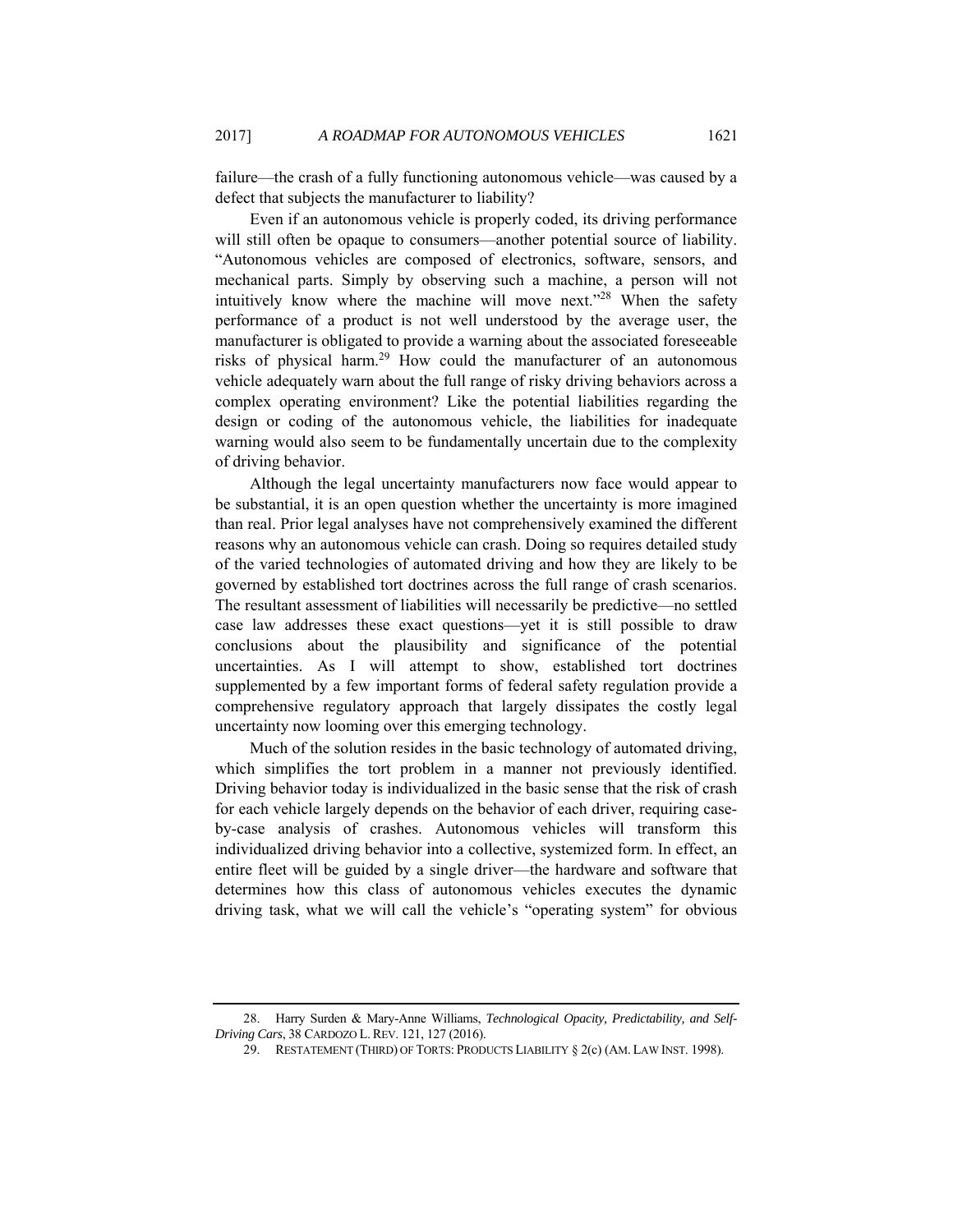failure—the crash of a fully functioning autonomous vehicle—was caused by a defect that subjects the manufacturer to liability?

Even if an autonomous vehicle is properly coded, its driving performance will still often be opaque to consumers—another potential source of liability. "Autonomous vehicles are composed of electronics, software, sensors, and mechanical parts. Simply by observing such a machine, a person will not intuitively know where the machine will move next."<sup>28</sup> When the safety performance of a product is not well understood by the average user, the manufacturer is obligated to provide a warning about the associated foreseeable risks of physical harm.29 How could the manufacturer of an autonomous vehicle adequately warn about the full range of risky driving behaviors across a complex operating environment? Like the potential liabilities regarding the design or coding of the autonomous vehicle, the liabilities for inadequate warning would also seem to be fundamentally uncertain due to the complexity of driving behavior.

Although the legal uncertainty manufacturers now face would appear to be substantial, it is an open question whether the uncertainty is more imagined than real. Prior legal analyses have not comprehensively examined the different reasons why an autonomous vehicle can crash. Doing so requires detailed study of the varied technologies of automated driving and how they are likely to be governed by established tort doctrines across the full range of crash scenarios. The resultant assessment of liabilities will necessarily be predictive—no settled case law addresses these exact questions—yet it is still possible to draw conclusions about the plausibility and significance of the potential uncertainties. As I will attempt to show, established tort doctrines supplemented by a few important forms of federal safety regulation provide a comprehensive regulatory approach that largely dissipates the costly legal uncertainty now looming over this emerging technology.

Much of the solution resides in the basic technology of automated driving, which simplifies the tort problem in a manner not previously identified. Driving behavior today is individualized in the basic sense that the risk of crash for each vehicle largely depends on the behavior of each driver, requiring caseby-case analysis of crashes. Autonomous vehicles will transform this individualized driving behavior into a collective, systemized form. In effect, an entire fleet will be guided by a single driver—the hardware and software that determines how this class of autonomous vehicles executes the dynamic driving task, what we will call the vehicle's "operating system" for obvious

 <sup>28.</sup> Harry Surden & Mary-Anne Williams, *Technological Opacity, Predictability, and Self-Driving Cars*, 38 CARDOZO L.REV. 121, 127 (2016).

 <sup>29.</sup> RESTATEMENT (THIRD) OF TORTS: PRODUCTS LIABILITY § 2(c) (AM. LAW INST. 1998).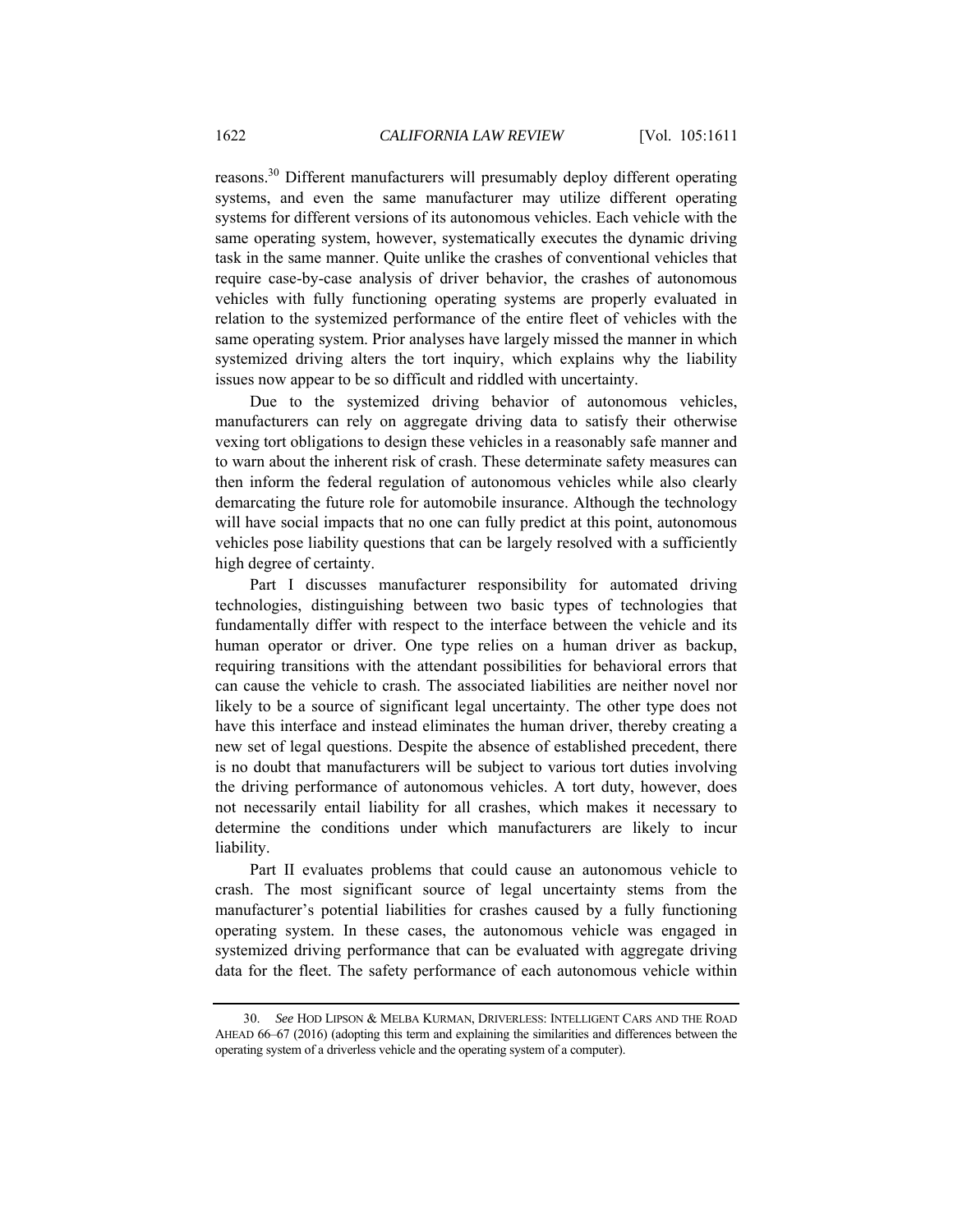reasons.30 Different manufacturers will presumably deploy different operating systems, and even the same manufacturer may utilize different operating systems for different versions of its autonomous vehicles. Each vehicle with the same operating system, however, systematically executes the dynamic driving task in the same manner. Quite unlike the crashes of conventional vehicles that require case-by-case analysis of driver behavior, the crashes of autonomous vehicles with fully functioning operating systems are properly evaluated in relation to the systemized performance of the entire fleet of vehicles with the same operating system. Prior analyses have largely missed the manner in which systemized driving alters the tort inquiry, which explains why the liability issues now appear to be so difficult and riddled with uncertainty.

Due to the systemized driving behavior of autonomous vehicles, manufacturers can rely on aggregate driving data to satisfy their otherwise vexing tort obligations to design these vehicles in a reasonably safe manner and to warn about the inherent risk of crash. These determinate safety measures can then inform the federal regulation of autonomous vehicles while also clearly demarcating the future role for automobile insurance. Although the technology will have social impacts that no one can fully predict at this point, autonomous vehicles pose liability questions that can be largely resolved with a sufficiently high degree of certainty.

Part I discusses manufacturer responsibility for automated driving technologies, distinguishing between two basic types of technologies that fundamentally differ with respect to the interface between the vehicle and its human operator or driver. One type relies on a human driver as backup, requiring transitions with the attendant possibilities for behavioral errors that can cause the vehicle to crash. The associated liabilities are neither novel nor likely to be a source of significant legal uncertainty. The other type does not have this interface and instead eliminates the human driver, thereby creating a new set of legal questions. Despite the absence of established precedent, there is no doubt that manufacturers will be subject to various tort duties involving the driving performance of autonomous vehicles. A tort duty, however, does not necessarily entail liability for all crashes, which makes it necessary to determine the conditions under which manufacturers are likely to incur liability.

Part II evaluates problems that could cause an autonomous vehicle to crash. The most significant source of legal uncertainty stems from the manufacturer's potential liabilities for crashes caused by a fully functioning operating system. In these cases, the autonomous vehicle was engaged in systemized driving performance that can be evaluated with aggregate driving data for the fleet. The safety performance of each autonomous vehicle within

<sup>30.</sup> *See* HOD LIPSON & MELBA KURMAN, DRIVERLESS: INTELLIGENT CARS AND THE ROAD AHEAD 66–67 (2016) (adopting this term and explaining the similarities and differences between the operating system of a driverless vehicle and the operating system of a computer).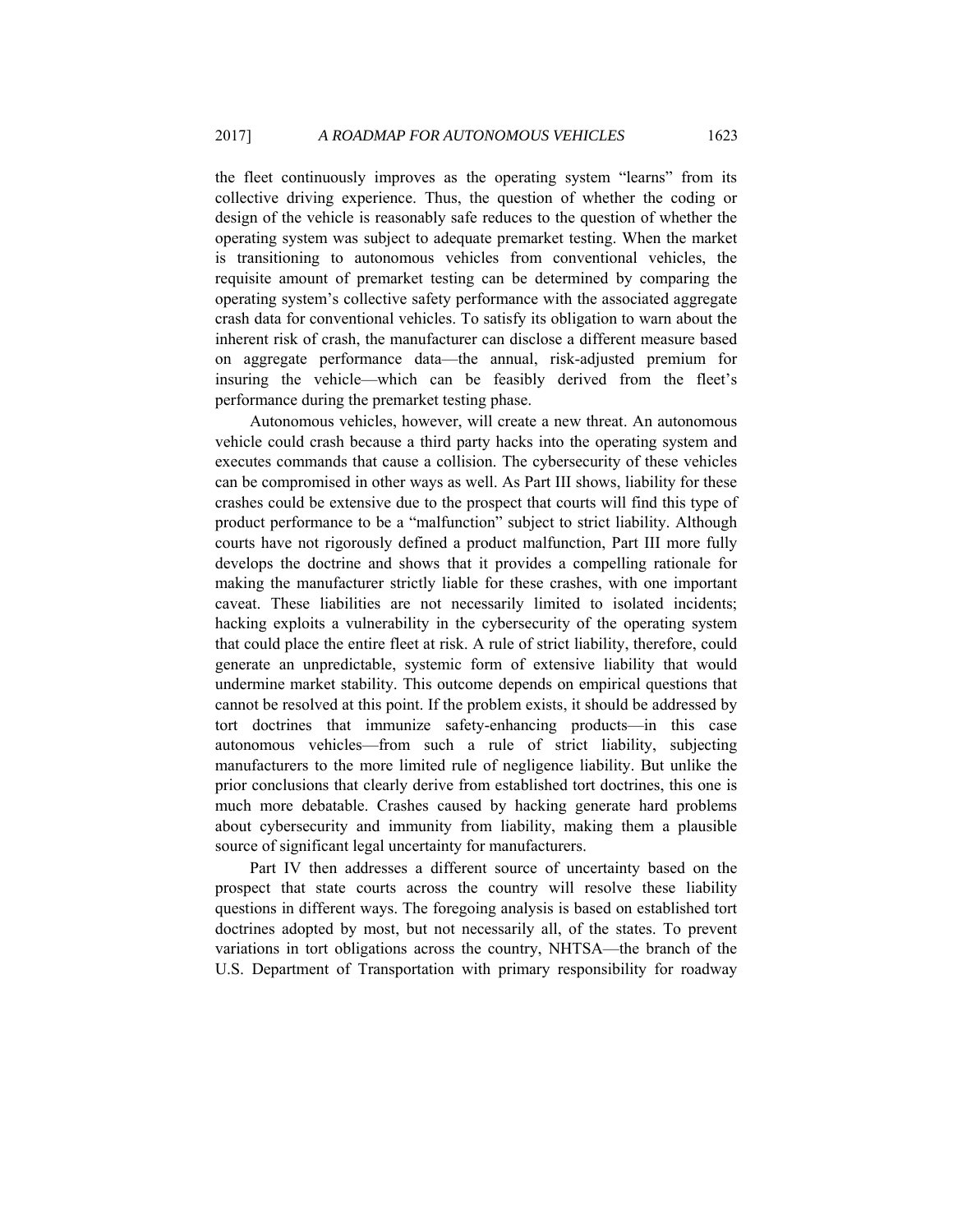the fleet continuously improves as the operating system "learns" from its collective driving experience. Thus, the question of whether the coding or design of the vehicle is reasonably safe reduces to the question of whether the operating system was subject to adequate premarket testing. When the market is transitioning to autonomous vehicles from conventional vehicles, the requisite amount of premarket testing can be determined by comparing the operating system's collective safety performance with the associated aggregate crash data for conventional vehicles. To satisfy its obligation to warn about the inherent risk of crash, the manufacturer can disclose a different measure based on aggregate performance data—the annual, risk-adjusted premium for insuring the vehicle—which can be feasibly derived from the fleet's performance during the premarket testing phase.

Autonomous vehicles, however, will create a new threat. An autonomous vehicle could crash because a third party hacks into the operating system and executes commands that cause a collision. The cybersecurity of these vehicles can be compromised in other ways as well. As Part III shows, liability for these crashes could be extensive due to the prospect that courts will find this type of product performance to be a "malfunction" subject to strict liability. Although courts have not rigorously defined a product malfunction, Part III more fully develops the doctrine and shows that it provides a compelling rationale for making the manufacturer strictly liable for these crashes, with one important caveat. These liabilities are not necessarily limited to isolated incidents; hacking exploits a vulnerability in the cybersecurity of the operating system that could place the entire fleet at risk. A rule of strict liability, therefore, could generate an unpredictable, systemic form of extensive liability that would undermine market stability. This outcome depends on empirical questions that cannot be resolved at this point. If the problem exists, it should be addressed by tort doctrines that immunize safety-enhancing products—in this case autonomous vehicles—from such a rule of strict liability, subjecting manufacturers to the more limited rule of negligence liability. But unlike the prior conclusions that clearly derive from established tort doctrines, this one is much more debatable. Crashes caused by hacking generate hard problems about cybersecurity and immunity from liability, making them a plausible source of significant legal uncertainty for manufacturers.

Part IV then addresses a different source of uncertainty based on the prospect that state courts across the country will resolve these liability questions in different ways. The foregoing analysis is based on established tort doctrines adopted by most, but not necessarily all, of the states. To prevent variations in tort obligations across the country, NHTSA—the branch of the U.S. Department of Transportation with primary responsibility for roadway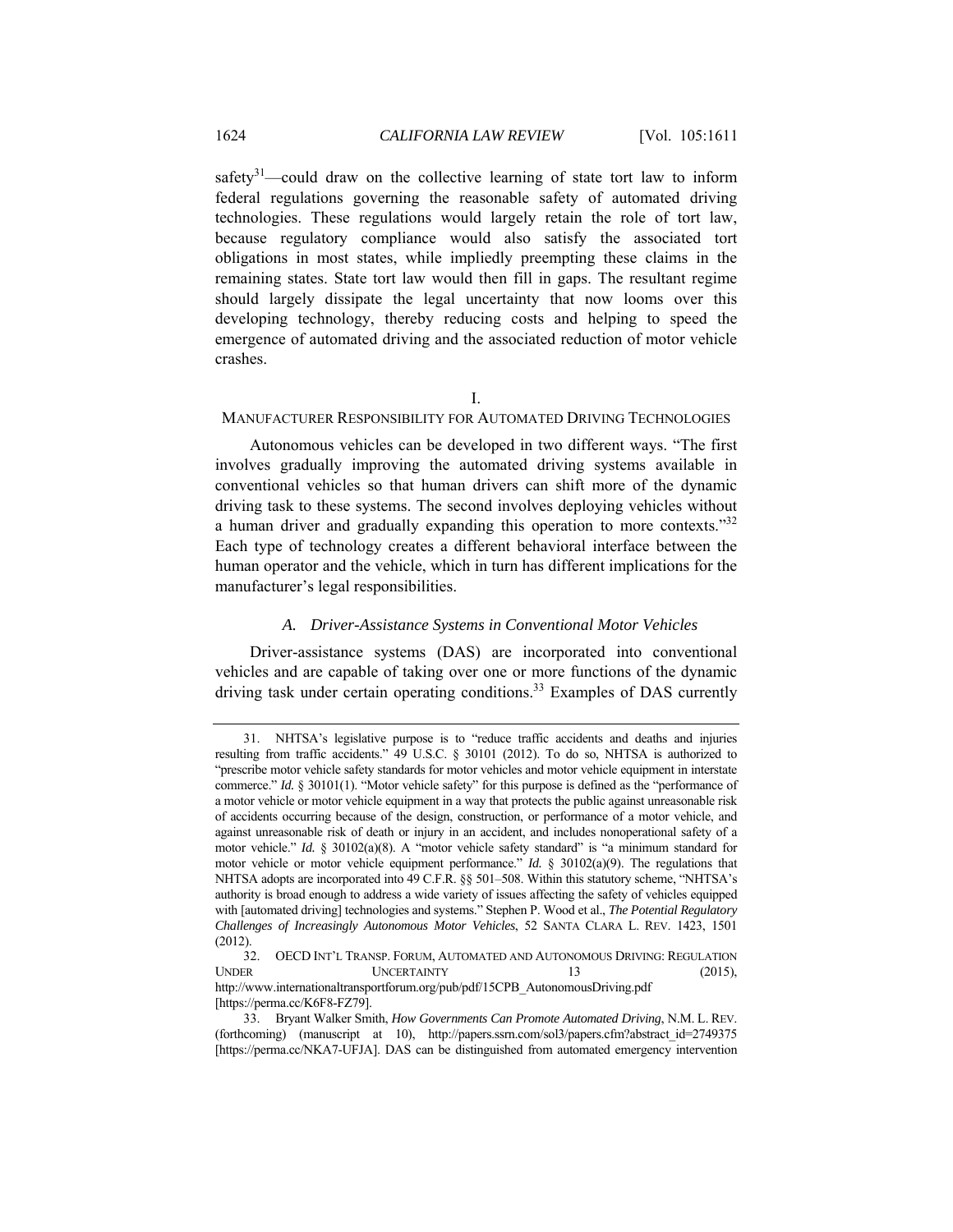safety<sup>31</sup>—could draw on the collective learning of state tort law to inform federal regulations governing the reasonable safety of automated driving technologies. These regulations would largely retain the role of tort law, because regulatory compliance would also satisfy the associated tort obligations in most states, while impliedly preempting these claims in the remaining states. State tort law would then fill in gaps. The resultant regime should largely dissipate the legal uncertainty that now looms over this developing technology, thereby reducing costs and helping to speed the emergence of automated driving and the associated reduction of motor vehicle crashes.

I.

## MANUFACTURER RESPONSIBILITY FOR AUTOMATED DRIVING TECHNOLOGIES

Autonomous vehicles can be developed in two different ways. "The first involves gradually improving the automated driving systems available in conventional vehicles so that human drivers can shift more of the dynamic driving task to these systems. The second involves deploying vehicles without a human driver and gradually expanding this operation to more contexts."32 Each type of technology creates a different behavioral interface between the human operator and the vehicle, which in turn has different implications for the manufacturer's legal responsibilities.

## *A. Driver-Assistance Systems in Conventional Motor Vehicles*

Driver-assistance systems (DAS) are incorporated into conventional vehicles and are capable of taking over one or more functions of the dynamic driving task under certain operating conditions.<sup>33</sup> Examples of DAS currently

 <sup>31.</sup> NHTSA's legislative purpose is to "reduce traffic accidents and deaths and injuries resulting from traffic accidents." 49 U.S.C. § 30101 (2012). To do so, NHTSA is authorized to "prescribe motor vehicle safety standards for motor vehicles and motor vehicle equipment in interstate commerce." *Id.* § 30101(1). "Motor vehicle safety" for this purpose is defined as the "performance of a motor vehicle or motor vehicle equipment in a way that protects the public against unreasonable risk of accidents occurring because of the design, construction, or performance of a motor vehicle, and against unreasonable risk of death or injury in an accident, and includes nonoperational safety of a motor vehicle." *Id.* § 30102(a)(8). A "motor vehicle safety standard" is "a minimum standard for motor vehicle or motor vehicle equipment performance." *Id.* § 30102(a)(9). The regulations that NHTSA adopts are incorporated into 49 C.F.R. §§ 501–508. Within this statutory scheme, "NHTSA's authority is broad enough to address a wide variety of issues affecting the safety of vehicles equipped with [automated driving] technologies and systems." Stephen P. Wood et al., *The Potential Regulatory Challenges of Increasingly Autonomous Motor Vehicles*, 52 SANTA CLARA L. REV. 1423, 1501 (2012).

 <sup>32.</sup> OECD INT'L TRANSP. FORUM, AUTOMATED AND AUTONOMOUS DRIVING: REGULATION UNDER UNCERTAINTY 13 (2015), http://www.internationaltransportforum.org/pub/pdf/15CPB\_AutonomousDriving.pdf [https://perma.cc/K6F8-FZ79].

 <sup>33.</sup> Bryant Walker Smith, *How Governments Can Promote Automated Driving*, N.M. L. REV. (forthcoming) (manuscript at 10), http://papers.ssrn.com/sol3/papers.cfm?abstract\_id=2749375 [https://perma.cc/NKA7-UFJA]. DAS can be distinguished from automated emergency intervention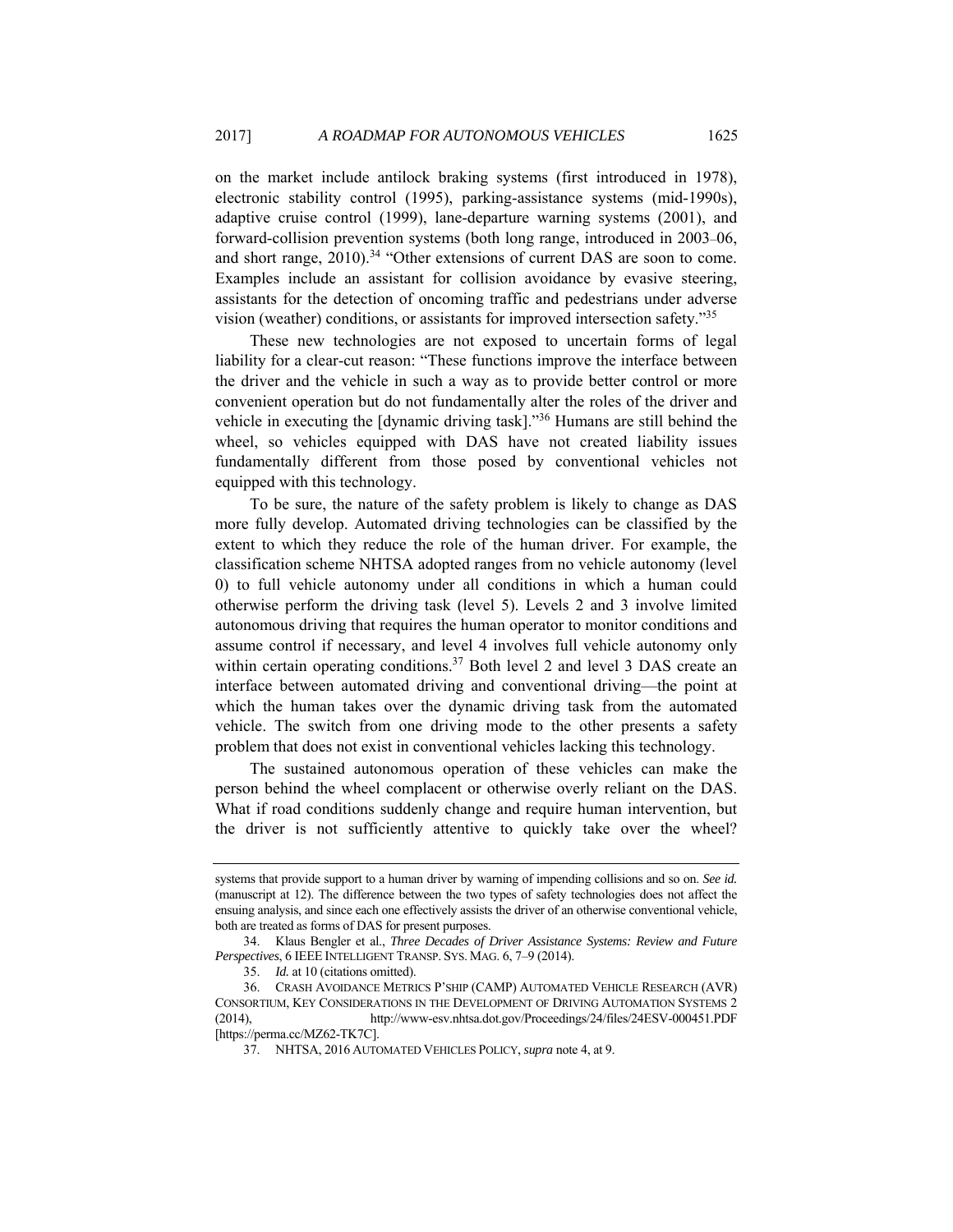on the market include antilock braking systems (first introduced in 1978), electronic stability control (1995), parking-assistance systems (mid-1990s), adaptive cruise control (1999), lane-departure warning systems (2001), and forward-collision prevention systems (both long range, introduced in 2003–06, and short range, 2010).<sup>34</sup> "Other extensions of current DAS are soon to come. Examples include an assistant for collision avoidance by evasive steering, assistants for the detection of oncoming traffic and pedestrians under adverse vision (weather) conditions, or assistants for improved intersection safety."35

These new technologies are not exposed to uncertain forms of legal liability for a clear-cut reason: "These functions improve the interface between the driver and the vehicle in such a way as to provide better control or more convenient operation but do not fundamentally alter the roles of the driver and vehicle in executing the [dynamic driving task]."36 Humans are still behind the wheel, so vehicles equipped with DAS have not created liability issues fundamentally different from those posed by conventional vehicles not equipped with this technology.

To be sure, the nature of the safety problem is likely to change as DAS more fully develop. Automated driving technologies can be classified by the extent to which they reduce the role of the human driver. For example, the classification scheme NHTSA adopted ranges from no vehicle autonomy (level 0) to full vehicle autonomy under all conditions in which a human could otherwise perform the driving task (level 5). Levels 2 and 3 involve limited autonomous driving that requires the human operator to monitor conditions and assume control if necessary, and level 4 involves full vehicle autonomy only within certain operating conditions.<sup>37</sup> Both level 2 and level 3 DAS create an interface between automated driving and conventional driving—the point at which the human takes over the dynamic driving task from the automated vehicle. The switch from one driving mode to the other presents a safety problem that does not exist in conventional vehicles lacking this technology.

The sustained autonomous operation of these vehicles can make the person behind the wheel complacent or otherwise overly reliant on the DAS. What if road conditions suddenly change and require human intervention, but the driver is not sufficiently attentive to quickly take over the wheel?

systems that provide support to a human driver by warning of impending collisions and so on. *See id.*  (manuscript at 12). The difference between the two types of safety technologies does not affect the ensuing analysis, and since each one effectively assists the driver of an otherwise conventional vehicle, both are treated as forms of DAS for present purposes.

 <sup>34.</sup> Klaus Bengler et al., *Three Decades of Driver Assistance Systems: Review and Future Perspectives*, 6 IEEE INTELLIGENT TRANSP. SYS. MAG. 6, 7–9 (2014).

<sup>35.</sup> *Id.* at 10 (citations omitted).

 <sup>36.</sup> CRASH AVOIDANCE METRICS P'SHIP (CAMP) AUTOMATED VEHICLE RESEARCH (AVR) CONSORTIUM, KEY CONSIDERATIONS IN THE DEVELOPMENT OF DRIVING AUTOMATION SYSTEMS 2 (2014), http://www-esv.nhtsa.dot.gov/Proceedings/24/files/24ESV-000451.PDF [https://perma.cc/MZ62-TK7C].

 <sup>37.</sup> NHTSA, 2016 AUTOMATED VEHICLES POLICY, *supra* note 4, at 9.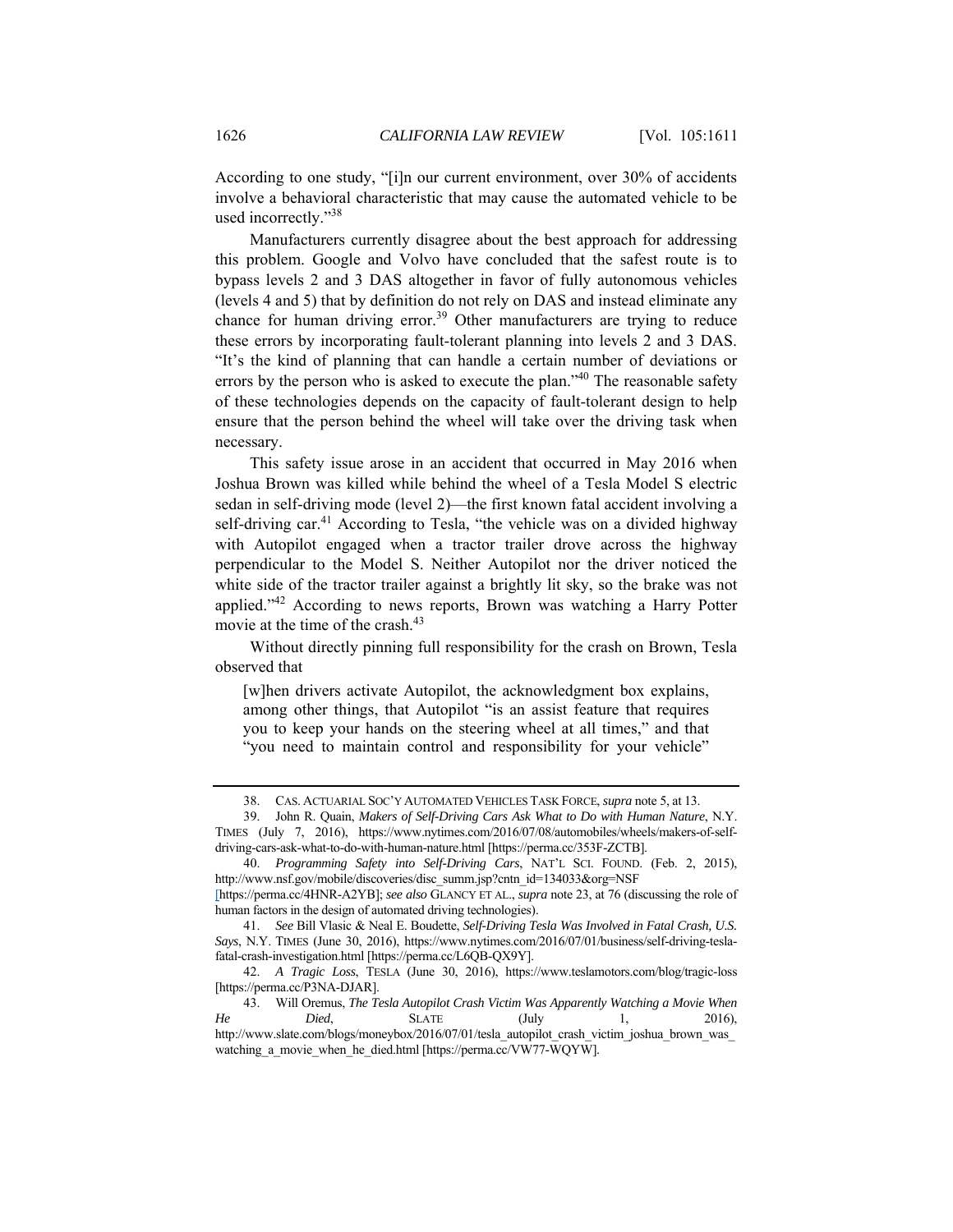According to one study, "[i]n our current environment, over 30% of accidents involve a behavioral characteristic that may cause the automated vehicle to be used incorrectly."38

Manufacturers currently disagree about the best approach for addressing this problem. Google and Volvo have concluded that the safest route is to bypass levels 2 and 3 DAS altogether in favor of fully autonomous vehicles (levels 4 and 5) that by definition do not rely on DAS and instead eliminate any chance for human driving error.<sup>39</sup> Other manufacturers are trying to reduce these errors by incorporating fault-tolerant planning into levels 2 and 3 DAS. "It's the kind of planning that can handle a certain number of deviations or errors by the person who is asked to execute the plan."<sup>40</sup> The reasonable safety of these technologies depends on the capacity of fault-tolerant design to help ensure that the person behind the wheel will take over the driving task when necessary.

This safety issue arose in an accident that occurred in May 2016 when Joshua Brown was killed while behind the wheel of a Tesla Model S electric sedan in self-driving mode (level 2)—the first known fatal accident involving a self-driving car.<sup>41</sup> According to Tesla, "the vehicle was on a divided highway with Autopilot engaged when a tractor trailer drove across the highway perpendicular to the Model S. Neither Autopilot nor the driver noticed the white side of the tractor trailer against a brightly lit sky, so the brake was not applied."42 According to news reports, Brown was watching a Harry Potter movie at the time of the crash.<sup>43</sup>

Without directly pinning full responsibility for the crash on Brown, Tesla observed that

[w]hen drivers activate Autopilot, the acknowledgment box explains, among other things, that Autopilot "is an assist feature that requires you to keep your hands on the steering wheel at all times," and that "you need to maintain control and responsibility for your vehicle"

 <sup>38.</sup> CAS. ACTUARIAL SOC'Y AUTOMATED VEHICLES TASK FORCE, *supra* note 5, at 13.

 <sup>39.</sup> John R. Quain, *Makers of Self-Driving Cars Ask What to Do with Human Nature*, N.Y. TIMES (July 7, 2016), https://www.nytimes.com/2016/07/08/automobiles/wheels/makers-of-selfdriving-cars-ask-what-to-do-with-human-nature.html [https://perma.cc/353F-ZCTB].

<sup>40.</sup> *Programming Safety into Self-Driving Cars*, NAT'L SCI. FOUND. (Feb. 2, 2015), http://www.nsf.gov/mobile/discoveries/disc\_summ.jsp?cntn\_id=134033&org=NSF

<sup>[</sup>https://perma.cc/4HNR-A2YB]; *see also* GLANCY ET AL., *supra* note 23, at 76 (discussing the role of human factors in the design of automated driving technologies).

<sup>41.</sup> *See* Bill Vlasic & Neal E. Boudette, *Self-Driving Tesla Was Involved in Fatal Crash, U.S. Says*, N.Y. TIMES (June 30, 2016), https://www.nytimes.com/2016/07/01/business/self-driving-teslafatal-crash-investigation.html [https://perma.cc/L6QB-QX9Y].

<sup>42.</sup> *A Tragic Loss*, TESLA (June 30, 2016), https://www.teslamotors.com/blog/tragic-loss [https://perma.cc/P3NA-DJAR].

 <sup>43.</sup> Will Oremus, *The Tesla Autopilot Crash Victim Was Apparently Watching a Movie When He Died*, SLATE (July 1, 2016), http://www.slate.com/blogs/moneybox/2016/07/01/tesla\_autopilot\_crash\_victim\_joshua\_brown\_was watching\_a\_movie\_when\_he\_died.html [https://perma.cc/VW77-WQYW].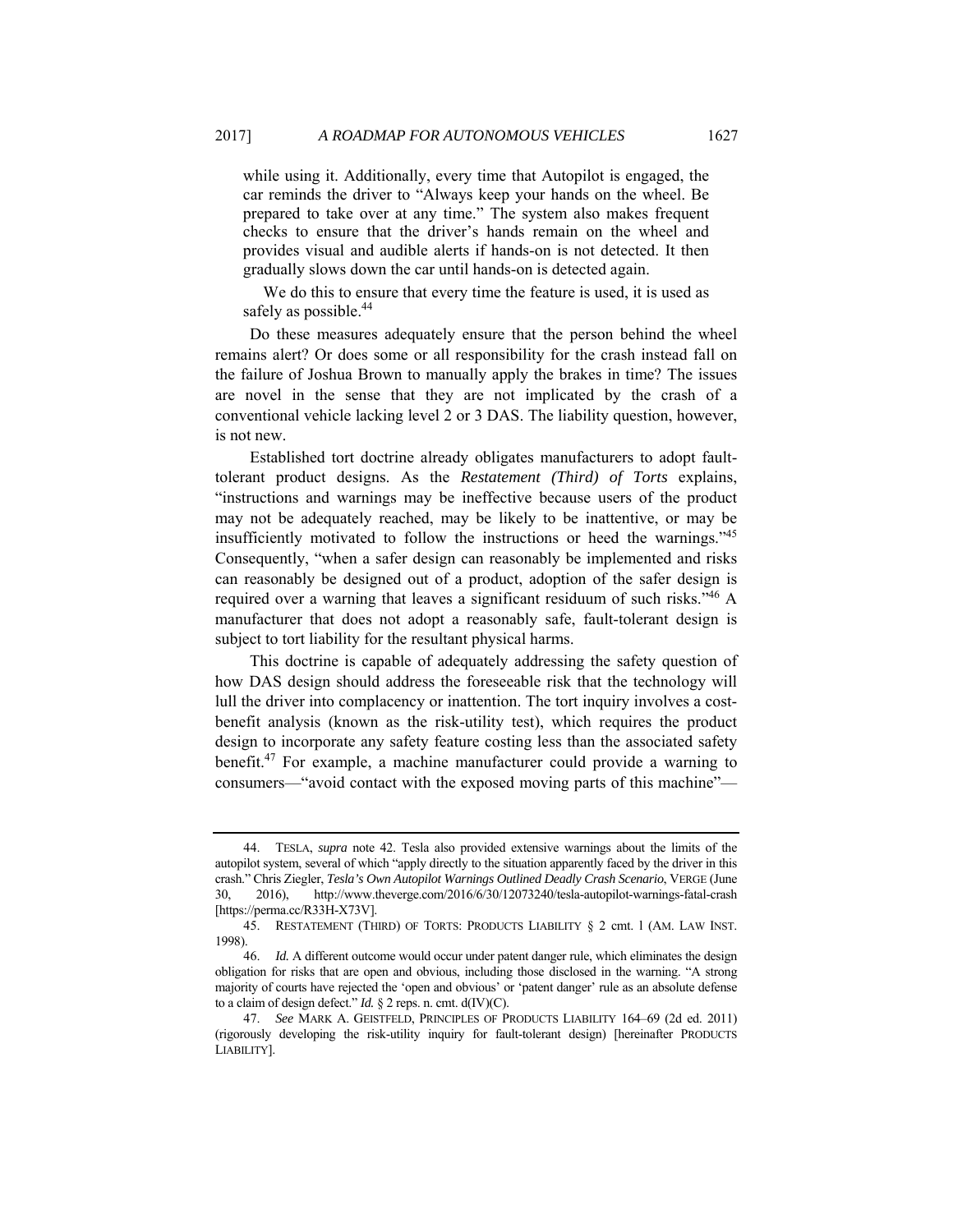while using it. Additionally, every time that Autopilot is engaged, the car reminds the driver to "Always keep your hands on the wheel. Be prepared to take over at any time." The system also makes frequent checks to ensure that the driver's hands remain on the wheel and provides visual and audible alerts if hands-on is not detected. It then gradually slows down the car until hands-on is detected again.

 We do this to ensure that every time the feature is used, it is used as safely as possible.<sup>44</sup>

Do these measures adequately ensure that the person behind the wheel remains alert? Or does some or all responsibility for the crash instead fall on the failure of Joshua Brown to manually apply the brakes in time? The issues are novel in the sense that they are not implicated by the crash of a conventional vehicle lacking level 2 or 3 DAS. The liability question, however, is not new.

Established tort doctrine already obligates manufacturers to adopt faulttolerant product designs. As the *Restatement (Third) of Torts* explains, "instructions and warnings may be ineffective because users of the product may not be adequately reached, may be likely to be inattentive, or may be insufficiently motivated to follow the instructions or heed the warnings."45 Consequently, "when a safer design can reasonably be implemented and risks can reasonably be designed out of a product, adoption of the safer design is required over a warning that leaves a significant residuum of such risks."<sup>46</sup> A manufacturer that does not adopt a reasonably safe, fault-tolerant design is subject to tort liability for the resultant physical harms.

This doctrine is capable of adequately addressing the safety question of how DAS design should address the foreseeable risk that the technology will lull the driver into complacency or inattention. The tort inquiry involves a costbenefit analysis (known as the risk-utility test), which requires the product design to incorporate any safety feature costing less than the associated safety benefit.47 For example, a machine manufacturer could provide a warning to consumers—"avoid contact with the exposed moving parts of this machine"—

 <sup>44.</sup> TESLA, *supra* note 42. Tesla also provided extensive warnings about the limits of the autopilot system, several of which "apply directly to the situation apparently faced by the driver in this crash." Chris Ziegler, *Tesla's Own Autopilot Warnings Outlined Deadly Crash Scenario*, VERGE (June 30, 2016), http://www.theverge.com/2016/6/30/12073240/tesla-autopilot-warnings-fatal-crash [https://perma.cc/R33H-X73V].

 <sup>45.</sup> RESTATEMENT (THIRD) OF TORTS: PRODUCTS LIABILITY § 2 cmt. l (AM. LAW INST. 1998).

<sup>46.</sup> *Id.* A different outcome would occur under patent danger rule, which eliminates the design obligation for risks that are open and obvious, including those disclosed in the warning. "A strong majority of courts have rejected the 'open and obvious' or 'patent danger' rule as an absolute defense to a claim of design defect." *Id.* § 2 reps. n. cmt. d(IV)(C).

<sup>47.</sup> *See* MARK A. GEISTFELD, PRINCIPLES OF PRODUCTS LIABILITY 164–69 (2d ed. 2011) (rigorously developing the risk-utility inquiry for fault-tolerant design) [hereinafter PRODUCTS LIABILITY].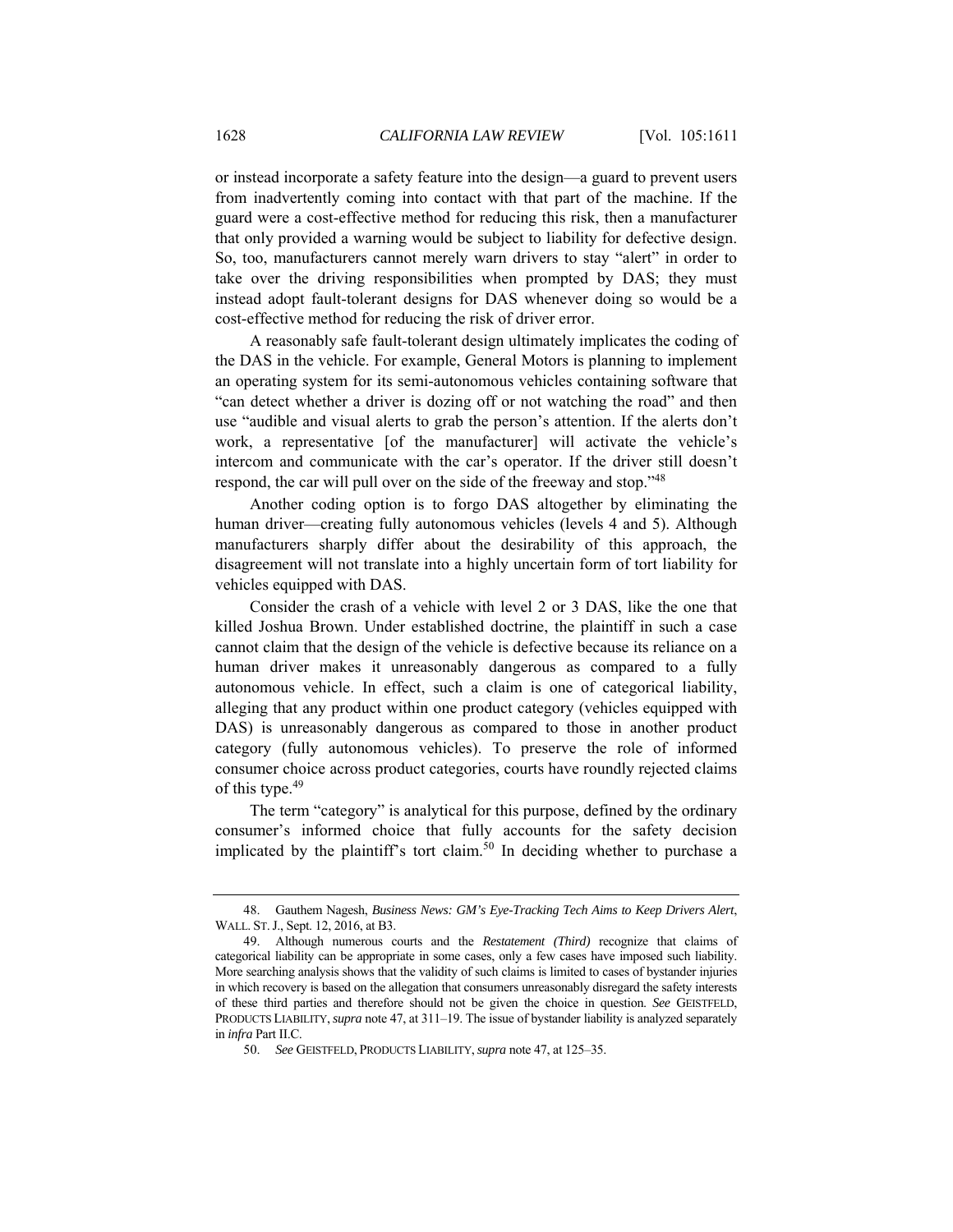or instead incorporate a safety feature into the design—a guard to prevent users from inadvertently coming into contact with that part of the machine. If the guard were a cost-effective method for reducing this risk, then a manufacturer that only provided a warning would be subject to liability for defective design. So, too, manufacturers cannot merely warn drivers to stay "alert" in order to take over the driving responsibilities when prompted by DAS; they must instead adopt fault-tolerant designs for DAS whenever doing so would be a cost-effective method for reducing the risk of driver error.

A reasonably safe fault-tolerant design ultimately implicates the coding of the DAS in the vehicle. For example, General Motors is planning to implement an operating system for its semi-autonomous vehicles containing software that "can detect whether a driver is dozing off or not watching the road" and then use "audible and visual alerts to grab the person's attention. If the alerts don't work, a representative [of the manufacturer] will activate the vehicle's intercom and communicate with the car's operator. If the driver still doesn't respond, the car will pull over on the side of the freeway and stop."<sup>48</sup>

Another coding option is to forgo DAS altogether by eliminating the human driver—creating fully autonomous vehicles (levels 4 and 5). Although manufacturers sharply differ about the desirability of this approach, the disagreement will not translate into a highly uncertain form of tort liability for vehicles equipped with DAS.

Consider the crash of a vehicle with level 2 or 3 DAS, like the one that killed Joshua Brown. Under established doctrine, the plaintiff in such a case cannot claim that the design of the vehicle is defective because its reliance on a human driver makes it unreasonably dangerous as compared to a fully autonomous vehicle. In effect, such a claim is one of categorical liability, alleging that any product within one product category (vehicles equipped with DAS) is unreasonably dangerous as compared to those in another product category (fully autonomous vehicles). To preserve the role of informed consumer choice across product categories, courts have roundly rejected claims of this type.<sup>49</sup>

The term "category" is analytical for this purpose, defined by the ordinary consumer's informed choice that fully accounts for the safety decision implicated by the plaintiff's tort claim.<sup>50</sup> In deciding whether to purchase a

 <sup>48.</sup> Gauthem Nagesh, *Business News: GM's Eye-Tracking Tech Aims to Keep Drivers Alert*, WALL. ST.J., Sept. 12, 2016, at B3.

 <sup>49.</sup> Although numerous courts and the *Restatement (Third)* recognize that claims of categorical liability can be appropriate in some cases, only a few cases have imposed such liability. More searching analysis shows that the validity of such claims is limited to cases of bystander injuries in which recovery is based on the allegation that consumers unreasonably disregard the safety interests of these third parties and therefore should not be given the choice in question. *See* GEISTFELD, PRODUCTS LIABILITY,*supra* note 47, at 311–19. The issue of bystander liability is analyzed separately in *infra* Part II.C.

<sup>50.</sup> *See* GEISTFELD, PRODUCTS LIABILITY,*supra* note 47, at 125–35.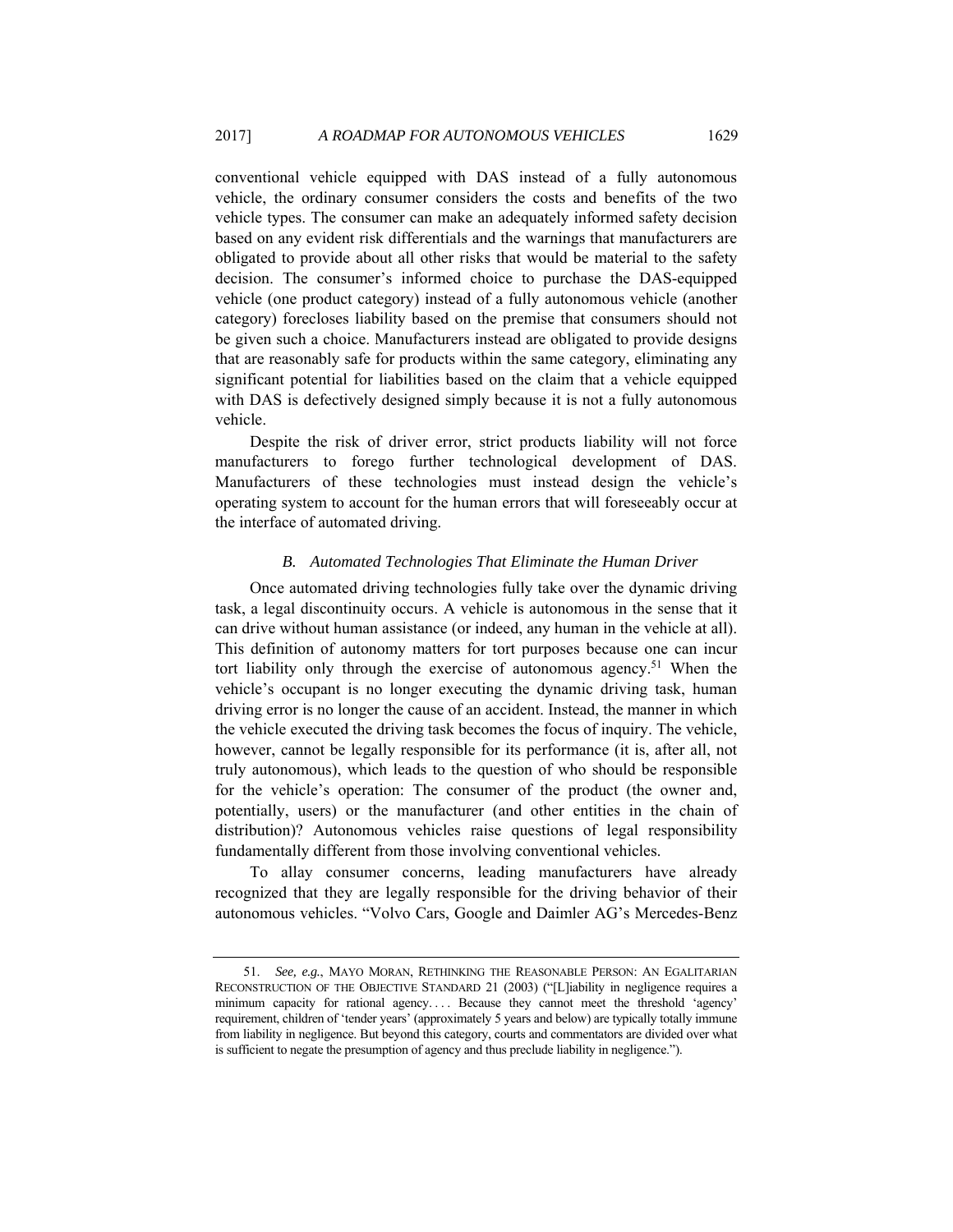conventional vehicle equipped with DAS instead of a fully autonomous vehicle, the ordinary consumer considers the costs and benefits of the two vehicle types. The consumer can make an adequately informed safety decision based on any evident risk differentials and the warnings that manufacturers are obligated to provide about all other risks that would be material to the safety decision. The consumer's informed choice to purchase the DAS-equipped vehicle (one product category) instead of a fully autonomous vehicle (another category) forecloses liability based on the premise that consumers should not be given such a choice. Manufacturers instead are obligated to provide designs that are reasonably safe for products within the same category, eliminating any significant potential for liabilities based on the claim that a vehicle equipped with DAS is defectively designed simply because it is not a fully autonomous vehicle.

Despite the risk of driver error, strict products liability will not force manufacturers to forego further technological development of DAS. Manufacturers of these technologies must instead design the vehicle's operating system to account for the human errors that will foreseeably occur at the interface of automated driving.

## *B. Automated Technologies That Eliminate the Human Driver*

Once automated driving technologies fully take over the dynamic driving task, a legal discontinuity occurs. A vehicle is autonomous in the sense that it can drive without human assistance (or indeed, any human in the vehicle at all). This definition of autonomy matters for tort purposes because one can incur tort liability only through the exercise of autonomous agency.<sup>51</sup> When the vehicle's occupant is no longer executing the dynamic driving task, human driving error is no longer the cause of an accident. Instead, the manner in which the vehicle executed the driving task becomes the focus of inquiry. The vehicle, however, cannot be legally responsible for its performance (it is, after all, not truly autonomous), which leads to the question of who should be responsible for the vehicle's operation: The consumer of the product (the owner and, potentially, users) or the manufacturer (and other entities in the chain of distribution)? Autonomous vehicles raise questions of legal responsibility fundamentally different from those involving conventional vehicles.

To allay consumer concerns, leading manufacturers have already recognized that they are legally responsible for the driving behavior of their autonomous vehicles. "Volvo Cars, Google and Daimler AG's Mercedes-Benz

<sup>51.</sup> *See, e.g.*, MAYO MORAN, RETHINKING THE REASONABLE PERSON: AN EGALITARIAN RECONSTRUCTION OF THE OBJECTIVE STANDARD 21 (2003) ("[L]iability in negligence requires a minimum capacity for rational agency. . . . Because they cannot meet the threshold 'agency' requirement, children of 'tender years' (approximately 5 years and below) are typically totally immune from liability in negligence. But beyond this category, courts and commentators are divided over what is sufficient to negate the presumption of agency and thus preclude liability in negligence.").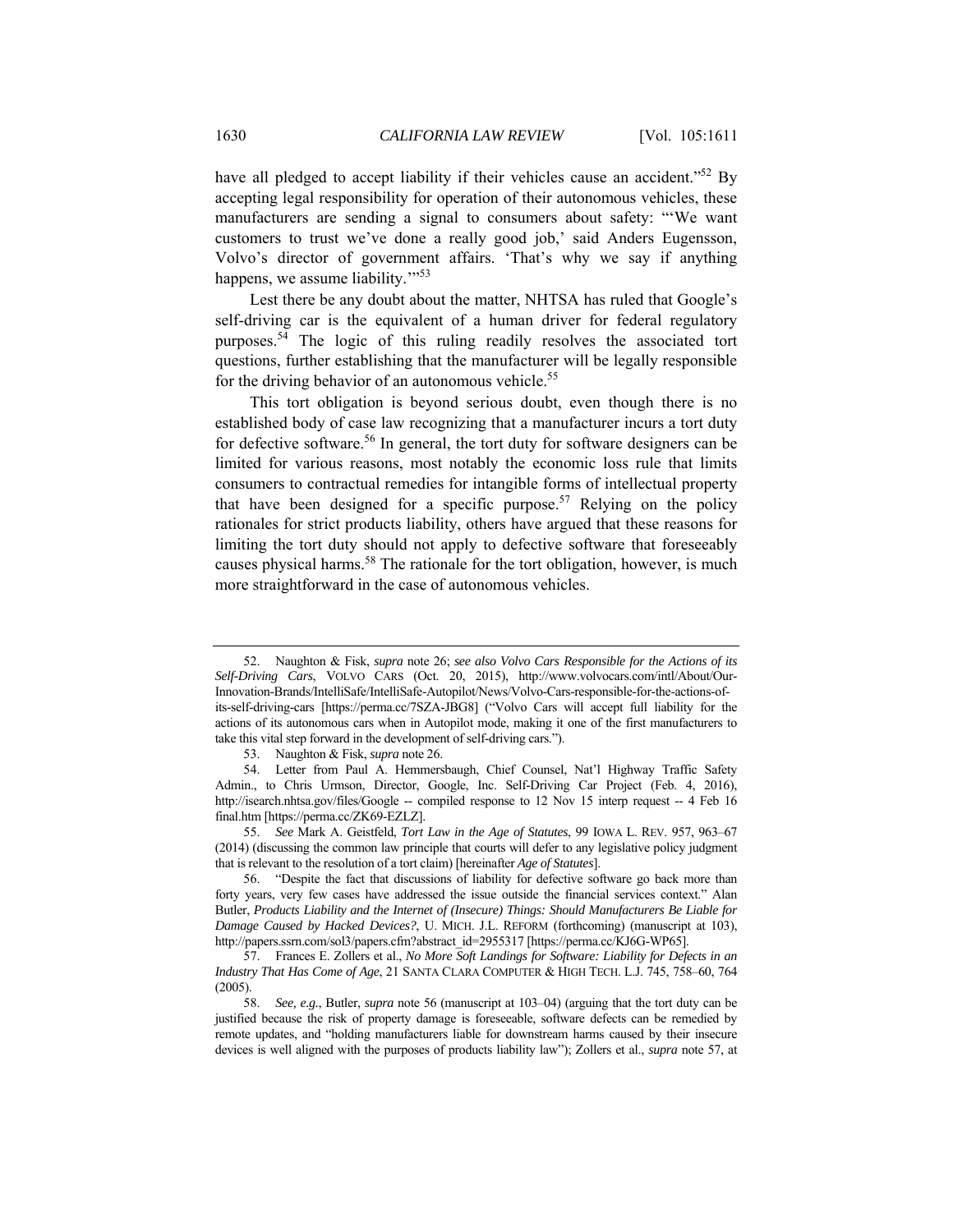have all pledged to accept liability if their vehicles cause an accident."<sup>52</sup> By accepting legal responsibility for operation of their autonomous vehicles, these manufacturers are sending a signal to consumers about safety: "'We want customers to trust we've done a really good job,' said Anders Eugensson, Volvo's director of government affairs. 'That's why we say if anything happens, we assume liability."<sup>53</sup>

Lest there be any doubt about the matter, NHTSA has ruled that Google's self-driving car is the equivalent of a human driver for federal regulatory purposes.54 The logic of this ruling readily resolves the associated tort questions, further establishing that the manufacturer will be legally responsible for the driving behavior of an autonomous vehicle.<sup>55</sup>

This tort obligation is beyond serious doubt, even though there is no established body of case law recognizing that a manufacturer incurs a tort duty for defective software.<sup>56</sup> In general, the tort duty for software designers can be limited for various reasons, most notably the economic loss rule that limits consumers to contractual remedies for intangible forms of intellectual property that have been designed for a specific purpose.<sup>57</sup> Relying on the policy rationales for strict products liability, others have argued that these reasons for limiting the tort duty should not apply to defective software that foreseeably causes physical harms.<sup>58</sup> The rationale for the tort obligation, however, is much more straightforward in the case of autonomous vehicles.

 <sup>52.</sup> Naughton & Fisk, *supra* note 26; *see also Volvo Cars Responsible for the Actions of its Self-Driving Cars*, VOLVO CARS (Oct. 20, 2015), http://www.volvocars.com/intl/About/Our-Innovation-Brands/IntelliSafe/IntelliSafe-Autopilot/News/Volvo-Cars-responsible-for-the-actions-ofits-self-driving-cars [https://perma.cc/7SZA-JBG8] ("Volvo Cars will accept full liability for the actions of its autonomous cars when in Autopilot mode, making it one of the first manufacturers to take this vital step forward in the development of self-driving cars.").

 <sup>53.</sup> Naughton & Fisk, *supra* note 26.

 <sup>54.</sup> Letter from Paul A. Hemmersbaugh, Chief Counsel, Nat'l Highway Traffic Safety Admin., to Chris Urmson, Director, Google, Inc. Self-Driving Car Project (Feb. 4, 2016), http://isearch.nhtsa.gov/files/Google -- compiled response to 12 Nov 15 interp request -- 4 Feb 16 final.htm [https://perma.cc/ZK69-EZLZ].

<sup>55.</sup> *See* Mark A. Geistfeld, *Tort Law in the Age of Statutes*, 99 IOWA L. REV. 957, 963–67 (2014) (discussing the common law principle that courts will defer to any legislative policy judgment that is relevant to the resolution of a tort claim) [hereinafter *Age of Statutes*].

 <sup>56. &</sup>quot;Despite the fact that discussions of liability for defective software go back more than forty years, very few cases have addressed the issue outside the financial services context." Alan Butler, *Products Liability and the Internet of (Insecure) Things: Should Manufacturers Be Liable for Damage Caused by Hacked Devices?*, U. MICH. J.L. REFORM (forthcoming) (manuscript at 103), http://papers.ssrn.com/sol3/papers.cfm?abstract\_id=2955317 [https://perma.cc/KJ6G-WP65].

 <sup>57.</sup> Frances E. Zollers et al., *No More Soft Landings for Software: Liability for Defects in an Industry That Has Come of Age*, 21 SANTA CLARA COMPUTER & HIGH TECH. L.J. 745, 758–60, 764 (2005).

<sup>58.</sup> *See, e.g.*, Butler, *supra* note 56 (manuscript at 103–04) (arguing that the tort duty can be justified because the risk of property damage is foreseeable, software defects can be remedied by remote updates, and "holding manufacturers liable for downstream harms caused by their insecure devices is well aligned with the purposes of products liability law"); Zollers et al., *supra* note 57, at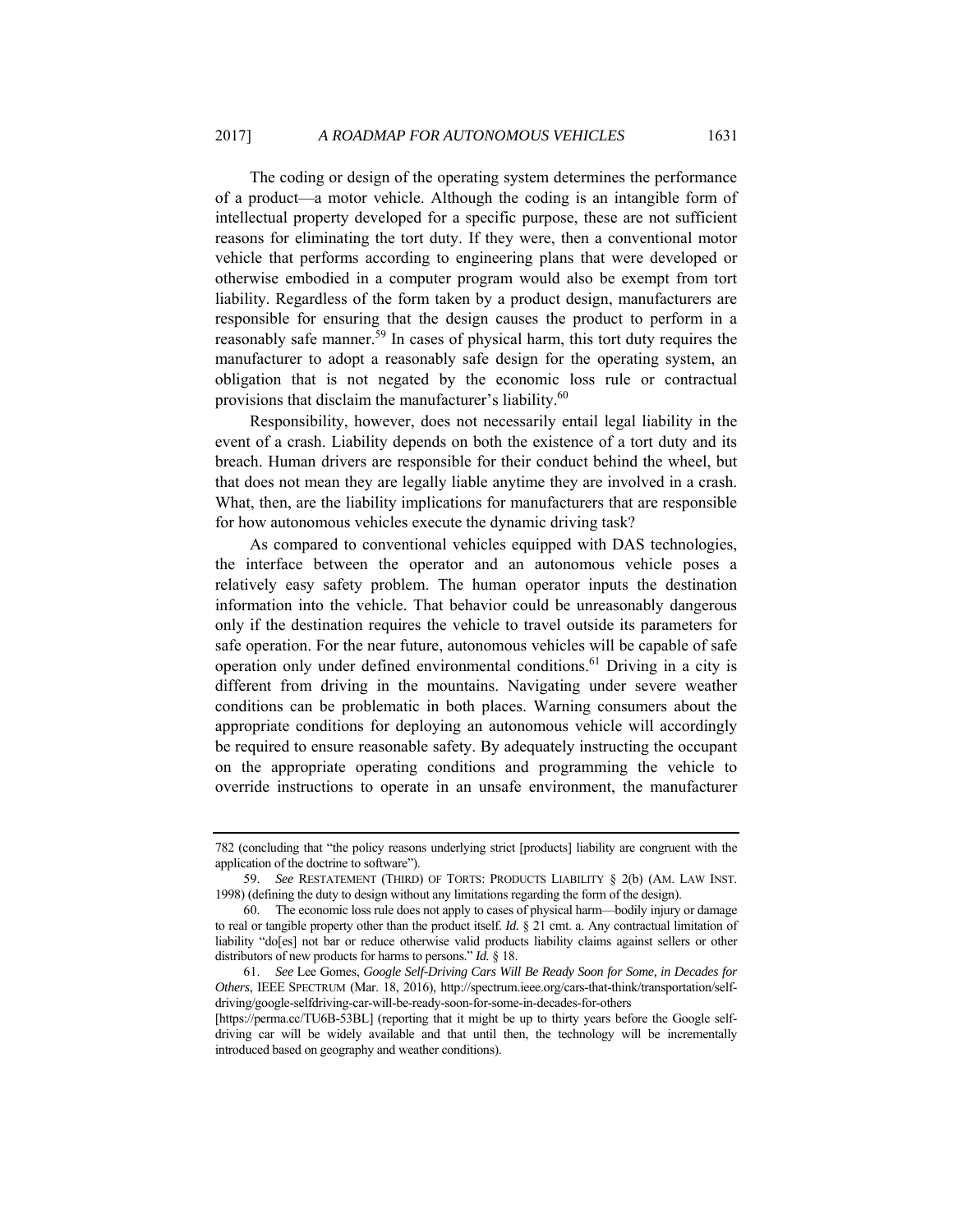The coding or design of the operating system determines the performance of a product—a motor vehicle. Although the coding is an intangible form of intellectual property developed for a specific purpose, these are not sufficient reasons for eliminating the tort duty. If they were, then a conventional motor vehicle that performs according to engineering plans that were developed or otherwise embodied in a computer program would also be exempt from tort liability. Regardless of the form taken by a product design, manufacturers are responsible for ensuring that the design causes the product to perform in a reasonably safe manner.<sup>59</sup> In cases of physical harm, this tort duty requires the manufacturer to adopt a reasonably safe design for the operating system, an obligation that is not negated by the economic loss rule or contractual provisions that disclaim the manufacturer's liability.<sup>60</sup>

Responsibility, however, does not necessarily entail legal liability in the event of a crash. Liability depends on both the existence of a tort duty and its breach. Human drivers are responsible for their conduct behind the wheel, but that does not mean they are legally liable anytime they are involved in a crash. What, then, are the liability implications for manufacturers that are responsible for how autonomous vehicles execute the dynamic driving task?

As compared to conventional vehicles equipped with DAS technologies, the interface between the operator and an autonomous vehicle poses a relatively easy safety problem. The human operator inputs the destination information into the vehicle. That behavior could be unreasonably dangerous only if the destination requires the vehicle to travel outside its parameters for safe operation. For the near future, autonomous vehicles will be capable of safe operation only under defined environmental conditions.61 Driving in a city is different from driving in the mountains. Navigating under severe weather conditions can be problematic in both places. Warning consumers about the appropriate conditions for deploying an autonomous vehicle will accordingly be required to ensure reasonable safety. By adequately instructing the occupant on the appropriate operating conditions and programming the vehicle to override instructions to operate in an unsafe environment, the manufacturer

<sup>782 (</sup>concluding that "the policy reasons underlying strict [products] liability are congruent with the application of the doctrine to software").

<sup>59.</sup> *See* RESTATEMENT (THIRD) OF TORTS: PRODUCTS LIABILITY § 2(b) (AM. LAW INST. 1998) (defining the duty to design without any limitations regarding the form of the design).

 <sup>60.</sup> The economic loss rule does not apply to cases of physical harm—bodily injury or damage to real or tangible property other than the product itself. *Id.* § 21 cmt. a. Any contractual limitation of liability "do[es] not bar or reduce otherwise valid products liability claims against sellers or other distributors of new products for harms to persons." *Id.* § 18.

<sup>61.</sup> *See* Lee Gomes, *Google Self-Driving Cars Will Be Ready Soon for Some, in Decades for Others*, IEEE SPECTRUM (Mar. 18, 2016), http://spectrum.ieee.org/cars-that-think/transportation/selfdriving/google-selfdriving-car-will-be-ready-soon-for-some-in-decades-for-others

<sup>[</sup>https://perma.cc/TU6B-53BL] (reporting that it might be up to thirty years before the Google selfdriving car will be widely available and that until then, the technology will be incrementally introduced based on geography and weather conditions).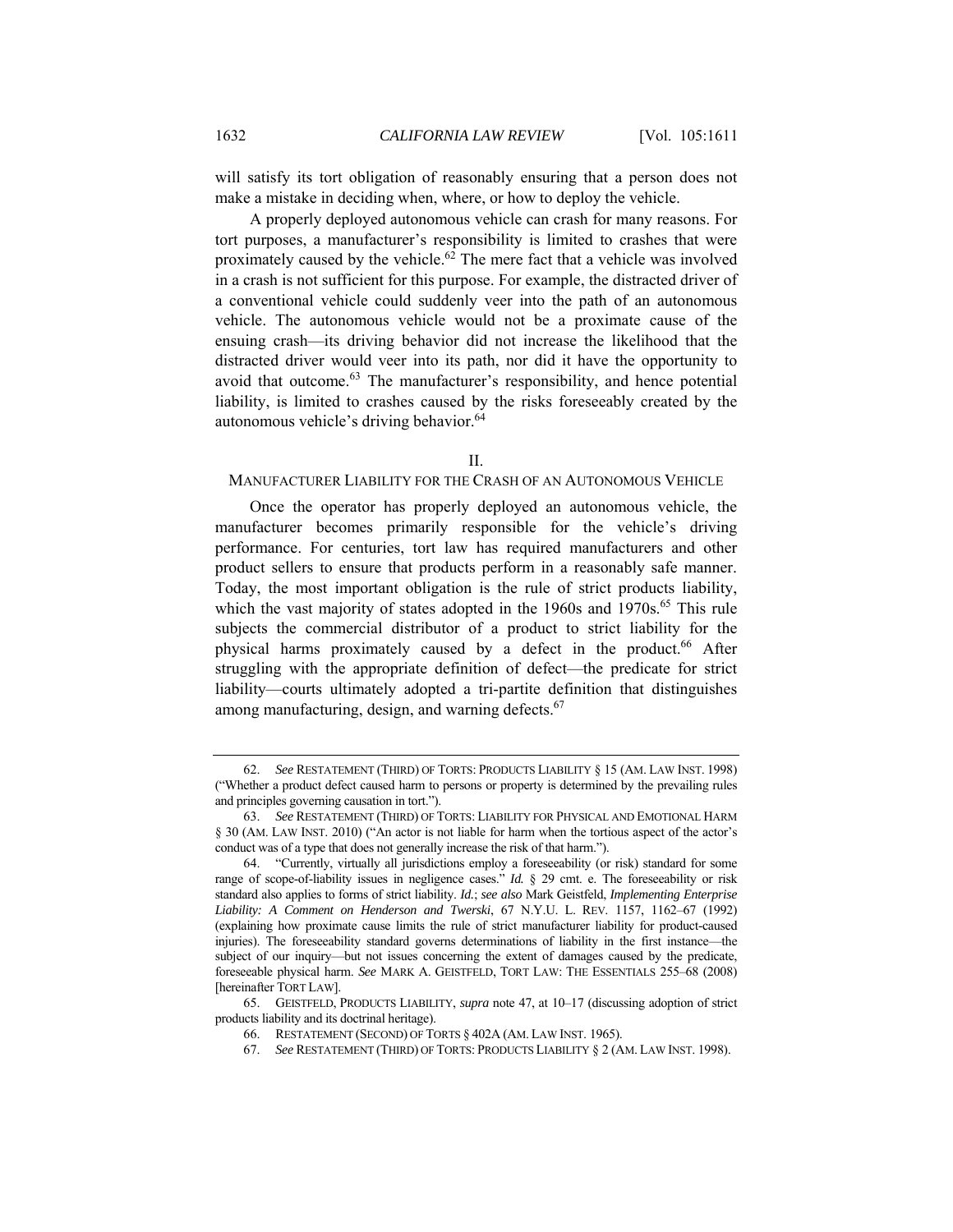will satisfy its tort obligation of reasonably ensuring that a person does not make a mistake in deciding when, where, or how to deploy the vehicle.

A properly deployed autonomous vehicle can crash for many reasons. For tort purposes, a manufacturer's responsibility is limited to crashes that were proximately caused by the vehicle.62 The mere fact that a vehicle was involved in a crash is not sufficient for this purpose. For example, the distracted driver of a conventional vehicle could suddenly veer into the path of an autonomous vehicle. The autonomous vehicle would not be a proximate cause of the ensuing crash—its driving behavior did not increase the likelihood that the distracted driver would veer into its path, nor did it have the opportunity to avoid that outcome.<sup>63</sup> The manufacturer's responsibility, and hence potential liability, is limited to crashes caused by the risks foreseeably created by the autonomous vehicle's driving behavior.<sup>64</sup>

II.

#### MANUFACTURER LIABILITY FOR THE CRASH OF AN AUTONOMOUS VEHICLE

Once the operator has properly deployed an autonomous vehicle, the manufacturer becomes primarily responsible for the vehicle's driving performance. For centuries, tort law has required manufacturers and other product sellers to ensure that products perform in a reasonably safe manner. Today, the most important obligation is the rule of strict products liability, which the vast majority of states adopted in the 1960s and 1970s.<sup>65</sup> This rule subjects the commercial distributor of a product to strict liability for the physical harms proximately caused by a defect in the product.<sup>66</sup> After struggling with the appropriate definition of defect—the predicate for strict liability—courts ultimately adopted a tri-partite definition that distinguishes among manufacturing, design, and warning defects.<sup>67</sup>

<sup>62.</sup> *See* RESTATEMENT (THIRD) OF TORTS: PRODUCTS LIABILITY § 15 (AM. LAW INST. 1998) ("Whether a product defect caused harm to persons or property is determined by the prevailing rules and principles governing causation in tort.").

<sup>63.</sup> *See* RESTATEMENT (THIRD) OF TORTS: LIABILITY FOR PHYSICAL AND EMOTIONAL HARM § 30 (AM. LAW INST. 2010) ("An actor is not liable for harm when the tortious aspect of the actor's conduct was of a type that does not generally increase the risk of that harm.").

 <sup>64. &</sup>quot;Currently, virtually all jurisdictions employ a foreseeability (or risk) standard for some range of scope-of-liability issues in negligence cases." *Id.* § 29 cmt. e. The foreseeability or risk standard also applies to forms of strict liability. *Id.*; *see also* Mark Geistfeld, *Implementing Enterprise Liability: A Comment on Henderson and Twerski*, 67 N.Y.U. L. REV. 1157, 1162–67 (1992) (explaining how proximate cause limits the rule of strict manufacturer liability for product-caused injuries). The foreseeability standard governs determinations of liability in the first instance—the subject of our inquiry—but not issues concerning the extent of damages caused by the predicate, foreseeable physical harm. *See* MARK A. GEISTFELD, TORT LAW: THE ESSENTIALS 255–68 (2008) [hereinafter TORT LAW].

 <sup>65.</sup> GEISTFELD, PRODUCTS LIABILITY, *supra* note 47, at 10–17 (discussing adoption of strict products liability and its doctrinal heritage).

 <sup>66.</sup> RESTATEMENT (SECOND) OF TORTS § 402A (AM. LAW INST. 1965).

<sup>67.</sup> *See* RESTATEMENT (THIRD) OF TORTS: PRODUCTS LIABILITY § 2 (AM. LAW INST. 1998).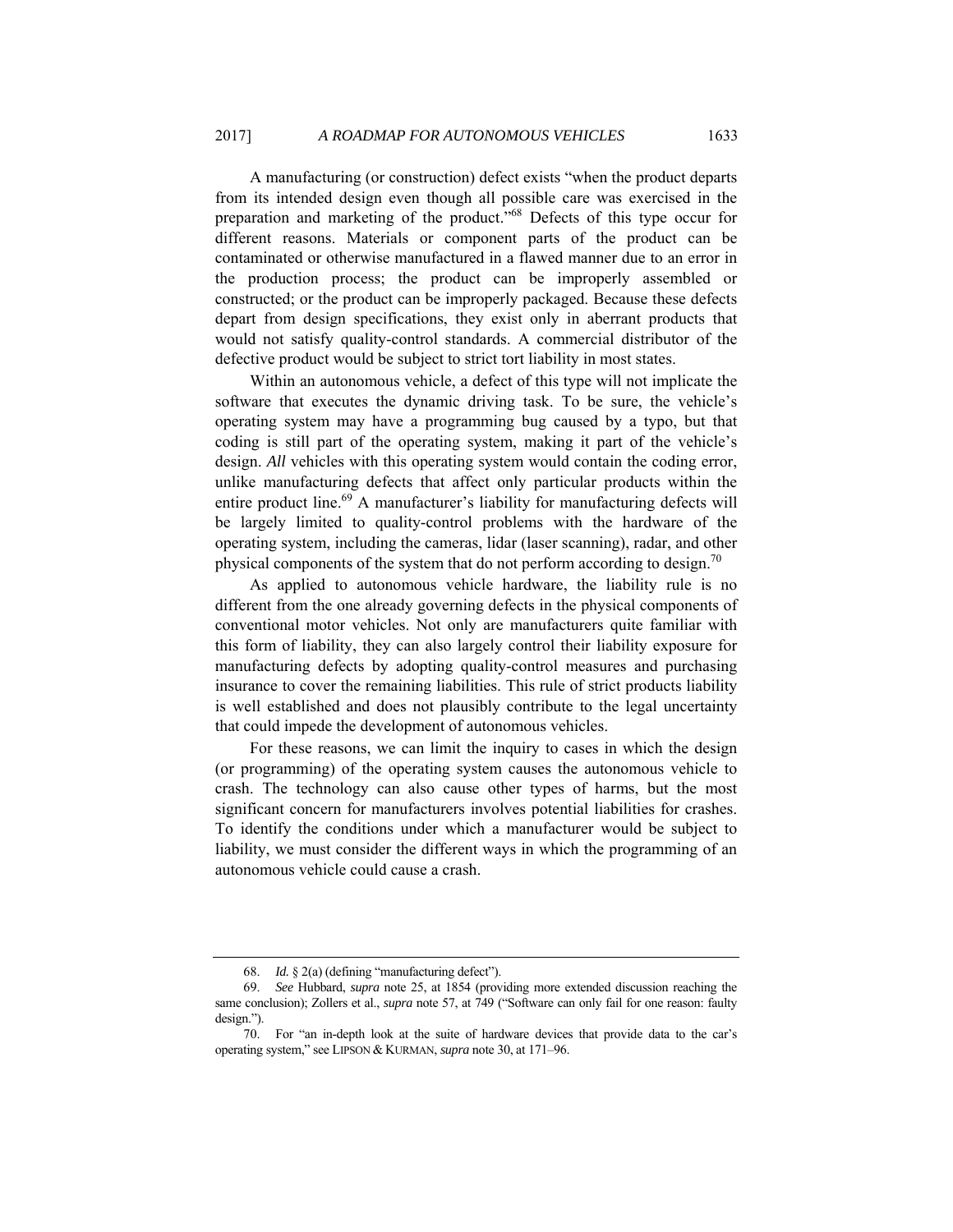A manufacturing (or construction) defect exists "when the product departs from its intended design even though all possible care was exercised in the preparation and marketing of the product."68 Defects of this type occur for different reasons. Materials or component parts of the product can be contaminated or otherwise manufactured in a flawed manner due to an error in the production process; the product can be improperly assembled or constructed; or the product can be improperly packaged. Because these defects depart from design specifications, they exist only in aberrant products that would not satisfy quality-control standards. A commercial distributor of the defective product would be subject to strict tort liability in most states.

Within an autonomous vehicle, a defect of this type will not implicate the software that executes the dynamic driving task. To be sure, the vehicle's operating system may have a programming bug caused by a typo, but that coding is still part of the operating system, making it part of the vehicle's design. All vehicles with this operating system would contain the coding error, unlike manufacturing defects that affect only particular products within the entire product line.<sup>69</sup> A manufacturer's liability for manufacturing defects will be largely limited to quality-control problems with the hardware of the operating system, including the cameras, lidar (laser scanning), radar, and other physical components of the system that do not perform according to design.<sup>70</sup>

As applied to autonomous vehicle hardware, the liability rule is no different from the one already governing defects in the physical components of conventional motor vehicles. Not only are manufacturers quite familiar with this form of liability, they can also largely control their liability exposure for manufacturing defects by adopting quality-control measures and purchasing insurance to cover the remaining liabilities. This rule of strict products liability is well established and does not plausibly contribute to the legal uncertainty that could impede the development of autonomous vehicles.

For these reasons, we can limit the inquiry to cases in which the design (or programming) of the operating system causes the autonomous vehicle to crash. The technology can also cause other types of harms, but the most significant concern for manufacturers involves potential liabilities for crashes. To identify the conditions under which a manufacturer would be subject to liability, we must consider the different ways in which the programming of an autonomous vehicle could cause a crash.

<sup>68.</sup> *Id.* § 2(a) (defining "manufacturing defect").

<sup>69.</sup> *See* Hubbard, *supra* note 25, at 1854 (providing more extended discussion reaching the same conclusion); Zollers et al., *supra* note 57, at 749 ("Software can only fail for one reason: faulty design.").

 <sup>70.</sup> For "an in-depth look at the suite of hardware devices that provide data to the car's operating system," see LIPSON & KURMAN, *supra* note 30, at 171–96.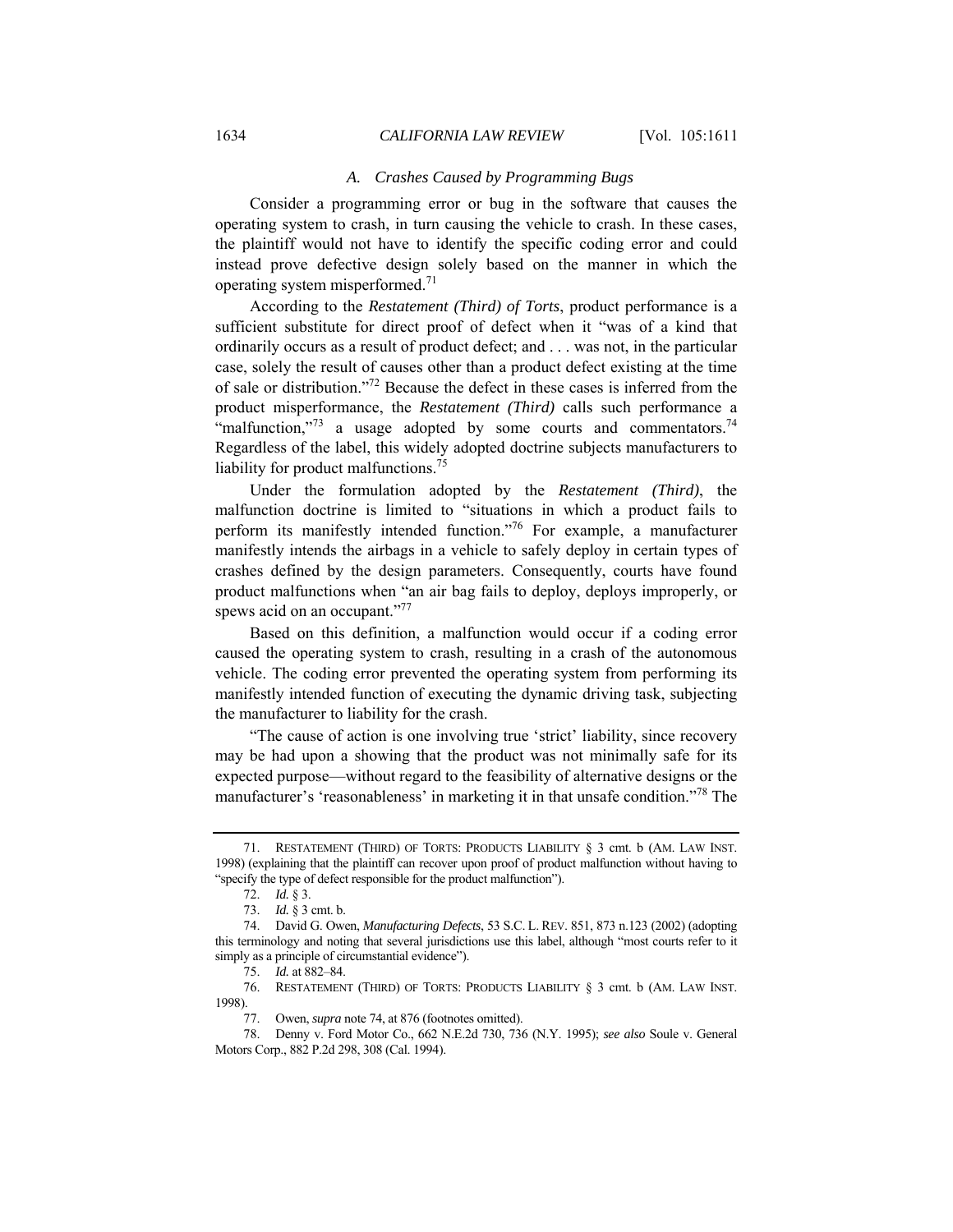#### *A. Crashes Caused by Programming Bugs*

Consider a programming error or bug in the software that causes the operating system to crash, in turn causing the vehicle to crash. In these cases, the plaintiff would not have to identify the specific coding error and could instead prove defective design solely based on the manner in which the operating system misperformed.71

According to the *Restatement (Third) of Torts*, product performance is a sufficient substitute for direct proof of defect when it "was of a kind that ordinarily occurs as a result of product defect; and . . . was not, in the particular case, solely the result of causes other than a product defect existing at the time of sale or distribution."72 Because the defect in these cases is inferred from the product misperformance, the *Restatement (Third)* calls such performance a "malfunction,"<sup>73</sup> a usage adopted by some courts and commentators.<sup>74</sup> Regardless of the label, this widely adopted doctrine subjects manufacturers to liability for product malfunctions.<sup>75</sup>

Under the formulation adopted by the *Restatement (Third)*, the malfunction doctrine is limited to "situations in which a product fails to perform its manifestly intended function."76 For example, a manufacturer manifestly intends the airbags in a vehicle to safely deploy in certain types of crashes defined by the design parameters. Consequently, courts have found product malfunctions when "an air bag fails to deploy, deploys improperly, or spews acid on an occupant."<sup>77</sup>

Based on this definition, a malfunction would occur if a coding error caused the operating system to crash, resulting in a crash of the autonomous vehicle. The coding error prevented the operating system from performing its manifestly intended function of executing the dynamic driving task, subjecting the manufacturer to liability for the crash.

"The cause of action is one involving true 'strict' liability, since recovery may be had upon a showing that the product was not minimally safe for its expected purpose—without regard to the feasibility of alternative designs or the manufacturer's 'reasonableness' in marketing it in that unsafe condition."<sup>78</sup> The

 <sup>71.</sup> RESTATEMENT (THIRD) OF TORTS: PRODUCTS LIABILITY § 3 cmt. b (AM. LAW INST. 1998) (explaining that the plaintiff can recover upon proof of product malfunction without having to "specify the type of defect responsible for the product malfunction").

<sup>72.</sup> *Id.* § 3.

<sup>73.</sup> *Id.* § 3 cmt. b.

 <sup>74.</sup> David G. Owen, *Manufacturing Defects*, 53 S.C. L. REV. 851, 873 n.123 (2002) (adopting this terminology and noting that several jurisdictions use this label, although "most courts refer to it simply as a principle of circumstantial evidence").

<sup>75.</sup> *Id.* at 882–84.

 <sup>76.</sup> RESTATEMENT (THIRD) OF TORTS: PRODUCTS LIABILITY § 3 cmt. b (AM. LAW INST. 1998).

 <sup>77.</sup> Owen, *supra* note 74, at 876 (footnotes omitted).

 <sup>78.</sup> Denny v. Ford Motor Co., 662 N.E.2d 730, 736 (N.Y. 1995); *see also* Soule v. General Motors Corp., 882 P.2d 298, 308 (Cal. 1994).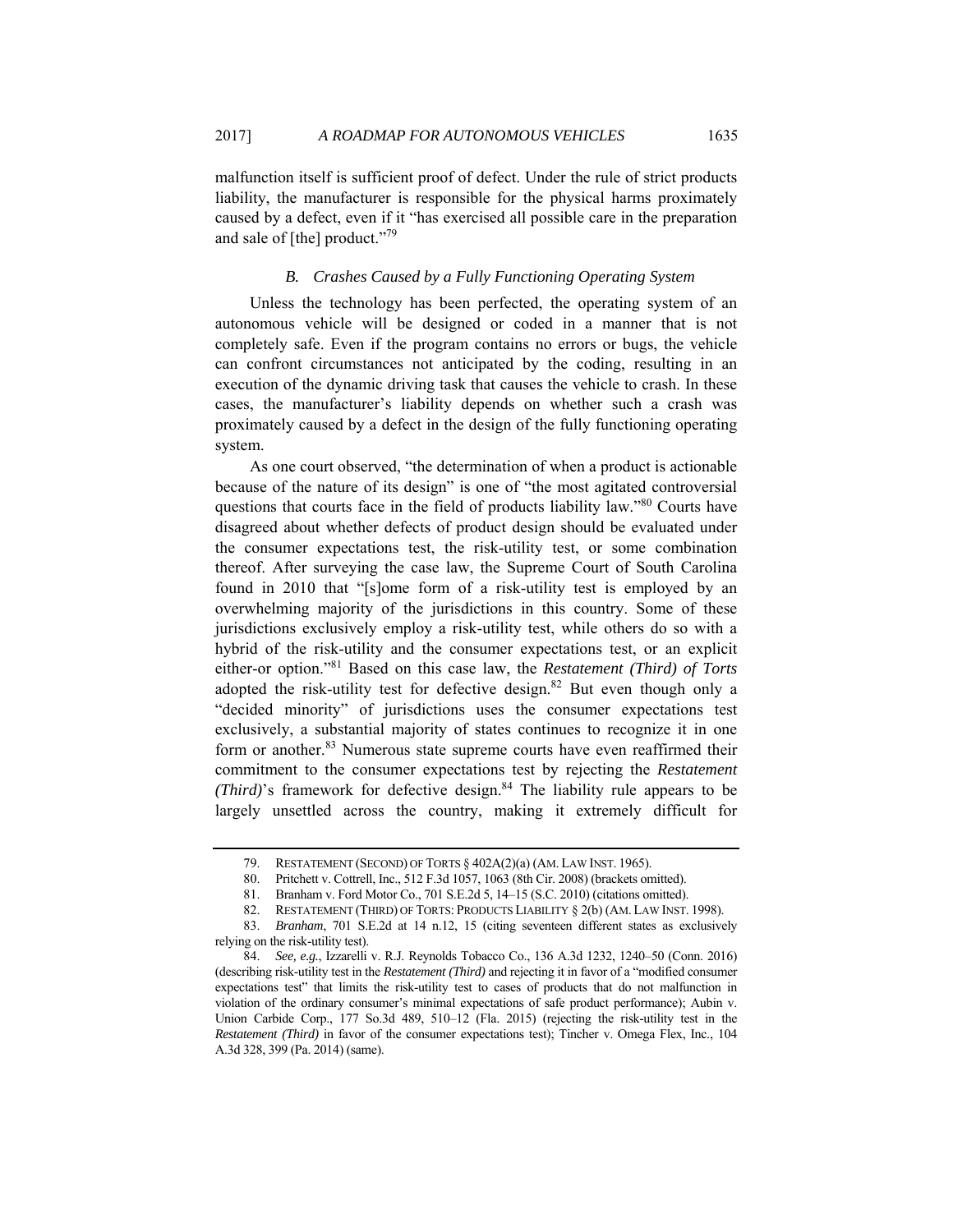malfunction itself is sufficient proof of defect. Under the rule of strict products liability, the manufacturer is responsible for the physical harms proximately caused by a defect, even if it "has exercised all possible care in the preparation and sale of [the] product."<sup>79</sup>

## *B. Crashes Caused by a Fully Functioning Operating System*

Unless the technology has been perfected, the operating system of an autonomous vehicle will be designed or coded in a manner that is not completely safe. Even if the program contains no errors or bugs, the vehicle can confront circumstances not anticipated by the coding, resulting in an execution of the dynamic driving task that causes the vehicle to crash. In these cases, the manufacturer's liability depends on whether such a crash was proximately caused by a defect in the design of the fully functioning operating system.

As one court observed, "the determination of when a product is actionable because of the nature of its design" is one of "the most agitated controversial questions that courts face in the field of products liability law."80 Courts have disagreed about whether defects of product design should be evaluated under the consumer expectations test, the risk-utility test, or some combination thereof. After surveying the case law, the Supreme Court of South Carolina found in 2010 that "[s]ome form of a risk-utility test is employed by an overwhelming majority of the jurisdictions in this country. Some of these jurisdictions exclusively employ a risk-utility test, while others do so with a hybrid of the risk-utility and the consumer expectations test, or an explicit either-or option."81 Based on this case law, the *Restatement (Third) of Torts*  adopted the risk-utility test for defective design.<sup>82</sup> But even though only a "decided minority" of jurisdictions uses the consumer expectations test exclusively, a substantial majority of states continues to recognize it in one form or another.<sup>83</sup> Numerous state supreme courts have even reaffirmed their commitment to the consumer expectations test by rejecting the *Restatement (Third)*'s framework for defective design. $84$  The liability rule appears to be largely unsettled across the country, making it extremely difficult for

 <sup>79.</sup> RESTATEMENT (SECOND) OF TORTS § 402A(2)(a) (AM. LAW INST. 1965).

<sup>80.</sup> Pritchett v. Cottrell, Inc., 512 F.3d 1057, 1063 (8th Cir. 2008) (brackets omitted).<br>81. Branham v. Ford Motor Co., 701 S.E.2d 5, 14–15 (S.C. 2010) (citations omitted).

Branham v. Ford Motor Co., 701 S.E.2d 5, 14–15 (S.C. 2010) (citations omitted).

 <sup>82.</sup> RESTATEMENT (THIRD) OF TORTS: PRODUCTS LIABILITY § 2(b) (AM. LAW INST. 1998).

<sup>83.</sup> *Branham*, 701 S.E.2d at 14 n.12, 15 (citing seventeen different states as exclusively relying on the risk-utility test).

<sup>84.</sup> *See, e.g.*, Izzarelli v. R.J. Reynolds Tobacco Co., 136 A.3d 1232, 1240–50 (Conn. 2016) (describing risk-utility test in the *Restatement (Third)* and rejecting it in favor of a "modified consumer expectations test" that limits the risk-utility test to cases of products that do not malfunction in violation of the ordinary consumer's minimal expectations of safe product performance); Aubin v. Union Carbide Corp., 177 So.3d 489, 510–12 (Fla. 2015) (rejecting the risk-utility test in the *Restatement (Third)* in favor of the consumer expectations test); Tincher v. Omega Flex, Inc., 104 A.3d 328, 399 (Pa. 2014) (same).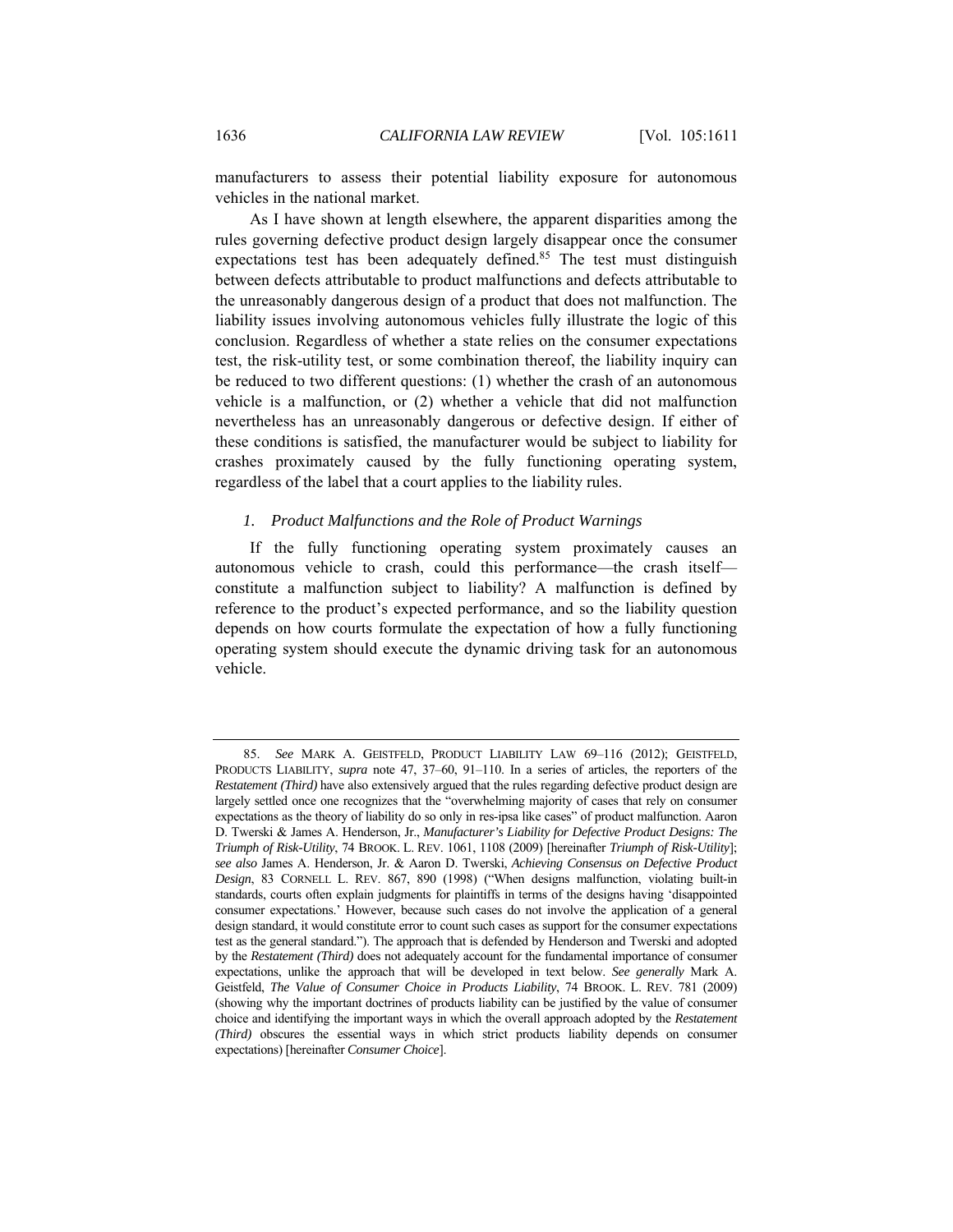manufacturers to assess their potential liability exposure for autonomous vehicles in the national market.

As I have shown at length elsewhere, the apparent disparities among the rules governing defective product design largely disappear once the consumer expectations test has been adequately defined. $85$  The test must distinguish between defects attributable to product malfunctions and defects attributable to the unreasonably dangerous design of a product that does not malfunction. The liability issues involving autonomous vehicles fully illustrate the logic of this conclusion. Regardless of whether a state relies on the consumer expectations test, the risk-utility test, or some combination thereof, the liability inquiry can be reduced to two different questions: (1) whether the crash of an autonomous vehicle is a malfunction, or (2) whether a vehicle that did not malfunction nevertheless has an unreasonably dangerous or defective design. If either of these conditions is satisfied, the manufacturer would be subject to liability for crashes proximately caused by the fully functioning operating system, regardless of the label that a court applies to the liability rules.

## *1. Product Malfunctions and the Role of Product Warnings*

If the fully functioning operating system proximately causes an autonomous vehicle to crash, could this performance—the crash itself constitute a malfunction subject to liability? A malfunction is defined by reference to the product's expected performance, and so the liability question depends on how courts formulate the expectation of how a fully functioning operating system should execute the dynamic driving task for an autonomous vehicle.

<sup>85.</sup> *See* MARK A. GEISTFELD, PRODUCT LIABILITY LAW 69–116 (2012); GEISTFELD, PRODUCTS LIABILITY, *supra* note 47, 37–60, 91–110. In a series of articles, the reporters of the *Restatement (Third)* have also extensively argued that the rules regarding defective product design are largely settled once one recognizes that the "overwhelming majority of cases that rely on consumer expectations as the theory of liability do so only in res-ipsa like cases" of product malfunction. Aaron D. Twerski & James A. Henderson, Jr., *Manufacturer's Liability for Defective Product Designs: The Triumph of Risk-Utility*, 74 BROOK. L. REV. 1061, 1108 (2009) [hereinafter *Triumph of Risk-Utility*]; *see also* James A. Henderson, Jr. & Aaron D. Twerski, *Achieving Consensus on Defective Product Design*, 83 CORNELL L. REV. 867, 890 (1998) ("When designs malfunction, violating built-in standards, courts often explain judgments for plaintiffs in terms of the designs having 'disappointed consumer expectations.' However, because such cases do not involve the application of a general design standard, it would constitute error to count such cases as support for the consumer expectations test as the general standard."). The approach that is defended by Henderson and Twerski and adopted by the *Restatement (Third)* does not adequately account for the fundamental importance of consumer expectations, unlike the approach that will be developed in text below. *See generally* Mark A. Geistfeld, *The Value of Consumer Choice in Products Liability*, 74 BROOK. L. REV. 781 (2009) (showing why the important doctrines of products liability can be justified by the value of consumer choice and identifying the important ways in which the overall approach adopted by the *Restatement (Third)* obscures the essential ways in which strict products liability depends on consumer expectations) [hereinafter *Consumer Choice*].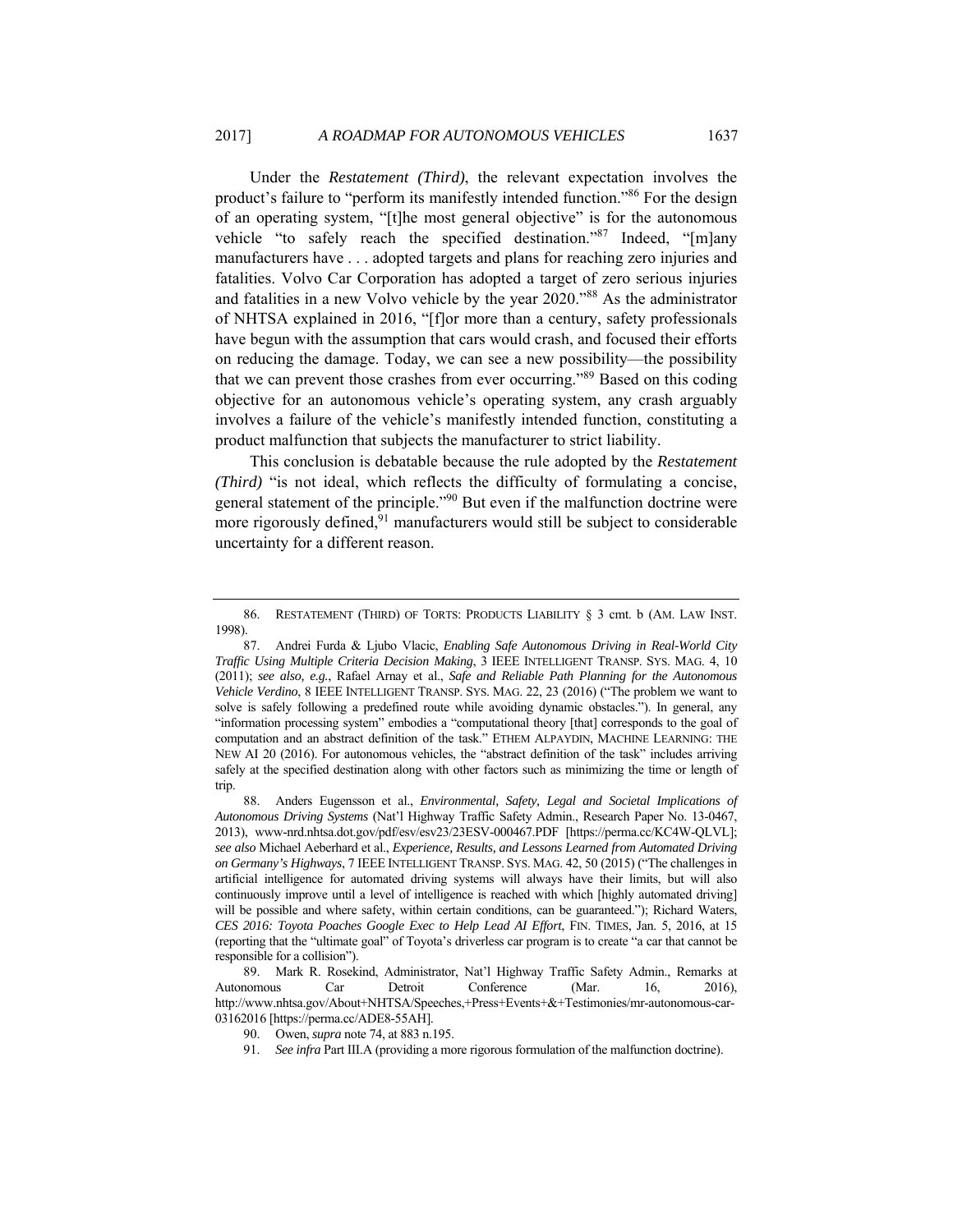Under the *Restatement (Third)*, the relevant expectation involves the product's failure to "perform its manifestly intended function."86 For the design of an operating system, "[t]he most general objective" is for the autonomous vehicle "to safely reach the specified destination."87 Indeed, "[m]any manufacturers have . . . adopted targets and plans for reaching zero injuries and fatalities. Volvo Car Corporation has adopted a target of zero serious injuries and fatalities in a new Volvo vehicle by the year 2020."88 As the administrator of NHTSA explained in 2016, "[f]or more than a century, safety professionals have begun with the assumption that cars would crash, and focused their efforts on reducing the damage. Today, we can see a new possibility—the possibility that we can prevent those crashes from ever occurring."89 Based on this coding objective for an autonomous vehicle's operating system, any crash arguably involves a failure of the vehicle's manifestly intended function, constituting a product malfunction that subjects the manufacturer to strict liability.

This conclusion is debatable because the rule adopted by the *Restatement (Third)* "is not ideal, which reflects the difficulty of formulating a concise, general statement of the principle."90 But even if the malfunction doctrine were more rigorously defined, $91$  manufacturers would still be subject to considerable uncertainty for a different reason.

 <sup>86.</sup> RESTATEMENT (THIRD) OF TORTS: PRODUCTS LIABILITY § 3 cmt. b (AM. LAW INST. 1998).

 <sup>87.</sup> Andrei Furda & Ljubo Vlacic, *Enabling Safe Autonomous Driving in Real-World City Traffic Using Multiple Criteria Decision Making*, 3 IEEE INTELLIGENT TRANSP. SYS. MAG. 4, 10 (2011); *see also, e.g.*, Rafael Arnay et al., *Safe and Reliable Path Planning for the Autonomous Vehicle Verdino*, 8 IEEE INTELLIGENT TRANSP. SYS. MAG. 22, 23 (2016) ("The problem we want to solve is safely following a predefined route while avoiding dynamic obstacles."). In general, any "information processing system" embodies a "computational theory [that] corresponds to the goal of computation and an abstract definition of the task." ETHEM ALPAYDIN, MACHINE LEARNING: THE NEW AI 20 (2016). For autonomous vehicles, the "abstract definition of the task" includes arriving safely at the specified destination along with other factors such as minimizing the time or length of trip.

 <sup>88.</sup> Anders Eugensson et al., *Environmental, Safety, Legal and Societal Implications of Autonomous Driving Systems* (Nat'l Highway Traffic Safety Admin., Research Paper No. 13-0467, 2013), www-nrd.nhtsa.dot.gov/pdf/esv/esv23/23ESV-000467.PDF [https://perma.cc/KC4W-QLVL]; *see also* Michael Aeberhard et al., *Experience, Results, and Lessons Learned from Automated Driving on Germany's Highways*, 7 IEEE INTELLIGENT TRANSP. SYS. MAG. 42, 50 (2015) ("The challenges in artificial intelligence for automated driving systems will always have their limits, but will also continuously improve until a level of intelligence is reached with which [highly automated driving] will be possible and where safety, within certain conditions, can be guaranteed."); Richard Waters, *CES 2016: Toyota Poaches Google Exec to Help Lead AI Effort*, FIN. TIMES, Jan. 5, 2016, at 15 (reporting that the "ultimate goal" of Toyota's driverless car program is to create "a car that cannot be responsible for a collision").

 <sup>89.</sup> Mark R. Rosekind, Administrator, Nat'l Highway Traffic Safety Admin., Remarks at Autonomous Car Detroit Conference (Mar. 16, 2016), http://www.nhtsa.gov/About+NHTSA/Speeches,+Press+Events+&+Testimonies/mr-autonomous-car-03162016 [https://perma.cc/ADE8-55AH].

 <sup>90.</sup> Owen, *supra* note 74, at 883 n.195.

<sup>91.</sup> *See infra* Part III.A (providing a more rigorous formulation of the malfunction doctrine).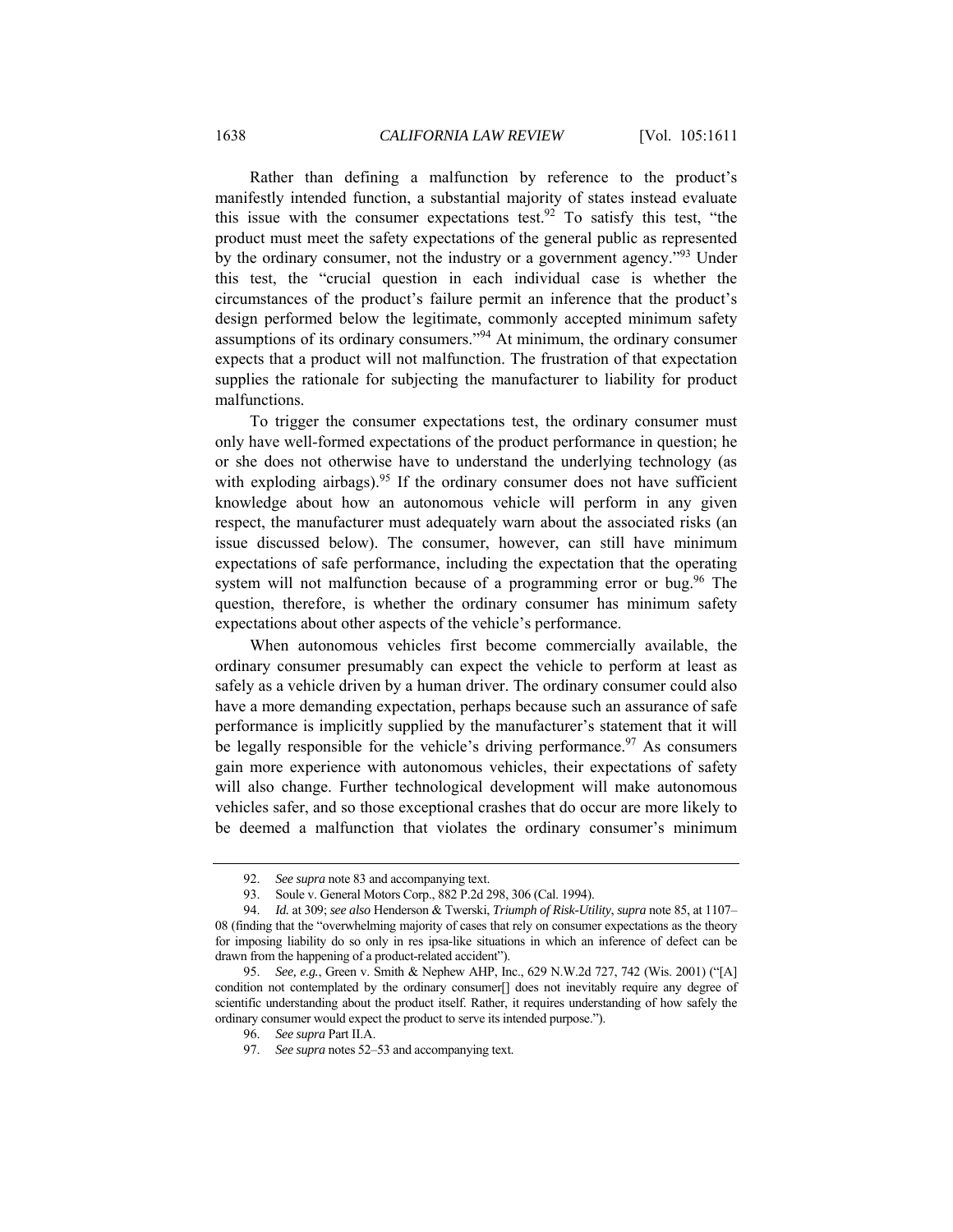Rather than defining a malfunction by reference to the product's manifestly intended function, a substantial majority of states instead evaluate this issue with the consumer expectations test.<sup>92</sup> To satisfy this test, "the product must meet the safety expectations of the general public as represented by the ordinary consumer, not the industry or a government agency."93 Under this test, the "crucial question in each individual case is whether the circumstances of the product's failure permit an inference that the product's design performed below the legitimate, commonly accepted minimum safety assumptions of its ordinary consumers."94 At minimum, the ordinary consumer expects that a product will not malfunction. The frustration of that expectation supplies the rationale for subjecting the manufacturer to liability for product malfunctions.

To trigger the consumer expectations test, the ordinary consumer must only have well-formed expectations of the product performance in question; he or she does not otherwise have to understand the underlying technology (as with exploding airbags).<sup>95</sup> If the ordinary consumer does not have sufficient knowledge about how an autonomous vehicle will perform in any given respect, the manufacturer must adequately warn about the associated risks (an issue discussed below). The consumer, however, can still have minimum expectations of safe performance, including the expectation that the operating system will not malfunction because of a programming error or bug.<sup>96</sup> The question, therefore, is whether the ordinary consumer has minimum safety expectations about other aspects of the vehicle's performance.

When autonomous vehicles first become commercially available, the ordinary consumer presumably can expect the vehicle to perform at least as safely as a vehicle driven by a human driver. The ordinary consumer could also have a more demanding expectation, perhaps because such an assurance of safe performance is implicitly supplied by the manufacturer's statement that it will be legally responsible for the vehicle's driving performance.<sup>97</sup> As consumers gain more experience with autonomous vehicles, their expectations of safety will also change. Further technological development will make autonomous vehicles safer, and so those exceptional crashes that do occur are more likely to be deemed a malfunction that violates the ordinary consumer's minimum

<sup>92.</sup> *See supra* note 83 and accompanying text.

 <sup>93.</sup> Soule v. General Motors Corp., 882 P.2d 298, 306 (Cal. 1994).

<sup>94.</sup> *Id.* at 309; *see also* Henderson & Twerski, *Triumph of Risk-Utility*, *supra* note 85, at 1107– 08 (finding that the "overwhelming majority of cases that rely on consumer expectations as the theory for imposing liability do so only in res ipsa-like situations in which an inference of defect can be drawn from the happening of a product-related accident").

<sup>95.</sup> *See, e.g.*, Green v. Smith & Nephew AHP, Inc., 629 N.W.2d 727, 742 (Wis. 2001) ("[A] condition not contemplated by the ordinary consumer[] does not inevitably require any degree of scientific understanding about the product itself. Rather, it requires understanding of how safely the ordinary consumer would expect the product to serve its intended purpose.").

<sup>96.</sup> *See supra* Part II.A.

<sup>97.</sup> *See supra* notes 52–53 and accompanying text.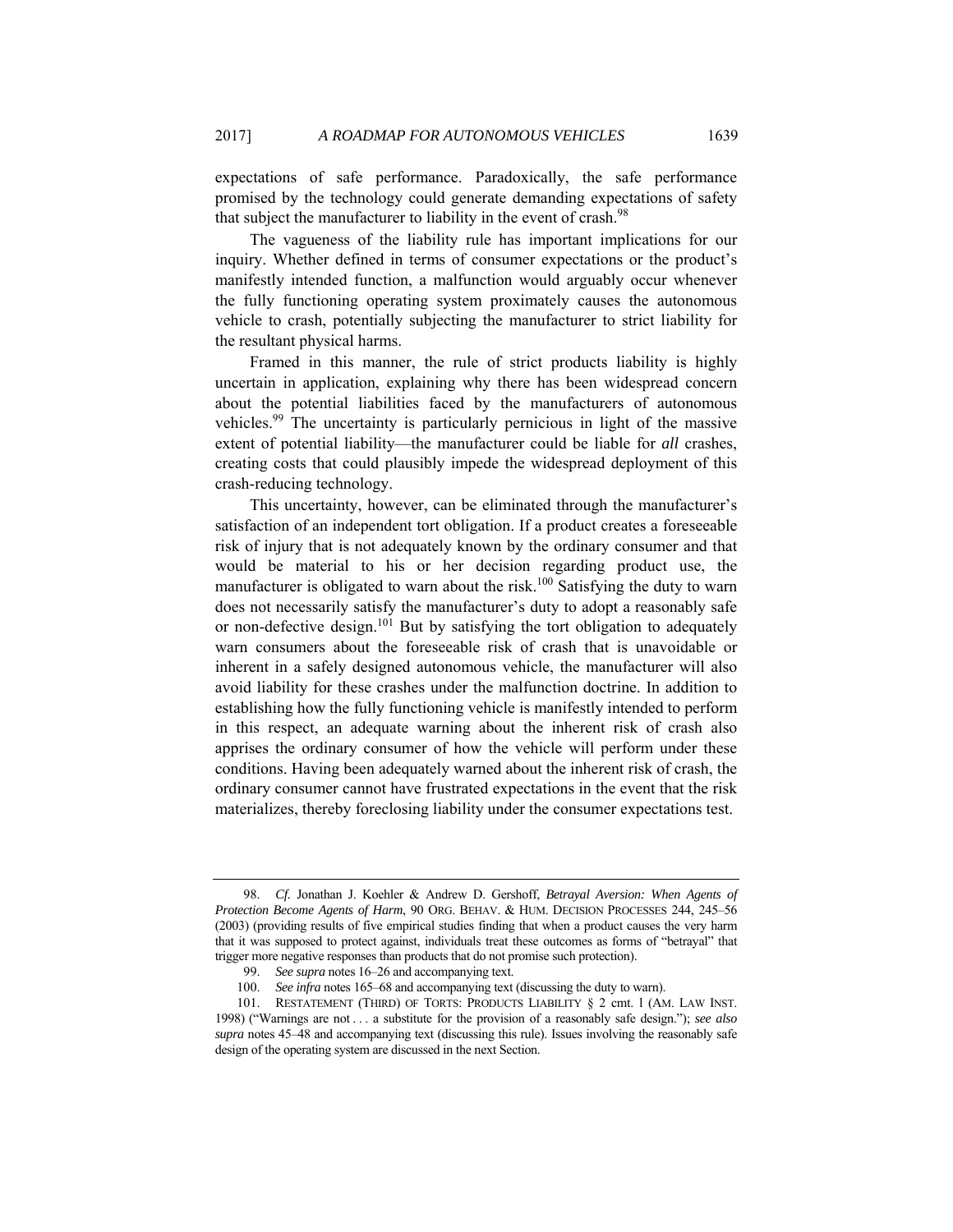expectations of safe performance. Paradoxically, the safe performance promised by the technology could generate demanding expectations of safety that subject the manufacturer to liability in the event of crash.<sup>98</sup>

The vagueness of the liability rule has important implications for our inquiry. Whether defined in terms of consumer expectations or the product's manifestly intended function, a malfunction would arguably occur whenever the fully functioning operating system proximately causes the autonomous vehicle to crash, potentially subjecting the manufacturer to strict liability for the resultant physical harms.

Framed in this manner, the rule of strict products liability is highly uncertain in application, explaining why there has been widespread concern about the potential liabilities faced by the manufacturers of autonomous vehicles.99 The uncertainty is particularly pernicious in light of the massive extent of potential liability—the manufacturer could be liable for *all* crashes, creating costs that could plausibly impede the widespread deployment of this crash-reducing technology.

This uncertainty, however, can be eliminated through the manufacturer's satisfaction of an independent tort obligation. If a product creates a foreseeable risk of injury that is not adequately known by the ordinary consumer and that would be material to his or her decision regarding product use, the manufacturer is obligated to warn about the risk.<sup>100</sup> Satisfying the duty to warn does not necessarily satisfy the manufacturer's duty to adopt a reasonably safe or non-defective design.<sup>101</sup> But by satisfying the tort obligation to adequately warn consumers about the foreseeable risk of crash that is unavoidable or inherent in a safely designed autonomous vehicle, the manufacturer will also avoid liability for these crashes under the malfunction doctrine. In addition to establishing how the fully functioning vehicle is manifestly intended to perform in this respect, an adequate warning about the inherent risk of crash also apprises the ordinary consumer of how the vehicle will perform under these conditions. Having been adequately warned about the inherent risk of crash, the ordinary consumer cannot have frustrated expectations in the event that the risk materializes, thereby foreclosing liability under the consumer expectations test.

<sup>98.</sup> *Cf.* Jonathan J. Koehler & Andrew D. Gershoff, *Betrayal Aversion: When Agents of Protection Become Agents of Harm*, 90 ORG. BEHAV. & HUM. DECISION PROCESSES 244, 245–56 (2003) (providing results of five empirical studies finding that when a product causes the very harm that it was supposed to protect against, individuals treat these outcomes as forms of "betrayal" that trigger more negative responses than products that do not promise such protection).

<sup>99.</sup> *See supra* notes 16–26 and accompanying text.

<sup>100.</sup> *See infra* notes 165–68 and accompanying text (discussing the duty to warn).

 <sup>101.</sup> RESTATEMENT (THIRD) OF TORTS: PRODUCTS LIABILITY § 2 cmt. l (AM. LAW INST. 1998) ("Warnings are not . . . a substitute for the provision of a reasonably safe design."); *see also supra* notes 45–48 and accompanying text (discussing this rule). Issues involving the reasonably safe design of the operating system are discussed in the next Section.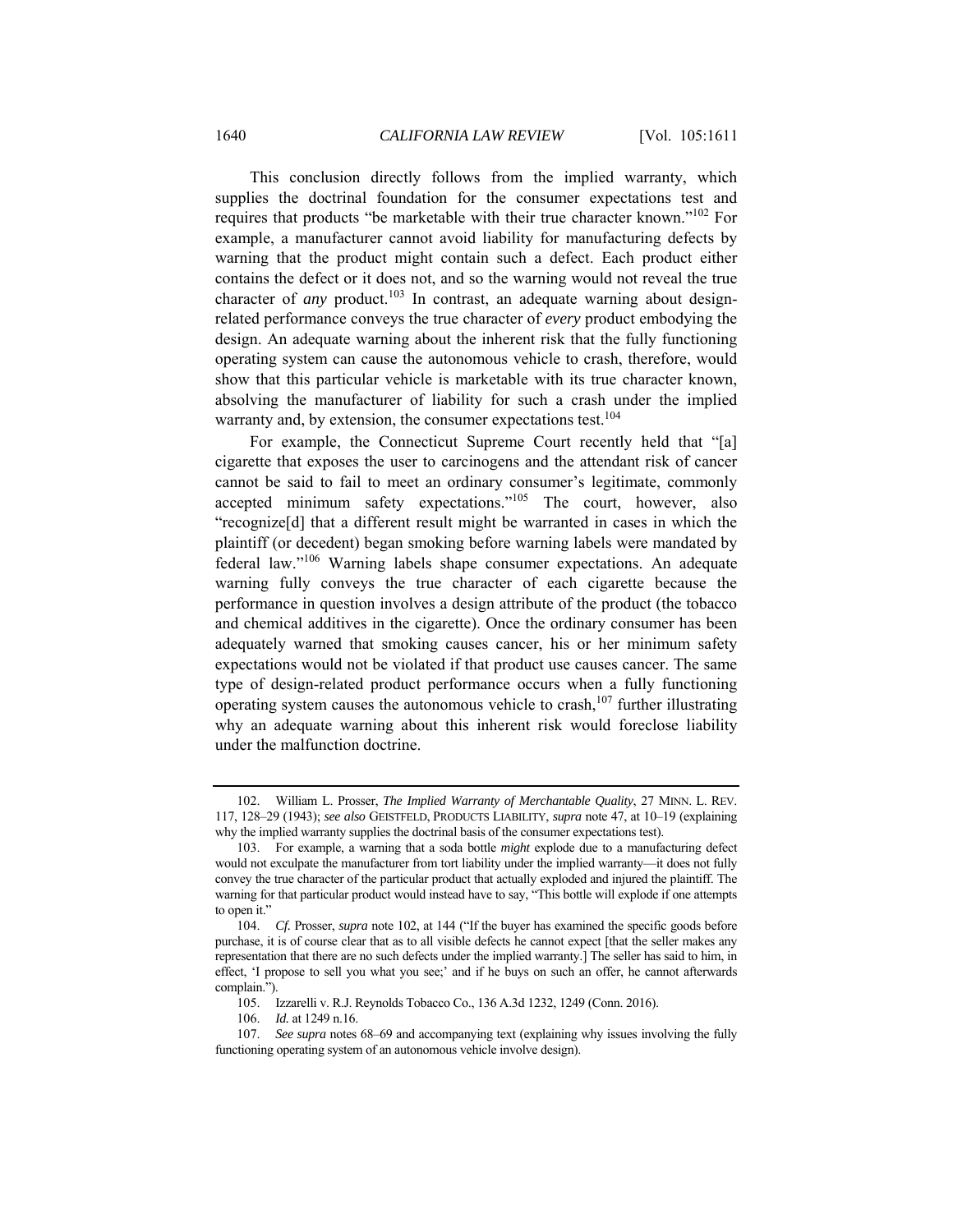This conclusion directly follows from the implied warranty, which supplies the doctrinal foundation for the consumer expectations test and requires that products "be marketable with their true character known."102 For example, a manufacturer cannot avoid liability for manufacturing defects by warning that the product might contain such a defect. Each product either contains the defect or it does not, and so the warning would not reveal the true character of *any* product.<sup>103</sup> In contrast, an adequate warning about designrelated performance conveys the true character of *every* product embodying the design. An adequate warning about the inherent risk that the fully functioning operating system can cause the autonomous vehicle to crash, therefore, would show that this particular vehicle is marketable with its true character known, absolving the manufacturer of liability for such a crash under the implied warranty and, by extension, the consumer expectations test.<sup>104</sup>

For example, the Connecticut Supreme Court recently held that "[a] cigarette that exposes the user to carcinogens and the attendant risk of cancer cannot be said to fail to meet an ordinary consumer's legitimate, commonly accepted minimum safety expectations."105 The court, however, also "recognize[d] that a different result might be warranted in cases in which the plaintiff (or decedent) began smoking before warning labels were mandated by federal law."106 Warning labels shape consumer expectations. An adequate warning fully conveys the true character of each cigarette because the performance in question involves a design attribute of the product (the tobacco and chemical additives in the cigarette). Once the ordinary consumer has been adequately warned that smoking causes cancer, his or her minimum safety expectations would not be violated if that product use causes cancer. The same type of design-related product performance occurs when a fully functioning operating system causes the autonomous vehicle to crash,<sup>107</sup> further illustrating why an adequate warning about this inherent risk would foreclose liability under the malfunction doctrine.

 <sup>102.</sup> William L. Prosser, *The Implied Warranty of Merchantable Quality*, 27 MINN. L. REV. 117, 128–29 (1943); *see also* GEISTFELD, PRODUCTS LIABILITY, *supra* note 47, at 10–19 (explaining why the implied warranty supplies the doctrinal basis of the consumer expectations test).

 <sup>103.</sup> For example, a warning that a soda bottle *might* explode due to a manufacturing defect would not exculpate the manufacturer from tort liability under the implied warranty—it does not fully convey the true character of the particular product that actually exploded and injured the plaintiff. The warning for that particular product would instead have to say, "This bottle will explode if one attempts to open it."

<sup>104.</sup> *Cf.* Prosser, *supra* note 102, at 144 ("If the buyer has examined the specific goods before purchase, it is of course clear that as to all visible defects he cannot expect [that the seller makes any representation that there are no such defects under the implied warranty.] The seller has said to him, in effect, 'I propose to sell you what you see;' and if he buys on such an offer, he cannot afterwards complain.").

 <sup>105.</sup> Izzarelli v. R.J. Reynolds Tobacco Co., 136 A.3d 1232, 1249 (Conn. 2016).

<sup>106.</sup> *Id.* at 1249 n.16.

<sup>107.</sup> *See supra* notes 68–69 and accompanying text (explaining why issues involving the fully functioning operating system of an autonomous vehicle involve design).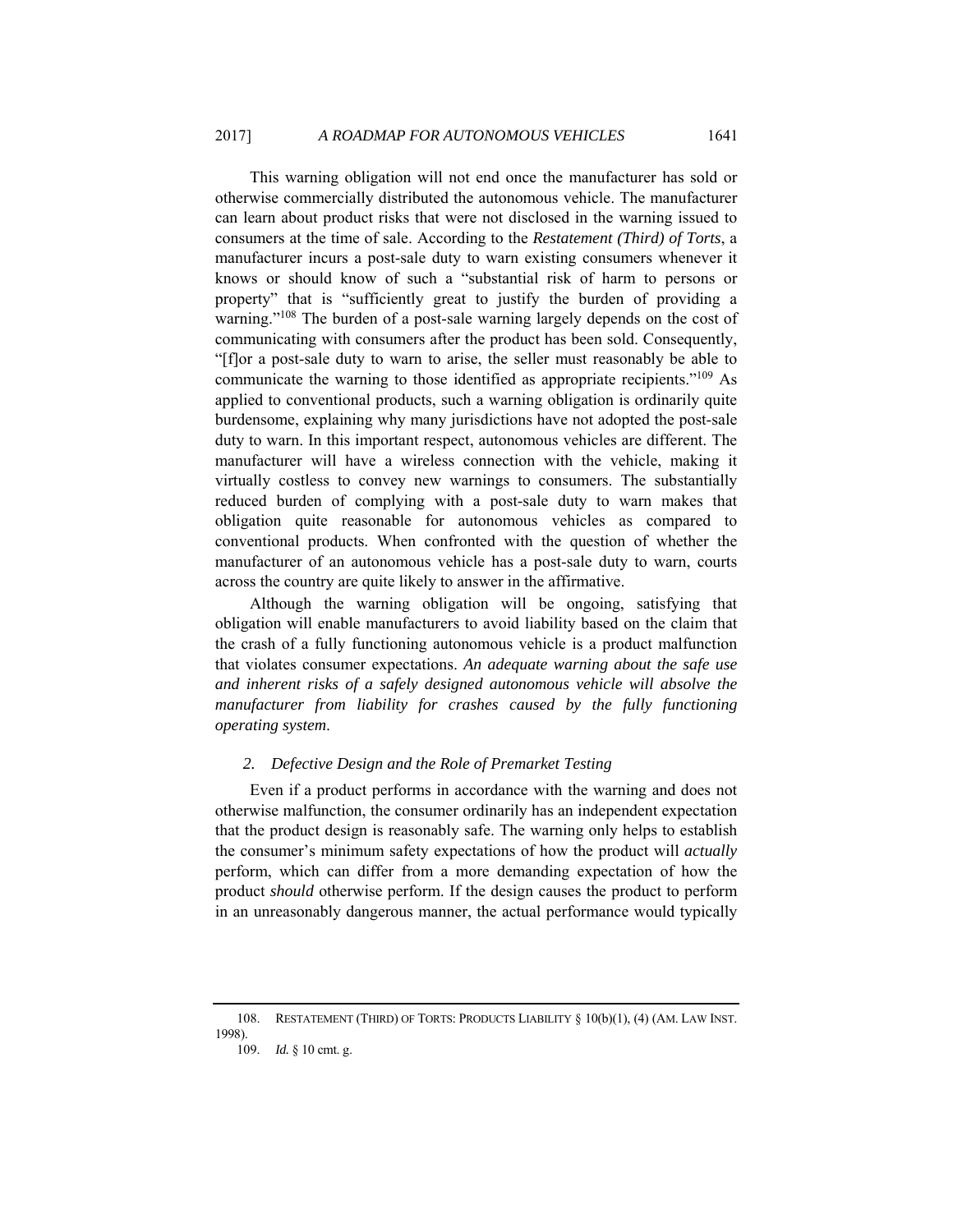This warning obligation will not end once the manufacturer has sold or otherwise commercially distributed the autonomous vehicle. The manufacturer can learn about product risks that were not disclosed in the warning issued to consumers at the time of sale. According to the *Restatement (Third) of Torts*, a manufacturer incurs a post-sale duty to warn existing consumers whenever it knows or should know of such a "substantial risk of harm to persons or property" that is "sufficiently great to justify the burden of providing a warning."<sup>108</sup> The burden of a post-sale warning largely depends on the cost of communicating with consumers after the product has been sold. Consequently, "[f]or a post-sale duty to warn to arise, the seller must reasonably be able to communicate the warning to those identified as appropriate recipients."109 As applied to conventional products, such a warning obligation is ordinarily quite burdensome, explaining why many jurisdictions have not adopted the post-sale duty to warn. In this important respect, autonomous vehicles are different. The manufacturer will have a wireless connection with the vehicle, making it virtually costless to convey new warnings to consumers. The substantially reduced burden of complying with a post-sale duty to warn makes that obligation quite reasonable for autonomous vehicles as compared to conventional products. When confronted with the question of whether the manufacturer of an autonomous vehicle has a post-sale duty to warn, courts across the country are quite likely to answer in the affirmative.

Although the warning obligation will be ongoing, satisfying that obligation will enable manufacturers to avoid liability based on the claim that the crash of a fully functioning autonomous vehicle is a product malfunction that violates consumer expectations. *An adequate warning about the safe use and inherent risks of a safely designed autonomous vehicle will absolve the manufacturer from liability for crashes caused by the fully functioning operating system*.

## *2. Defective Design and the Role of Premarket Testing*

Even if a product performs in accordance with the warning and does not otherwise malfunction, the consumer ordinarily has an independent expectation that the product design is reasonably safe. The warning only helps to establish the consumer's minimum safety expectations of how the product will *actually*  perform, which can differ from a more demanding expectation of how the product *should* otherwise perform. If the design causes the product to perform in an unreasonably dangerous manner, the actual performance would typically

 <sup>108.</sup> RESTATEMENT (THIRD) OF TORTS: PRODUCTS LIABILITY § 10(b)(1), (4) (AM. LAW INST. 1998).

<sup>109.</sup> *Id.* § 10 cmt. g.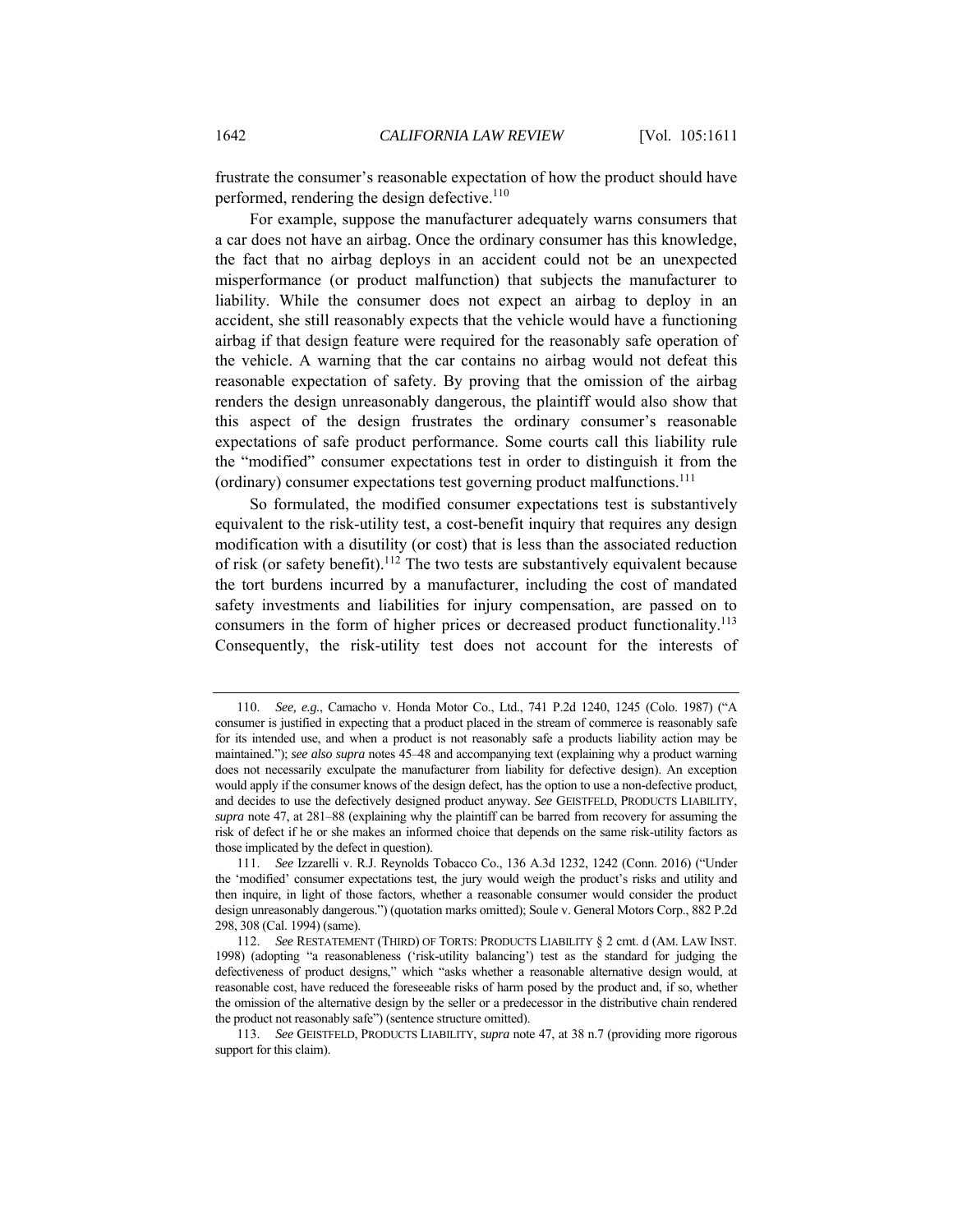frustrate the consumer's reasonable expectation of how the product should have performed, rendering the design defective.<sup>110</sup>

For example, suppose the manufacturer adequately warns consumers that a car does not have an airbag. Once the ordinary consumer has this knowledge, the fact that no airbag deploys in an accident could not be an unexpected misperformance (or product malfunction) that subjects the manufacturer to liability. While the consumer does not expect an airbag to deploy in an accident, she still reasonably expects that the vehicle would have a functioning airbag if that design feature were required for the reasonably safe operation of the vehicle. A warning that the car contains no airbag would not defeat this reasonable expectation of safety. By proving that the omission of the airbag renders the design unreasonably dangerous, the plaintiff would also show that this aspect of the design frustrates the ordinary consumer's reasonable expectations of safe product performance. Some courts call this liability rule the "modified" consumer expectations test in order to distinguish it from the (ordinary) consumer expectations test governing product malfunctions.<sup>111</sup>

So formulated, the modified consumer expectations test is substantively equivalent to the risk-utility test, a cost-benefit inquiry that requires any design modification with a disutility (or cost) that is less than the associated reduction of risk (or safety benefit).<sup>112</sup> The two tests are substantively equivalent because the tort burdens incurred by a manufacturer, including the cost of mandated safety investments and liabilities for injury compensation, are passed on to consumers in the form of higher prices or decreased product functionality.<sup>113</sup> Consequently, the risk-utility test does not account for the interests of

<sup>110.</sup> *See, e.g.*, Camacho v. Honda Motor Co., Ltd., 741 P.2d 1240, 1245 (Colo. 1987) ("A consumer is justified in expecting that a product placed in the stream of commerce is reasonably safe for its intended use, and when a product is not reasonably safe a products liability action may be maintained."); *see also supra* notes 45–48 and accompanying text (explaining why a product warning does not necessarily exculpate the manufacturer from liability for defective design). An exception would apply if the consumer knows of the design defect, has the option to use a non-defective product, and decides to use the defectively designed product anyway. *See* GEISTFELD, PRODUCTS LIABILITY, *supra* note 47, at 281–88 (explaining why the plaintiff can be barred from recovery for assuming the risk of defect if he or she makes an informed choice that depends on the same risk-utility factors as those implicated by the defect in question).

<sup>111.</sup> *See* Izzarelli v. R.J. Reynolds Tobacco Co., 136 A.3d 1232, 1242 (Conn. 2016) ("Under the 'modified' consumer expectations test, the jury would weigh the product's risks and utility and then inquire, in light of those factors, whether a reasonable consumer would consider the product design unreasonably dangerous.") (quotation marks omitted); Soule v. General Motors Corp., 882 P.2d 298, 308 (Cal. 1994) (same).

<sup>112.</sup> *See* RESTATEMENT (THIRD) OF TORTS: PRODUCTS LIABILITY § 2 cmt. d (AM. LAW INST. 1998) (adopting "a reasonableness ('risk-utility balancing') test as the standard for judging the defectiveness of product designs," which "asks whether a reasonable alternative design would, at reasonable cost, have reduced the foreseeable risks of harm posed by the product and, if so, whether the omission of the alternative design by the seller or a predecessor in the distributive chain rendered the product not reasonably safe") (sentence structure omitted).

<sup>113.</sup> *See* GEISTFELD, PRODUCTS LIABILITY, *supra* note 47, at 38 n.7 (providing more rigorous support for this claim).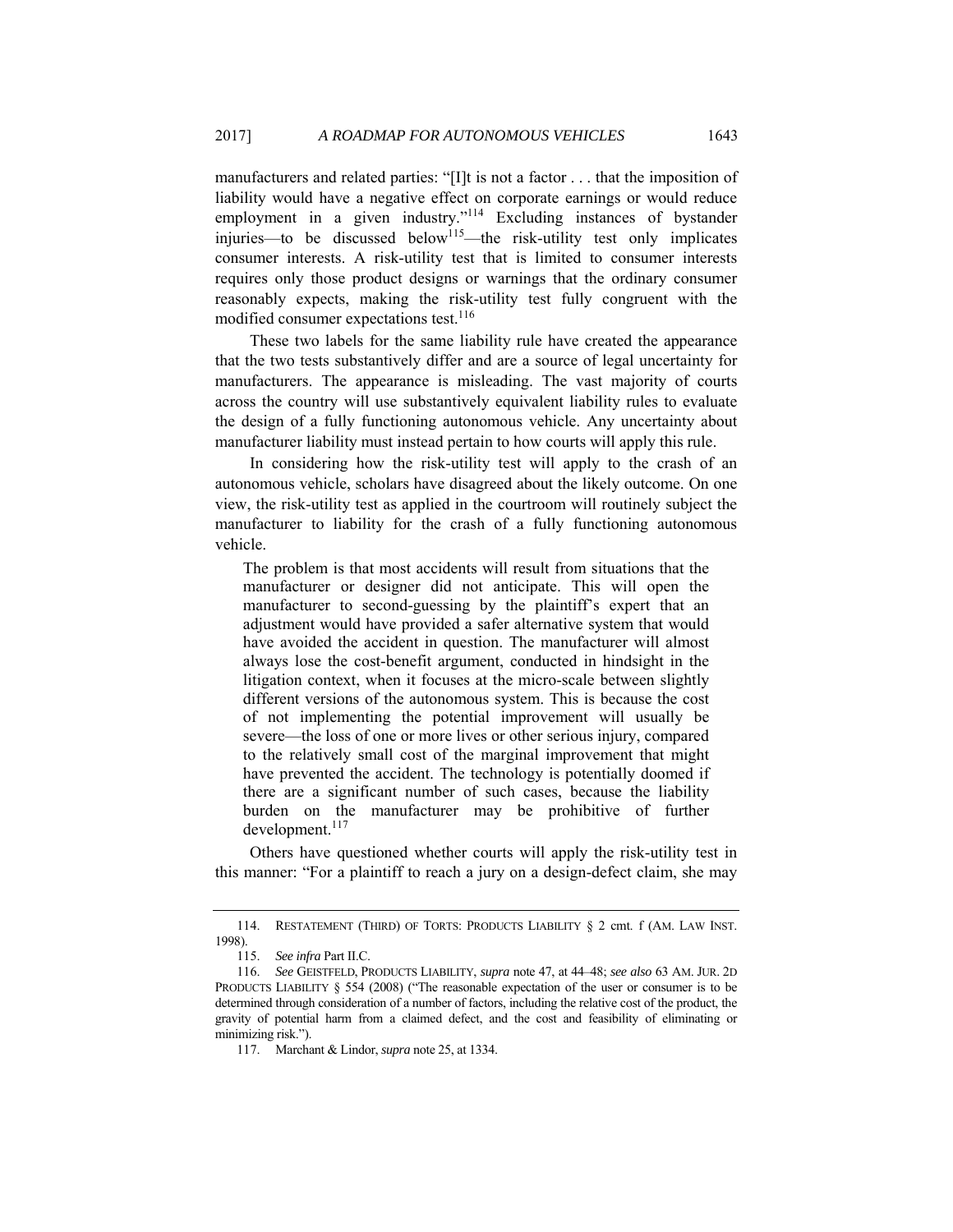manufacturers and related parties: "[I]t is not a factor . . . that the imposition of liability would have a negative effect on corporate earnings or would reduce employment in a given industry."<sup>114</sup> Excluding instances of bystander injuries—to be discussed below<sup>115</sup>—the risk-utility test only implicates consumer interests. A risk-utility test that is limited to consumer interests requires only those product designs or warnings that the ordinary consumer reasonably expects, making the risk-utility test fully congruent with the modified consumer expectations test.<sup>116</sup>

These two labels for the same liability rule have created the appearance that the two tests substantively differ and are a source of legal uncertainty for manufacturers. The appearance is misleading. The vast majority of courts across the country will use substantively equivalent liability rules to evaluate the design of a fully functioning autonomous vehicle. Any uncertainty about manufacturer liability must instead pertain to how courts will apply this rule.

In considering how the risk-utility test will apply to the crash of an autonomous vehicle, scholars have disagreed about the likely outcome. On one view, the risk-utility test as applied in the courtroom will routinely subject the manufacturer to liability for the crash of a fully functioning autonomous vehicle.

The problem is that most accidents will result from situations that the manufacturer or designer did not anticipate. This will open the manufacturer to second-guessing by the plaintiff's expert that an adjustment would have provided a safer alternative system that would have avoided the accident in question. The manufacturer will almost always lose the cost-benefit argument, conducted in hindsight in the litigation context, when it focuses at the micro-scale between slightly different versions of the autonomous system. This is because the cost of not implementing the potential improvement will usually be severe—the loss of one or more lives or other serious injury, compared to the relatively small cost of the marginal improvement that might have prevented the accident. The technology is potentially doomed if there are a significant number of such cases, because the liability burden on the manufacturer may be prohibitive of further development.<sup>117</sup>

Others have questioned whether courts will apply the risk-utility test in this manner: "For a plaintiff to reach a jury on a design-defect claim, she may

 <sup>114.</sup> RESTATEMENT (THIRD) OF TORTS: PRODUCTS LIABILITY § 2 cmt. f (AM. LAW INST. 1998).

<sup>115.</sup> *See infra* Part II.C.

<sup>116.</sup> *See* GEISTFELD, PRODUCTS LIABILITY, *supra* note 47, at 44–48; *see also* 63 AM. JUR. 2D PRODUCTS LIABILITY § 554 (2008) ("The reasonable expectation of the user or consumer is to be determined through consideration of a number of factors, including the relative cost of the product, the gravity of potential harm from a claimed defect, and the cost and feasibility of eliminating or minimizing risk.").

 <sup>117.</sup> Marchant & Lindor, *supra* note 25, at 1334.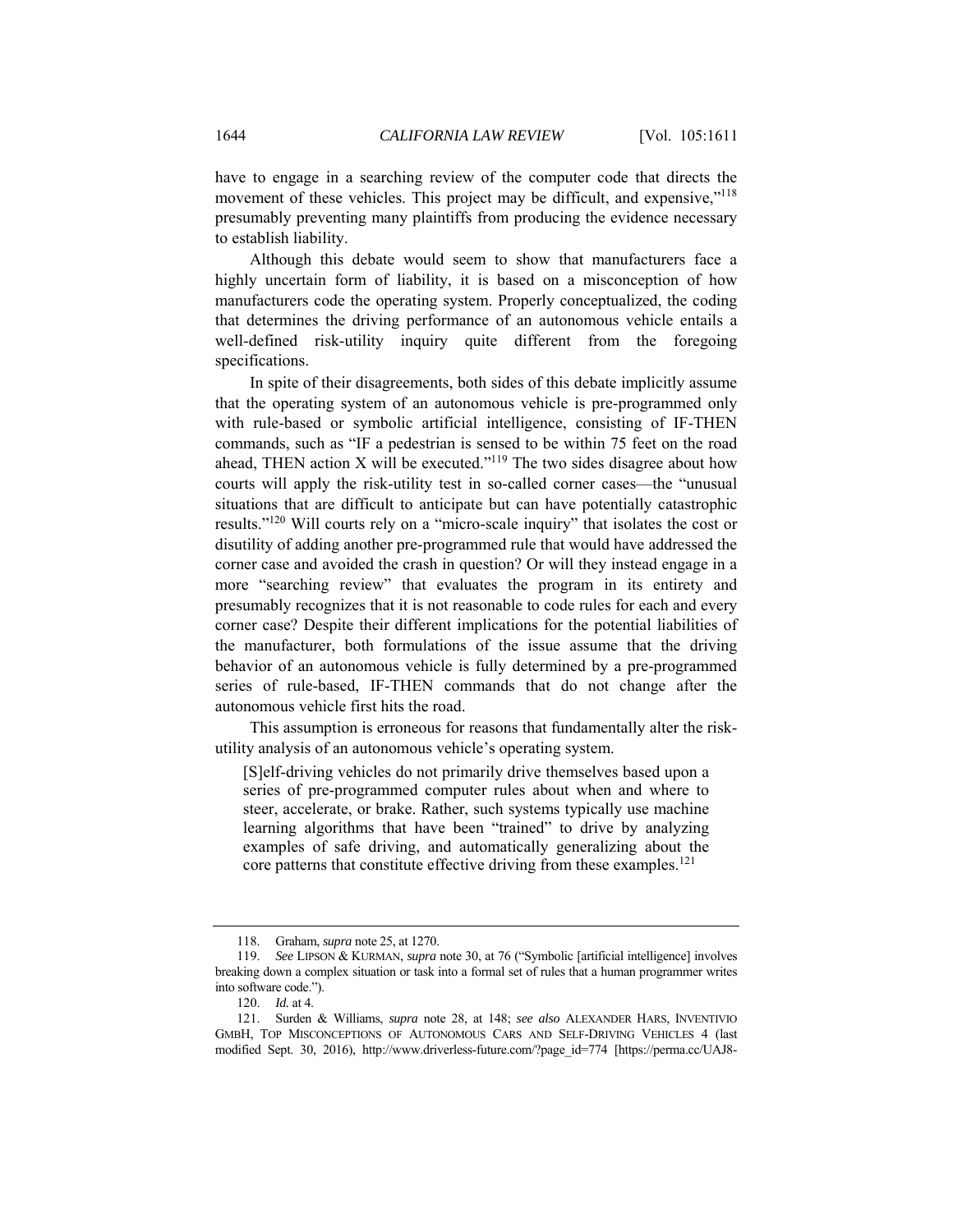have to engage in a searching review of the computer code that directs the movement of these vehicles. This project may be difficult, and expensive,"<sup>118</sup> presumably preventing many plaintiffs from producing the evidence necessary to establish liability.

Although this debate would seem to show that manufacturers face a highly uncertain form of liability, it is based on a misconception of how manufacturers code the operating system. Properly conceptualized, the coding that determines the driving performance of an autonomous vehicle entails a well-defined risk-utility inquiry quite different from the foregoing specifications.

In spite of their disagreements, both sides of this debate implicitly assume that the operating system of an autonomous vehicle is pre-programmed only with rule-based or symbolic artificial intelligence, consisting of IF-THEN commands, such as "IF a pedestrian is sensed to be within 75 feet on the road ahead, THEN action X will be executed."<sup>119</sup> The two sides disagree about how courts will apply the risk-utility test in so-called corner cases—the "unusual situations that are difficult to anticipate but can have potentially catastrophic results."120 Will courts rely on a "micro-scale inquiry" that isolates the cost or disutility of adding another pre-programmed rule that would have addressed the corner case and avoided the crash in question? Or will they instead engage in a more "searching review" that evaluates the program in its entirety and presumably recognizes that it is not reasonable to code rules for each and every corner case? Despite their different implications for the potential liabilities of the manufacturer, both formulations of the issue assume that the driving behavior of an autonomous vehicle is fully determined by a pre-programmed series of rule-based, IF-THEN commands that do not change after the autonomous vehicle first hits the road.

This assumption is erroneous for reasons that fundamentally alter the riskutility analysis of an autonomous vehicle's operating system.

[S]elf-driving vehicles do not primarily drive themselves based upon a series of pre-programmed computer rules about when and where to steer, accelerate, or brake. Rather, such systems typically use machine learning algorithms that have been "trained" to drive by analyzing examples of safe driving, and automatically generalizing about the core patterns that constitute effective driving from these examples. $^{121}$ 

 <sup>118.</sup> Graham, *supra* note 25, at 1270.

<sup>119.</sup> *See* LIPSON & KURMAN, *supra* note 30, at 76 ("Symbolic [artificial intelligence] involves breaking down a complex situation or task into a formal set of rules that a human programmer writes into software code.").

<sup>120.</sup> *Id.* at 4.

 <sup>121.</sup> Surden & Williams, *supra* note 28, at 148; *see also* ALEXANDER HARS, INVENTIVIO GMBH, TOP MISCONCEPTIONS OF AUTONOMOUS CARS AND SELF-DRIVING VEHICLES 4 (last modified Sept. 30, 2016), http://www.driverless-future.com/?page\_id=774 [https://perma.cc/UAJ8-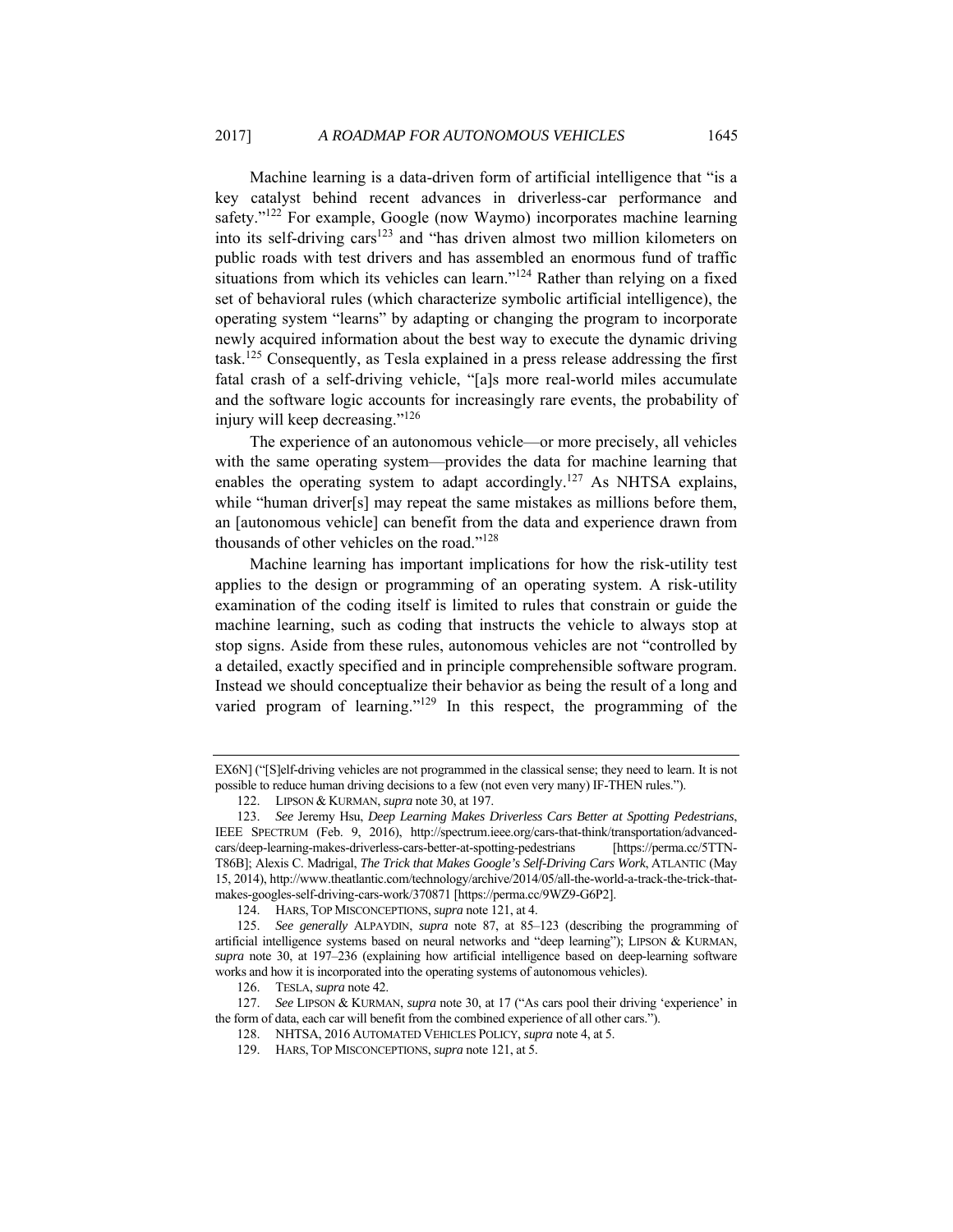Machine learning is a data-driven form of artificial intelligence that "is a key catalyst behind recent advances in driverless-car performance and safety."<sup>122</sup> For example, Google (now Waymo) incorporates machine learning into its self-driving cars $123$  and "has driven almost two million kilometers on public roads with test drivers and has assembled an enormous fund of traffic situations from which its vehicles can learn."<sup>124</sup> Rather than relying on a fixed set of behavioral rules (which characterize symbolic artificial intelligence), the operating system "learns" by adapting or changing the program to incorporate newly acquired information about the best way to execute the dynamic driving task.125 Consequently, as Tesla explained in a press release addressing the first fatal crash of a self-driving vehicle, "[a]s more real-world miles accumulate and the software logic accounts for increasingly rare events, the probability of injury will keep decreasing."126

The experience of an autonomous vehicle—or more precisely, all vehicles with the same operating system—provides the data for machine learning that enables the operating system to adapt accordingly.<sup>127</sup> As NHTSA explains, while "human driver[s] may repeat the same mistakes as millions before them, an [autonomous vehicle] can benefit from the data and experience drawn from thousands of other vehicles on the road."128

Machine learning has important implications for how the risk-utility test applies to the design or programming of an operating system. A risk-utility examination of the coding itself is limited to rules that constrain or guide the machine learning, such as coding that instructs the vehicle to always stop at stop signs. Aside from these rules, autonomous vehicles are not "controlled by a detailed, exactly specified and in principle comprehensible software program. Instead we should conceptualize their behavior as being the result of a long and varied program of learning." $129$  In this respect, the programming of the

EX6N] ("[S]elf-driving vehicles are not programmed in the classical sense; they need to learn. It is not possible to reduce human driving decisions to a few (not even very many) IF-THEN rules.").

 <sup>122.</sup> LIPSON & KURMAN, *supra* note 30, at 197.

<sup>123.</sup> *See* Jeremy Hsu, *Deep Learning Makes Driverless Cars Better at Spotting Pedestrians*, IEEE SPECTRUM (Feb. 9, 2016), http://spectrum.ieee.org/cars-that-think/transportation/advancedcars/deep-learning-makes-driverless-cars-better-at-spotting-pedestrians [https://perma.cc/5TTN-T86B]; Alexis C. Madrigal, *The Trick that Makes Google's Self-Driving Cars Work*, ATLANTIC (May 15, 2014), http://www.theatlantic.com/technology/archive/2014/05/all-the-world-a-track-the-trick-thatmakes-googles-self-driving-cars-work/370871 [https://perma.cc/9WZ9-G6P2].

 <sup>124.</sup> HARS, TOP MISCONCEPTIONS, *supra* note 121, at 4.

<sup>125.</sup> *See generally* ALPAYDIN, *supra* note 87, at 85–123 (describing the programming of artificial intelligence systems based on neural networks and "deep learning"); LIPSON & KURMAN, *supra* note 30, at 197–236 (explaining how artificial intelligence based on deep-learning software works and how it is incorporated into the operating systems of autonomous vehicles).

 <sup>126.</sup> TESLA, *supra* note 42.

<sup>127.</sup> *See* LIPSON & KURMAN, *supra* note 30, at 17 ("As cars pool their driving 'experience' in the form of data, each car will benefit from the combined experience of all other cars.").

 <sup>128.</sup> NHTSA, 2016 AUTOMATED VEHICLES POLICY, *supra* note 4, at 5.

 <sup>129.</sup> HARS, TOP MISCONCEPTIONS, *supra* note 121, at 5.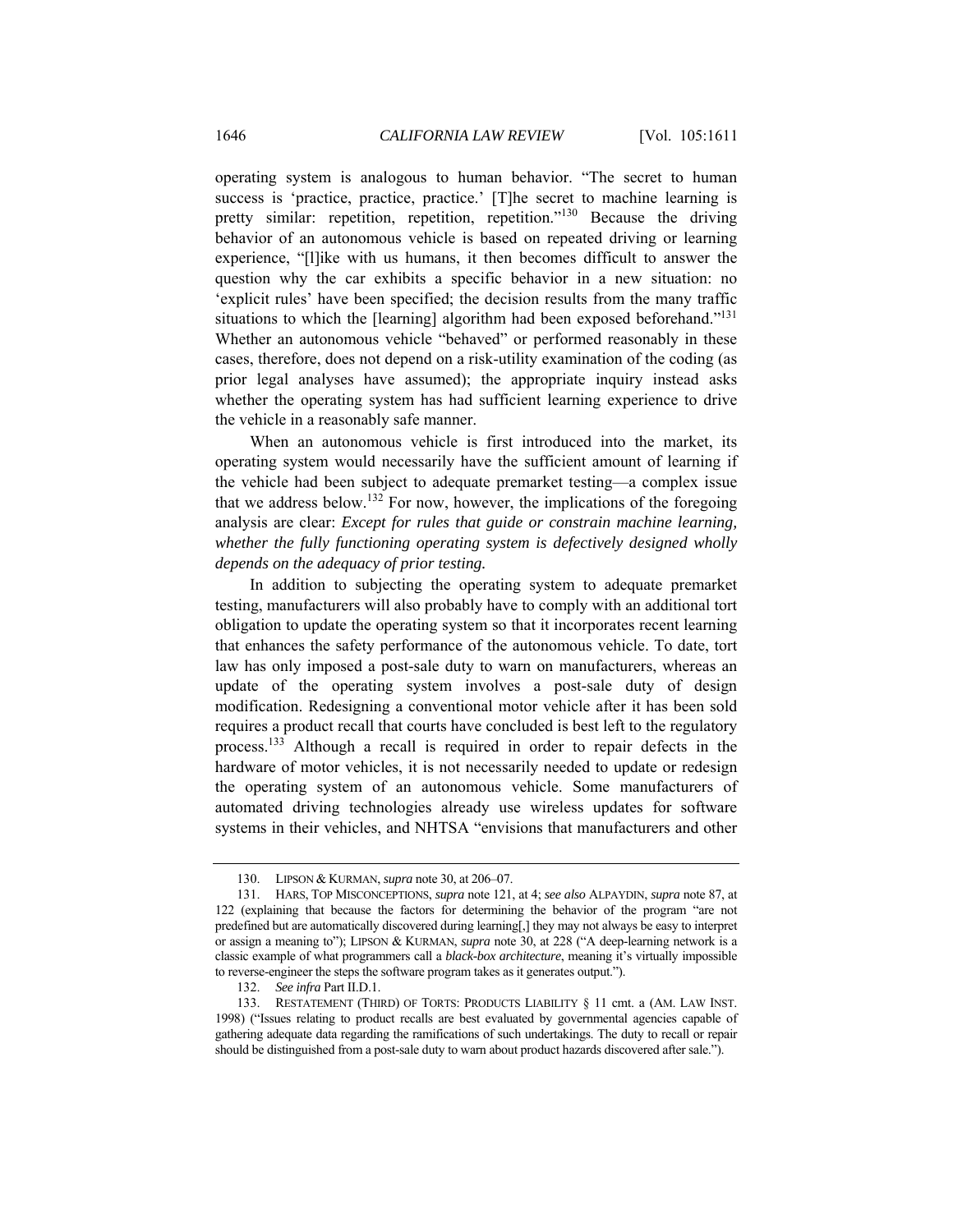operating system is analogous to human behavior. "The secret to human success is 'practice, practice, practice.' [T]he secret to machine learning is pretty similar: repetition, repetition, repetition."130 Because the driving behavior of an autonomous vehicle is based on repeated driving or learning experience, "[l]ike with us humans, it then becomes difficult to answer the question why the car exhibits a specific behavior in a new situation: no 'explicit rules' have been specified; the decision results from the many traffic situations to which the [learning] algorithm had been exposed beforehand."<sup>131</sup> Whether an autonomous vehicle "behaved" or performed reasonably in these cases, therefore, does not depend on a risk-utility examination of the coding (as prior legal analyses have assumed); the appropriate inquiry instead asks whether the operating system has had sufficient learning experience to drive the vehicle in a reasonably safe manner.

When an autonomous vehicle is first introduced into the market, its operating system would necessarily have the sufficient amount of learning if the vehicle had been subject to adequate premarket testing—a complex issue that we address below.<sup>132</sup> For now, however, the implications of the foregoing analysis are clear: *Except for rules that guide or constrain machine learning, whether the fully functioning operating system is defectively designed wholly depends on the adequacy of prior testing.*

In addition to subjecting the operating system to adequate premarket testing, manufacturers will also probably have to comply with an additional tort obligation to update the operating system so that it incorporates recent learning that enhances the safety performance of the autonomous vehicle. To date, tort law has only imposed a post-sale duty to warn on manufacturers, whereas an update of the operating system involves a post-sale duty of design modification. Redesigning a conventional motor vehicle after it has been sold requires a product recall that courts have concluded is best left to the regulatory process.133 Although a recall is required in order to repair defects in the hardware of motor vehicles, it is not necessarily needed to update or redesign the operating system of an autonomous vehicle. Some manufacturers of automated driving technologies already use wireless updates for software systems in their vehicles, and NHTSA "envisions that manufacturers and other

 <sup>130.</sup> LIPSON & KURMAN, *supra* note 30, at 206–07.

 <sup>131.</sup> HARS, TOP MISCONCEPTIONS, *supra* note 121, at 4; *see also* ALPAYDIN, *supra* note 87, at 122 (explaining that because the factors for determining the behavior of the program "are not predefined but are automatically discovered during learning[,] they may not always be easy to interpret or assign a meaning to"); LIPSON & KURMAN, *supra* note 30, at 228 ("A deep-learning network is a classic example of what programmers call a *black-box architecture*, meaning it's virtually impossible to reverse-engineer the steps the software program takes as it generates output.").

<sup>132.</sup> *See infra* Part II.D.1.

 <sup>133.</sup> RESTATEMENT (THIRD) OF TORTS: PRODUCTS LIABILITY § 11 cmt. a (AM. LAW INST. 1998) ("Issues relating to product recalls are best evaluated by governmental agencies capable of gathering adequate data regarding the ramifications of such undertakings. The duty to recall or repair should be distinguished from a post-sale duty to warn about product hazards discovered after sale.").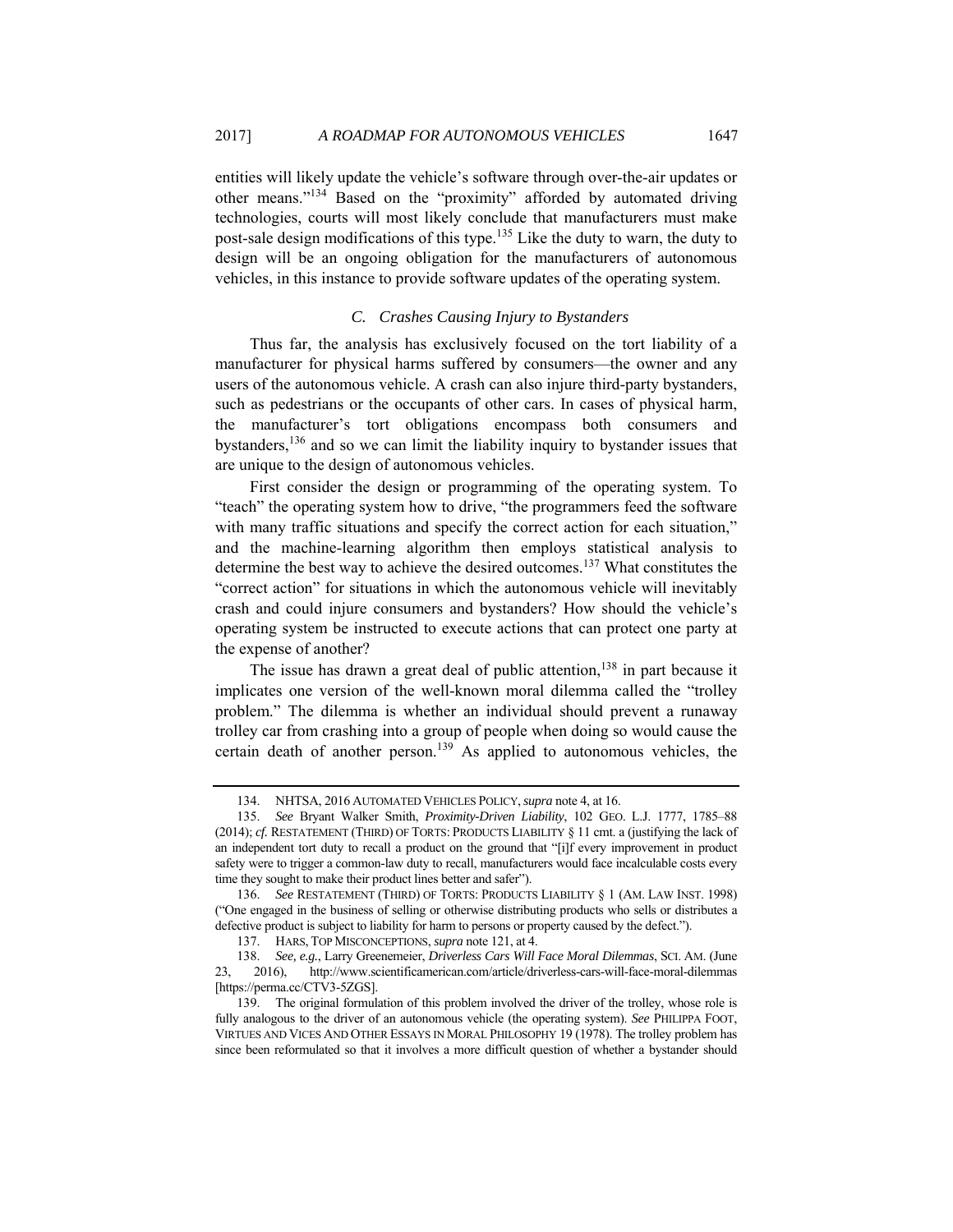entities will likely update the vehicle's software through over-the-air updates or other means."<sup>134</sup> Based on the "proximity" afforded by automated driving technologies, courts will most likely conclude that manufacturers must make post-sale design modifications of this type.135 Like the duty to warn, the duty to design will be an ongoing obligation for the manufacturers of autonomous vehicles, in this instance to provide software updates of the operating system.

# *C. Crashes Causing Injury to Bystanders*

Thus far, the analysis has exclusively focused on the tort liability of a manufacturer for physical harms suffered by consumers—the owner and any users of the autonomous vehicle. A crash can also injure third-party bystanders, such as pedestrians or the occupants of other cars. In cases of physical harm, the manufacturer's tort obligations encompass both consumers and bystanders,136 and so we can limit the liability inquiry to bystander issues that are unique to the design of autonomous vehicles.

First consider the design or programming of the operating system. To "teach" the operating system how to drive, "the programmers feed the software with many traffic situations and specify the correct action for each situation," and the machine-learning algorithm then employs statistical analysis to determine the best way to achieve the desired outcomes.137 What constitutes the "correct action" for situations in which the autonomous vehicle will inevitably crash and could injure consumers and bystanders? How should the vehicle's operating system be instructed to execute actions that can protect one party at the expense of another?

The issue has drawn a great deal of public attention,  $138$  in part because it implicates one version of the well-known moral dilemma called the "trolley problem." The dilemma is whether an individual should prevent a runaway trolley car from crashing into a group of people when doing so would cause the certain death of another person.<sup>139</sup> As applied to autonomous vehicles, the

 <sup>134.</sup> NHTSA, 2016 AUTOMATED VEHICLES POLICY,*supra* note 4, at 16.

<sup>135.</sup> *See* Bryant Walker Smith, *Proximity-Driven Liability*, 102 GEO. L.J. 1777, 1785–88 (2014); *cf.* RESTATEMENT (THIRD) OF TORTS: PRODUCTS LIABILITY § 11 cmt. a (justifying the lack of an independent tort duty to recall a product on the ground that "[i]f every improvement in product safety were to trigger a common-law duty to recall, manufacturers would face incalculable costs every time they sought to make their product lines better and safer").

<sup>136.</sup> *See* RESTATEMENT (THIRD) OF TORTS: PRODUCTS LIABILITY § 1 (AM. LAW INST. 1998) ("One engaged in the business of selling or otherwise distributing products who sells or distributes a defective product is subject to liability for harm to persons or property caused by the defect.").

 <sup>137.</sup> HARS, TOP MISCONCEPTIONS, *supra* note 121, at 4.

<sup>138.</sup> *See, e.g.*, Larry Greenemeier, *Driverless Cars Will Face Moral Dilemmas*, SCI. AM. (June 23, 2016), http://www.scientificamerican.com/article/driverless-cars-will-face-moral-dilemmas [https://perma.cc/CTV3-5ZGS].

 <sup>139.</sup> The original formulation of this problem involved the driver of the trolley, whose role is fully analogous to the driver of an autonomous vehicle (the operating system). *See* PHILIPPA FOOT, VIRTUES AND VICES AND OTHER ESSAYS IN MORAL PHILOSOPHY 19 (1978). The trolley problem has since been reformulated so that it involves a more difficult question of whether a bystander should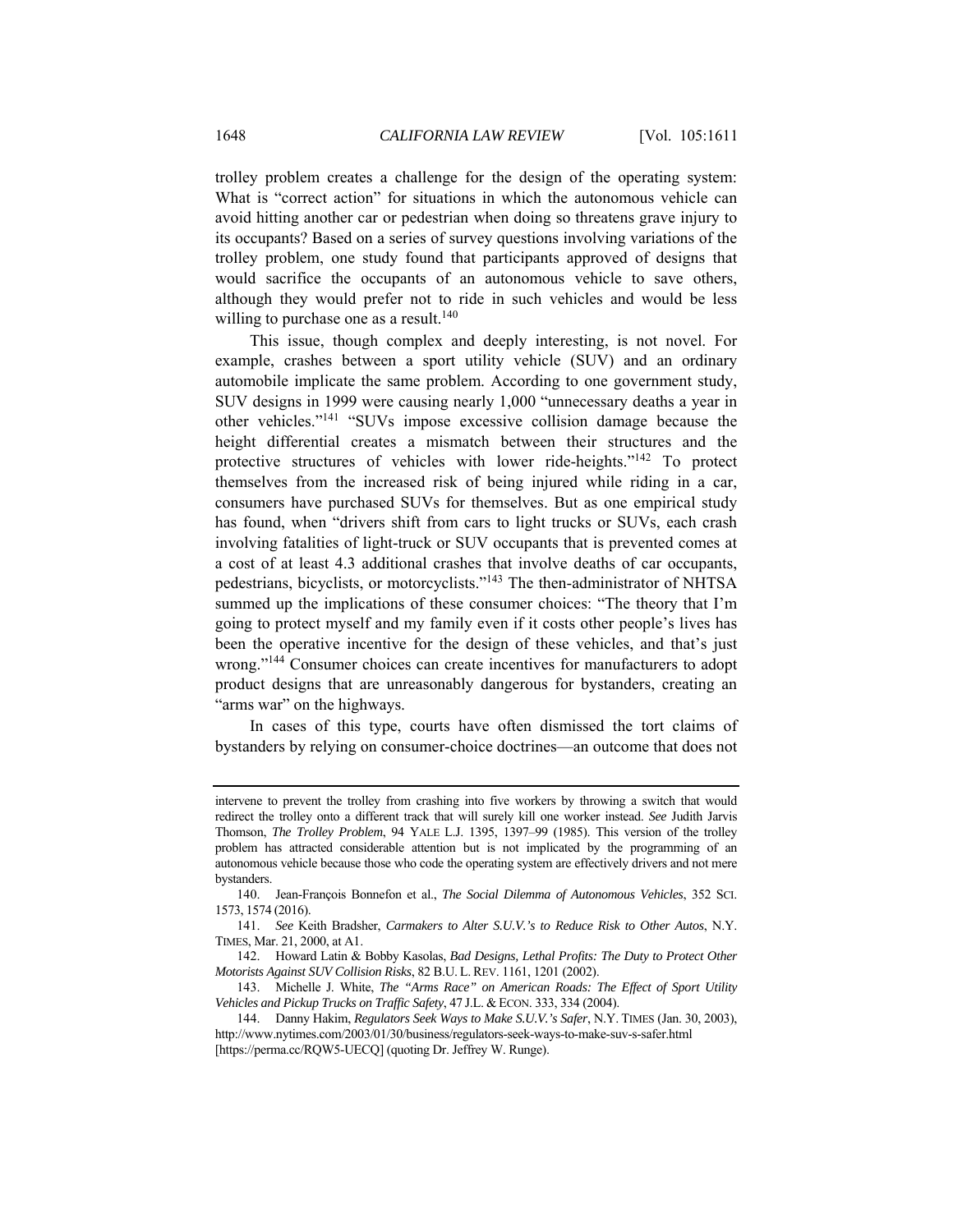trolley problem creates a challenge for the design of the operating system: What is "correct action" for situations in which the autonomous vehicle can avoid hitting another car or pedestrian when doing so threatens grave injury to its occupants? Based on a series of survey questions involving variations of the trolley problem, one study found that participants approved of designs that would sacrifice the occupants of an autonomous vehicle to save others, although they would prefer not to ride in such vehicles and would be less willing to purchase one as a result.<sup>140</sup>

This issue, though complex and deeply interesting, is not novel. For example, crashes between a sport utility vehicle (SUV) and an ordinary automobile implicate the same problem. According to one government study, SUV designs in 1999 were causing nearly 1,000 "unnecessary deaths a year in other vehicles."141 "SUVs impose excessive collision damage because the height differential creates a mismatch between their structures and the protective structures of vehicles with lower ride-heights."142 To protect themselves from the increased risk of being injured while riding in a car, consumers have purchased SUVs for themselves. But as one empirical study has found, when "drivers shift from cars to light trucks or SUVs, each crash involving fatalities of light-truck or SUV occupants that is prevented comes at a cost of at least 4.3 additional crashes that involve deaths of car occupants, pedestrians, bicyclists, or motorcyclists."143 The then-administrator of NHTSA summed up the implications of these consumer choices: "The theory that I'm going to protect myself and my family even if it costs other people's lives has been the operative incentive for the design of these vehicles, and that's just wrong."<sup>144</sup> Consumer choices can create incentives for manufacturers to adopt product designs that are unreasonably dangerous for bystanders, creating an "arms war" on the highways.

In cases of this type, courts have often dismissed the tort claims of bystanders by relying on consumer-choice doctrines—an outcome that does not

intervene to prevent the trolley from crashing into five workers by throwing a switch that would redirect the trolley onto a different track that will surely kill one worker instead. *See* Judith Jarvis Thomson, *The Trolley Problem*, 94 YALE L.J. 1395, 1397–99 (1985). This version of the trolley problem has attracted considerable attention but is not implicated by the programming of an autonomous vehicle because those who code the operating system are effectively drivers and not mere bystanders.

 <sup>140.</sup> Jean-François Bonnefon et al., *The Social Dilemma of Autonomous Vehicles*, 352 SCI. 1573, 1574 (2016).

<sup>141.</sup> *See* Keith Bradsher, *Carmakers to Alter S.U.V.'s to Reduce Risk to Other Autos*, N.Y. TIMES, Mar. 21, 2000, at A1.

 <sup>142.</sup> Howard Latin & Bobby Kasolas, *Bad Designs, Lethal Profits: The Duty to Protect Other Motorists Against SUV Collision Risks*, 82 B.U. L.REV. 1161, 1201 (2002).

 <sup>143.</sup> Michelle J. White, *The "Arms Race" on American Roads: The Effect of Sport Utility Vehicles and Pickup Trucks on Traffic Safety*, 47 J.L. & ECON. 333, 334 (2004).

 <sup>144.</sup> Danny Hakim, *Regulators Seek Ways to Make S.U.V.'s Safer*, N.Y. TIMES (Jan. 30, 2003), http://www.nytimes.com/2003/01/30/business/regulators-seek-ways-to-make-suv-s-safer.html [https://perma.cc/RQW5-UECQ] (quoting Dr. Jeffrey W. Runge).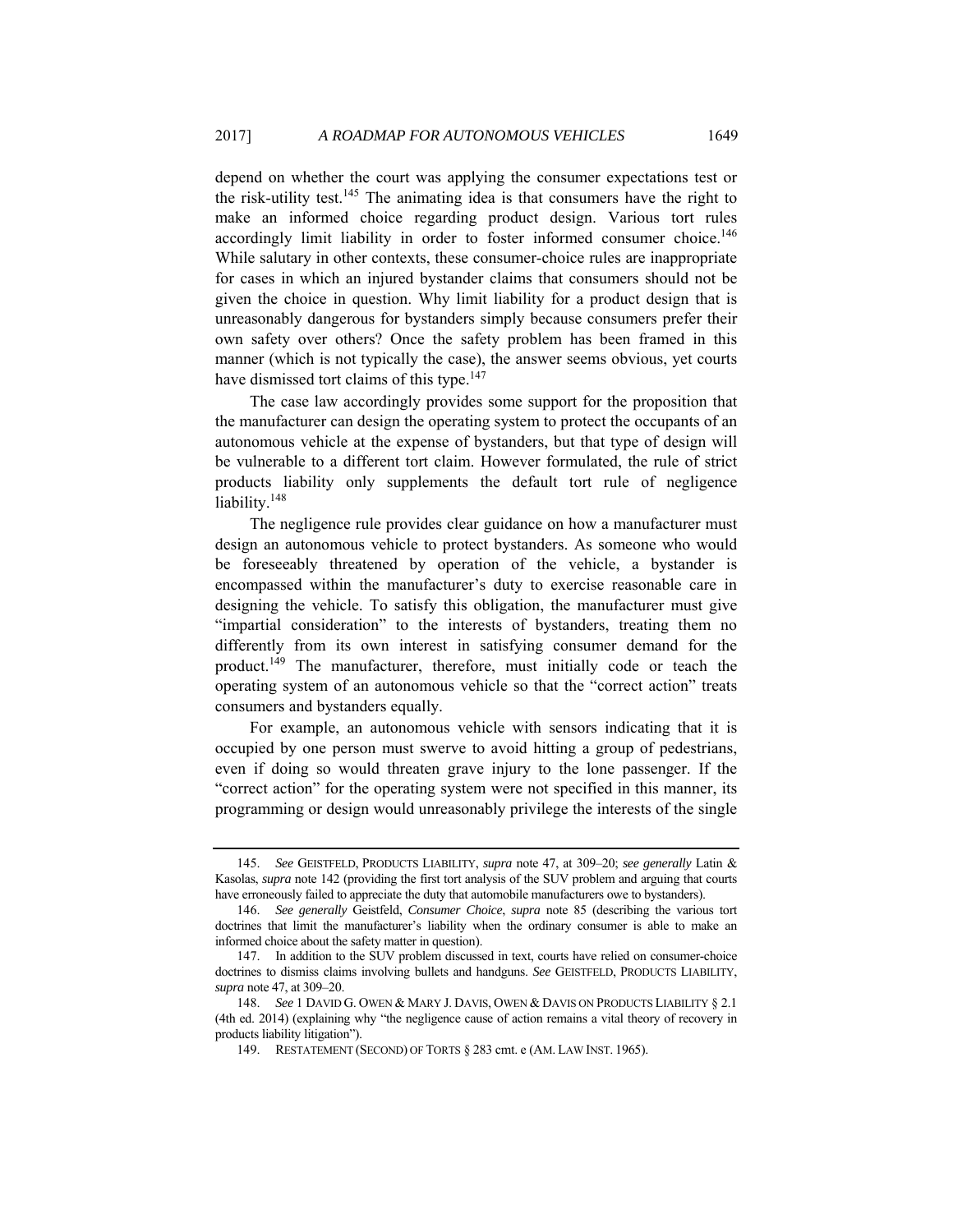depend on whether the court was applying the consumer expectations test or the risk-utility test.<sup>145</sup> The animating idea is that consumers have the right to make an informed choice regarding product design. Various tort rules accordingly limit liability in order to foster informed consumer choice.<sup>146</sup> While salutary in other contexts, these consumer-choice rules are inappropriate for cases in which an injured bystander claims that consumers should not be given the choice in question. Why limit liability for a product design that is unreasonably dangerous for bystanders simply because consumers prefer their own safety over others? Once the safety problem has been framed in this manner (which is not typically the case), the answer seems obvious, yet courts have dismissed tort claims of this type.<sup>147</sup>

The case law accordingly provides some support for the proposition that the manufacturer can design the operating system to protect the occupants of an autonomous vehicle at the expense of bystanders, but that type of design will be vulnerable to a different tort claim. However formulated, the rule of strict products liability only supplements the default tort rule of negligence liability.<sup>148</sup>

The negligence rule provides clear guidance on how a manufacturer must design an autonomous vehicle to protect bystanders. As someone who would be foreseeably threatened by operation of the vehicle, a bystander is encompassed within the manufacturer's duty to exercise reasonable care in designing the vehicle. To satisfy this obligation, the manufacturer must give "impartial consideration" to the interests of bystanders, treating them no differently from its own interest in satisfying consumer demand for the product.149 The manufacturer, therefore, must initially code or teach the operating system of an autonomous vehicle so that the "correct action" treats consumers and bystanders equally.

For example, an autonomous vehicle with sensors indicating that it is occupied by one person must swerve to avoid hitting a group of pedestrians, even if doing so would threaten grave injury to the lone passenger. If the "correct action" for the operating system were not specified in this manner, its programming or design would unreasonably privilege the interests of the single

<sup>145.</sup> *See* GEISTFELD, PRODUCTS LIABILITY, *supra* note 47, at 309–20; *see generally* Latin & Kasolas, *supra* note 142 (providing the first tort analysis of the SUV problem and arguing that courts have erroneously failed to appreciate the duty that automobile manufacturers owe to bystanders).

<sup>146.</sup> *See generally* Geistfeld, *Consumer Choice*, *supra* note 85 (describing the various tort doctrines that limit the manufacturer's liability when the ordinary consumer is able to make an informed choice about the safety matter in question).

 <sup>147.</sup> In addition to the SUV problem discussed in text, courts have relied on consumer-choice doctrines to dismiss claims involving bullets and handguns. *See* GEISTFELD, PRODUCTS LIABILITY, *supra* note 47, at 309–20.

<sup>148.</sup> *See* 1 DAVID G. OWEN & MARY J. DAVIS, OWEN & DAVIS ON PRODUCTS LIABILITY § 2.1 (4th ed. 2014) (explaining why "the negligence cause of action remains a vital theory of recovery in products liability litigation").

 <sup>149.</sup> RESTATEMENT (SECOND) OF TORTS § 283 cmt. e (AM. LAW INST. 1965).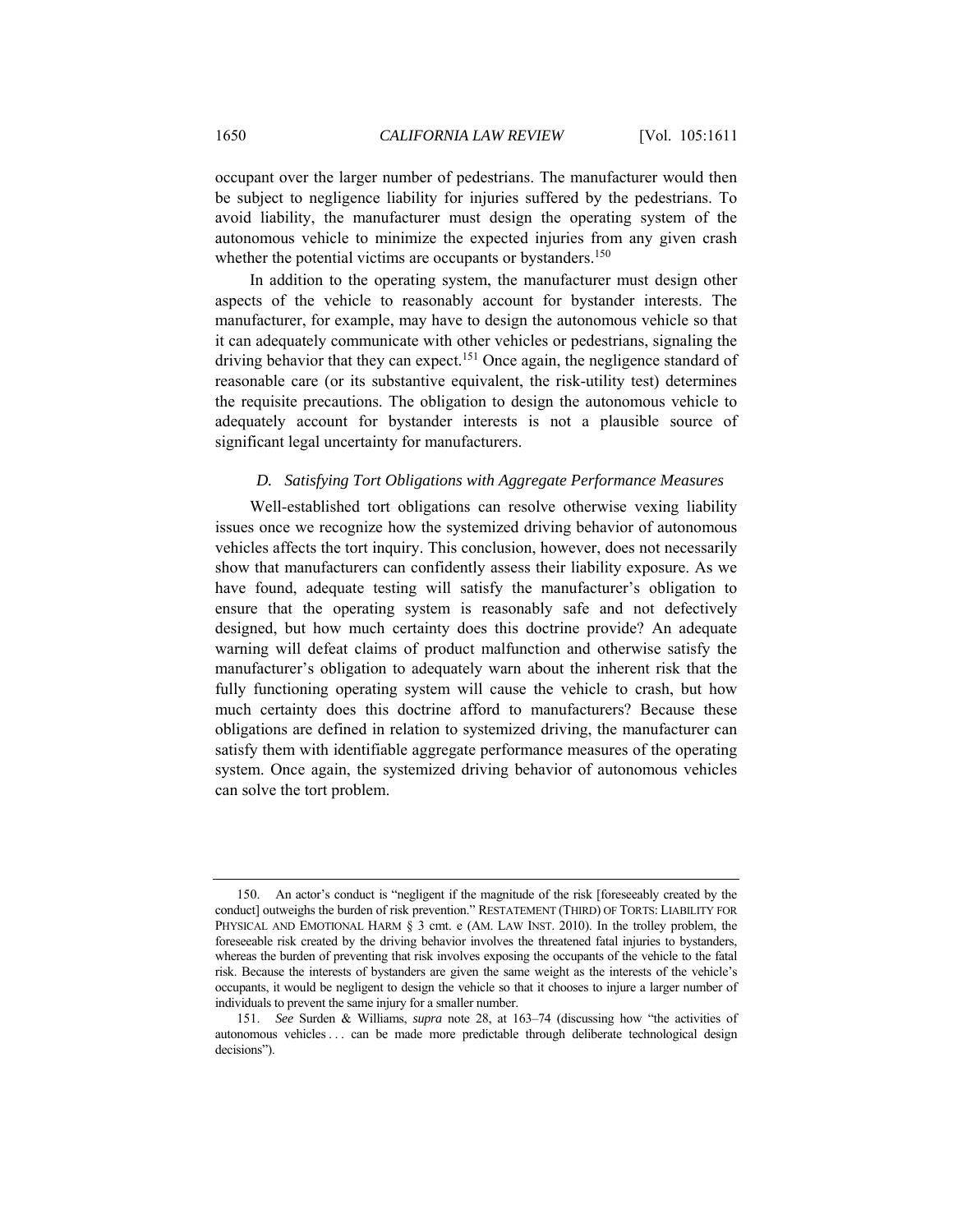occupant over the larger number of pedestrians. The manufacturer would then be subject to negligence liability for injuries suffered by the pedestrians. To avoid liability, the manufacturer must design the operating system of the autonomous vehicle to minimize the expected injuries from any given crash whether the potential victims are occupants or bystanders.<sup>150</sup>

In addition to the operating system, the manufacturer must design other aspects of the vehicle to reasonably account for bystander interests. The manufacturer, for example, may have to design the autonomous vehicle so that it can adequately communicate with other vehicles or pedestrians, signaling the driving behavior that they can expect.<sup>151</sup> Once again, the negligence standard of reasonable care (or its substantive equivalent, the risk-utility test) determines the requisite precautions. The obligation to design the autonomous vehicle to adequately account for bystander interests is not a plausible source of significant legal uncertainty for manufacturers.

### *D. Satisfying Tort Obligations with Aggregate Performance Measures*

Well-established tort obligations can resolve otherwise vexing liability issues once we recognize how the systemized driving behavior of autonomous vehicles affects the tort inquiry. This conclusion, however, does not necessarily show that manufacturers can confidently assess their liability exposure. As we have found, adequate testing will satisfy the manufacturer's obligation to ensure that the operating system is reasonably safe and not defectively designed, but how much certainty does this doctrine provide? An adequate warning will defeat claims of product malfunction and otherwise satisfy the manufacturer's obligation to adequately warn about the inherent risk that the fully functioning operating system will cause the vehicle to crash, but how much certainty does this doctrine afford to manufacturers? Because these obligations are defined in relation to systemized driving, the manufacturer can satisfy them with identifiable aggregate performance measures of the operating system. Once again, the systemized driving behavior of autonomous vehicles can solve the tort problem.

 <sup>150.</sup> An actor's conduct is "negligent if the magnitude of the risk [foreseeably created by the conduct] outweighs the burden of risk prevention." RESTATEMENT (THIRD) OF TORTS: LIABILITY FOR PHYSICAL AND EMOTIONAL HARM § 3 cmt. e (AM. LAW INST. 2010). In the trolley problem, the foreseeable risk created by the driving behavior involves the threatened fatal injuries to bystanders, whereas the burden of preventing that risk involves exposing the occupants of the vehicle to the fatal risk. Because the interests of bystanders are given the same weight as the interests of the vehicle's occupants, it would be negligent to design the vehicle so that it chooses to injure a larger number of individuals to prevent the same injury for a smaller number.

<sup>151.</sup> *See* Surden & Williams, *supra* note 28, at 163–74 (discussing how "the activities of autonomous vehicles . . . can be made more predictable through deliberate technological design decisions").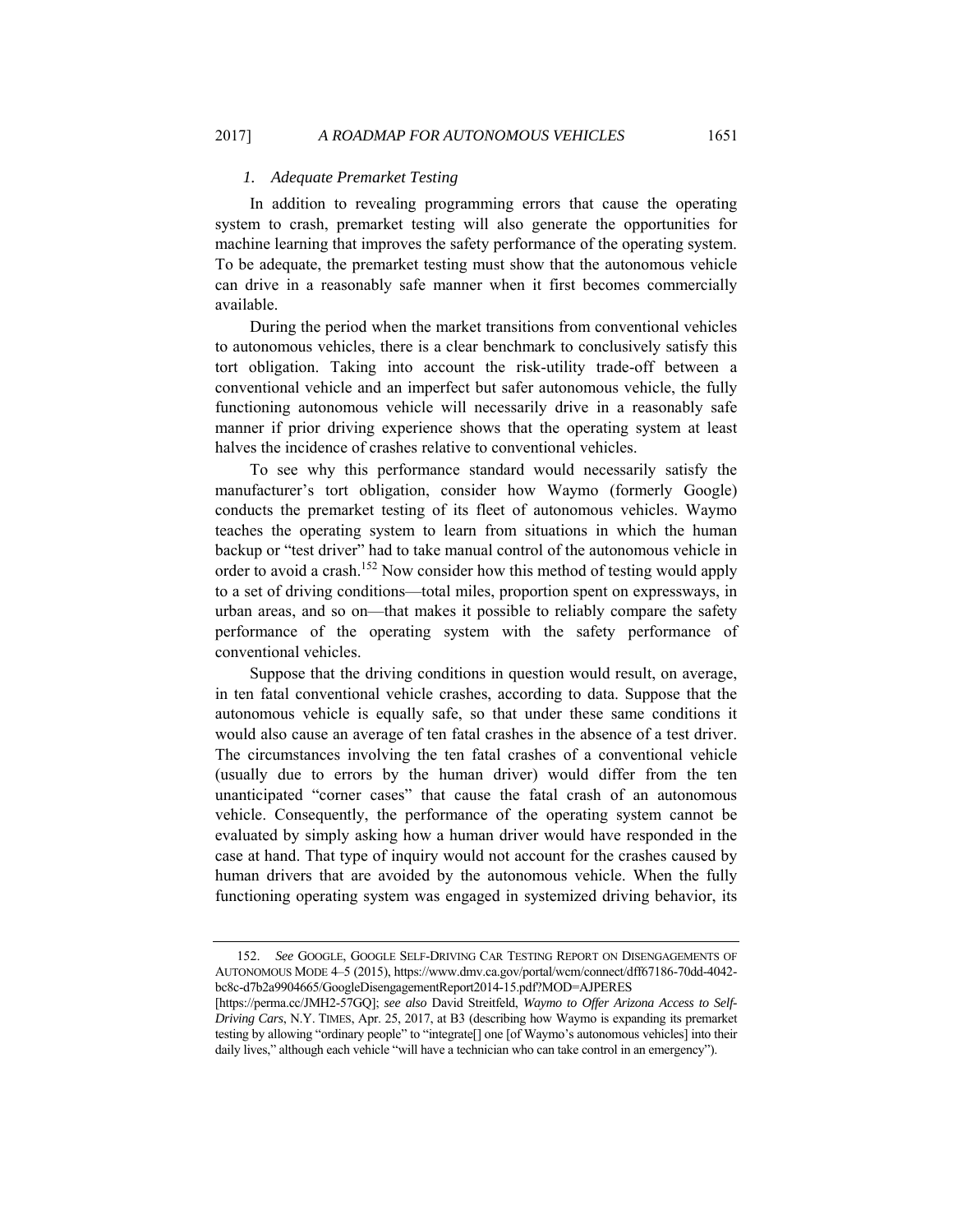### *1. Adequate Premarket Testing*

In addition to revealing programming errors that cause the operating system to crash, premarket testing will also generate the opportunities for machine learning that improves the safety performance of the operating system. To be adequate, the premarket testing must show that the autonomous vehicle can drive in a reasonably safe manner when it first becomes commercially available.

During the period when the market transitions from conventional vehicles to autonomous vehicles, there is a clear benchmark to conclusively satisfy this tort obligation. Taking into account the risk-utility trade-off between a conventional vehicle and an imperfect but safer autonomous vehicle, the fully functioning autonomous vehicle will necessarily drive in a reasonably safe manner if prior driving experience shows that the operating system at least halves the incidence of crashes relative to conventional vehicles.

To see why this performance standard would necessarily satisfy the manufacturer's tort obligation, consider how Waymo (formerly Google) conducts the premarket testing of its fleet of autonomous vehicles. Waymo teaches the operating system to learn from situations in which the human backup or "test driver" had to take manual control of the autonomous vehicle in order to avoid a crash.<sup>152</sup> Now consider how this method of testing would apply to a set of driving conditions—total miles, proportion spent on expressways, in urban areas, and so on—that makes it possible to reliably compare the safety performance of the operating system with the safety performance of conventional vehicles.

Suppose that the driving conditions in question would result, on average, in ten fatal conventional vehicle crashes, according to data. Suppose that the autonomous vehicle is equally safe, so that under these same conditions it would also cause an average of ten fatal crashes in the absence of a test driver. The circumstances involving the ten fatal crashes of a conventional vehicle (usually due to errors by the human driver) would differ from the ten unanticipated "corner cases" that cause the fatal crash of an autonomous vehicle. Consequently, the performance of the operating system cannot be evaluated by simply asking how a human driver would have responded in the case at hand. That type of inquiry would not account for the crashes caused by human drivers that are avoided by the autonomous vehicle. When the fully functioning operating system was engaged in systemized driving behavior, its

<sup>152.</sup> *See* GOOGLE, GOOGLE SELF-DRIVING CAR TESTING REPORT ON DISENGAGEMENTS OF AUTONOMOUS MODE 4–5 (2015), https://www.dmv.ca.gov/portal/wcm/connect/dff67186-70dd-4042 bc8c-d7b2a9904665/GoogleDisengagementReport2014-15.pdf?MOD=AJPERES

<sup>[</sup>https://perma.cc/JMH2-57GQ]; *see also* David Streitfeld, *Waymo to Offer Arizona Access to Self-Driving Cars*, N.Y. TIMES, Apr. 25, 2017, at B3 (describing how Waymo is expanding its premarket testing by allowing "ordinary people" to "integrate[] one [of Waymo's autonomous vehicles] into their daily lives," although each vehicle "will have a technician who can take control in an emergency").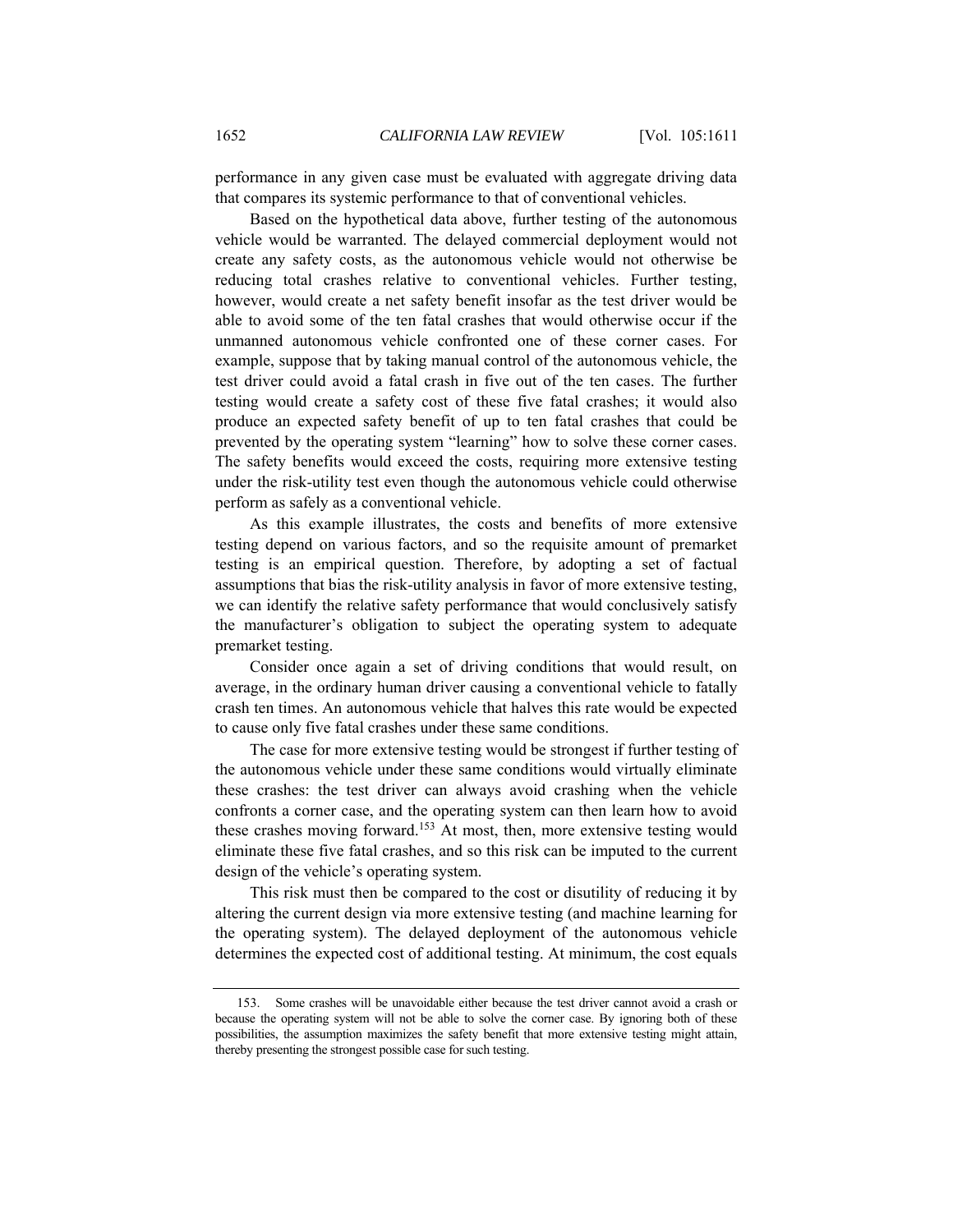performance in any given case must be evaluated with aggregate driving data that compares its systemic performance to that of conventional vehicles.

Based on the hypothetical data above, further testing of the autonomous vehicle would be warranted. The delayed commercial deployment would not create any safety costs, as the autonomous vehicle would not otherwise be reducing total crashes relative to conventional vehicles. Further testing, however, would create a net safety benefit insofar as the test driver would be able to avoid some of the ten fatal crashes that would otherwise occur if the unmanned autonomous vehicle confronted one of these corner cases. For example, suppose that by taking manual control of the autonomous vehicle, the test driver could avoid a fatal crash in five out of the ten cases. The further testing would create a safety cost of these five fatal crashes; it would also produce an expected safety benefit of up to ten fatal crashes that could be prevented by the operating system "learning" how to solve these corner cases. The safety benefits would exceed the costs, requiring more extensive testing under the risk-utility test even though the autonomous vehicle could otherwise perform as safely as a conventional vehicle.

As this example illustrates, the costs and benefits of more extensive testing depend on various factors, and so the requisite amount of premarket testing is an empirical question. Therefore, by adopting a set of factual assumptions that bias the risk-utility analysis in favor of more extensive testing, we can identify the relative safety performance that would conclusively satisfy the manufacturer's obligation to subject the operating system to adequate premarket testing.

Consider once again a set of driving conditions that would result, on average, in the ordinary human driver causing a conventional vehicle to fatally crash ten times. An autonomous vehicle that halves this rate would be expected to cause only five fatal crashes under these same conditions.

The case for more extensive testing would be strongest if further testing of the autonomous vehicle under these same conditions would virtually eliminate these crashes: the test driver can always avoid crashing when the vehicle confronts a corner case, and the operating system can then learn how to avoid these crashes moving forward.<sup>153</sup> At most, then, more extensive testing would eliminate these five fatal crashes, and so this risk can be imputed to the current design of the vehicle's operating system.

This risk must then be compared to the cost or disutility of reducing it by altering the current design via more extensive testing (and machine learning for the operating system). The delayed deployment of the autonomous vehicle determines the expected cost of additional testing. At minimum, the cost equals

 <sup>153.</sup> Some crashes will be unavoidable either because the test driver cannot avoid a crash or because the operating system will not be able to solve the corner case. By ignoring both of these possibilities, the assumption maximizes the safety benefit that more extensive testing might attain, thereby presenting the strongest possible case for such testing.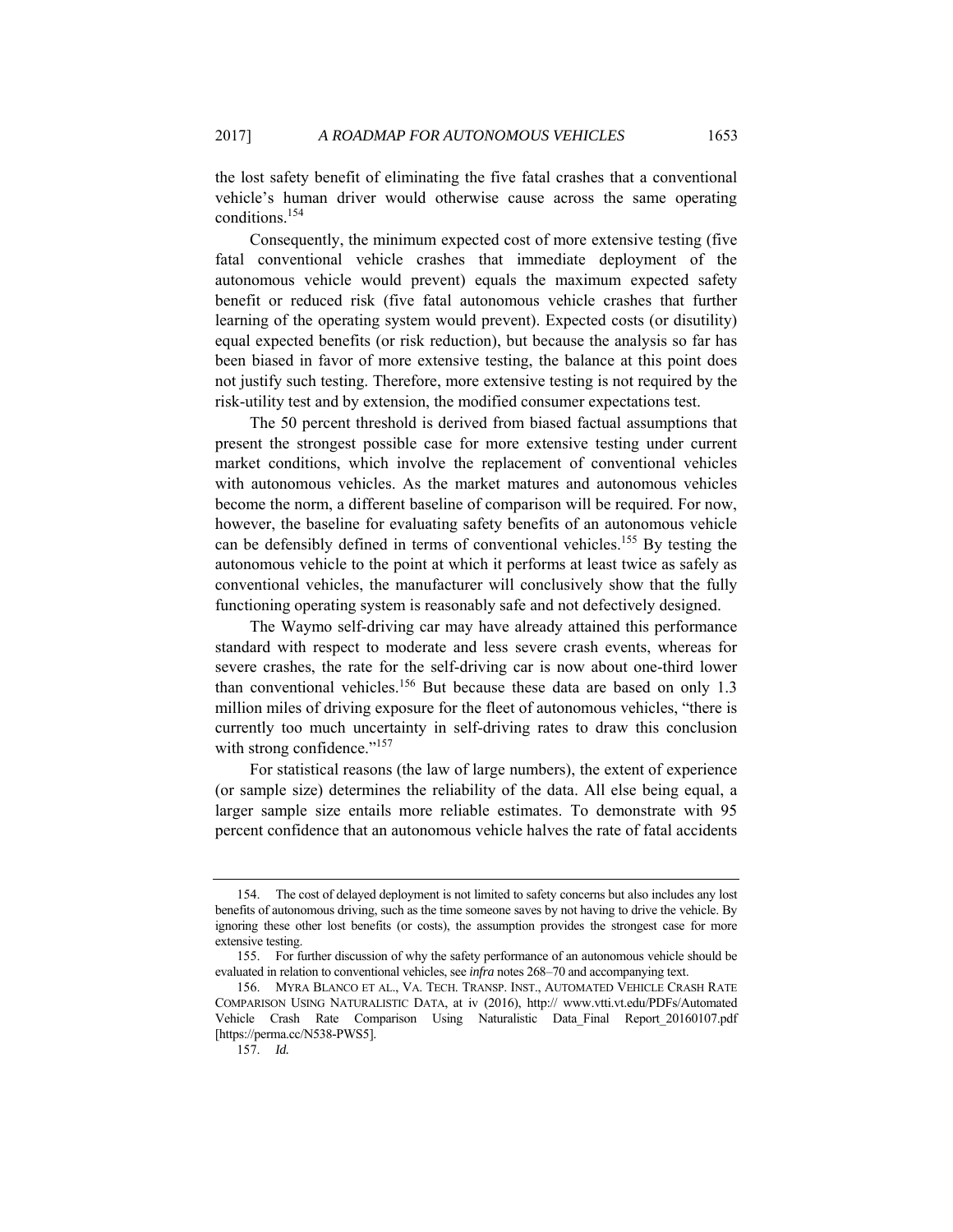the lost safety benefit of eliminating the five fatal crashes that a conventional vehicle's human driver would otherwise cause across the same operating conditions.154

Consequently, the minimum expected cost of more extensive testing (five fatal conventional vehicle crashes that immediate deployment of the autonomous vehicle would prevent) equals the maximum expected safety benefit or reduced risk (five fatal autonomous vehicle crashes that further learning of the operating system would prevent). Expected costs (or disutility) equal expected benefits (or risk reduction), but because the analysis so far has been biased in favor of more extensive testing, the balance at this point does not justify such testing. Therefore, more extensive testing is not required by the risk-utility test and by extension, the modified consumer expectations test.

The 50 percent threshold is derived from biased factual assumptions that present the strongest possible case for more extensive testing under current market conditions, which involve the replacement of conventional vehicles with autonomous vehicles. As the market matures and autonomous vehicles become the norm, a different baseline of comparison will be required. For now, however, the baseline for evaluating safety benefits of an autonomous vehicle can be defensibly defined in terms of conventional vehicles.<sup>155</sup> By testing the autonomous vehicle to the point at which it performs at least twice as safely as conventional vehicles, the manufacturer will conclusively show that the fully functioning operating system is reasonably safe and not defectively designed.

The Waymo self-driving car may have already attained this performance standard with respect to moderate and less severe crash events, whereas for severe crashes, the rate for the self-driving car is now about one-third lower than conventional vehicles.<sup>156</sup> But because these data are based on only 1.3 million miles of driving exposure for the fleet of autonomous vehicles, "there is currently too much uncertainty in self-driving rates to draw this conclusion with strong confidence."<sup>157</sup>

For statistical reasons (the law of large numbers), the extent of experience (or sample size) determines the reliability of the data. All else being equal, a larger sample size entails more reliable estimates. To demonstrate with 95 percent confidence that an autonomous vehicle halves the rate of fatal accidents

 <sup>154.</sup> The cost of delayed deployment is not limited to safety concerns but also includes any lost benefits of autonomous driving, such as the time someone saves by not having to drive the vehicle. By ignoring these other lost benefits (or costs), the assumption provides the strongest case for more extensive testing.

 <sup>155.</sup> For further discussion of why the safety performance of an autonomous vehicle should be evaluated in relation to conventional vehicles, see *infra* notes 268–70 and accompanying text.

 <sup>156.</sup> MYRA BLANCO ET AL., VA. TECH. TRANSP. INST., AUTOMATED VEHICLE CRASH RATE COMPARISON USING NATURALISTIC DATA, at iv (2016), http:// www.vtti.vt.edu/PDFs/Automated Vehicle Crash Rate Comparison Using Naturalistic Data\_Final Report\_20160107.pdf [https://perma.cc/N538-PWS5].

<sup>157.</sup> *Id.*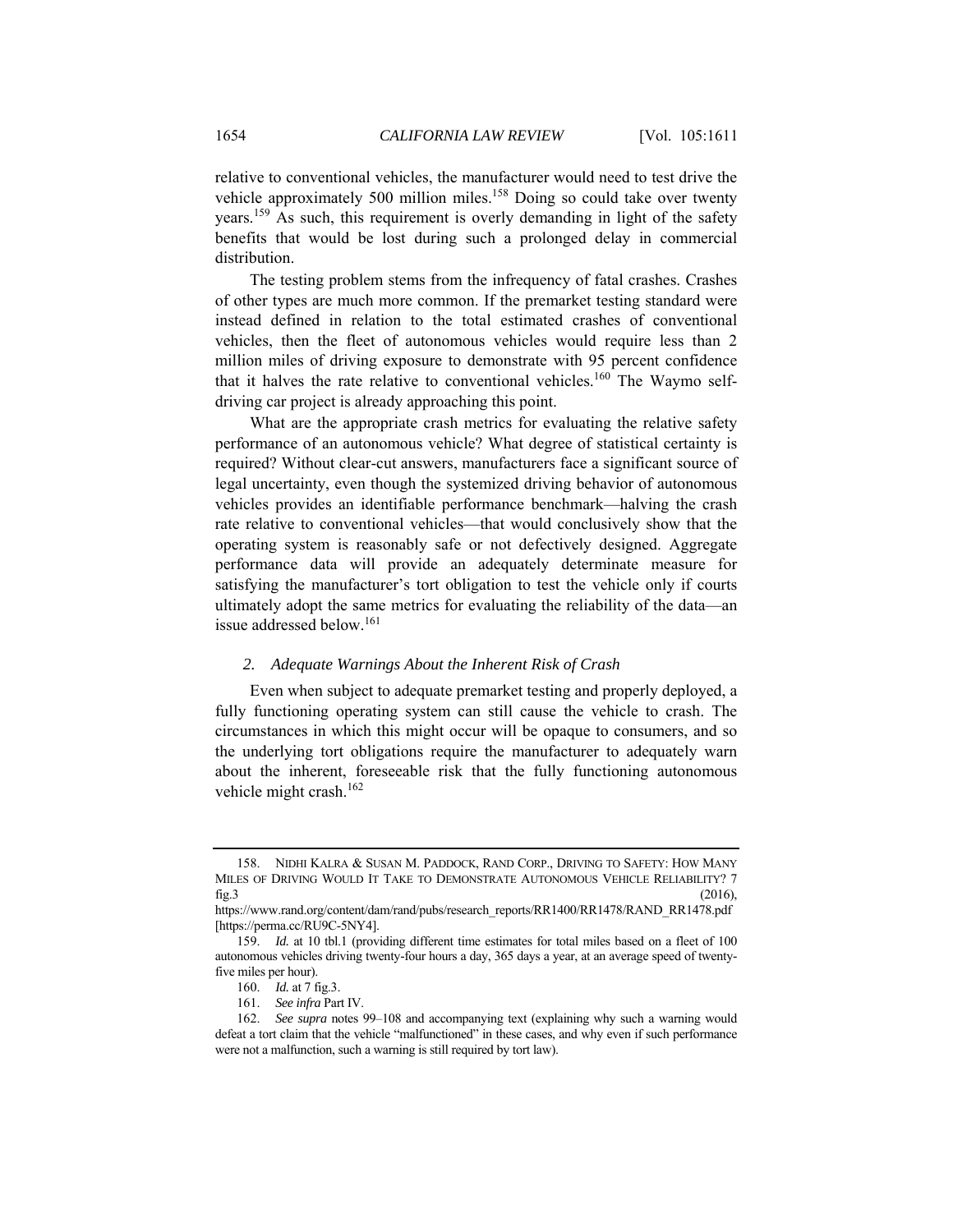relative to conventional vehicles, the manufacturer would need to test drive the vehicle approximately 500 million miles.<sup>158</sup> Doing so could take over twenty years.159 As such, this requirement is overly demanding in light of the safety benefits that would be lost during such a prolonged delay in commercial distribution.

The testing problem stems from the infrequency of fatal crashes. Crashes of other types are much more common. If the premarket testing standard were instead defined in relation to the total estimated crashes of conventional vehicles, then the fleet of autonomous vehicles would require less than 2 million miles of driving exposure to demonstrate with 95 percent confidence that it halves the rate relative to conventional vehicles.<sup>160</sup> The Waymo selfdriving car project is already approaching this point.

What are the appropriate crash metrics for evaluating the relative safety performance of an autonomous vehicle? What degree of statistical certainty is required? Without clear-cut answers, manufacturers face a significant source of legal uncertainty, even though the systemized driving behavior of autonomous vehicles provides an identifiable performance benchmark—halving the crash rate relative to conventional vehicles—that would conclusively show that the operating system is reasonably safe or not defectively designed. Aggregate performance data will provide an adequately determinate measure for satisfying the manufacturer's tort obligation to test the vehicle only if courts ultimately adopt the same metrics for evaluating the reliability of the data—an issue addressed below.<sup>161</sup>

### *2. Adequate Warnings About the Inherent Risk of Crash*

Even when subject to adequate premarket testing and properly deployed, a fully functioning operating system can still cause the vehicle to crash. The circumstances in which this might occur will be opaque to consumers, and so the underlying tort obligations require the manufacturer to adequately warn about the inherent, foreseeable risk that the fully functioning autonomous vehicle might crash.162

 <sup>158.</sup> NIDHI KALRA & SUSAN M. PADDOCK, RAND CORP., DRIVING TO SAFETY: HOW MANY MILES OF DRIVING WOULD IT TAKE TO DEMONSTRATE AUTONOMOUS VEHICLE RELIABILITY? 7 fig.3 (2016),

https://www.rand.org/content/dam/rand/pubs/research\_reports/RR1400/RR1478/RAND\_RR1478.pdf [https://perma.cc/RU9C-5NY4].

<sup>159.</sup> *Id.* at 10 tbl.1 (providing different time estimates for total miles based on a fleet of 100 autonomous vehicles driving twenty-four hours a day, 365 days a year, at an average speed of twentyfive miles per hour).

<sup>160.</sup> *Id.* at 7 fig.3.

<sup>161.</sup> *See infra* Part IV.

<sup>162.</sup> *See supra* notes 99–108 and accompanying text (explaining why such a warning would defeat a tort claim that the vehicle "malfunctioned" in these cases, and why even if such performance were not a malfunction, such a warning is still required by tort law).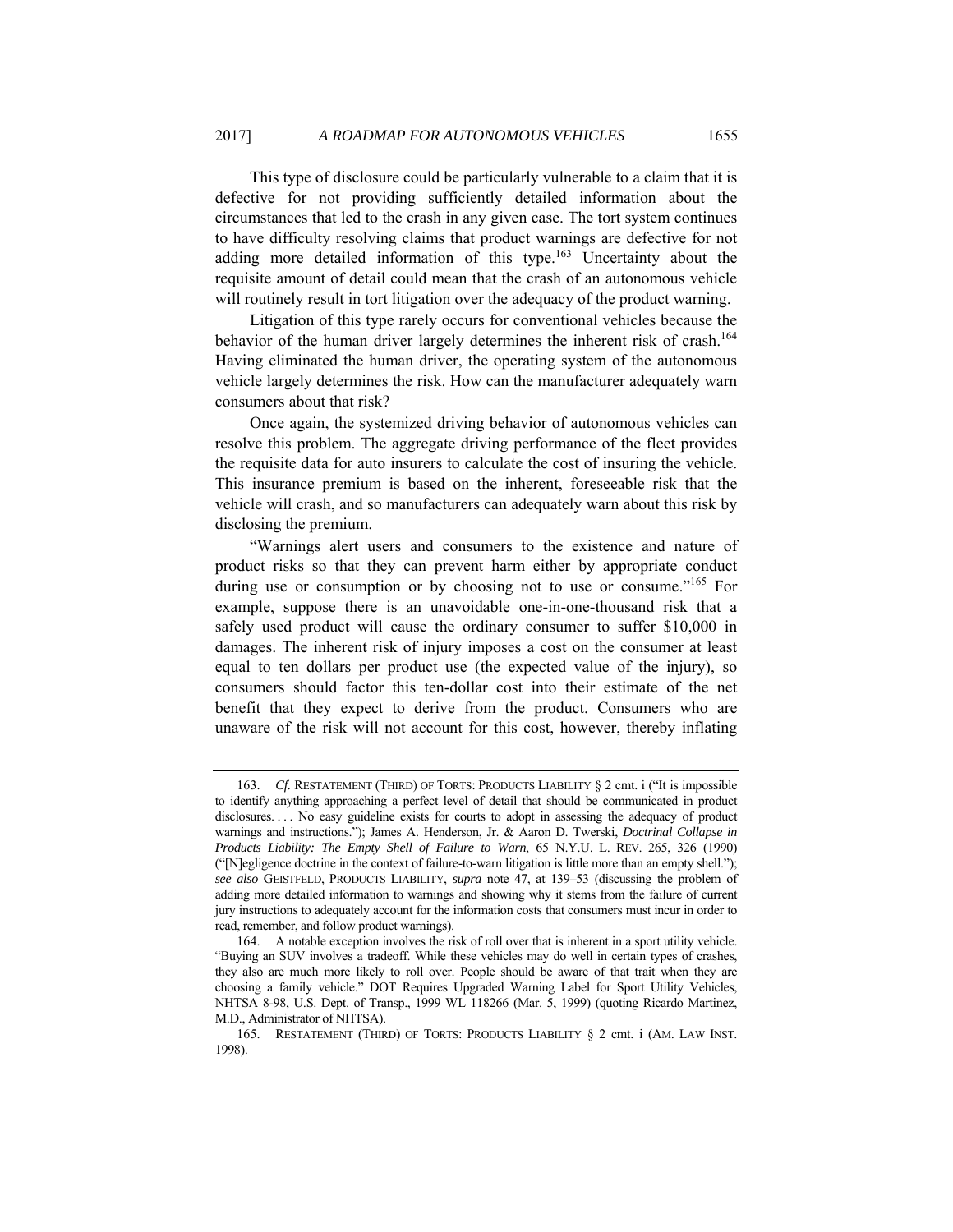This type of disclosure could be particularly vulnerable to a claim that it is defective for not providing sufficiently detailed information about the circumstances that led to the crash in any given case. The tort system continues to have difficulty resolving claims that product warnings are defective for not adding more detailed information of this type.<sup>163</sup> Uncertainty about the requisite amount of detail could mean that the crash of an autonomous vehicle will routinely result in tort litigation over the adequacy of the product warning.

Litigation of this type rarely occurs for conventional vehicles because the behavior of the human driver largely determines the inherent risk of crash.<sup>164</sup> Having eliminated the human driver, the operating system of the autonomous vehicle largely determines the risk. How can the manufacturer adequately warn consumers about that risk?

Once again, the systemized driving behavior of autonomous vehicles can resolve this problem. The aggregate driving performance of the fleet provides the requisite data for auto insurers to calculate the cost of insuring the vehicle. This insurance premium is based on the inherent, foreseeable risk that the vehicle will crash, and so manufacturers can adequately warn about this risk by disclosing the premium.

"Warnings alert users and consumers to the existence and nature of product risks so that they can prevent harm either by appropriate conduct during use or consumption or by choosing not to use or consume."165 For example, suppose there is an unavoidable one-in-one-thousand risk that a safely used product will cause the ordinary consumer to suffer \$10,000 in damages. The inherent risk of injury imposes a cost on the consumer at least equal to ten dollars per product use (the expected value of the injury), so consumers should factor this ten-dollar cost into their estimate of the net benefit that they expect to derive from the product. Consumers who are unaware of the risk will not account for this cost, however, thereby inflating

<sup>163.</sup> *Cf.* RESTATEMENT (THIRD) OF TORTS: PRODUCTS LIABILITY § 2 cmt. i ("It is impossible to identify anything approaching a perfect level of detail that should be communicated in product disclosures. . . . No easy guideline exists for courts to adopt in assessing the adequacy of product warnings and instructions."); James A. Henderson, Jr. & Aaron D. Twerski, *Doctrinal Collapse in Products Liability: The Empty Shell of Failure to Warn*, 65 N.Y.U. L. REV. 265, 326 (1990) ("[N]egligence doctrine in the context of failure-to-warn litigation is little more than an empty shell."); *see also* GEISTFELD, PRODUCTS LIABILITY, *supra* note 47, at 139–53 (discussing the problem of adding more detailed information to warnings and showing why it stems from the failure of current jury instructions to adequately account for the information costs that consumers must incur in order to read, remember, and follow product warnings).

 <sup>164.</sup> A notable exception involves the risk of roll over that is inherent in a sport utility vehicle. "Buying an SUV involves a tradeoff. While these vehicles may do well in certain types of crashes, they also are much more likely to roll over. People should be aware of that trait when they are choosing a family vehicle." DOT Requires Upgraded Warning Label for Sport Utility Vehicles, NHTSA 8-98, U.S. Dept. of Transp., 1999 WL 118266 (Mar. 5, 1999) (quoting Ricardo Martinez, M.D., Administrator of NHTSA).

 <sup>165.</sup> RESTATEMENT (THIRD) OF TORTS: PRODUCTS LIABILITY § 2 cmt. i (AM. LAW INST. 1998).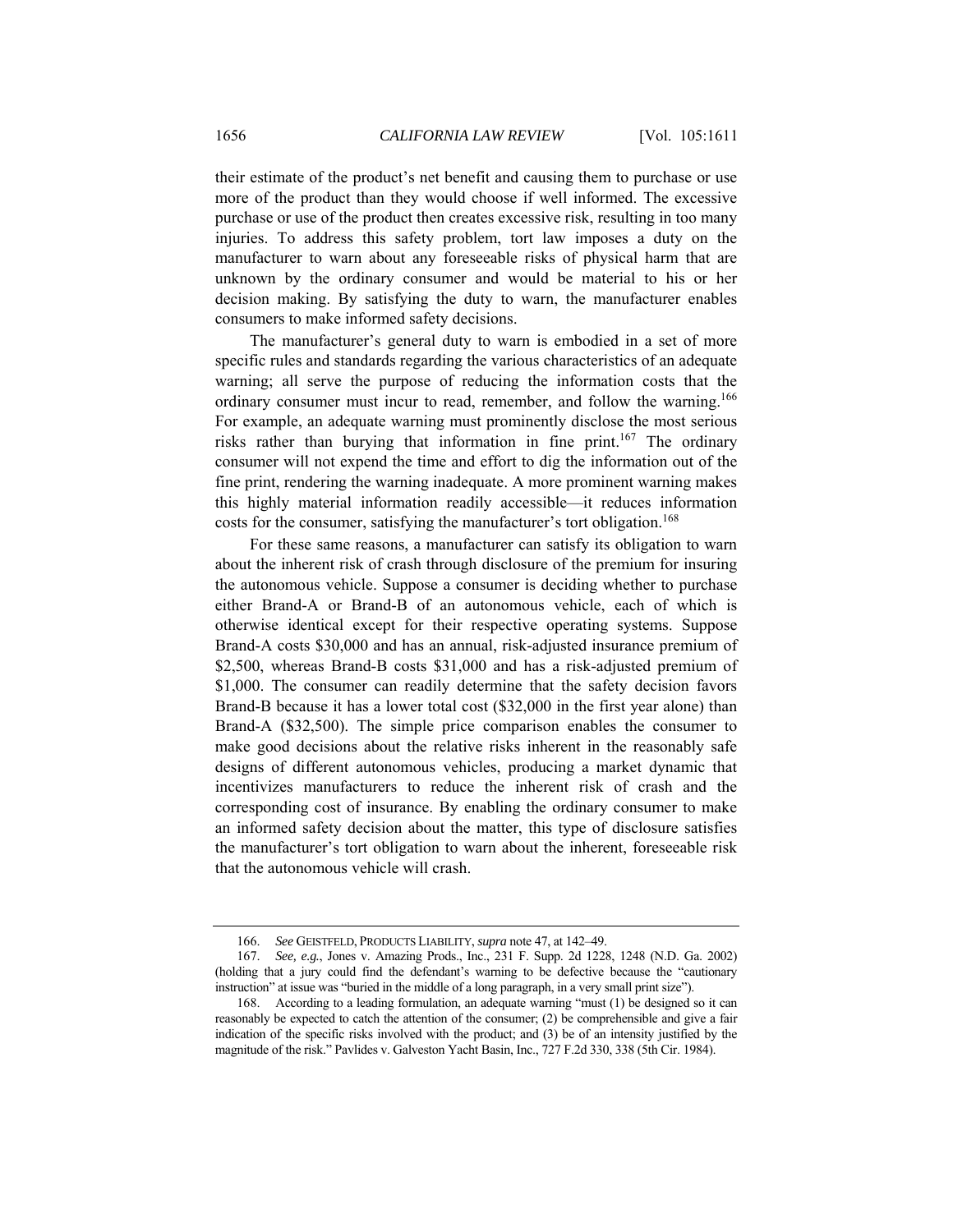their estimate of the product's net benefit and causing them to purchase or use more of the product than they would choose if well informed. The excessive purchase or use of the product then creates excessive risk, resulting in too many injuries. To address this safety problem, tort law imposes a duty on the manufacturer to warn about any foreseeable risks of physical harm that are unknown by the ordinary consumer and would be material to his or her decision making. By satisfying the duty to warn, the manufacturer enables consumers to make informed safety decisions.

The manufacturer's general duty to warn is embodied in a set of more specific rules and standards regarding the various characteristics of an adequate warning; all serve the purpose of reducing the information costs that the ordinary consumer must incur to read, remember, and follow the warning.<sup>166</sup> For example, an adequate warning must prominently disclose the most serious risks rather than burying that information in fine print.<sup>167</sup> The ordinary consumer will not expend the time and effort to dig the information out of the fine print, rendering the warning inadequate. A more prominent warning makes this highly material information readily accessible—it reduces information costs for the consumer, satisfying the manufacturer's tort obligation.<sup>168</sup>

For these same reasons, a manufacturer can satisfy its obligation to warn about the inherent risk of crash through disclosure of the premium for insuring the autonomous vehicle. Suppose a consumer is deciding whether to purchase either Brand-A or Brand-B of an autonomous vehicle, each of which is otherwise identical except for their respective operating systems. Suppose Brand-A costs \$30,000 and has an annual, risk-adjusted insurance premium of \$2,500, whereas Brand-B costs \$31,000 and has a risk-adjusted premium of \$1,000. The consumer can readily determine that the safety decision favors Brand-B because it has a lower total cost (\$32,000 in the first year alone) than Brand-A (\$32,500). The simple price comparison enables the consumer to make good decisions about the relative risks inherent in the reasonably safe designs of different autonomous vehicles, producing a market dynamic that incentivizes manufacturers to reduce the inherent risk of crash and the corresponding cost of insurance. By enabling the ordinary consumer to make an informed safety decision about the matter, this type of disclosure satisfies the manufacturer's tort obligation to warn about the inherent, foreseeable risk that the autonomous vehicle will crash.

<sup>166.</sup> *See* GEISTFELD, PRODUCTS LIABILITY, *supra* note 47, at 142–49.

<sup>167.</sup> *See, e.g.*, Jones v. Amazing Prods., Inc., 231 F. Supp. 2d 1228, 1248 (N.D. Ga. 2002) (holding that a jury could find the defendant's warning to be defective because the "cautionary instruction" at issue was "buried in the middle of a long paragraph, in a very small print size").

 <sup>168.</sup> According to a leading formulation, an adequate warning "must (1) be designed so it can reasonably be expected to catch the attention of the consumer; (2) be comprehensible and give a fair indication of the specific risks involved with the product; and (3) be of an intensity justified by the magnitude of the risk." Pavlides v. Galveston Yacht Basin, Inc., 727 F.2d 330, 338 (5th Cir. 1984).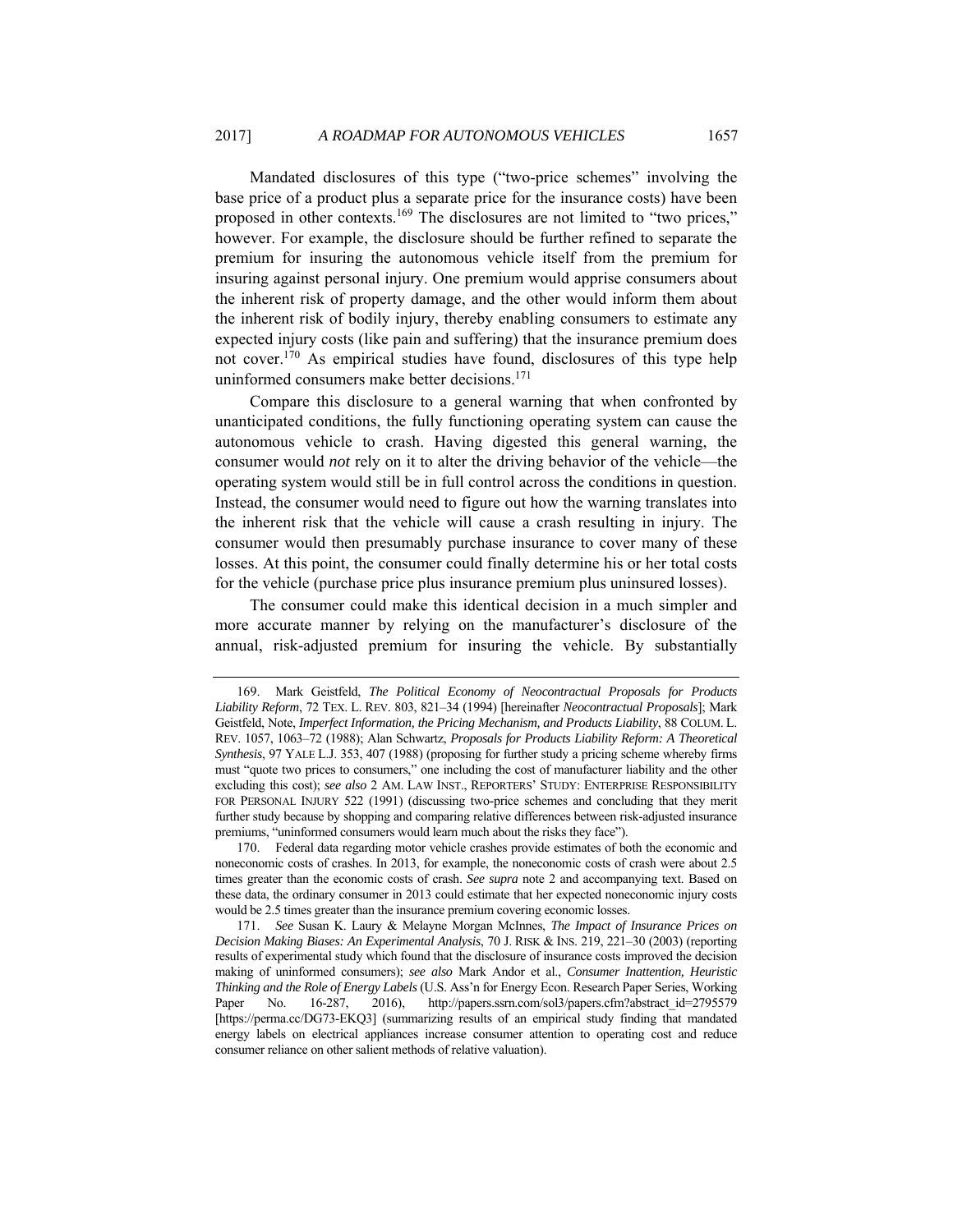Mandated disclosures of this type ("two-price schemes" involving the base price of a product plus a separate price for the insurance costs) have been proposed in other contexts.169 The disclosures are not limited to "two prices," however. For example, the disclosure should be further refined to separate the premium for insuring the autonomous vehicle itself from the premium for insuring against personal injury. One premium would apprise consumers about the inherent risk of property damage, and the other would inform them about the inherent risk of bodily injury, thereby enabling consumers to estimate any expected injury costs (like pain and suffering) that the insurance premium does not cover.170 As empirical studies have found, disclosures of this type help uninformed consumers make better decisions.<sup>171</sup>

Compare this disclosure to a general warning that when confronted by unanticipated conditions, the fully functioning operating system can cause the autonomous vehicle to crash. Having digested this general warning, the consumer would *not* rely on it to alter the driving behavior of the vehicle—the operating system would still be in full control across the conditions in question. Instead, the consumer would need to figure out how the warning translates into the inherent risk that the vehicle will cause a crash resulting in injury. The consumer would then presumably purchase insurance to cover many of these losses. At this point, the consumer could finally determine his or her total costs for the vehicle (purchase price plus insurance premium plus uninsured losses).

The consumer could make this identical decision in a much simpler and more accurate manner by relying on the manufacturer's disclosure of the annual, risk-adjusted premium for insuring the vehicle. By substantially

 <sup>169.</sup> Mark Geistfeld, *The Political Economy of Neocontractual Proposals for Products Liability Reform*, 72 TEX. L. REV. 803, 821–34 (1994) [hereinafter *Neocontractual Proposals*]; Mark Geistfeld, Note, *Imperfect Information, the Pricing Mechanism, and Products Liability*, 88 COLUM. L. REV. 1057, 1063–72 (1988); Alan Schwartz, *Proposals for Products Liability Reform: A Theoretical Synthesis*, 97 YALE L.J. 353, 407 (1988) (proposing for further study a pricing scheme whereby firms must "quote two prices to consumers," one including the cost of manufacturer liability and the other excluding this cost); *see also* 2 AM. LAW INST., REPORTERS' STUDY: ENTERPRISE RESPONSIBILITY FOR PERSONAL INJURY 522 (1991) (discussing two-price schemes and concluding that they merit further study because by shopping and comparing relative differences between risk-adjusted insurance premiums, "uninformed consumers would learn much about the risks they face").

 <sup>170.</sup> Federal data regarding motor vehicle crashes provide estimates of both the economic and noneconomic costs of crashes. In 2013, for example, the noneconomic costs of crash were about 2.5 times greater than the economic costs of crash. *See supra* note 2 and accompanying text. Based on these data, the ordinary consumer in 2013 could estimate that her expected noneconomic injury costs would be 2.5 times greater than the insurance premium covering economic losses.

<sup>171.</sup> *See* Susan K. Laury & Melayne Morgan McInnes, *The Impact of Insurance Prices on Decision Making Biases: An Experimental Analysis*, 70 J. RISK & INS. 219, 221–30 (2003) (reporting results of experimental study which found that the disclosure of insurance costs improved the decision making of uninformed consumers); *see also* Mark Andor et al., *Consumer Inattention, Heuristic Thinking and the Role of Energy Labels* (U.S. Ass'n for Energy Econ. Research Paper Series, Working Paper No. 16-287, 2016), http://papers.ssrn.com/sol3/papers.cfm?abstract\_id=2795579 [https://perma.cc/DG73-EKQ3] (summarizing results of an empirical study finding that mandated energy labels on electrical appliances increase consumer attention to operating cost and reduce consumer reliance on other salient methods of relative valuation).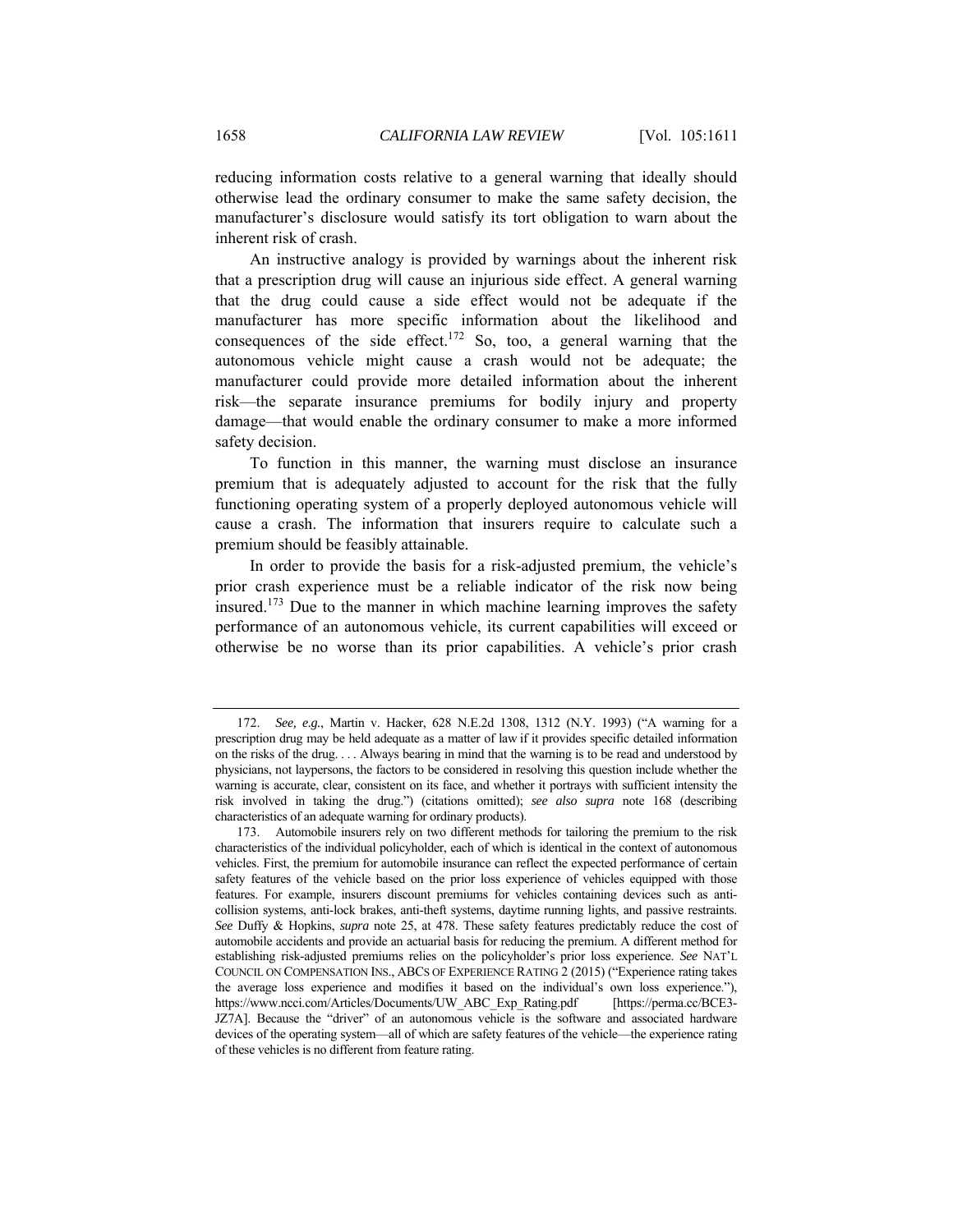reducing information costs relative to a general warning that ideally should otherwise lead the ordinary consumer to make the same safety decision, the manufacturer's disclosure would satisfy its tort obligation to warn about the inherent risk of crash.

An instructive analogy is provided by warnings about the inherent risk that a prescription drug will cause an injurious side effect. A general warning that the drug could cause a side effect would not be adequate if the manufacturer has more specific information about the likelihood and consequences of the side effect.<sup>172</sup> So, too, a general warning that the autonomous vehicle might cause a crash would not be adequate; the manufacturer could provide more detailed information about the inherent risk—the separate insurance premiums for bodily injury and property damage—that would enable the ordinary consumer to make a more informed safety decision.

To function in this manner, the warning must disclose an insurance premium that is adequately adjusted to account for the risk that the fully functioning operating system of a properly deployed autonomous vehicle will cause a crash. The information that insurers require to calculate such a premium should be feasibly attainable.

In order to provide the basis for a risk-adjusted premium, the vehicle's prior crash experience must be a reliable indicator of the risk now being insured.<sup>173</sup> Due to the manner in which machine learning improves the safety performance of an autonomous vehicle, its current capabilities will exceed or otherwise be no worse than its prior capabilities. A vehicle's prior crash

<sup>172.</sup> *See, e.g.*, Martin v. Hacker, 628 N.E.2d 1308, 1312 (N.Y. 1993) ("A warning for a prescription drug may be held adequate as a matter of law if it provides specific detailed information on the risks of the drug. . . . Always bearing in mind that the warning is to be read and understood by physicians, not laypersons, the factors to be considered in resolving this question include whether the warning is accurate, clear, consistent on its face, and whether it portrays with sufficient intensity the risk involved in taking the drug.") (citations omitted); *see also supra* note 168 (describing characteristics of an adequate warning for ordinary products).

 <sup>173.</sup> Automobile insurers rely on two different methods for tailoring the premium to the risk characteristics of the individual policyholder, each of which is identical in the context of autonomous vehicles. First, the premium for automobile insurance can reflect the expected performance of certain safety features of the vehicle based on the prior loss experience of vehicles equipped with those features. For example, insurers discount premiums for vehicles containing devices such as anticollision systems, anti-lock brakes, anti-theft systems, daytime running lights, and passive restraints. *See* Duffy & Hopkins, *supra* note 25, at 478. These safety features predictably reduce the cost of automobile accidents and provide an actuarial basis for reducing the premium. A different method for establishing risk-adjusted premiums relies on the policyholder's prior loss experience. *See* NAT'L COUNCIL ON COMPENSATION INS., ABCS OF EXPERIENCE RATING 2 (2015) ("Experience rating takes the average loss experience and modifies it based on the individual's own loss experience."), https://www.ncci.com/Articles/Documents/UW\_ABC\_Exp\_Rating.pdf [https://perma.cc/BCE3- JZ7A]. Because the "driver" of an autonomous vehicle is the software and associated hardware devices of the operating system—all of which are safety features of the vehicle—the experience rating of these vehicles is no different from feature rating.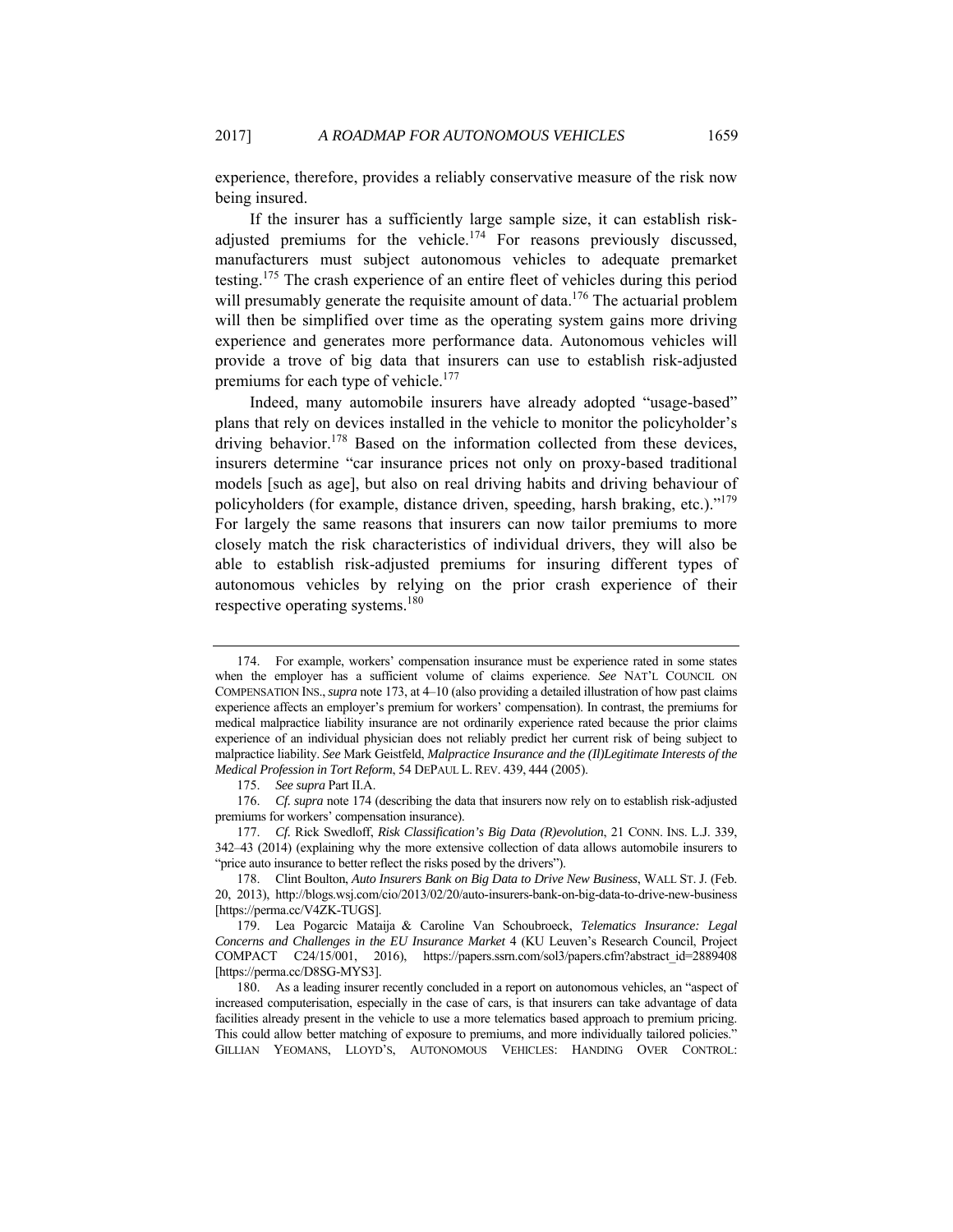experience, therefore, provides a reliably conservative measure of the risk now being insured.

If the insurer has a sufficiently large sample size, it can establish riskadjusted premiums for the vehicle.<sup>174</sup> For reasons previously discussed, manufacturers must subject autonomous vehicles to adequate premarket testing.175 The crash experience of an entire fleet of vehicles during this period will presumably generate the requisite amount of data.<sup>176</sup> The actuarial problem will then be simplified over time as the operating system gains more driving experience and generates more performance data. Autonomous vehicles will provide a trove of big data that insurers can use to establish risk-adjusted premiums for each type of vehicle.<sup>177</sup>

Indeed, many automobile insurers have already adopted "usage-based" plans that rely on devices installed in the vehicle to monitor the policyholder's driving behavior.<sup>178</sup> Based on the information collected from these devices, insurers determine "car insurance prices not only on proxy-based traditional models [such as age], but also on real driving habits and driving behaviour of policyholders (for example, distance driven, speeding, harsh braking, etc.)."179 For largely the same reasons that insurers can now tailor premiums to more closely match the risk characteristics of individual drivers, they will also be able to establish risk-adjusted premiums for insuring different types of autonomous vehicles by relying on the prior crash experience of their respective operating systems.180

 <sup>174.</sup> For example, workers' compensation insurance must be experience rated in some states when the employer has a sufficient volume of claims experience. *See* NAT'L COUNCIL ON COMPENSATION INS.,*supra* note 173, at 4–10 (also providing a detailed illustration of how past claims experience affects an employer's premium for workers' compensation). In contrast, the premiums for medical malpractice liability insurance are not ordinarily experience rated because the prior claims experience of an individual physician does not reliably predict her current risk of being subject to malpractice liability. *See* Mark Geistfeld, *Malpractice Insurance and the (Il)Legitimate Interests of the Medical Profession in Tort Reform*, 54 DEPAUL L. REV. 439, 444 (2005).

<sup>175.</sup> *See supra* Part II.A.

<sup>176.</sup> *Cf. supra* note 174 (describing the data that insurers now rely on to establish risk-adjusted premiums for workers' compensation insurance).

<sup>177.</sup> *Cf.* Rick Swedloff, *Risk Classification's Big Data (R)evolution*, 21 CONN. INS. L.J. 339, 342–43 (2014) (explaining why the more extensive collection of data allows automobile insurers to "price auto insurance to better reflect the risks posed by the drivers").

 <sup>178.</sup> Clint Boulton, *Auto Insurers Bank on Big Data to Drive New Business*, WALL ST. J. (Feb. 20, 2013), http://blogs.wsj.com/cio/2013/02/20/auto-insurers-bank-on-big-data-to-drive-new-business [https://perma.cc/V4ZK-TUGS].

 <sup>179.</sup> Lea Pogarcic Mataija & Caroline Van Schoubroeck, *Telematics Insurance: Legal Concerns and Challenges in the EU Insurance Market* 4 (KU Leuven's Research Council, Project COMPACT C24/15/001, 2016), https://papers.ssrn.com/sol3/papers.cfm?abstract\_id=2889408 [https://perma.cc/D8SG-MYS3].

 <sup>180.</sup> As a leading insurer recently concluded in a report on autonomous vehicles, an "aspect of increased computerisation, especially in the case of cars, is that insurers can take advantage of data facilities already present in the vehicle to use a more telematics based approach to premium pricing. This could allow better matching of exposure to premiums, and more individually tailored policies." GILLIAN YEOMANS, LLOYD'S, AUTONOMOUS VEHICLES: HANDING OVER CONTROL: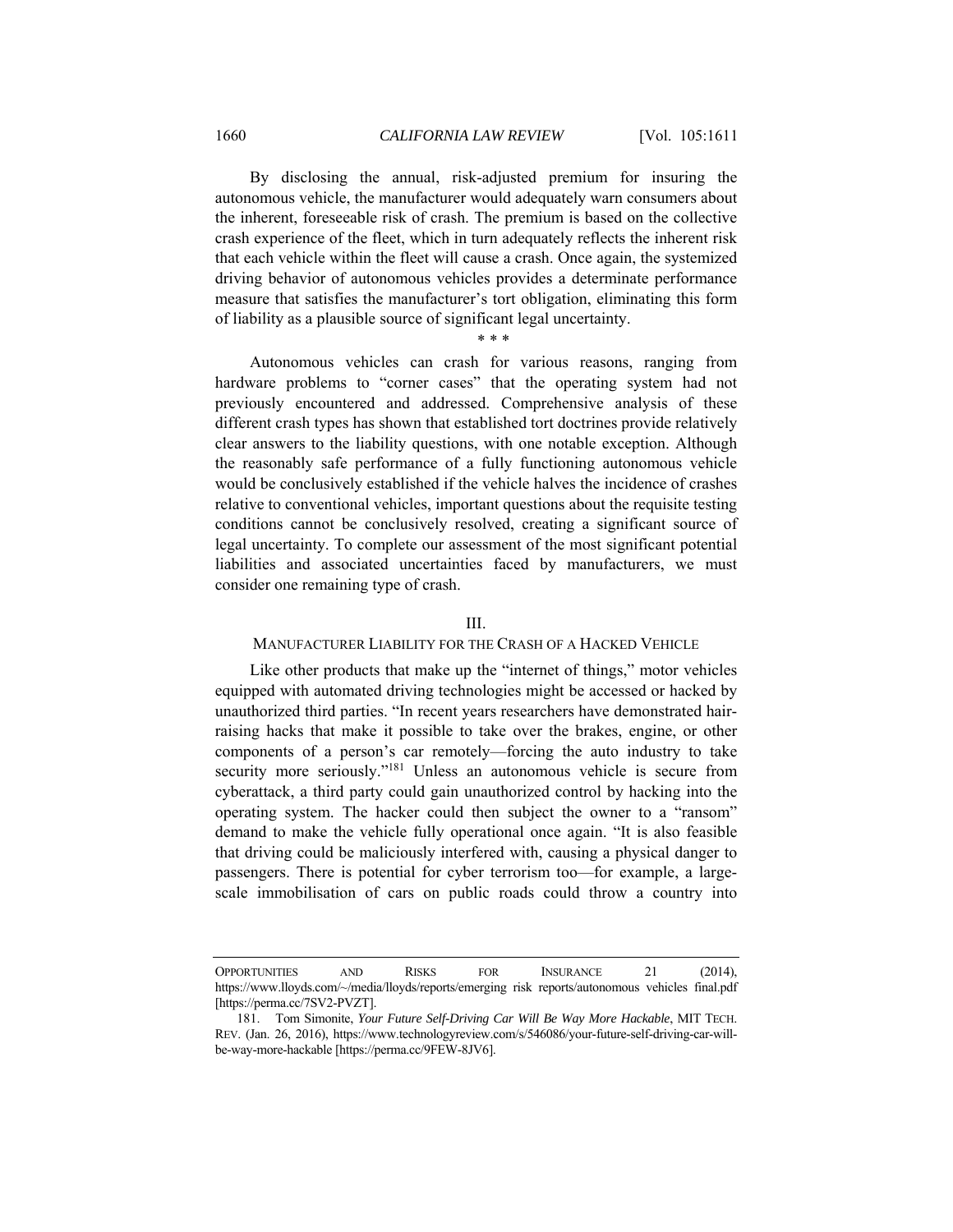By disclosing the annual, risk-adjusted premium for insuring the autonomous vehicle, the manufacturer would adequately warn consumers about the inherent, foreseeable risk of crash. The premium is based on the collective crash experience of the fleet, which in turn adequately reflects the inherent risk that each vehicle within the fleet will cause a crash. Once again, the systemized driving behavior of autonomous vehicles provides a determinate performance measure that satisfies the manufacturer's tort obligation, eliminating this form of liability as a plausible source of significant legal uncertainty.

\* \* \*

Autonomous vehicles can crash for various reasons, ranging from hardware problems to "corner cases" that the operating system had not previously encountered and addressed. Comprehensive analysis of these different crash types has shown that established tort doctrines provide relatively clear answers to the liability questions, with one notable exception. Although the reasonably safe performance of a fully functioning autonomous vehicle would be conclusively established if the vehicle halves the incidence of crashes relative to conventional vehicles, important questions about the requisite testing conditions cannot be conclusively resolved, creating a significant source of legal uncertainty. To complete our assessment of the most significant potential liabilities and associated uncertainties faced by manufacturers, we must consider one remaining type of crash.

## III.

## MANUFACTURER LIABILITY FOR THE CRASH OF A HACKED VEHICLE

Like other products that make up the "internet of things," motor vehicles equipped with automated driving technologies might be accessed or hacked by unauthorized third parties. "In recent years researchers have demonstrated hairraising hacks that make it possible to take over the brakes, engine, or other components of a person's car remotely—forcing the auto industry to take security more seriously."<sup>181</sup> Unless an autonomous vehicle is secure from cyberattack, a third party could gain unauthorized control by hacking into the operating system. The hacker could then subject the owner to a "ransom" demand to make the vehicle fully operational once again. "It is also feasible that driving could be maliciously interfered with, causing a physical danger to passengers. There is potential for cyber terrorism too—for example, a largescale immobilisation of cars on public roads could throw a country into

OPPORTUNITIES AND RISKS FOR INSURANCE 21 (2014), https://www.lloyds.com/~/media/lloyds/reports/emerging risk reports/autonomous vehicles final.pdf [https://perma.cc/7SV2-PVZT].

 <sup>181.</sup> Tom Simonite, *Your Future Self-Driving Car Will Be Way More Hackable*, MIT TECH. REV. (Jan. 26, 2016), https://www.technologyreview.com/s/546086/your-future-self-driving-car-willbe-way-more-hackable [https://perma.cc/9FEW-8JV6].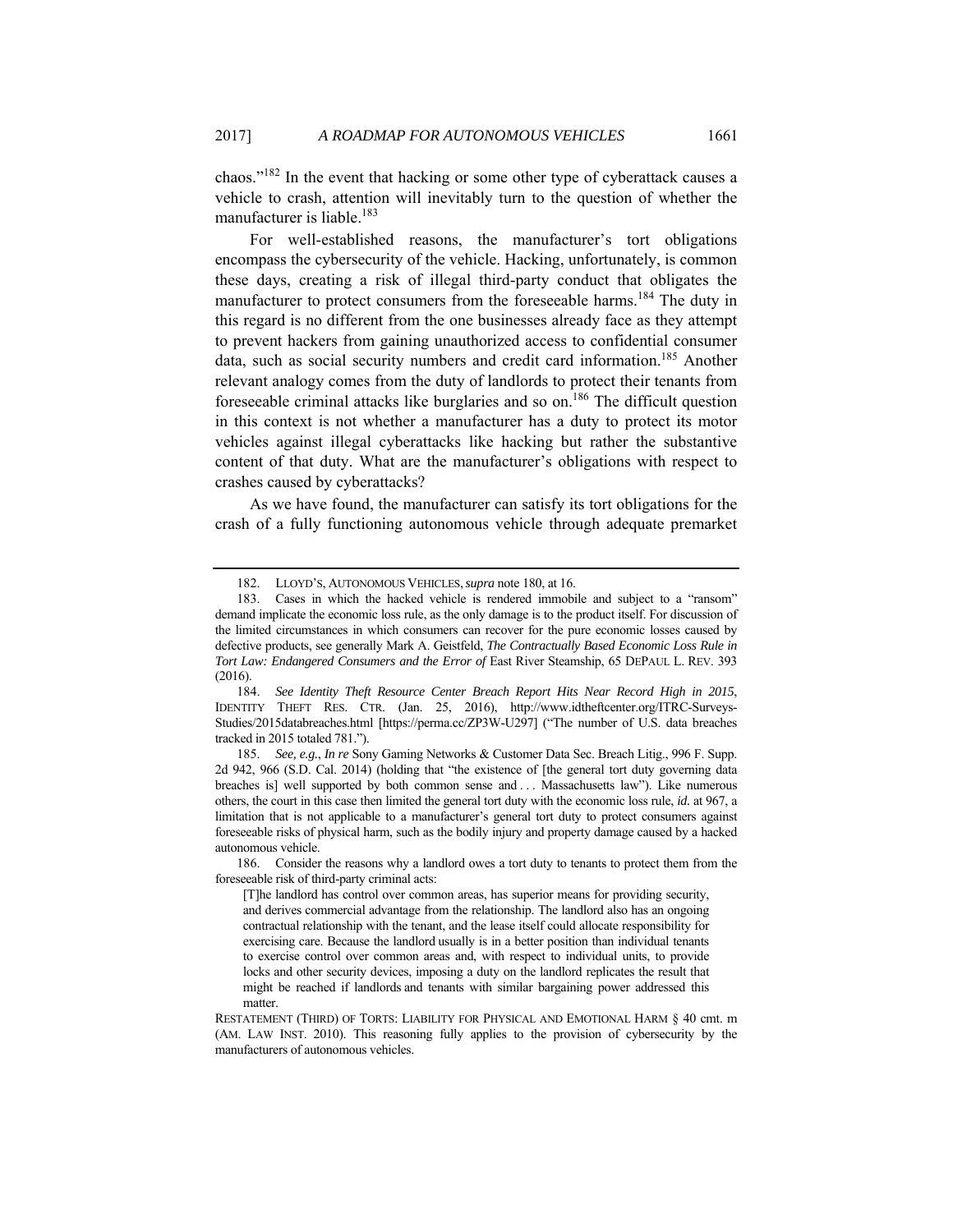chaos."182 In the event that hacking or some other type of cyberattack causes a vehicle to crash, attention will inevitably turn to the question of whether the manufacturer is liable.<sup>183</sup>

For well-established reasons, the manufacturer's tort obligations encompass the cybersecurity of the vehicle. Hacking, unfortunately, is common these days, creating a risk of illegal third-party conduct that obligates the manufacturer to protect consumers from the foreseeable harms.<sup>184</sup> The duty in this regard is no different from the one businesses already face as they attempt to prevent hackers from gaining unauthorized access to confidential consumer data, such as social security numbers and credit card information.<sup>185</sup> Another relevant analogy comes from the duty of landlords to protect their tenants from foreseeable criminal attacks like burglaries and so on.<sup>186</sup> The difficult question in this context is not whether a manufacturer has a duty to protect its motor vehicles against illegal cyberattacks like hacking but rather the substantive content of that duty. What are the manufacturer's obligations with respect to crashes caused by cyberattacks?

As we have found, the manufacturer can satisfy its tort obligations for the crash of a fully functioning autonomous vehicle through adequate premarket

 <sup>182.</sup> LLOYD'S, AUTONOMOUS VEHICLES,*supra* note 180, at 16.

 <sup>183.</sup> Cases in which the hacked vehicle is rendered immobile and subject to a "ransom" demand implicate the economic loss rule, as the only damage is to the product itself. For discussion of the limited circumstances in which consumers can recover for the pure economic losses caused by defective products, see generally Mark A. Geistfeld, *The Contractually Based Economic Loss Rule in Tort Law: Endangered Consumers and the Error of* East River Steamship, 65 DEPAUL L. REV. 393 (2016).

<sup>184.</sup> *See Identity Theft Resource Center Breach Report Hits Near Record High in 2015*, IDENTITY THEFT RES. CTR. (Jan. 25, 2016), http://www.idtheftcenter.org/ITRC-Surveys-Studies/2015databreaches.html [https://perma.cc/ZP3W-U297] ("The number of U.S. data breaches tracked in 2015 totaled 781.").

<sup>185.</sup> *See, e.g.*, *In re* Sony Gaming Networks & Customer Data Sec. Breach Litig., 996 F. Supp. 2d 942, 966 (S.D. Cal. 2014) (holding that "the existence of [the general tort duty governing data breaches is] well supported by both common sense and . . . Massachusetts law"). Like numerous others, the court in this case then limited the general tort duty with the economic loss rule, *id.* at 967, a limitation that is not applicable to a manufacturer's general tort duty to protect consumers against foreseeable risks of physical harm, such as the bodily injury and property damage caused by a hacked autonomous vehicle.

 <sup>186.</sup> Consider the reasons why a landlord owes a tort duty to tenants to protect them from the foreseeable risk of third-party criminal acts:

<sup>[</sup>T]he landlord has control over common areas, has superior means for providing security, and derives commercial advantage from the relationship. The landlord also has an ongoing contractual relationship with the tenant, and the lease itself could allocate responsibility for exercising care. Because the landlord usually is in a better position than individual tenants to exercise control over common areas and, with respect to individual units, to provide locks and other security devices, imposing a duty on the landlord replicates the result that might be reached if landlords and tenants with similar bargaining power addressed this matter.

RESTATEMENT (THIRD) OF TORTS: LIABILITY FOR PHYSICAL AND EMOTIONAL HARM § 40 cmt. m (AM. LAW INST. 2010). This reasoning fully applies to the provision of cybersecurity by the manufacturers of autonomous vehicles.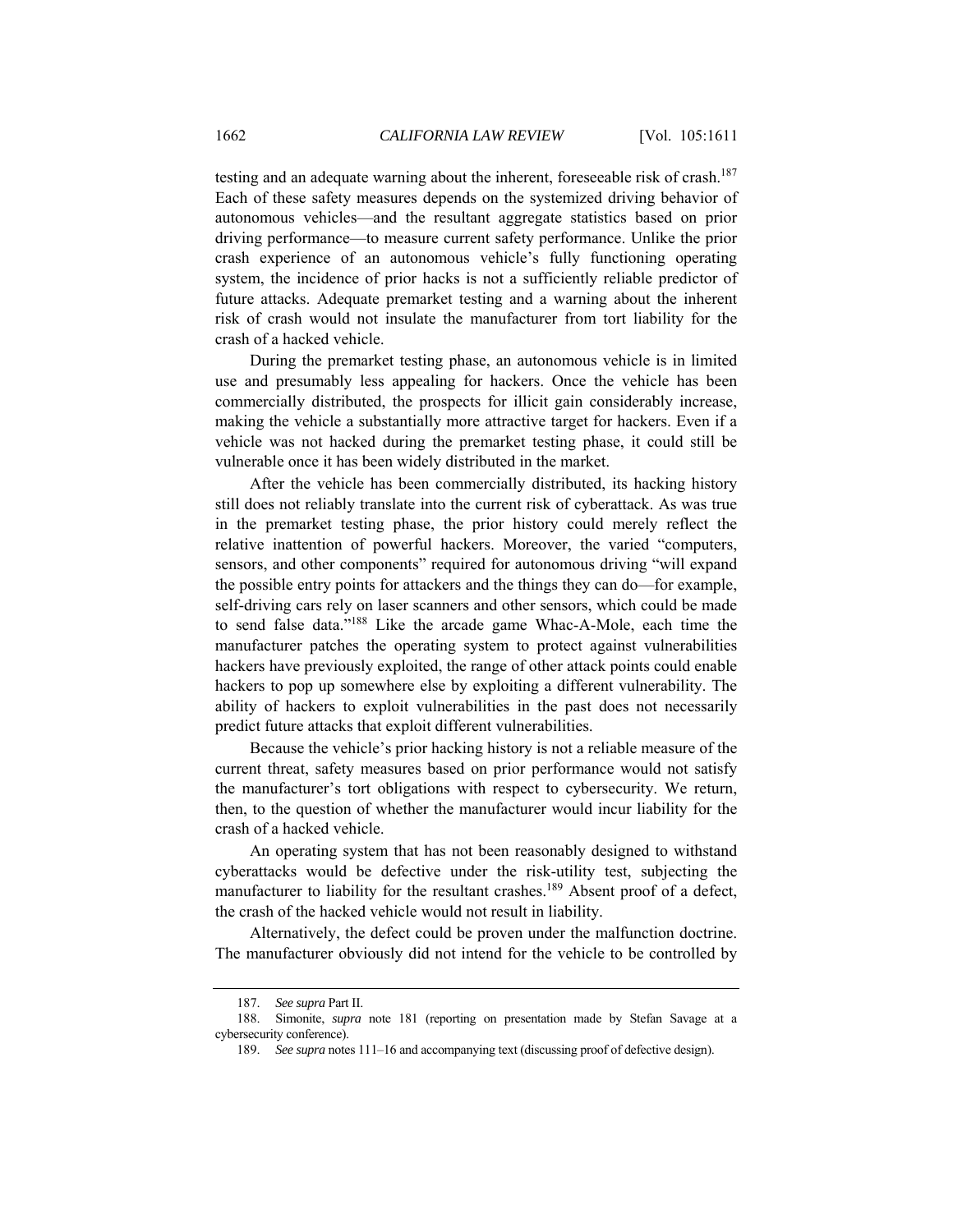testing and an adequate warning about the inherent, foreseeable risk of crash.<sup>187</sup> Each of these safety measures depends on the systemized driving behavior of autonomous vehicles—and the resultant aggregate statistics based on prior driving performance—to measure current safety performance. Unlike the prior crash experience of an autonomous vehicle's fully functioning operating system, the incidence of prior hacks is not a sufficiently reliable predictor of future attacks. Adequate premarket testing and a warning about the inherent risk of crash would not insulate the manufacturer from tort liability for the crash of a hacked vehicle.

During the premarket testing phase, an autonomous vehicle is in limited use and presumably less appealing for hackers. Once the vehicle has been commercially distributed, the prospects for illicit gain considerably increase, making the vehicle a substantially more attractive target for hackers. Even if a vehicle was not hacked during the premarket testing phase, it could still be vulnerable once it has been widely distributed in the market.

After the vehicle has been commercially distributed, its hacking history still does not reliably translate into the current risk of cyberattack. As was true in the premarket testing phase, the prior history could merely reflect the relative inattention of powerful hackers. Moreover, the varied "computers, sensors, and other components" required for autonomous driving "will expand the possible entry points for attackers and the things they can do—for example, self-driving cars rely on laser scanners and other sensors, which could be made to send false data."188 Like the arcade game Whac-A-Mole, each time the manufacturer patches the operating system to protect against vulnerabilities hackers have previously exploited, the range of other attack points could enable hackers to pop up somewhere else by exploiting a different vulnerability. The ability of hackers to exploit vulnerabilities in the past does not necessarily predict future attacks that exploit different vulnerabilities.

Because the vehicle's prior hacking history is not a reliable measure of the current threat, safety measures based on prior performance would not satisfy the manufacturer's tort obligations with respect to cybersecurity. We return, then, to the question of whether the manufacturer would incur liability for the crash of a hacked vehicle.

An operating system that has not been reasonably designed to withstand cyberattacks would be defective under the risk-utility test, subjecting the manufacturer to liability for the resultant crashes.<sup>189</sup> Absent proof of a defect, the crash of the hacked vehicle would not result in liability.

Alternatively, the defect could be proven under the malfunction doctrine. The manufacturer obviously did not intend for the vehicle to be controlled by

<sup>187.</sup> *See supra* Part II.

 <sup>188.</sup> Simonite, *supra* note 181 (reporting on presentation made by Stefan Savage at a cybersecurity conference).

<sup>189.</sup> *See supra* notes 111–16 and accompanying text (discussing proof of defective design).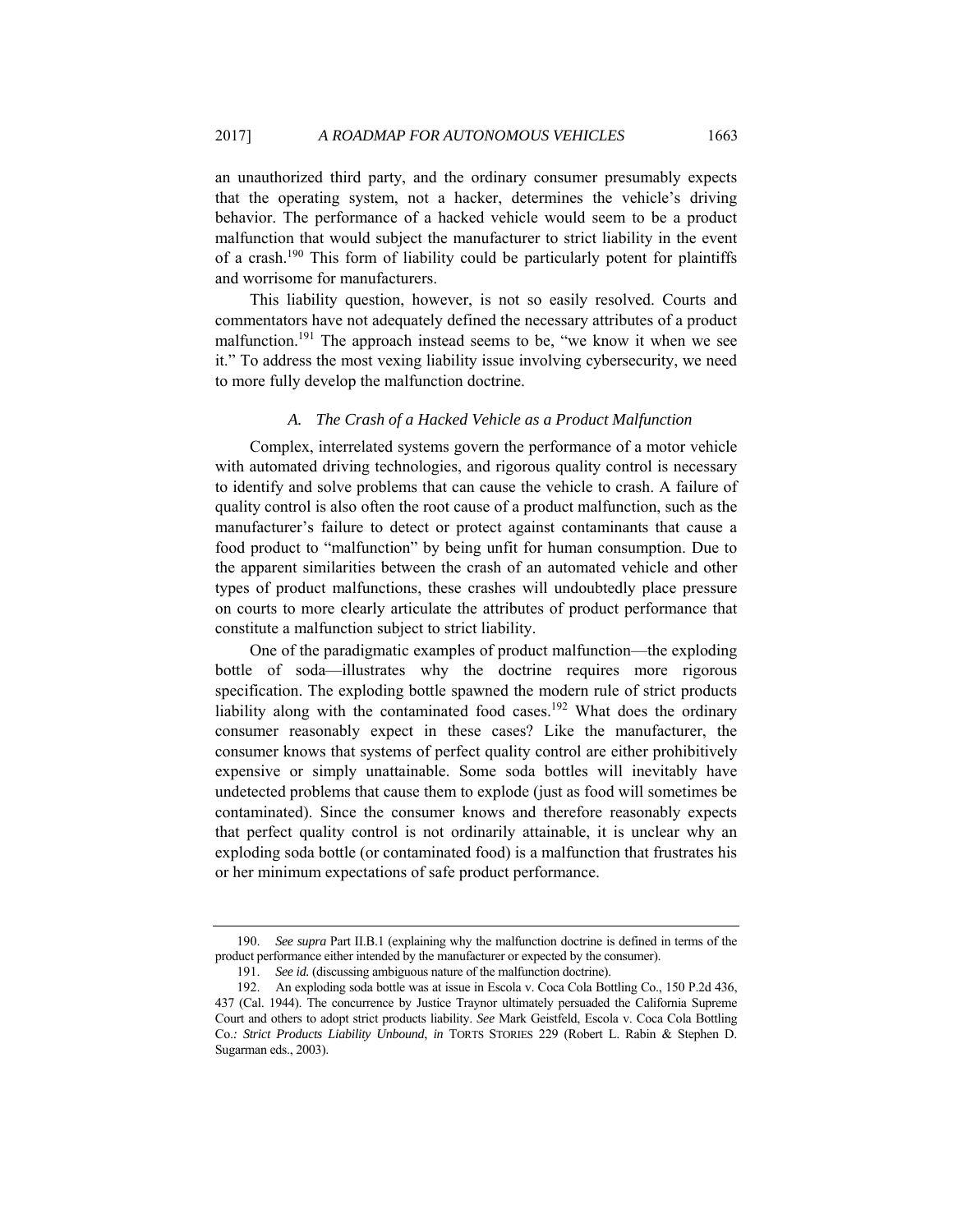an unauthorized third party, and the ordinary consumer presumably expects that the operating system, not a hacker, determines the vehicle's driving behavior. The performance of a hacked vehicle would seem to be a product malfunction that would subject the manufacturer to strict liability in the event of a crash.190 This form of liability could be particularly potent for plaintiffs and worrisome for manufacturers.

This liability question, however, is not so easily resolved. Courts and commentators have not adequately defined the necessary attributes of a product malfunction.<sup>191</sup> The approach instead seems to be, "we know it when we see it." To address the most vexing liability issue involving cybersecurity, we need to more fully develop the malfunction doctrine.

### *A. The Crash of a Hacked Vehicle as a Product Malfunction*

Complex, interrelated systems govern the performance of a motor vehicle with automated driving technologies, and rigorous quality control is necessary to identify and solve problems that can cause the vehicle to crash. A failure of quality control is also often the root cause of a product malfunction, such as the manufacturer's failure to detect or protect against contaminants that cause a food product to "malfunction" by being unfit for human consumption. Due to the apparent similarities between the crash of an automated vehicle and other types of product malfunctions, these crashes will undoubtedly place pressure on courts to more clearly articulate the attributes of product performance that constitute a malfunction subject to strict liability.

One of the paradigmatic examples of product malfunction—the exploding bottle of soda—illustrates why the doctrine requires more rigorous specification. The exploding bottle spawned the modern rule of strict products liability along with the contaminated food cases.<sup>192</sup> What does the ordinary consumer reasonably expect in these cases? Like the manufacturer, the consumer knows that systems of perfect quality control are either prohibitively expensive or simply unattainable. Some soda bottles will inevitably have undetected problems that cause them to explode (just as food will sometimes be contaminated). Since the consumer knows and therefore reasonably expects that perfect quality control is not ordinarily attainable, it is unclear why an exploding soda bottle (or contaminated food) is a malfunction that frustrates his or her minimum expectations of safe product performance.

<sup>190.</sup> *See supra* Part II.B.1 (explaining why the malfunction doctrine is defined in terms of the product performance either intended by the manufacturer or expected by the consumer).

<sup>191.</sup> *See id.* (discussing ambiguous nature of the malfunction doctrine).

 <sup>192.</sup> An exploding soda bottle was at issue in Escola v. Coca Cola Bottling Co., 150 P.2d 436, 437 (Cal. 1944). The concurrence by Justice Traynor ultimately persuaded the California Supreme Court and others to adopt strict products liability. *See* Mark Geistfeld, Escola v. Coca Cola Bottling Co.*: Strict Products Liability Unbound*, *in* TORTS STORIES 229 (Robert L. Rabin & Stephen D. Sugarman eds., 2003).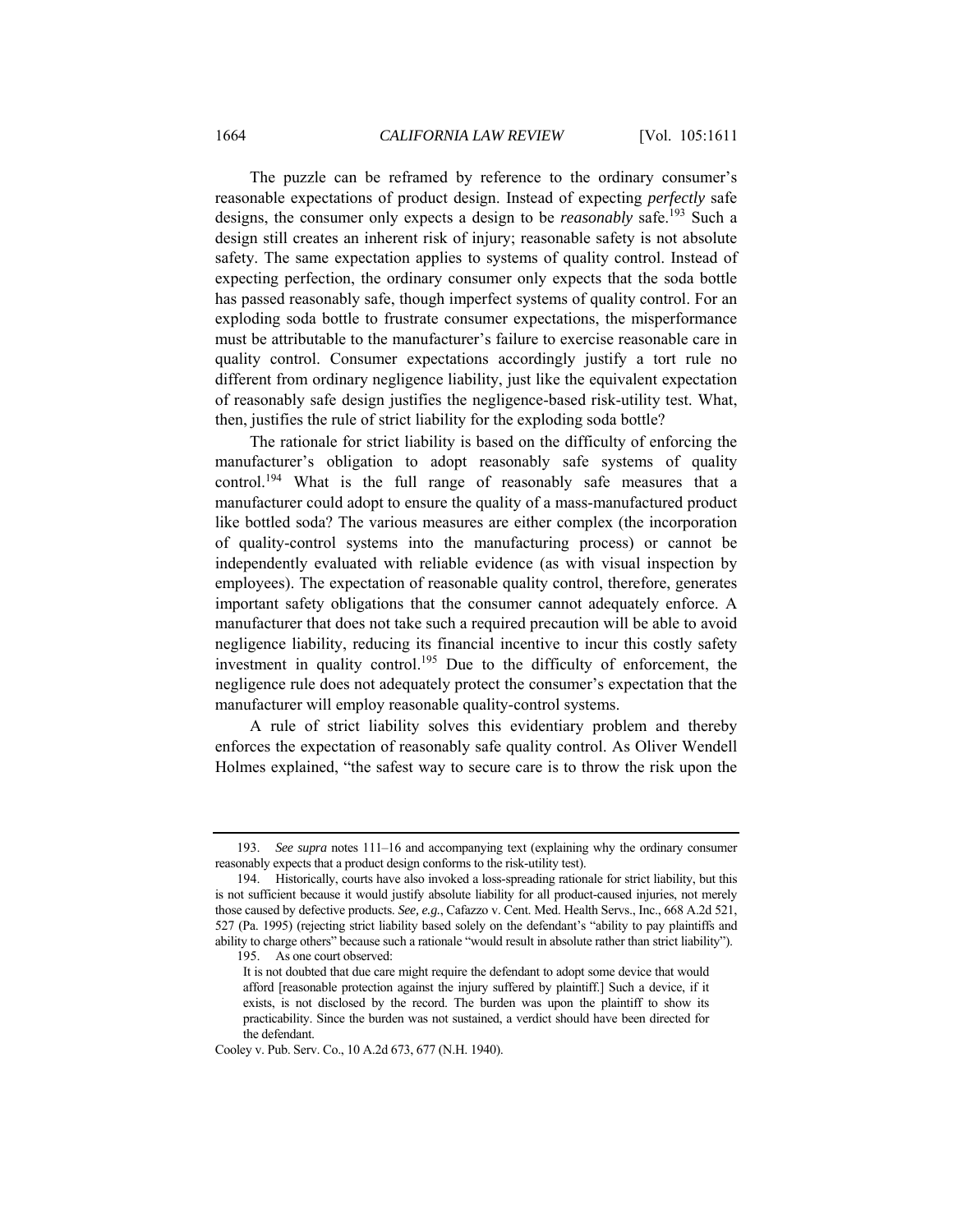The puzzle can be reframed by reference to the ordinary consumer's reasonable expectations of product design. Instead of expecting *perfectly* safe designs, the consumer only expects a design to be *reasonably* safe.193 Such a design still creates an inherent risk of injury; reasonable safety is not absolute safety. The same expectation applies to systems of quality control. Instead of expecting perfection, the ordinary consumer only expects that the soda bottle has passed reasonably safe, though imperfect systems of quality control. For an exploding soda bottle to frustrate consumer expectations, the misperformance must be attributable to the manufacturer's failure to exercise reasonable care in quality control. Consumer expectations accordingly justify a tort rule no different from ordinary negligence liability, just like the equivalent expectation of reasonably safe design justifies the negligence-based risk-utility test. What, then, justifies the rule of strict liability for the exploding soda bottle?

The rationale for strict liability is based on the difficulty of enforcing the manufacturer's obligation to adopt reasonably safe systems of quality control.194 What is the full range of reasonably safe measures that a manufacturer could adopt to ensure the quality of a mass-manufactured product like bottled soda? The various measures are either complex (the incorporation of quality-control systems into the manufacturing process) or cannot be independently evaluated with reliable evidence (as with visual inspection by employees). The expectation of reasonable quality control, therefore, generates important safety obligations that the consumer cannot adequately enforce. A manufacturer that does not take such a required precaution will be able to avoid negligence liability, reducing its financial incentive to incur this costly safety investment in quality control.<sup>195</sup> Due to the difficulty of enforcement, the negligence rule does not adequately protect the consumer's expectation that the manufacturer will employ reasonable quality-control systems.

A rule of strict liability solves this evidentiary problem and thereby enforces the expectation of reasonably safe quality control. As Oliver Wendell Holmes explained, "the safest way to secure care is to throw the risk upon the

195. As one court observed:

<sup>193.</sup> *See supra* notes 111–16 and accompanying text (explaining why the ordinary consumer reasonably expects that a product design conforms to the risk-utility test).

 <sup>194.</sup> Historically, courts have also invoked a loss-spreading rationale for strict liability, but this is not sufficient because it would justify absolute liability for all product-caused injuries, not merely those caused by defective products. *See, e.g.*, Cafazzo v. Cent. Med. Health Servs., Inc., 668 A.2d 521, 527 (Pa. 1995) (rejecting strict liability based solely on the defendant's "ability to pay plaintiffs and ability to charge others" because such a rationale "would result in absolute rather than strict liability").

It is not doubted that due care might require the defendant to adopt some device that would afford [reasonable protection against the injury suffered by plaintiff.] Such a device, if it exists, is not disclosed by the record. The burden was upon the plaintiff to show its practicability. Since the burden was not sustained, a verdict should have been directed for the defendant.

Cooley v. Pub. Serv. Co., 10 A.2d 673, 677 (N.H. 1940).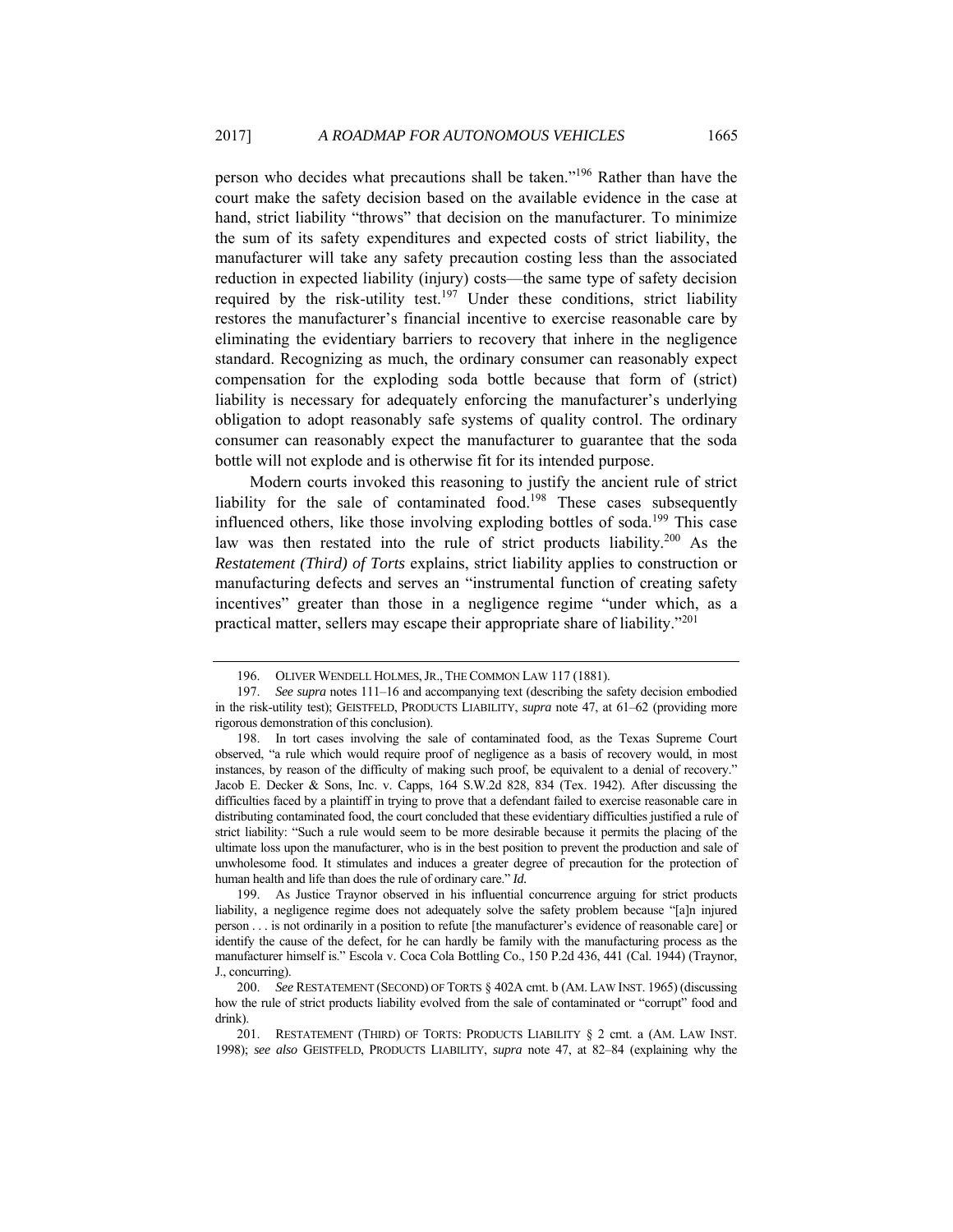person who decides what precautions shall be taken."196 Rather than have the court make the safety decision based on the available evidence in the case at hand, strict liability "throws" that decision on the manufacturer. To minimize the sum of its safety expenditures and expected costs of strict liability, the manufacturer will take any safety precaution costing less than the associated reduction in expected liability (injury) costs—the same type of safety decision required by the risk-utility test.<sup>197</sup> Under these conditions, strict liability restores the manufacturer's financial incentive to exercise reasonable care by eliminating the evidentiary barriers to recovery that inhere in the negligence standard. Recognizing as much, the ordinary consumer can reasonably expect compensation for the exploding soda bottle because that form of (strict) liability is necessary for adequately enforcing the manufacturer's underlying obligation to adopt reasonably safe systems of quality control. The ordinary consumer can reasonably expect the manufacturer to guarantee that the soda bottle will not explode and is otherwise fit for its intended purpose.

Modern courts invoked this reasoning to justify the ancient rule of strict liability for the sale of contaminated food.<sup>198</sup> These cases subsequently influenced others, like those involving exploding bottles of soda.<sup>199</sup> This case law was then restated into the rule of strict products liability.<sup>200</sup> As the *Restatement (Third) of Torts* explains, strict liability applies to construction or manufacturing defects and serves an "instrumental function of creating safety incentives" greater than those in a negligence regime "under which, as a practical matter, sellers may escape their appropriate share of liability."<sup>201</sup>

 <sup>196.</sup> OLIVER WENDELL HOLMES,JR., THE COMMON LAW 117 (1881).

<sup>197.</sup> *See supra* notes 111–16 and accompanying text (describing the safety decision embodied in the risk-utility test); GEISTFELD, PRODUCTS LIABILITY, *supra* note 47, at 61–62 (providing more rigorous demonstration of this conclusion).

 <sup>198.</sup> In tort cases involving the sale of contaminated food, as the Texas Supreme Court observed, "a rule which would require proof of negligence as a basis of recovery would, in most instances, by reason of the difficulty of making such proof, be equivalent to a denial of recovery." Jacob E. Decker & Sons, Inc. v. Capps, 164 S.W.2d 828, 834 (Tex. 1942). After discussing the difficulties faced by a plaintiff in trying to prove that a defendant failed to exercise reasonable care in distributing contaminated food, the court concluded that these evidentiary difficulties justified a rule of strict liability: "Such a rule would seem to be more desirable because it permits the placing of the ultimate loss upon the manufacturer, who is in the best position to prevent the production and sale of unwholesome food. It stimulates and induces a greater degree of precaution for the protection of human health and life than does the rule of ordinary care." *Id.*

 <sup>199.</sup> As Justice Traynor observed in his influential concurrence arguing for strict products liability, a negligence regime does not adequately solve the safety problem because "[a]n injured person . . . is not ordinarily in a position to refute [the manufacturer's evidence of reasonable care] or identify the cause of the defect, for he can hardly be family with the manufacturing process as the manufacturer himself is." Escola v. Coca Cola Bottling Co., 150 P.2d 436, 441 (Cal. 1944) (Traynor, J., concurring).

<sup>200.</sup> *See* RESTATEMENT (SECOND) OF TORTS § 402A cmt. b (AM. LAW INST. 1965) (discussing how the rule of strict products liability evolved from the sale of contaminated or "corrupt" food and drink).

 <sup>201.</sup> RESTATEMENT (THIRD) OF TORTS: PRODUCTS LIABILITY § 2 cmt. a (AM. LAW INST. 1998); *see also* GEISTFELD, PRODUCTS LIABILITY, *supra* note 47, at 82–84 (explaining why the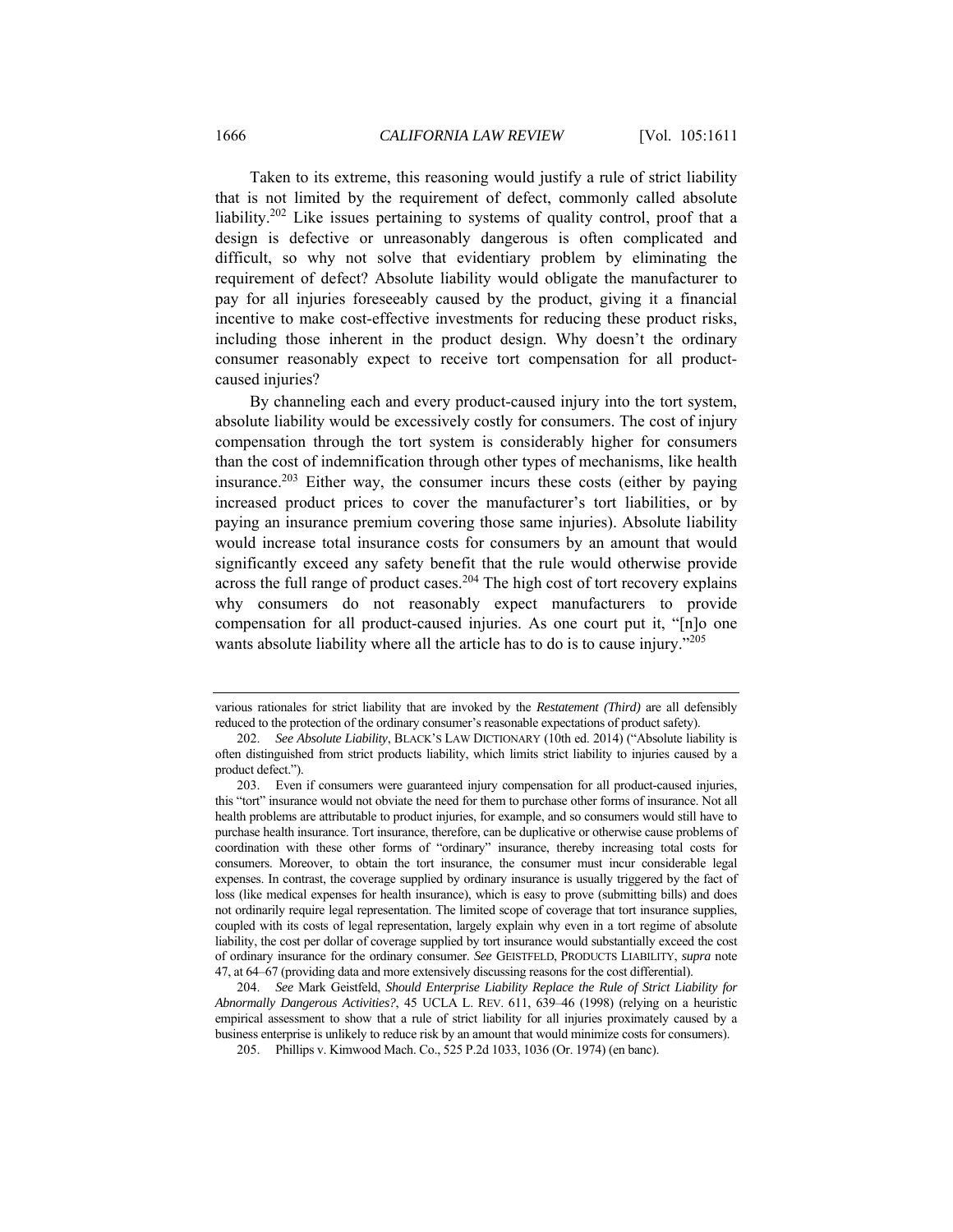Taken to its extreme, this reasoning would justify a rule of strict liability that is not limited by the requirement of defect, commonly called absolute liability.202 Like issues pertaining to systems of quality control, proof that a design is defective or unreasonably dangerous is often complicated and difficult, so why not solve that evidentiary problem by eliminating the requirement of defect? Absolute liability would obligate the manufacturer to pay for all injuries foreseeably caused by the product, giving it a financial incentive to make cost-effective investments for reducing these product risks, including those inherent in the product design. Why doesn't the ordinary consumer reasonably expect to receive tort compensation for all productcaused injuries?

By channeling each and every product-caused injury into the tort system, absolute liability would be excessively costly for consumers. The cost of injury compensation through the tort system is considerably higher for consumers than the cost of indemnification through other types of mechanisms, like health insurance.<sup>203</sup> Either way, the consumer incurs these costs (either by paying increased product prices to cover the manufacturer's tort liabilities, or by paying an insurance premium covering those same injuries). Absolute liability would increase total insurance costs for consumers by an amount that would significantly exceed any safety benefit that the rule would otherwise provide across the full range of product cases.<sup>204</sup> The high cost of tort recovery explains why consumers do not reasonably expect manufacturers to provide compensation for all product-caused injuries. As one court put it, "[n]o one wants absolute liability where all the article has to do is to cause injury."<sup>205</sup>

204. *See* Mark Geistfeld, *Should Enterprise Liability Replace the Rule of Strict Liability for Abnormally Dangerous Activities?*, 45 UCLA L. REV. 611, 639–46 (1998) (relying on a heuristic empirical assessment to show that a rule of strict liability for all injuries proximately caused by a business enterprise is unlikely to reduce risk by an amount that would minimize costs for consumers).

various rationales for strict liability that are invoked by the *Restatement (Third)* are all defensibly reduced to the protection of the ordinary consumer's reasonable expectations of product safety).

<sup>202.</sup> *See Absolute Liability*, BLACK'S LAW DICTIONARY (10th ed. 2014) ("Absolute liability is often distinguished from strict products liability, which limits strict liability to injuries caused by a product defect.").

 <sup>203.</sup> Even if consumers were guaranteed injury compensation for all product-caused injuries, this "tort" insurance would not obviate the need for them to purchase other forms of insurance. Not all health problems are attributable to product injuries, for example, and so consumers would still have to purchase health insurance. Tort insurance, therefore, can be duplicative or otherwise cause problems of coordination with these other forms of "ordinary" insurance, thereby increasing total costs for consumers. Moreover, to obtain the tort insurance, the consumer must incur considerable legal expenses. In contrast, the coverage supplied by ordinary insurance is usually triggered by the fact of loss (like medical expenses for health insurance), which is easy to prove (submitting bills) and does not ordinarily require legal representation. The limited scope of coverage that tort insurance supplies, coupled with its costs of legal representation, largely explain why even in a tort regime of absolute liability, the cost per dollar of coverage supplied by tort insurance would substantially exceed the cost of ordinary insurance for the ordinary consumer. *See* GEISTFELD, PRODUCTS LIABILITY, *supra* note 47, at 64–67 (providing data and more extensively discussing reasons for the cost differential).

 <sup>205.</sup> Phillips v. Kimwood Mach. Co., 525 P.2d 1033, 1036 (Or. 1974) (en banc).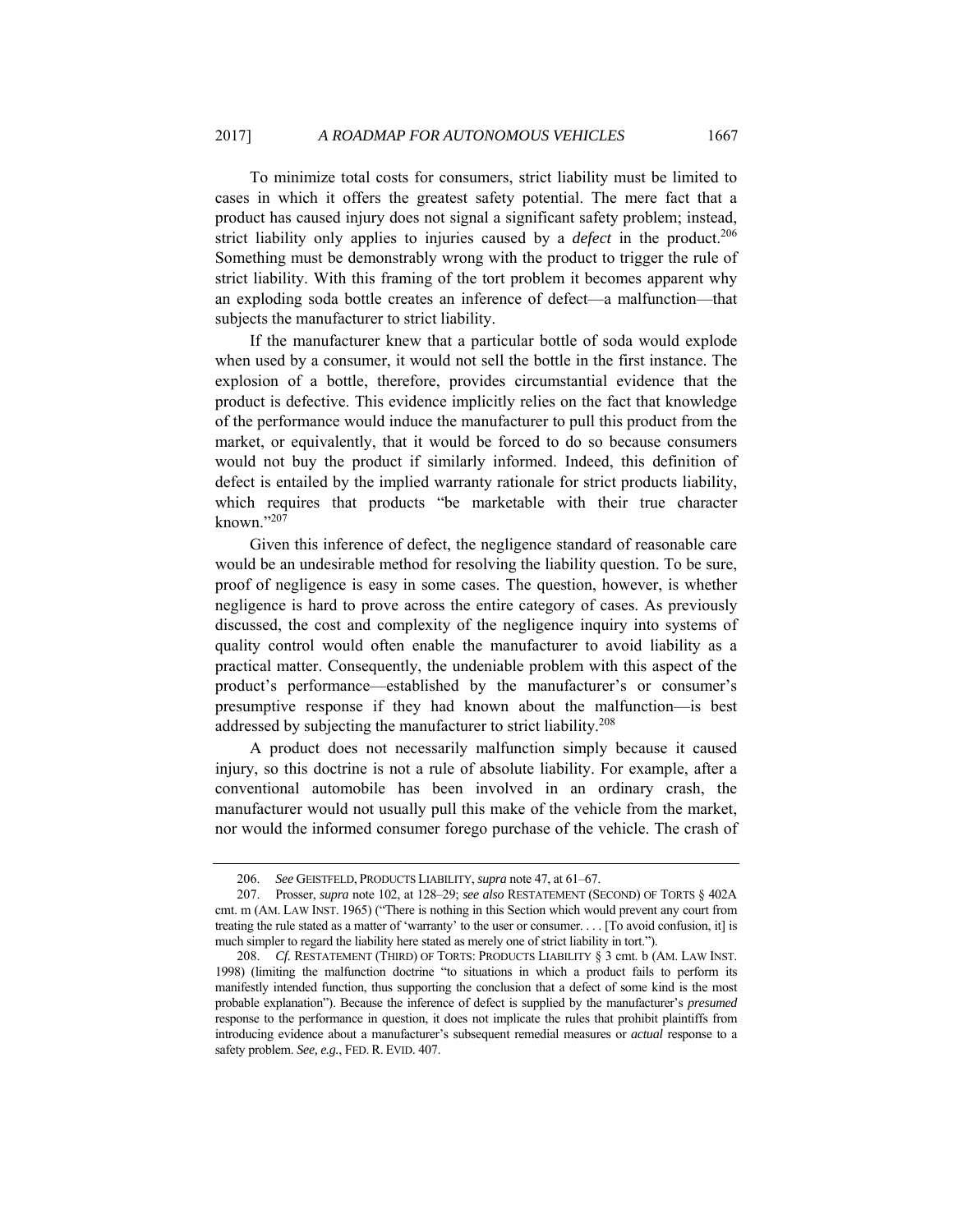To minimize total costs for consumers, strict liability must be limited to cases in which it offers the greatest safety potential. The mere fact that a product has caused injury does not signal a significant safety problem; instead, strict liability only applies to injuries caused by a *defect* in the product.<sup>206</sup> Something must be demonstrably wrong with the product to trigger the rule of strict liability. With this framing of the tort problem it becomes apparent why an exploding soda bottle creates an inference of defect—a malfunction—that subjects the manufacturer to strict liability.

If the manufacturer knew that a particular bottle of soda would explode when used by a consumer, it would not sell the bottle in the first instance. The explosion of a bottle, therefore, provides circumstantial evidence that the product is defective. This evidence implicitly relies on the fact that knowledge of the performance would induce the manufacturer to pull this product from the market, or equivalently, that it would be forced to do so because consumers would not buy the product if similarly informed. Indeed, this definition of defect is entailed by the implied warranty rationale for strict products liability, which requires that products "be marketable with their true character known."207

Given this inference of defect, the negligence standard of reasonable care would be an undesirable method for resolving the liability question. To be sure, proof of negligence is easy in some cases. The question, however, is whether negligence is hard to prove across the entire category of cases. As previously discussed, the cost and complexity of the negligence inquiry into systems of quality control would often enable the manufacturer to avoid liability as a practical matter. Consequently, the undeniable problem with this aspect of the product's performance—established by the manufacturer's or consumer's presumptive response if they had known about the malfunction—is best addressed by subjecting the manufacturer to strict liability.208

A product does not necessarily malfunction simply because it caused injury, so this doctrine is not a rule of absolute liability. For example, after a conventional automobile has been involved in an ordinary crash, the manufacturer would not usually pull this make of the vehicle from the market, nor would the informed consumer forego purchase of the vehicle. The crash of

<sup>206.</sup> *See* GEISTFELD, PRODUCTS LIABILITY, *supra* note 47, at 61–67.

 <sup>207.</sup> Prosser, *supra* note 102, at 128–29; *see also* RESTATEMENT (SECOND) OF TORTS § 402A cmt. m (AM. LAW INST. 1965) ("There is nothing in this Section which would prevent any court from treating the rule stated as a matter of 'warranty' to the user or consumer. . . . [To avoid confusion, it] is much simpler to regard the liability here stated as merely one of strict liability in tort.").

<sup>208.</sup> *Cf.* RESTATEMENT (THIRD) OF TORTS: PRODUCTS LIABILITY § 3 cmt. b (AM. LAW INST. 1998) (limiting the malfunction doctrine "to situations in which a product fails to perform its manifestly intended function, thus supporting the conclusion that a defect of some kind is the most probable explanation"). Because the inference of defect is supplied by the manufacturer's *presumed* response to the performance in question, it does not implicate the rules that prohibit plaintiffs from introducing evidence about a manufacturer's subsequent remedial measures or *actual* response to a safety problem. *See, e.g.*, FED. R. EVID. 407.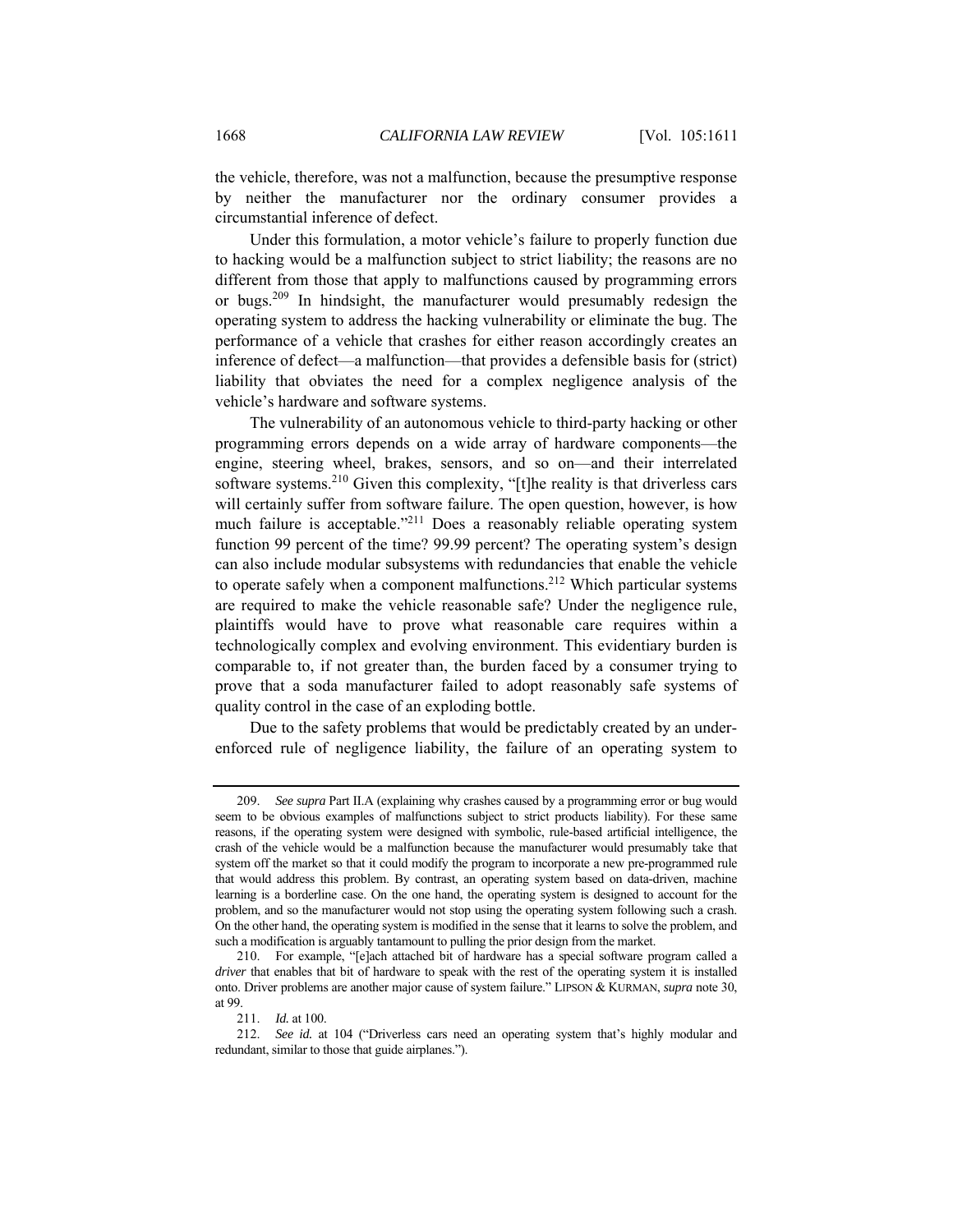the vehicle, therefore, was not a malfunction, because the presumptive response by neither the manufacturer nor the ordinary consumer provides a circumstantial inference of defect.

Under this formulation, a motor vehicle's failure to properly function due to hacking would be a malfunction subject to strict liability; the reasons are no different from those that apply to malfunctions caused by programming errors or bugs.<sup>209</sup> In hindsight, the manufacturer would presumably redesign the operating system to address the hacking vulnerability or eliminate the bug. The performance of a vehicle that crashes for either reason accordingly creates an inference of defect—a malfunction—that provides a defensible basis for (strict) liability that obviates the need for a complex negligence analysis of the vehicle's hardware and software systems.

The vulnerability of an autonomous vehicle to third-party hacking or other programming errors depends on a wide array of hardware components—the engine, steering wheel, brakes, sensors, and so on—and their interrelated software systems.<sup>210</sup> Given this complexity, "[t]he reality is that driverless cars will certainly suffer from software failure. The open question, however, is how much failure is acceptable."<sup>211</sup> Does a reasonably reliable operating system function 99 percent of the time? 99.99 percent? The operating system's design can also include modular subsystems with redundancies that enable the vehicle to operate safely when a component malfunctions.<sup>212</sup> Which particular systems are required to make the vehicle reasonable safe? Under the negligence rule, plaintiffs would have to prove what reasonable care requires within a technologically complex and evolving environment. This evidentiary burden is comparable to, if not greater than, the burden faced by a consumer trying to prove that a soda manufacturer failed to adopt reasonably safe systems of quality control in the case of an exploding bottle.

Due to the safety problems that would be predictably created by an underenforced rule of negligence liability, the failure of an operating system to

<sup>209.</sup> *See supra* Part II.A (explaining why crashes caused by a programming error or bug would seem to be obvious examples of malfunctions subject to strict products liability). For these same reasons, if the operating system were designed with symbolic, rule-based artificial intelligence, the crash of the vehicle would be a malfunction because the manufacturer would presumably take that system off the market so that it could modify the program to incorporate a new pre-programmed rule that would address this problem. By contrast, an operating system based on data-driven, machine learning is a borderline case. On the one hand, the operating system is designed to account for the problem, and so the manufacturer would not stop using the operating system following such a crash. On the other hand, the operating system is modified in the sense that it learns to solve the problem, and such a modification is arguably tantamount to pulling the prior design from the market.

 <sup>210.</sup> For example, "[e]ach attached bit of hardware has a special software program called a *driver* that enables that bit of hardware to speak with the rest of the operating system it is installed onto. Driver problems are another major cause of system failure." LIPSON & KURMAN, *supra* note 30, at 99.

<sup>211.</sup> *Id.* at 100.

<sup>212.</sup> *See id.* at 104 ("Driverless cars need an operating system that's highly modular and redundant, similar to those that guide airplanes.").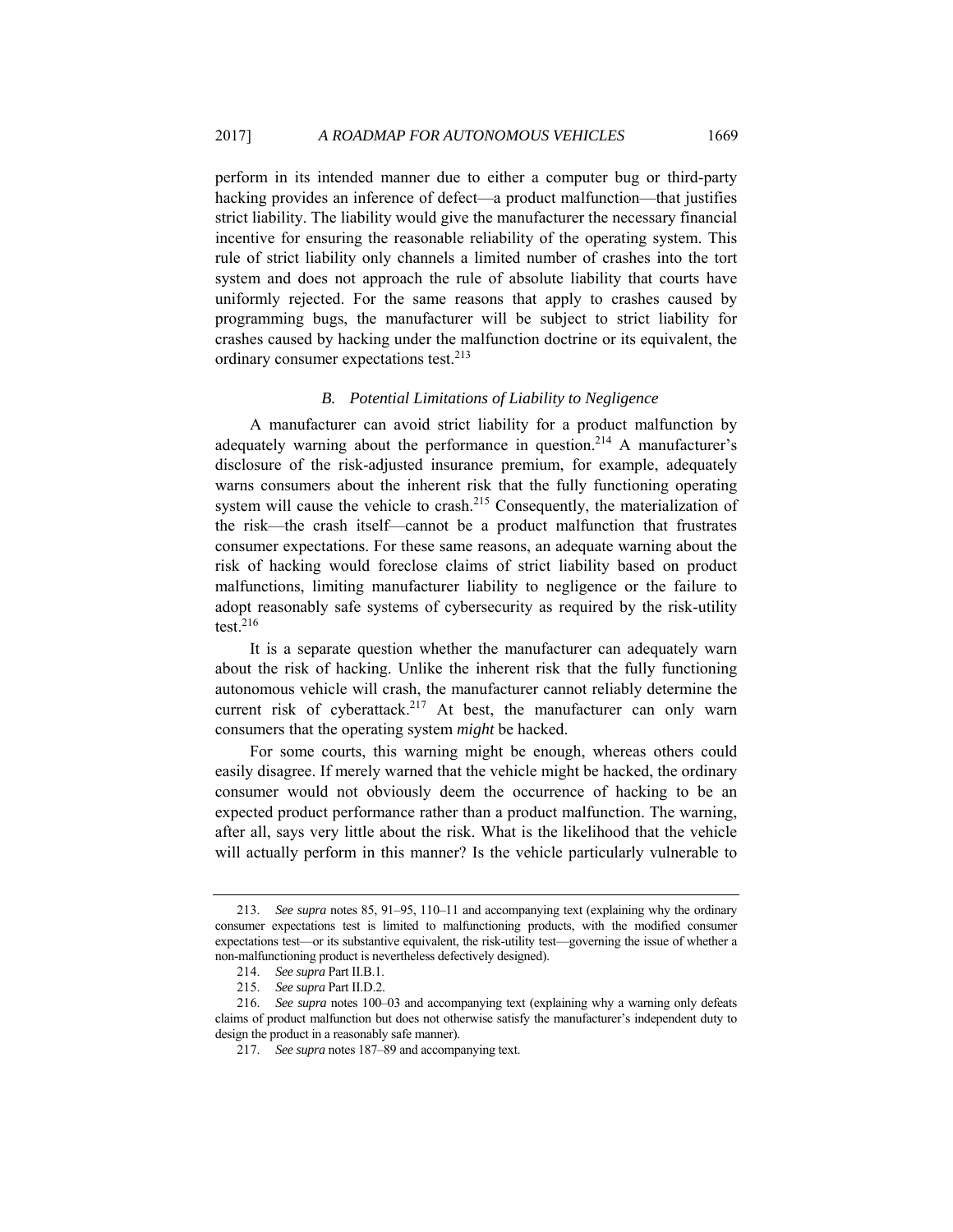perform in its intended manner due to either a computer bug or third-party hacking provides an inference of defect—a product malfunction—that justifies strict liability. The liability would give the manufacturer the necessary financial incentive for ensuring the reasonable reliability of the operating system. This rule of strict liability only channels a limited number of crashes into the tort system and does not approach the rule of absolute liability that courts have uniformly rejected. For the same reasons that apply to crashes caused by programming bugs, the manufacturer will be subject to strict liability for crashes caused by hacking under the malfunction doctrine or its equivalent, the ordinary consumer expectations test.<sup>213</sup>

#### *B. Potential Limitations of Liability to Negligence*

A manufacturer can avoid strict liability for a product malfunction by adequately warning about the performance in question.<sup>214</sup> A manufacturer's disclosure of the risk-adjusted insurance premium, for example, adequately warns consumers about the inherent risk that the fully functioning operating system will cause the vehicle to crash.<sup>215</sup> Consequently, the materialization of the risk—the crash itself—cannot be a product malfunction that frustrates consumer expectations. For these same reasons, an adequate warning about the risk of hacking would foreclose claims of strict liability based on product malfunctions, limiting manufacturer liability to negligence or the failure to adopt reasonably safe systems of cybersecurity as required by the risk-utility test. $216$ 

It is a separate question whether the manufacturer can adequately warn about the risk of hacking. Unlike the inherent risk that the fully functioning autonomous vehicle will crash, the manufacturer cannot reliably determine the current risk of cyberattack.<sup>217</sup> At best, the manufacturer can only warn consumers that the operating system *might* be hacked.

For some courts, this warning might be enough, whereas others could easily disagree. If merely warned that the vehicle might be hacked, the ordinary consumer would not obviously deem the occurrence of hacking to be an expected product performance rather than a product malfunction. The warning, after all, says very little about the risk. What is the likelihood that the vehicle will actually perform in this manner? Is the vehicle particularly vulnerable to

<sup>213.</sup> *See supra* notes 85, 91–95, 110–11 and accompanying text (explaining why the ordinary consumer expectations test is limited to malfunctioning products, with the modified consumer expectations test—or its substantive equivalent, the risk-utility test—governing the issue of whether a non-malfunctioning product is nevertheless defectively designed).

<sup>214.</sup> *See supra* Part II.B.1.

<sup>215.</sup> *See supra* Part II.D.2.

<sup>216.</sup> *See supra* notes 100–03 and accompanying text (explaining why a warning only defeats claims of product malfunction but does not otherwise satisfy the manufacturer's independent duty to design the product in a reasonably safe manner).

<sup>217.</sup> *See supra* notes 187–89 and accompanying text.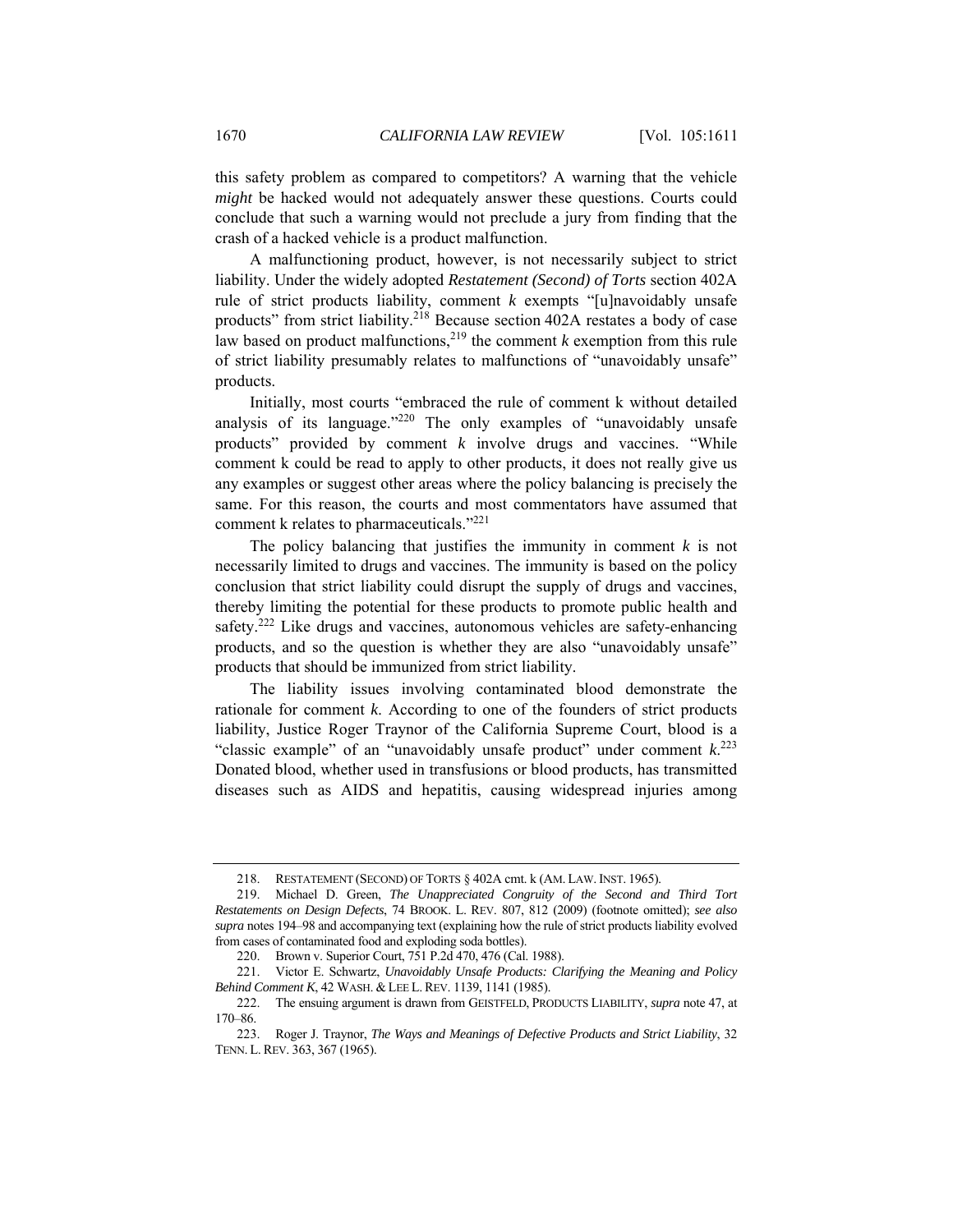this safety problem as compared to competitors? A warning that the vehicle *might* be hacked would not adequately answer these questions. Courts could conclude that such a warning would not preclude a jury from finding that the crash of a hacked vehicle is a product malfunction.

A malfunctioning product, however, is not necessarily subject to strict liability. Under the widely adopted *Restatement (Second) of Torts* section 402A rule of strict products liability, comment *k* exempts "[u]navoidably unsafe products" from strict liability.218 Because section 402A restates a body of case law based on product malfunctions,<sup>219</sup> the comment  $k$  exemption from this rule of strict liability presumably relates to malfunctions of "unavoidably unsafe" products.

Initially, most courts "embraced the rule of comment k without detailed analysis of its language."<sup>220</sup> The only examples of "unavoidably unsafe products" provided by comment *k* involve drugs and vaccines. "While comment k could be read to apply to other products, it does not really give us any examples or suggest other areas where the policy balancing is precisely the same. For this reason, the courts and most commentators have assumed that comment k relates to pharmaceuticals."221

The policy balancing that justifies the immunity in comment *k* is not necessarily limited to drugs and vaccines. The immunity is based on the policy conclusion that strict liability could disrupt the supply of drugs and vaccines, thereby limiting the potential for these products to promote public health and safety.<sup>222</sup> Like drugs and vaccines, autonomous vehicles are safety-enhancing products, and so the question is whether they are also "unavoidably unsafe" products that should be immunized from strict liability.

The liability issues involving contaminated blood demonstrate the rationale for comment *k*. According to one of the founders of strict products liability, Justice Roger Traynor of the California Supreme Court, blood is a "classic example" of an "unavoidably unsafe product" under comment  $k$ <sup>223</sup> Donated blood, whether used in transfusions or blood products, has transmitted diseases such as AIDS and hepatitis, causing widespread injuries among

 <sup>218.</sup> RESTATEMENT (SECOND) OF TORTS § 402A cmt. k (AM. LAW. INST. 1965).

 <sup>219.</sup> Michael D. Green, *The Unappreciated Congruity of the Second and Third Tort Restatements on Design Defects*, 74 BROOK. L. REV. 807, 812 (2009) (footnote omitted); *see also supra* notes 194–98 and accompanying text (explaining how the rule of strict products liability evolved from cases of contaminated food and exploding soda bottles).

 <sup>220.</sup> Brown v. Superior Court, 751 P.2d 470, 476 (Cal. 1988).

 <sup>221.</sup> Victor E. Schwartz, *Unavoidably Unsafe Products: Clarifying the Meaning and Policy Behind Comment K*, 42 WASH. & LEE L. REV. 1139, 1141 (1985).

 <sup>222.</sup> The ensuing argument is drawn from GEISTFELD, PRODUCTS LIABILITY, *supra* note 47, at 170–86.

 <sup>223.</sup> Roger J. Traynor, *The Ways and Meanings of Defective Products and Strict Liability*, 32 TENN. L. REV. 363, 367 (1965).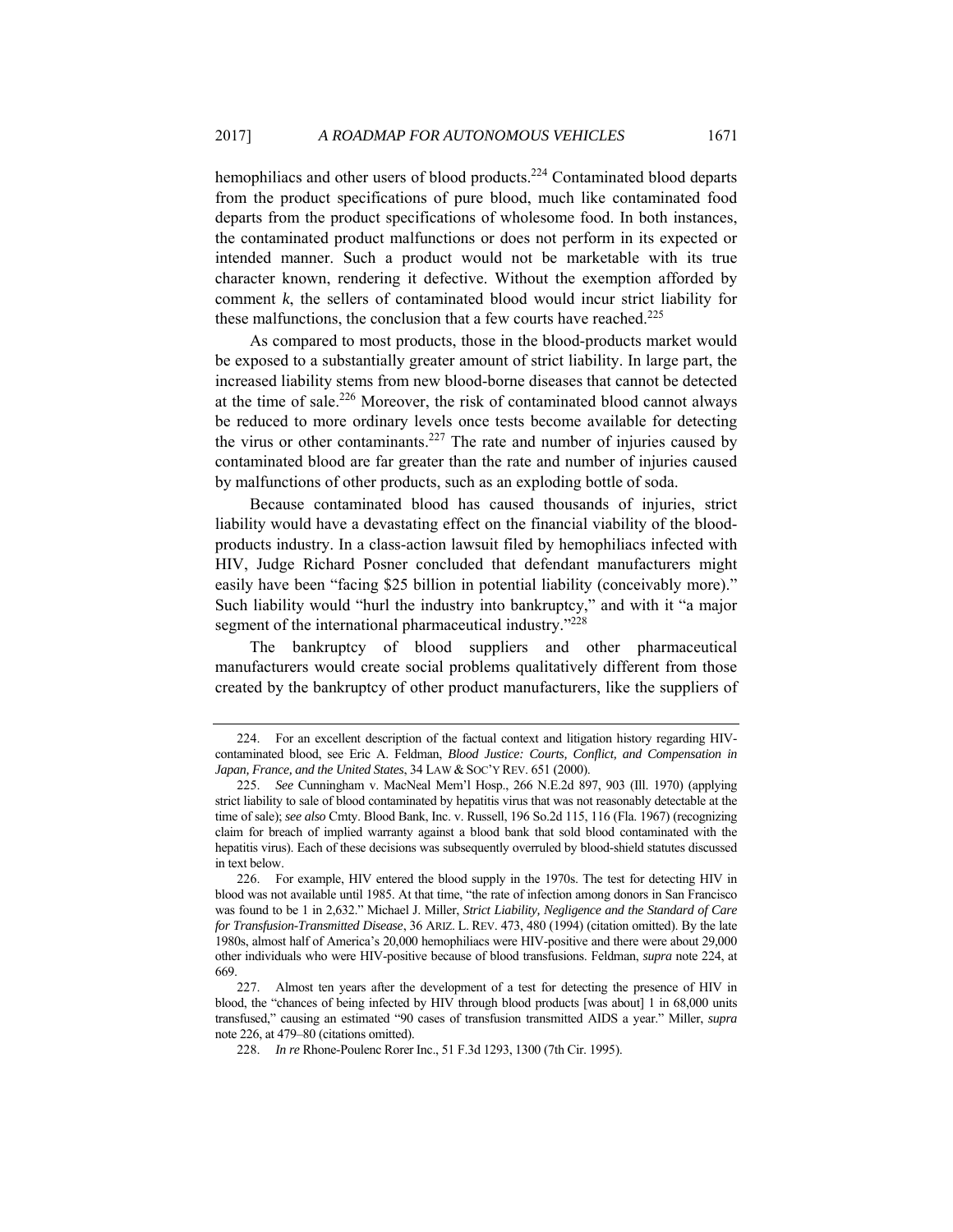hemophiliacs and other users of blood products.<sup>224</sup> Contaminated blood departs from the product specifications of pure blood, much like contaminated food departs from the product specifications of wholesome food. In both instances, the contaminated product malfunctions or does not perform in its expected or intended manner. Such a product would not be marketable with its true character known, rendering it defective. Without the exemption afforded by comment *k*, the sellers of contaminated blood would incur strict liability for these malfunctions, the conclusion that a few courts have reached.<sup>225</sup>

As compared to most products, those in the blood-products market would be exposed to a substantially greater amount of strict liability. In large part, the increased liability stems from new blood-borne diseases that cannot be detected at the time of sale.226 Moreover, the risk of contaminated blood cannot always be reduced to more ordinary levels once tests become available for detecting the virus or other contaminants.<sup>227</sup> The rate and number of injuries caused by contaminated blood are far greater than the rate and number of injuries caused by malfunctions of other products, such as an exploding bottle of soda.

Because contaminated blood has caused thousands of injuries, strict liability would have a devastating effect on the financial viability of the bloodproducts industry. In a class-action lawsuit filed by hemophiliacs infected with HIV, Judge Richard Posner concluded that defendant manufacturers might easily have been "facing \$25 billion in potential liability (conceivably more)." Such liability would "hurl the industry into bankruptcy," and with it "a major segment of the international pharmaceutical industry."<sup>228</sup>

The bankruptcy of blood suppliers and other pharmaceutical manufacturers would create social problems qualitatively different from those created by the bankruptcy of other product manufacturers, like the suppliers of

 <sup>224.</sup> For an excellent description of the factual context and litigation history regarding HIVcontaminated blood, see Eric A. Feldman, *Blood Justice: Courts, Conflict, and Compensation in Japan, France, and the United States*, 34 LAW & SOC'Y REV. 651 (2000).

<sup>225.</sup> *See* Cunningham v. MacNeal Mem'l Hosp., 266 N.E.2d 897, 903 (Ill. 1970) (applying strict liability to sale of blood contaminated by hepatitis virus that was not reasonably detectable at the time of sale); *see also* Cmty. Blood Bank, Inc. v. Russell, 196 So.2d 115, 116 (Fla. 1967) (recognizing claim for breach of implied warranty against a blood bank that sold blood contaminated with the hepatitis virus). Each of these decisions was subsequently overruled by blood-shield statutes discussed in text below.

 <sup>226.</sup> For example, HIV entered the blood supply in the 1970s. The test for detecting HIV in blood was not available until 1985. At that time, "the rate of infection among donors in San Francisco was found to be 1 in 2,632." Michael J. Miller, *Strict Liability, Negligence and the Standard of Care for Transfusion-Transmitted Disease*, 36 ARIZ. L. REV. 473, 480 (1994) (citation omitted). By the late 1980s, almost half of America's 20,000 hemophiliacs were HIV-positive and there were about 29,000 other individuals who were HIV-positive because of blood transfusions. Feldman, *supra* note 224, at 669.

 <sup>227.</sup> Almost ten years after the development of a test for detecting the presence of HIV in blood, the "chances of being infected by HIV through blood products [was about] 1 in 68,000 units transfused," causing an estimated "90 cases of transfusion transmitted AIDS a year." Miller, *supra*  note 226, at 479–80 (citations omitted).

<sup>228.</sup> *In re* Rhone-Poulenc Rorer Inc., 51 F.3d 1293, 1300 (7th Cir. 1995).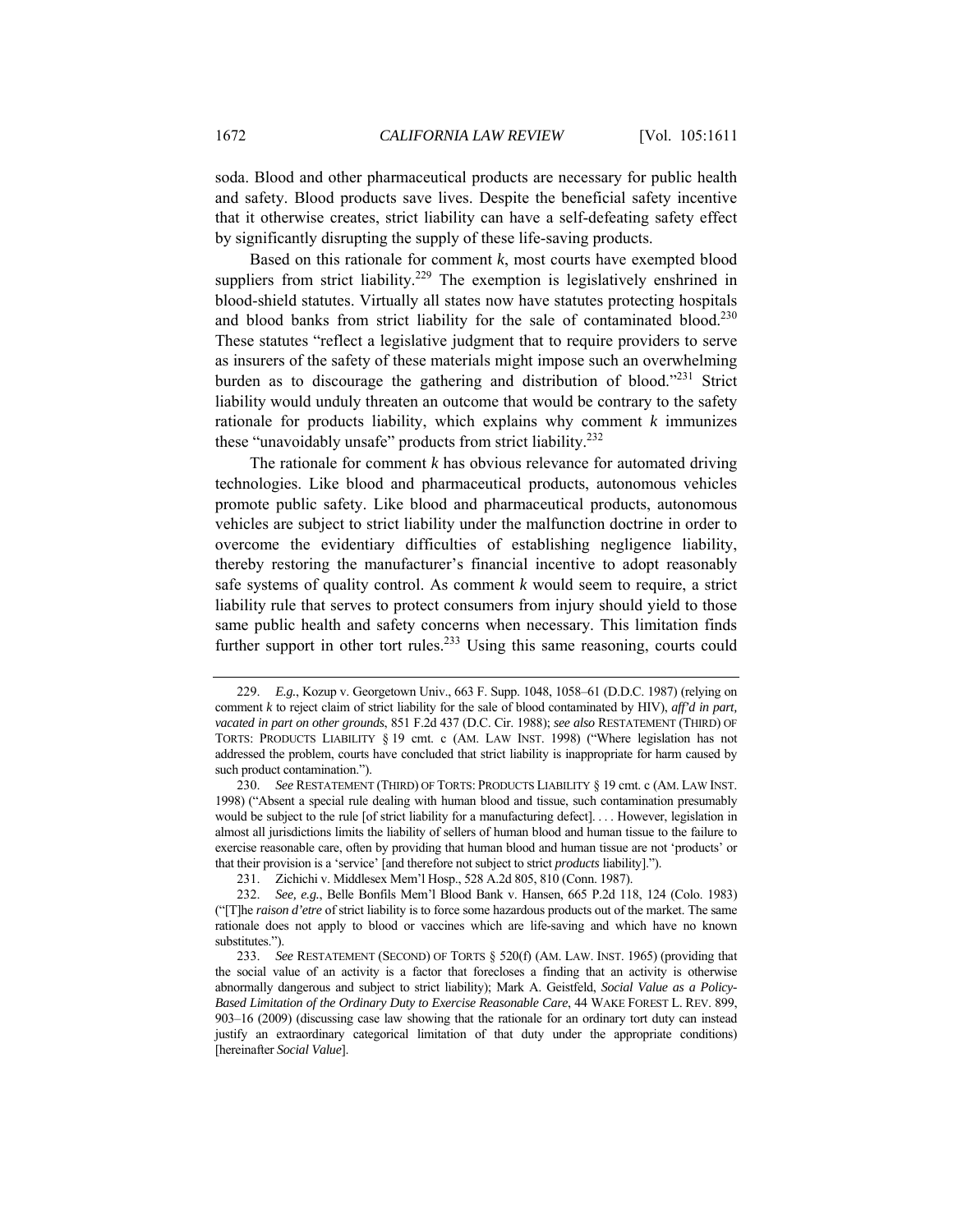soda. Blood and other pharmaceutical products are necessary for public health and safety. Blood products save lives. Despite the beneficial safety incentive that it otherwise creates, strict liability can have a self-defeating safety effect by significantly disrupting the supply of these life-saving products.

Based on this rationale for comment *k*, most courts have exempted blood suppliers from strict liability.<sup>229</sup> The exemption is legislatively enshrined in blood-shield statutes. Virtually all states now have statutes protecting hospitals and blood banks from strict liability for the sale of contaminated blood.<sup>230</sup> These statutes "reflect a legislative judgment that to require providers to serve as insurers of the safety of these materials might impose such an overwhelming burden as to discourage the gathering and distribution of blood."231 Strict liability would unduly threaten an outcome that would be contrary to the safety rationale for products liability, which explains why comment *k* immunizes these "unavoidably unsafe" products from strict liability.<sup>232</sup>

The rationale for comment *k* has obvious relevance for automated driving technologies. Like blood and pharmaceutical products, autonomous vehicles promote public safety. Like blood and pharmaceutical products, autonomous vehicles are subject to strict liability under the malfunction doctrine in order to overcome the evidentiary difficulties of establishing negligence liability, thereby restoring the manufacturer's financial incentive to adopt reasonably safe systems of quality control. As comment *k* would seem to require, a strict liability rule that serves to protect consumers from injury should yield to those same public health and safety concerns when necessary. This limitation finds further support in other tort rules.<sup>233</sup> Using this same reasoning, courts could

<sup>229.</sup> *E.g.*, Kozup v. Georgetown Univ., 663 F. Supp. 1048, 1058–61 (D.D.C. 1987) (relying on comment *k* to reject claim of strict liability for the sale of blood contaminated by HIV), *aff'd in part, vacated in part on other grounds*, 851 F.2d 437 (D.C. Cir. 1988); *see also* RESTATEMENT (THIRD) OF TORTS: PRODUCTS LIABILITY § 19 cmt. c (AM. LAW INST. 1998) ("Where legislation has not addressed the problem, courts have concluded that strict liability is inappropriate for harm caused by such product contamination.").

<sup>230.</sup> *See* RESTATEMENT (THIRD) OF TORTS: PRODUCTS LIABILITY § 19 cmt. c (AM. LAW INST. 1998) ("Absent a special rule dealing with human blood and tissue, such contamination presumably would be subject to the rule [of strict liability for a manufacturing defect].... However, legislation in almost all jurisdictions limits the liability of sellers of human blood and human tissue to the failure to exercise reasonable care, often by providing that human blood and human tissue are not 'products' or that their provision is a 'service' [and therefore not subject to strict *products* liability].").

 <sup>231.</sup> Zichichi v. Middlesex Mem'l Hosp., 528 A.2d 805, 810 (Conn. 1987).

<sup>232.</sup> *See, e.g.*, Belle Bonfils Mem'l Blood Bank v. Hansen, 665 P.2d 118, 124 (Colo. 1983) ("[T]he *raison d'etre* of strict liability is to force some hazardous products out of the market. The same rationale does not apply to blood or vaccines which are life-saving and which have no known substitutes.").

<sup>233.</sup> *See* RESTATEMENT (SECOND) OF TORTS § 520(f) (AM. LAW. INST. 1965) (providing that the social value of an activity is a factor that forecloses a finding that an activity is otherwise abnormally dangerous and subject to strict liability); Mark A. Geistfeld, *Social Value as a Policy-Based Limitation of the Ordinary Duty to Exercise Reasonable Care*, 44 WAKE FOREST L. REV. 899, 903–16 (2009) (discussing case law showing that the rationale for an ordinary tort duty can instead justify an extraordinary categorical limitation of that duty under the appropriate conditions) [hereinafter *Social Value*].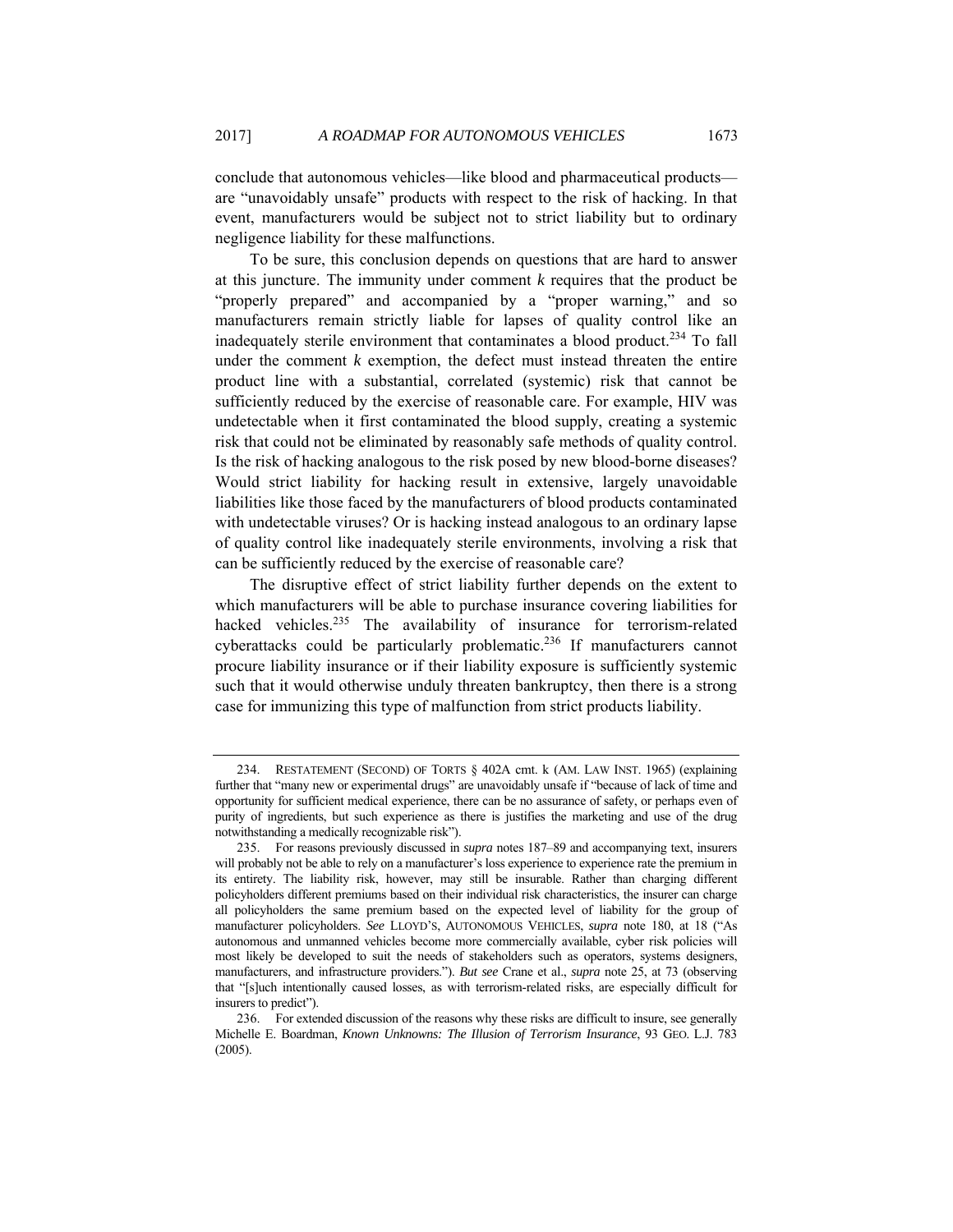conclude that autonomous vehicles—like blood and pharmaceutical products are "unavoidably unsafe" products with respect to the risk of hacking. In that event, manufacturers would be subject not to strict liability but to ordinary negligence liability for these malfunctions.

To be sure, this conclusion depends on questions that are hard to answer at this juncture. The immunity under comment *k* requires that the product be "properly prepared" and accompanied by a "proper warning," and so manufacturers remain strictly liable for lapses of quality control like an inadequately sterile environment that contaminates a blood product.<sup>234</sup> To fall under the comment  $k$  exemption, the defect must instead threaten the entire product line with a substantial, correlated (systemic) risk that cannot be sufficiently reduced by the exercise of reasonable care. For example, HIV was undetectable when it first contaminated the blood supply, creating a systemic risk that could not be eliminated by reasonably safe methods of quality control. Is the risk of hacking analogous to the risk posed by new blood-borne diseases? Would strict liability for hacking result in extensive, largely unavoidable liabilities like those faced by the manufacturers of blood products contaminated with undetectable viruses? Or is hacking instead analogous to an ordinary lapse of quality control like inadequately sterile environments, involving a risk that can be sufficiently reduced by the exercise of reasonable care?

The disruptive effect of strict liability further depends on the extent to which manufacturers will be able to purchase insurance covering liabilities for hacked vehicles.<sup>235</sup> The availability of insurance for terrorism-related cyberattacks could be particularly problematic.236 If manufacturers cannot procure liability insurance or if their liability exposure is sufficiently systemic such that it would otherwise unduly threaten bankruptcy, then there is a strong case for immunizing this type of malfunction from strict products liability.

 <sup>234.</sup> RESTATEMENT (SECOND) OF TORTS § 402A cmt. k (AM. LAW INST. 1965) (explaining further that "many new or experimental drugs" are unavoidably unsafe if "because of lack of time and opportunity for sufficient medical experience, there can be no assurance of safety, or perhaps even of purity of ingredients, but such experience as there is justifies the marketing and use of the drug notwithstanding a medically recognizable risk").

 <sup>235.</sup> For reasons previously discussed in *supra* notes 187–89 and accompanying text, insurers will probably not be able to rely on a manufacturer's loss experience to experience rate the premium in its entirety. The liability risk, however, may still be insurable. Rather than charging different policyholders different premiums based on their individual risk characteristics, the insurer can charge all policyholders the same premium based on the expected level of liability for the group of manufacturer policyholders. *See* LLOYD'S, AUTONOMOUS VEHICLES, *supra* note 180, at 18 ("As autonomous and unmanned vehicles become more commercially available, cyber risk policies will most likely be developed to suit the needs of stakeholders such as operators, systems designers, manufacturers, and infrastructure providers."). *But see* Crane et al., *supra* note 25, at 73 (observing that "[s]uch intentionally caused losses, as with terrorism-related risks, are especially difficult for insurers to predict").

 <sup>236.</sup> For extended discussion of the reasons why these risks are difficult to insure, see generally Michelle E. Boardman, *Known Unknowns: The Illusion of Terrorism Insurance*, 93 GEO. L.J. 783 (2005).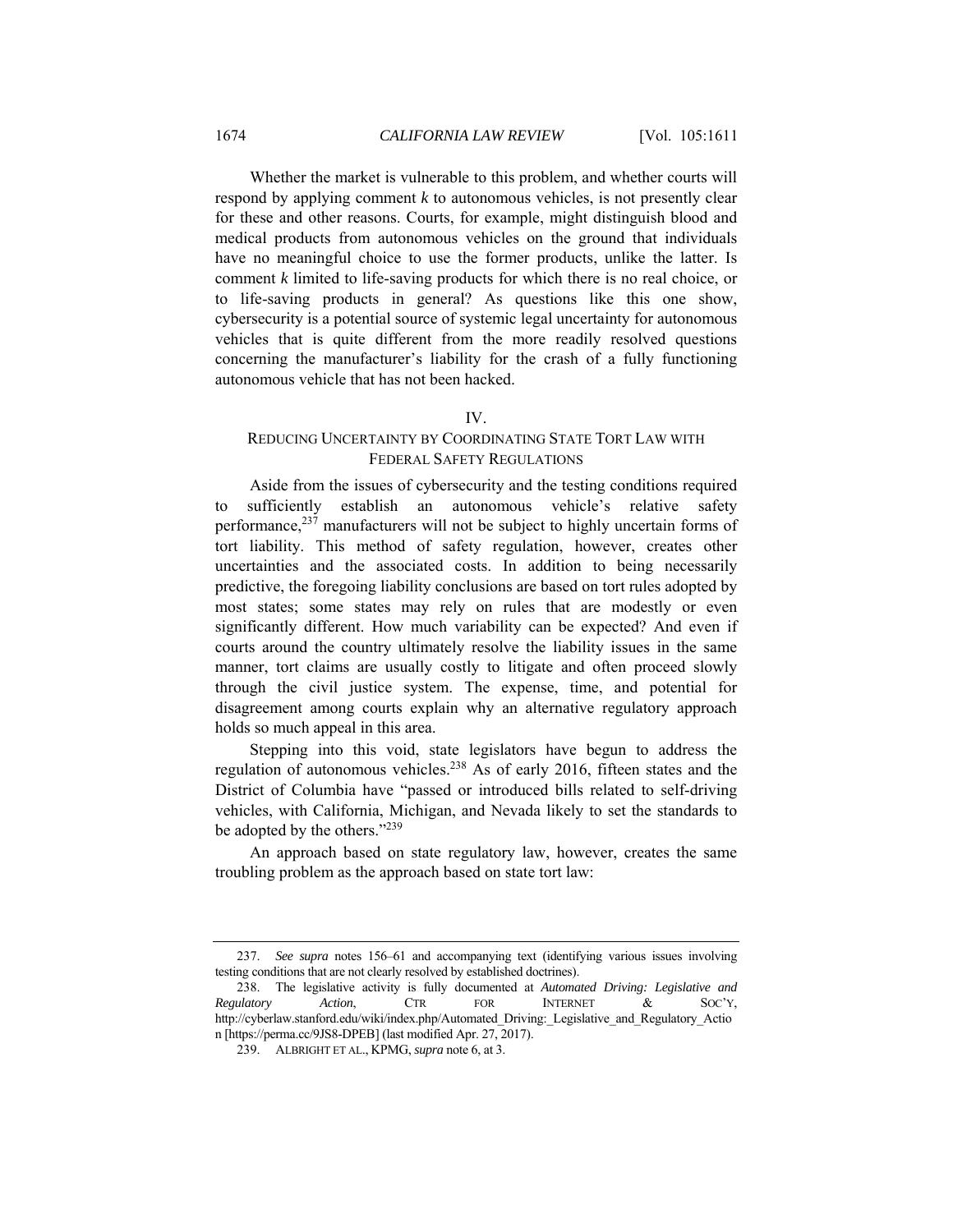Whether the market is vulnerable to this problem, and whether courts will respond by applying comment *k* to autonomous vehicles, is not presently clear for these and other reasons. Courts, for example, might distinguish blood and medical products from autonomous vehicles on the ground that individuals have no meaningful choice to use the former products, unlike the latter. Is comment *k* limited to life-saving products for which there is no real choice, or to life-saving products in general? As questions like this one show, cybersecurity is a potential source of systemic legal uncertainty for autonomous vehicles that is quite different from the more readily resolved questions concerning the manufacturer's liability for the crash of a fully functioning autonomous vehicle that has not been hacked.

## IV.

# REDUCING UNCERTAINTY BY COORDINATING STATE TORT LAW WITH FEDERAL SAFETY REGULATIONS

Aside from the issues of cybersecurity and the testing conditions required to sufficiently establish an autonomous vehicle's relative safety performance,<sup>237</sup> manufacturers will not be subject to highly uncertain forms of tort liability. This method of safety regulation, however, creates other uncertainties and the associated costs. In addition to being necessarily predictive, the foregoing liability conclusions are based on tort rules adopted by most states; some states may rely on rules that are modestly or even significantly different. How much variability can be expected? And even if courts around the country ultimately resolve the liability issues in the same manner, tort claims are usually costly to litigate and often proceed slowly through the civil justice system. The expense, time, and potential for disagreement among courts explain why an alternative regulatory approach holds so much appeal in this area.

Stepping into this void, state legislators have begun to address the regulation of autonomous vehicles.238 As of early 2016, fifteen states and the District of Columbia have "passed or introduced bills related to self-driving vehicles, with California, Michigan, and Nevada likely to set the standards to be adopted by the others."<sup>239</sup>

An approach based on state regulatory law, however, creates the same troubling problem as the approach based on state tort law:

<sup>237.</sup> *See supra* notes 156–61 and accompanying text (identifying various issues involving testing conditions that are not clearly resolved by established doctrines).

 <sup>238.</sup> The legislative activity is fully documented at *Automated Driving: Legislative and Regulatory Action*, CTR FOR INTERNET & SOC'Y, http://cyberlaw.stanford.edu/wiki/index.php/Automated\_Driving:\_Legislative\_and\_Regulatory\_Actio n [https://perma.cc/9JS8-DPEB] (last modified Apr. 27, 2017).

 <sup>239.</sup> ALBRIGHT ET AL., KPMG, *supra* note 6, at 3.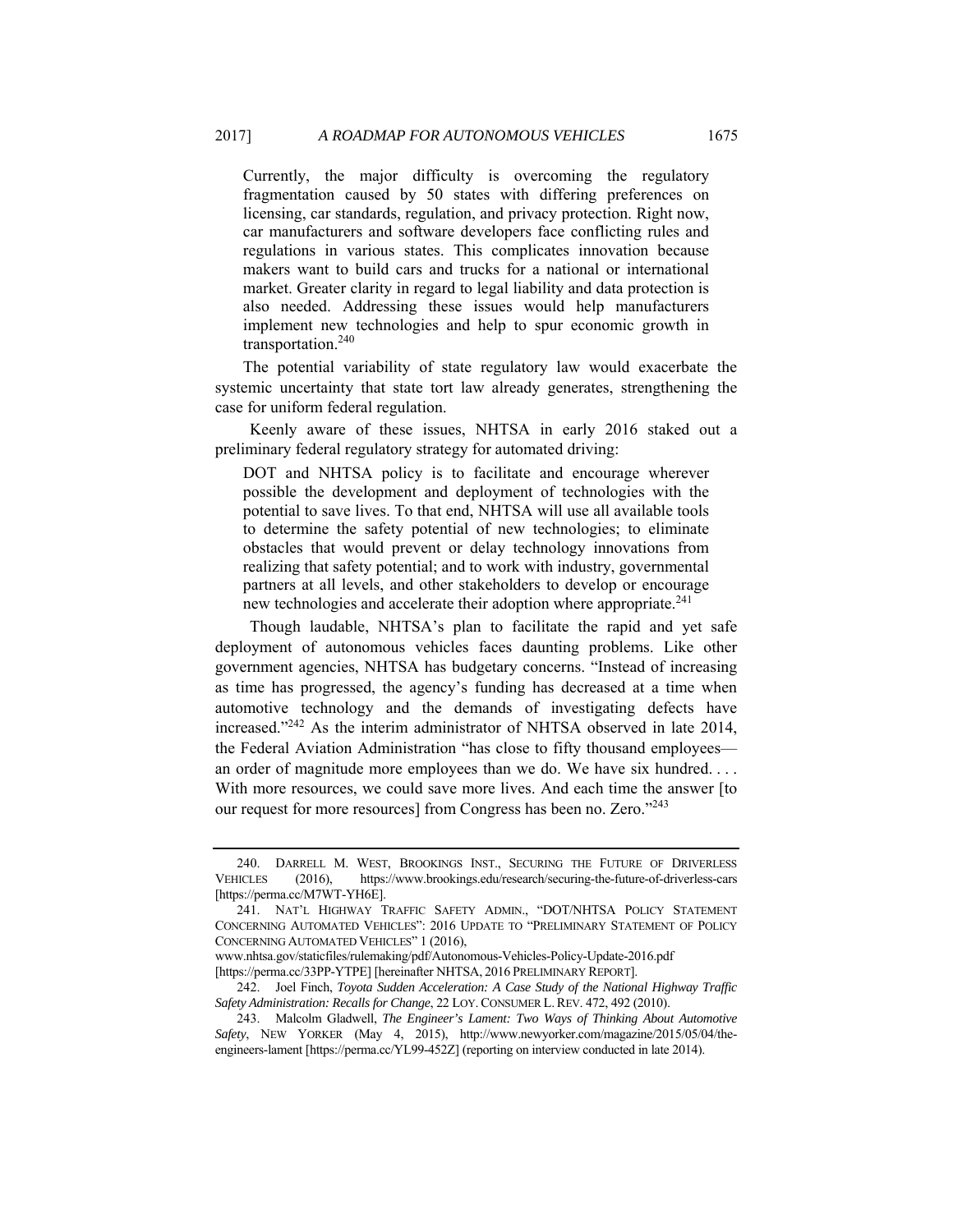Currently, the major difficulty is overcoming the regulatory fragmentation caused by 50 states with differing preferences on licensing, car standards, regulation, and privacy protection. Right now, car manufacturers and software developers face conflicting rules and regulations in various states. This complicates innovation because makers want to build cars and trucks for a national or international market. Greater clarity in regard to legal liability and data protection is also needed. Addressing these issues would help manufacturers implement new technologies and help to spur economic growth in transportation.240

The potential variability of state regulatory law would exacerbate the systemic uncertainty that state tort law already generates, strengthening the case for uniform federal regulation.

Keenly aware of these issues, NHTSA in early 2016 staked out a preliminary federal regulatory strategy for automated driving:

DOT and NHTSA policy is to facilitate and encourage wherever possible the development and deployment of technologies with the potential to save lives. To that end, NHTSA will use all available tools to determine the safety potential of new technologies; to eliminate obstacles that would prevent or delay technology innovations from realizing that safety potential; and to work with industry, governmental partners at all levels, and other stakeholders to develop or encourage new technologies and accelerate their adoption where appropriate.<sup>241</sup>

Though laudable, NHTSA's plan to facilitate the rapid and yet safe deployment of autonomous vehicles faces daunting problems. Like other government agencies, NHTSA has budgetary concerns. "Instead of increasing as time has progressed, the agency's funding has decreased at a time when automotive technology and the demands of investigating defects have increased."242 As the interim administrator of NHTSA observed in late 2014, the Federal Aviation Administration "has close to fifty thousand employees an order of magnitude more employees than we do. We have six hundred. . . . With more resources, we could save more lives. And each time the answer [to our request for more resources] from Congress has been no. Zero."<sup>243</sup>

www.nhtsa.gov/staticfiles/rulemaking/pdf/Autonomous-Vehicles-Policy-Update-2016.pdf [https://perma.cc/33PP-YTPE] [hereinafter NHTSA, 2016 PRELIMINARY REPORT].

 <sup>240.</sup> DARRELL M. WEST, BROOKINGS INST., SECURING THE FUTURE OF DRIVERLESS VEHICLES (2016), https://www.brookings.edu/research/securing-the-future-of-driverless-cars [https://perma.cc/M7WT-YH6E].

 <sup>241.</sup> NAT'L HIGHWAY TRAFFIC SAFETY ADMIN., "DOT/NHTSA POLICY STATEMENT CONCERNING AUTOMATED VEHICLES": 2016 UPDATE TO "PRELIMINARY STATEMENT OF POLICY CONCERNING AUTOMATED VEHICLES" 1 (2016),

 <sup>242.</sup> Joel Finch, *Toyota Sudden Acceleration: A Case Study of the National Highway Traffic Safety Administration: Recalls for Change*, 22 LOY.CONSUMER L.REV. 472, 492 (2010).

 <sup>243.</sup> Malcolm Gladwell, *The Engineer's Lament: Two Ways of Thinking About Automotive Safety*, NEW YORKER (May 4, 2015), http://www.newyorker.com/magazine/2015/05/04/theengineers-lament [https://perma.cc/YL99-452Z] (reporting on interview conducted in late 2014).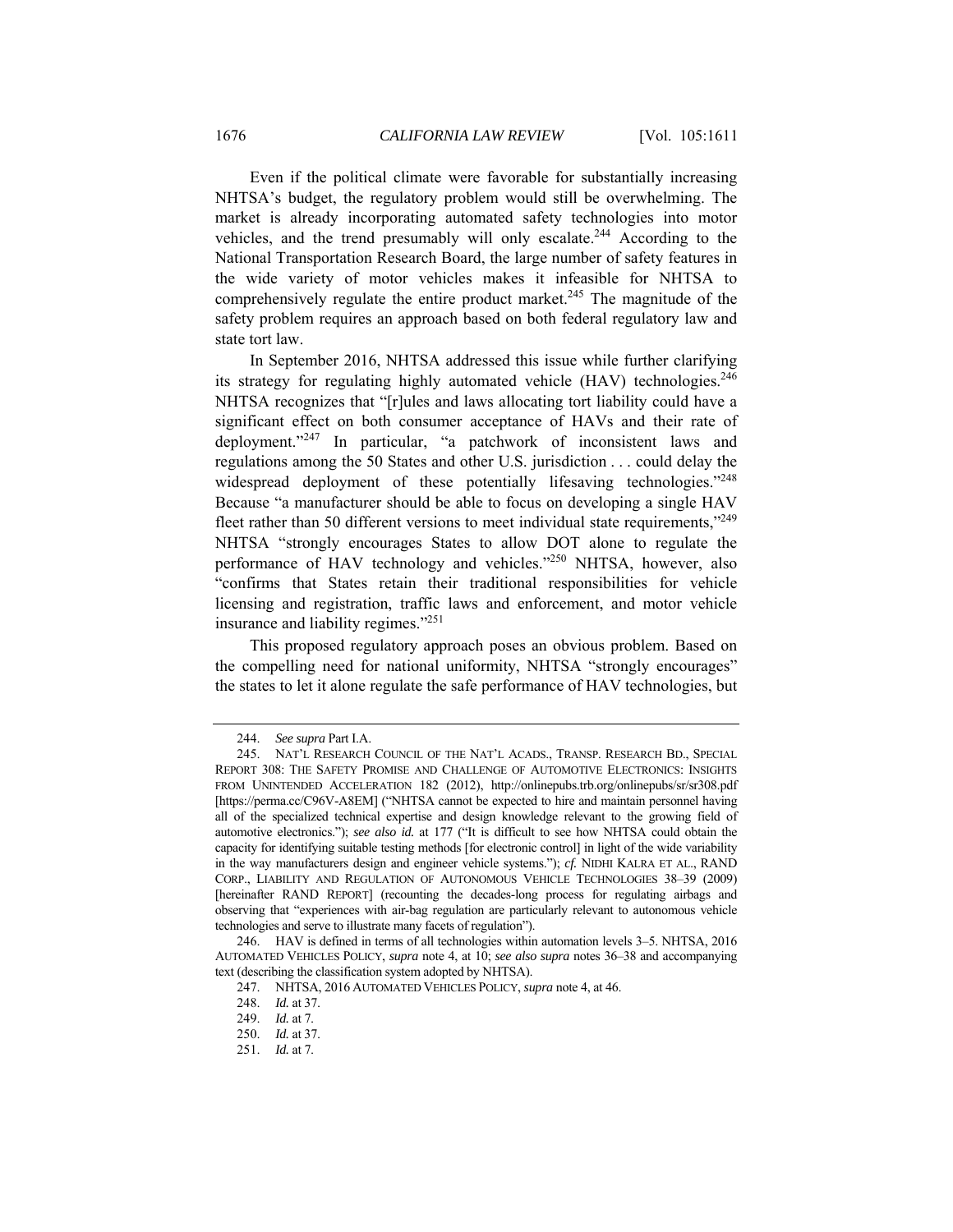Even if the political climate were favorable for substantially increasing NHTSA's budget, the regulatory problem would still be overwhelming. The market is already incorporating automated safety technologies into motor vehicles, and the trend presumably will only escalate.<sup>244</sup> According to the National Transportation Research Board, the large number of safety features in the wide variety of motor vehicles makes it infeasible for NHTSA to comprehensively regulate the entire product market.<sup>245</sup> The magnitude of the safety problem requires an approach based on both federal regulatory law and state tort law.

In September 2016, NHTSA addressed this issue while further clarifying its strategy for regulating highly automated vehicle (HAV) technologies.<sup>246</sup> NHTSA recognizes that "[r]ules and laws allocating tort liability could have a significant effect on both consumer acceptance of HAVs and their rate of deployment."247 In particular, "a patchwork of inconsistent laws and regulations among the 50 States and other U.S. jurisdiction . . . could delay the widespread deployment of these potentially lifesaving technologies."<sup>248</sup> Because "a manufacturer should be able to focus on developing a single HAV fleet rather than 50 different versions to meet individual state requirements,"<sup>249</sup> NHTSA "strongly encourages States to allow DOT alone to regulate the performance of HAV technology and vehicles."250 NHTSA, however, also "confirms that States retain their traditional responsibilities for vehicle licensing and registration, traffic laws and enforcement, and motor vehicle insurance and liability regimes."251

This proposed regulatory approach poses an obvious problem. Based on the compelling need for national uniformity, NHTSA "strongly encourages" the states to let it alone regulate the safe performance of HAV technologies, but

<sup>244.</sup> *See supra* Part I.A.

 <sup>245.</sup> NAT'L RESEARCH COUNCIL OF THE NAT'L ACADS., TRANSP. RESEARCH BD., SPECIAL REPORT 308: THE SAFETY PROMISE AND CHALLENGE OF AUTOMOTIVE ELECTRONICS: INSIGHTS FROM UNINTENDED ACCELERATION 182 (2012), http://onlinepubs.trb.org/onlinepubs/sr/sr308.pdf [https://perma.cc/C96V-A8EM] ("NHTSA cannot be expected to hire and maintain personnel having all of the specialized technical expertise and design knowledge relevant to the growing field of automotive electronics."); *see also id.* at 177 ("It is difficult to see how NHTSA could obtain the capacity for identifying suitable testing methods [for electronic control] in light of the wide variability in the way manufacturers design and engineer vehicle systems."); *cf.* NIDHI KALRA ET AL., RAND CORP., LIABILITY AND REGULATION OF AUTONOMOUS VEHICLE TECHNOLOGIES 38–39 (2009) [hereinafter RAND REPORT] (recounting the decades-long process for regulating airbags and observing that "experiences with air-bag regulation are particularly relevant to autonomous vehicle technologies and serve to illustrate many facets of regulation").

 <sup>246.</sup> HAV is defined in terms of all technologies within automation levels 3–5. NHTSA, 2016 AUTOMATED VEHICLES POLICY, *supra* note 4, at 10; *see also supra* notes 36–38 and accompanying text (describing the classification system adopted by NHTSA).

 <sup>247.</sup> NHTSA, 2016 AUTOMATED VEHICLES POLICY, *supra* note 4, at 46.

<sup>248.</sup> *Id.* at 37.

<sup>249.</sup> *Id.* at 7.

<sup>250.</sup> *Id.* at 37.

<sup>251.</sup> *Id.* at 7.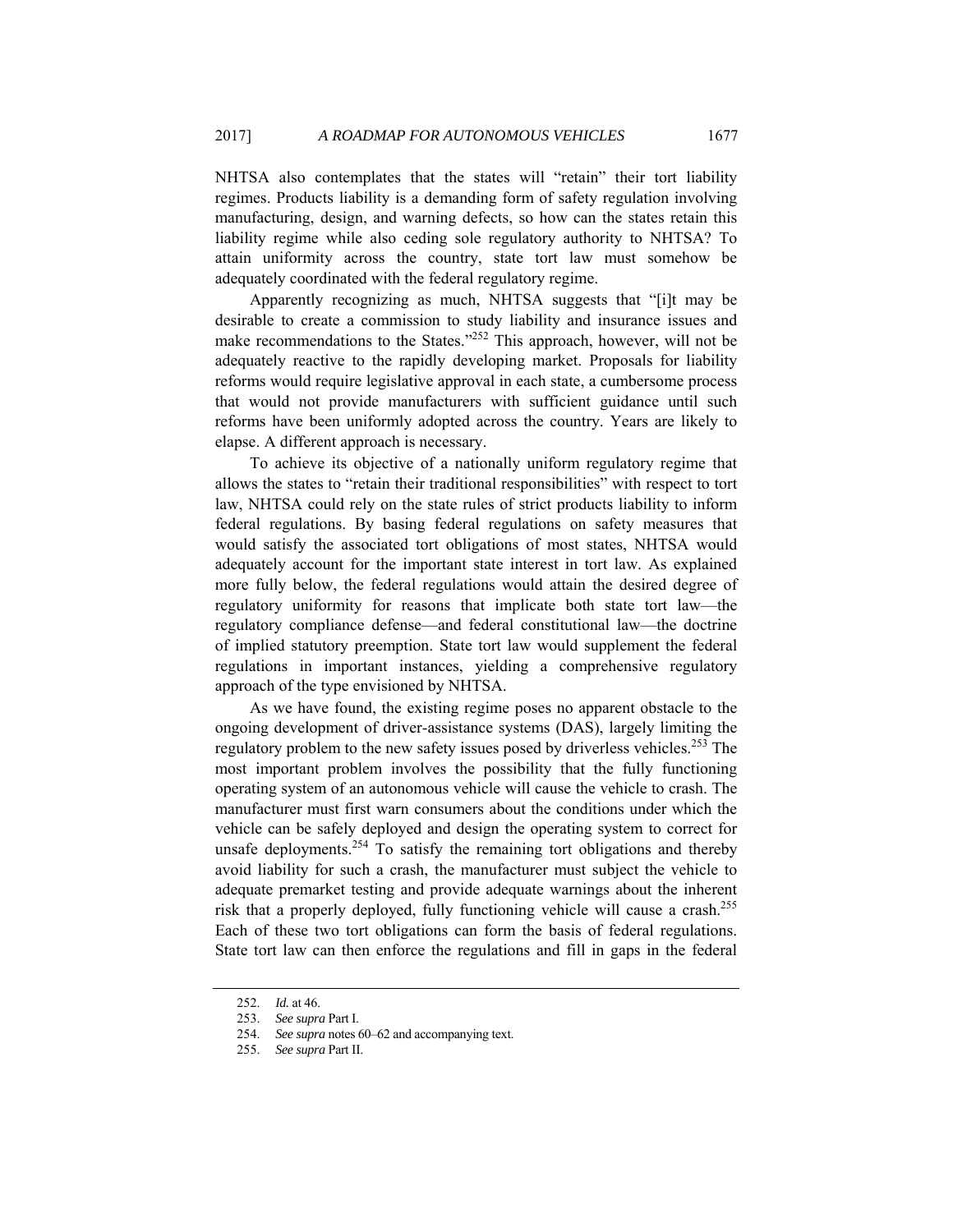NHTSA also contemplates that the states will "retain" their tort liability regimes. Products liability is a demanding form of safety regulation involving manufacturing, design, and warning defects, so how can the states retain this liability regime while also ceding sole regulatory authority to NHTSA? To attain uniformity across the country, state tort law must somehow be adequately coordinated with the federal regulatory regime.

Apparently recognizing as much, NHTSA suggests that "[i]t may be desirable to create a commission to study liability and insurance issues and make recommendations to the States."<sup>252</sup> This approach, however, will not be adequately reactive to the rapidly developing market. Proposals for liability reforms would require legislative approval in each state, a cumbersome process that would not provide manufacturers with sufficient guidance until such reforms have been uniformly adopted across the country. Years are likely to elapse. A different approach is necessary.

To achieve its objective of a nationally uniform regulatory regime that allows the states to "retain their traditional responsibilities" with respect to tort law, NHTSA could rely on the state rules of strict products liability to inform federal regulations. By basing federal regulations on safety measures that would satisfy the associated tort obligations of most states, NHTSA would adequately account for the important state interest in tort law. As explained more fully below, the federal regulations would attain the desired degree of regulatory uniformity for reasons that implicate both state tort law—the regulatory compliance defense—and federal constitutional law—the doctrine of implied statutory preemption. State tort law would supplement the federal regulations in important instances, yielding a comprehensive regulatory approach of the type envisioned by NHTSA.

As we have found, the existing regime poses no apparent obstacle to the ongoing development of driver-assistance systems (DAS), largely limiting the regulatory problem to the new safety issues posed by driverless vehicles.<sup>253</sup> The most important problem involves the possibility that the fully functioning operating system of an autonomous vehicle will cause the vehicle to crash. The manufacturer must first warn consumers about the conditions under which the vehicle can be safely deployed and design the operating system to correct for unsafe deployments.<sup>254</sup> To satisfy the remaining tort obligations and thereby avoid liability for such a crash, the manufacturer must subject the vehicle to adequate premarket testing and provide adequate warnings about the inherent risk that a properly deployed, fully functioning vehicle will cause a crash.<sup>255</sup> Each of these two tort obligations can form the basis of federal regulations. State tort law can then enforce the regulations and fill in gaps in the federal

<sup>252.</sup> *Id.* at 46.

<sup>253.</sup> *See supra* Part I.

<sup>254.</sup> *See supra* notes 60–62 and accompanying text.

<sup>255.</sup> *See supra* Part II.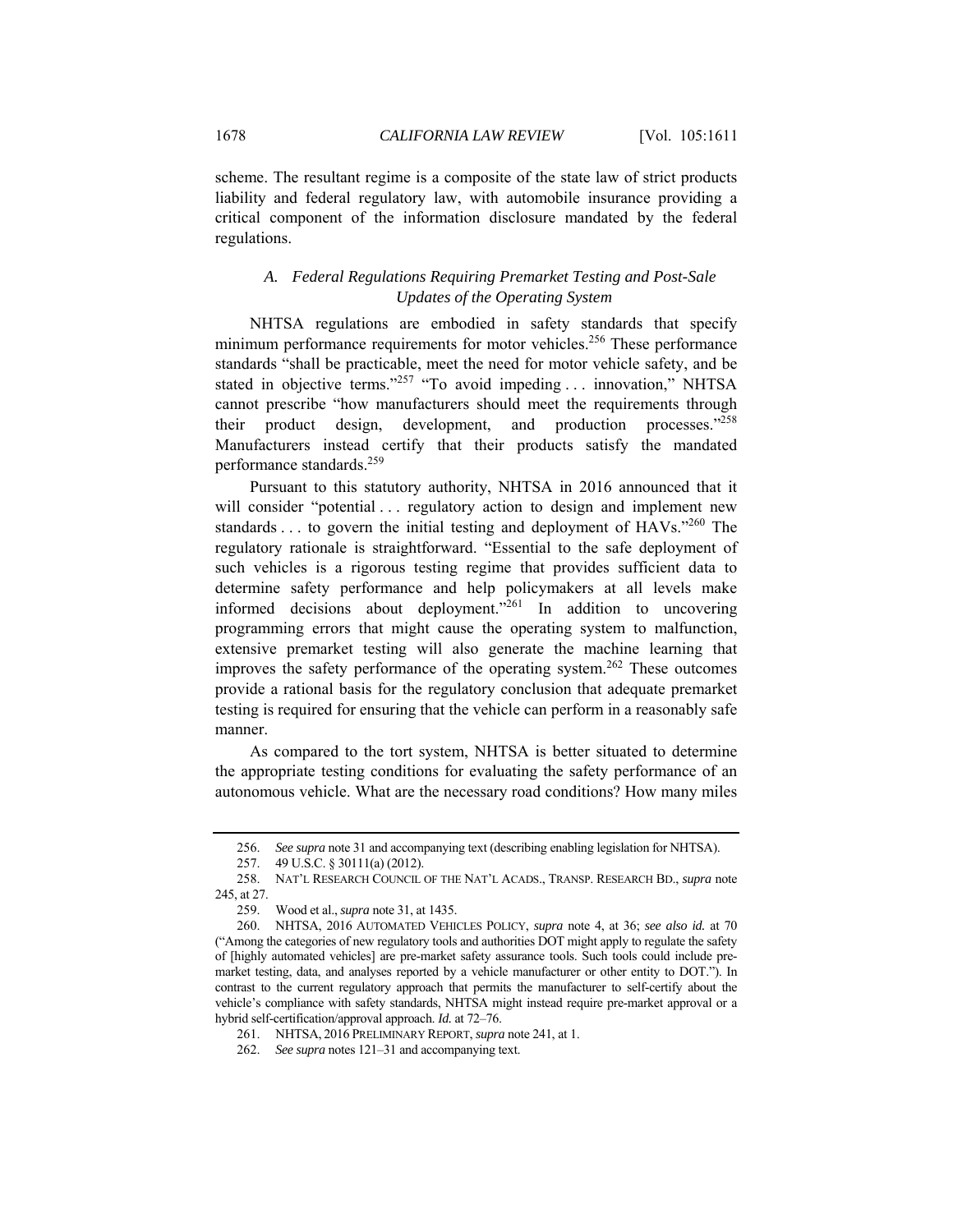scheme. The resultant regime is a composite of the state law of strict products liability and federal regulatory law, with automobile insurance providing a critical component of the information disclosure mandated by the federal regulations.

# *A. Federal Regulations Requiring Premarket Testing and Post-Sale Updates of the Operating System*

NHTSA regulations are embodied in safety standards that specify minimum performance requirements for motor vehicles.<sup>256</sup> These performance standards "shall be practicable, meet the need for motor vehicle safety, and be stated in objective terms."<sup>257</sup> "To avoid impeding ... innovation," NHTSA cannot prescribe "how manufacturers should meet the requirements through their product design, development, and production processes."<sup>258</sup> Manufacturers instead certify that their products satisfy the mandated performance standards.259

Pursuant to this statutory authority, NHTSA in 2016 announced that it will consider "potential ... regulatory action to design and implement new standards . . . to govern the initial testing and deployment of HAVs."260 The regulatory rationale is straightforward. "Essential to the safe deployment of such vehicles is a rigorous testing regime that provides sufficient data to determine safety performance and help policymakers at all levels make informed decisions about deployment."<sup>261</sup> In addition to uncovering programming errors that might cause the operating system to malfunction, extensive premarket testing will also generate the machine learning that improves the safety performance of the operating system.<sup>262</sup> These outcomes provide a rational basis for the regulatory conclusion that adequate premarket testing is required for ensuring that the vehicle can perform in a reasonably safe manner.

As compared to the tort system, NHTSA is better situated to determine the appropriate testing conditions for evaluating the safety performance of an autonomous vehicle. What are the necessary road conditions? How many miles

<sup>256.</sup> *See supra* note 31 and accompanying text (describing enabling legislation for NHTSA).

 <sup>257. 49</sup> U.S.C. § 30111(a) (2012).

 <sup>258.</sup> NAT'L RESEARCH COUNCIL OF THE NAT'L ACADS., TRANSP. RESEARCH BD., *supra* note 245, at 27.

 <sup>259.</sup> Wood et al., *supra* note 31, at 1435.

 <sup>260.</sup> NHTSA, 2016 AUTOMATED VEHICLES POLICY, *supra* note 4, at 36; *see also id.* at 70 ("Among the categories of new regulatory tools and authorities DOT might apply to regulate the safety of [highly automated vehicles] are pre-market safety assurance tools. Such tools could include premarket testing, data, and analyses reported by a vehicle manufacturer or other entity to DOT."). In contrast to the current regulatory approach that permits the manufacturer to self-certify about the vehicle's compliance with safety standards, NHTSA might instead require pre-market approval or a hybrid self-certification/approval approach. *Id.* at 72–76.

 <sup>261.</sup> NHTSA, 2016 PRELIMINARY REPORT, *supra* note 241, at 1.

<sup>262.</sup> *See supra* notes 121–31 and accompanying text.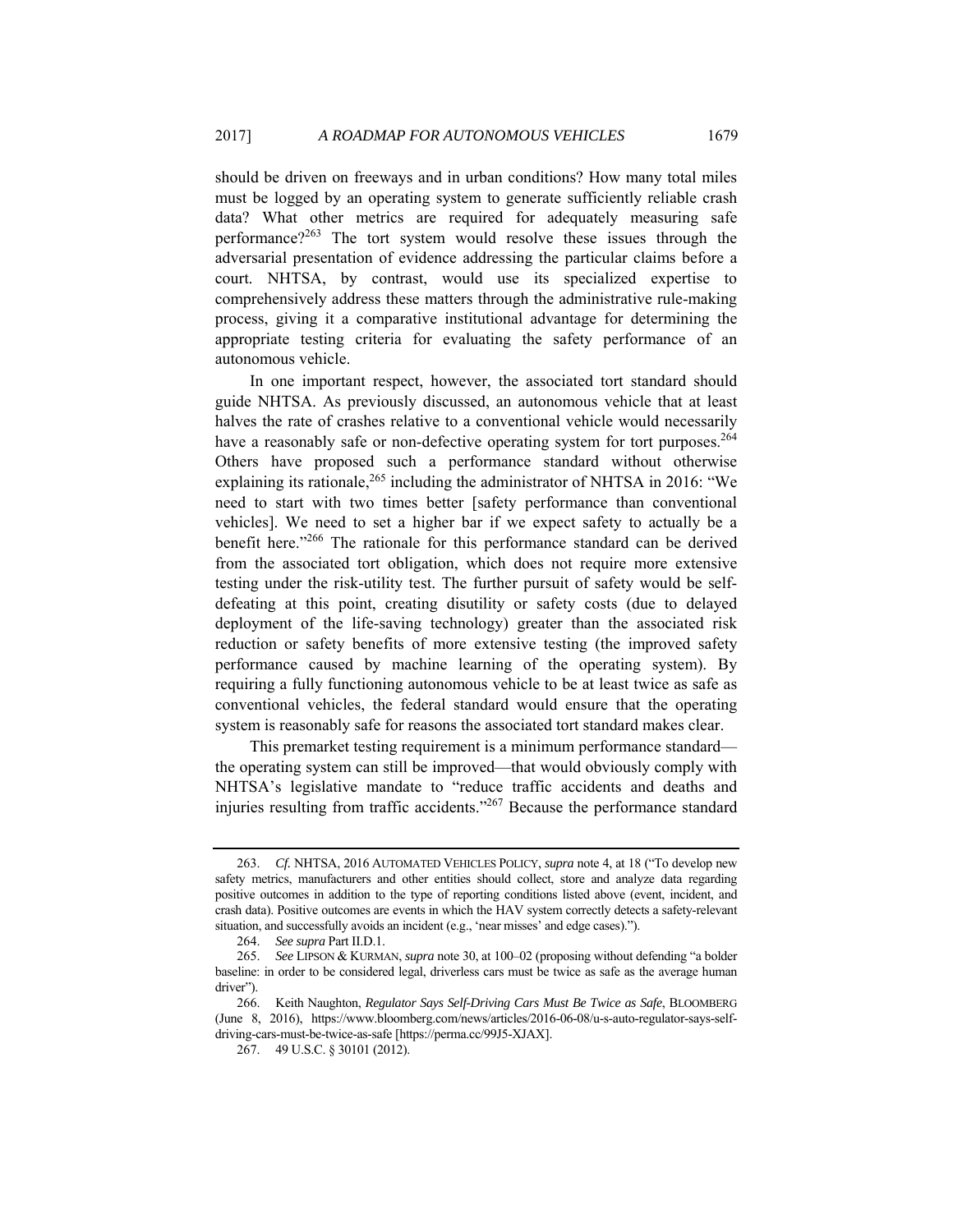should be driven on freeways and in urban conditions? How many total miles must be logged by an operating system to generate sufficiently reliable crash data? What other metrics are required for adequately measuring safe performance?263 The tort system would resolve these issues through the adversarial presentation of evidence addressing the particular claims before a court. NHTSA, by contrast, would use its specialized expertise to comprehensively address these matters through the administrative rule-making process, giving it a comparative institutional advantage for determining the appropriate testing criteria for evaluating the safety performance of an autonomous vehicle.

In one important respect, however, the associated tort standard should guide NHTSA. As previously discussed, an autonomous vehicle that at least halves the rate of crashes relative to a conventional vehicle would necessarily have a reasonably safe or non-defective operating system for tort purposes.<sup>264</sup> Others have proposed such a performance standard without otherwise explaining its rationale,  $265$  including the administrator of NHTSA in 2016: "We need to start with two times better [safety performance than conventional vehicles]. We need to set a higher bar if we expect safety to actually be a benefit here."266 The rationale for this performance standard can be derived from the associated tort obligation, which does not require more extensive testing under the risk-utility test. The further pursuit of safety would be selfdefeating at this point, creating disutility or safety costs (due to delayed deployment of the life-saving technology) greater than the associated risk reduction or safety benefits of more extensive testing (the improved safety performance caused by machine learning of the operating system). By requiring a fully functioning autonomous vehicle to be at least twice as safe as conventional vehicles, the federal standard would ensure that the operating system is reasonably safe for reasons the associated tort standard makes clear.

This premarket testing requirement is a minimum performance standard the operating system can still be improved—that would obviously comply with NHTSA's legislative mandate to "reduce traffic accidents and deaths and injuries resulting from traffic accidents."267 Because the performance standard

<sup>263.</sup> *Cf.* NHTSA, 2016 AUTOMATED VEHICLES POLICY, *supra* note 4, at 18 ("To develop new safety metrics, manufacturers and other entities should collect, store and analyze data regarding positive outcomes in addition to the type of reporting conditions listed above (event, incident, and crash data). Positive outcomes are events in which the HAV system correctly detects a safety-relevant situation, and successfully avoids an incident (e.g., 'near misses' and edge cases).").

<sup>264.</sup> *See supra* Part II.D.1.

<sup>265.</sup> *See* LIPSON & KURMAN, *supra* note 30, at 100–02 (proposing without defending "a bolder baseline: in order to be considered legal, driverless cars must be twice as safe as the average human driver").

 <sup>266.</sup> Keith Naughton, *Regulator Says Self-Driving Cars Must Be Twice as Safe*, BLOOMBERG (June 8, 2016), https://www.bloomberg.com/news/articles/2016-06-08/u-s-auto-regulator-says-selfdriving-cars-must-be-twice-as-safe [https://perma.cc/99J5-XJAX].

 <sup>267. 49</sup> U.S.C. § 30101 (2012).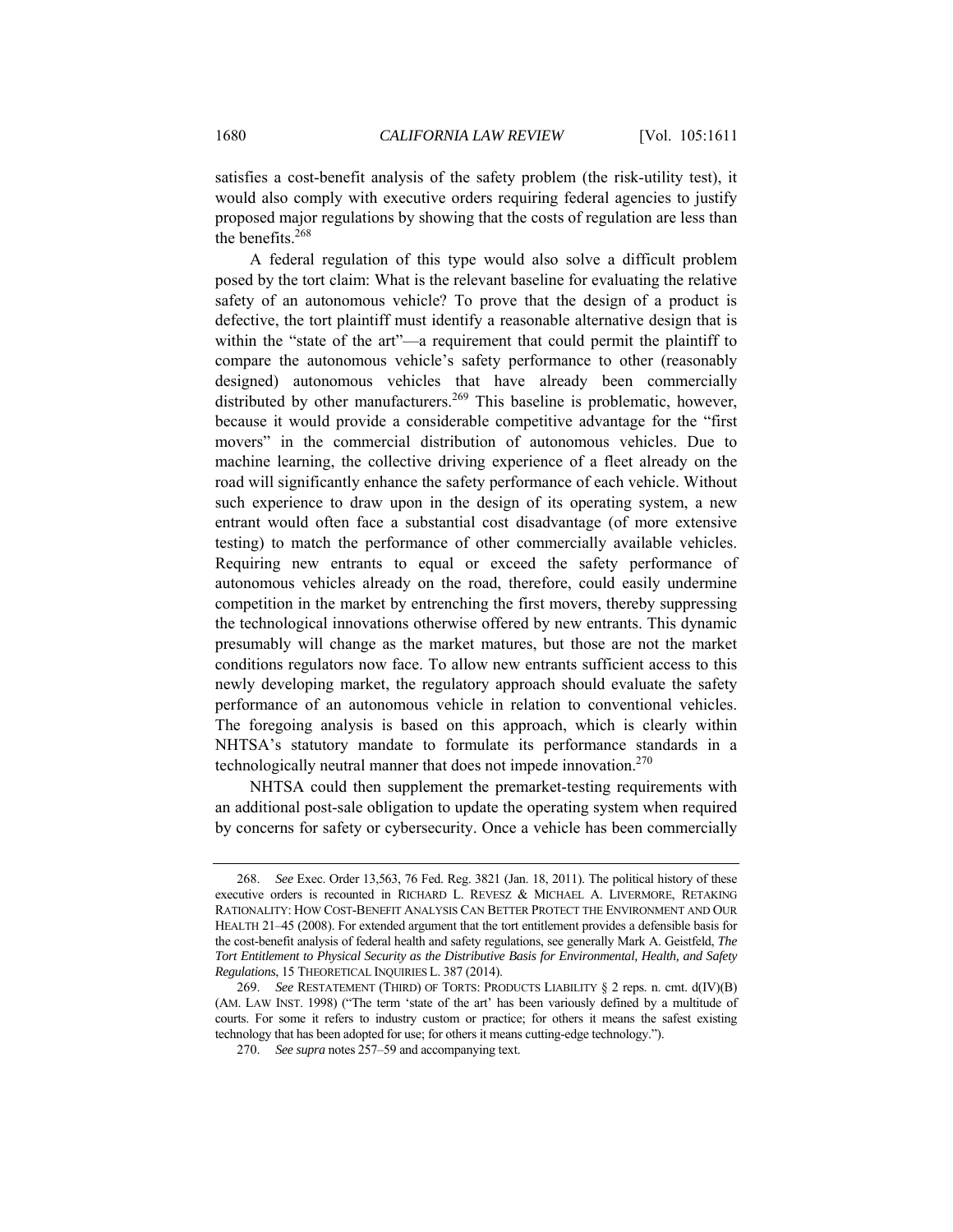satisfies a cost-benefit analysis of the safety problem (the risk-utility test), it would also comply with executive orders requiring federal agencies to justify proposed major regulations by showing that the costs of regulation are less than the benefits.<sup>268</sup>

A federal regulation of this type would also solve a difficult problem posed by the tort claim: What is the relevant baseline for evaluating the relative safety of an autonomous vehicle? To prove that the design of a product is defective, the tort plaintiff must identify a reasonable alternative design that is within the "state of the art"—a requirement that could permit the plaintiff to compare the autonomous vehicle's safety performance to other (reasonably designed) autonomous vehicles that have already been commercially distributed by other manufacturers.<sup>269</sup> This baseline is problematic, however, because it would provide a considerable competitive advantage for the "first movers" in the commercial distribution of autonomous vehicles. Due to machine learning, the collective driving experience of a fleet already on the road will significantly enhance the safety performance of each vehicle. Without such experience to draw upon in the design of its operating system, a new entrant would often face a substantial cost disadvantage (of more extensive testing) to match the performance of other commercially available vehicles. Requiring new entrants to equal or exceed the safety performance of autonomous vehicles already on the road, therefore, could easily undermine competition in the market by entrenching the first movers, thereby suppressing the technological innovations otherwise offered by new entrants. This dynamic presumably will change as the market matures, but those are not the market conditions regulators now face. To allow new entrants sufficient access to this newly developing market, the regulatory approach should evaluate the safety performance of an autonomous vehicle in relation to conventional vehicles. The foregoing analysis is based on this approach, which is clearly within NHTSA's statutory mandate to formulate its performance standards in a technologically neutral manner that does not impede innovation.<sup>270</sup>

NHTSA could then supplement the premarket-testing requirements with an additional post-sale obligation to update the operating system when required by concerns for safety or cybersecurity. Once a vehicle has been commercially

<sup>268.</sup> *See* Exec. Order 13,563, 76 Fed. Reg. 3821 (Jan. 18, 2011). The political history of these executive orders is recounted in RICHARD L. REVESZ & MICHAEL A. LIVERMORE, RETAKING RATIONALITY: HOW COST-BENEFIT ANALYSIS CAN BETTER PROTECT THE ENVIRONMENT AND OUR HEALTH 21–45 (2008). For extended argument that the tort entitlement provides a defensible basis for the cost-benefit analysis of federal health and safety regulations, see generally Mark A. Geistfeld, *The Tort Entitlement to Physical Security as the Distributive Basis for Environmental, Health, and Safety Regulations*, 15 THEORETICAL INQUIRIES L. 387 (2014).

<sup>269.</sup> *See* RESTATEMENT (THIRD) OF TORTS: PRODUCTS LIABILITY § 2 reps. n. cmt. d(IV)(B) (AM. LAW INST. 1998) ("The term 'state of the art' has been variously defined by a multitude of courts. For some it refers to industry custom or practice; for others it means the safest existing technology that has been adopted for use; for others it means cutting-edge technology.").

<sup>270.</sup> *See supra* notes 257–59 and accompanying text.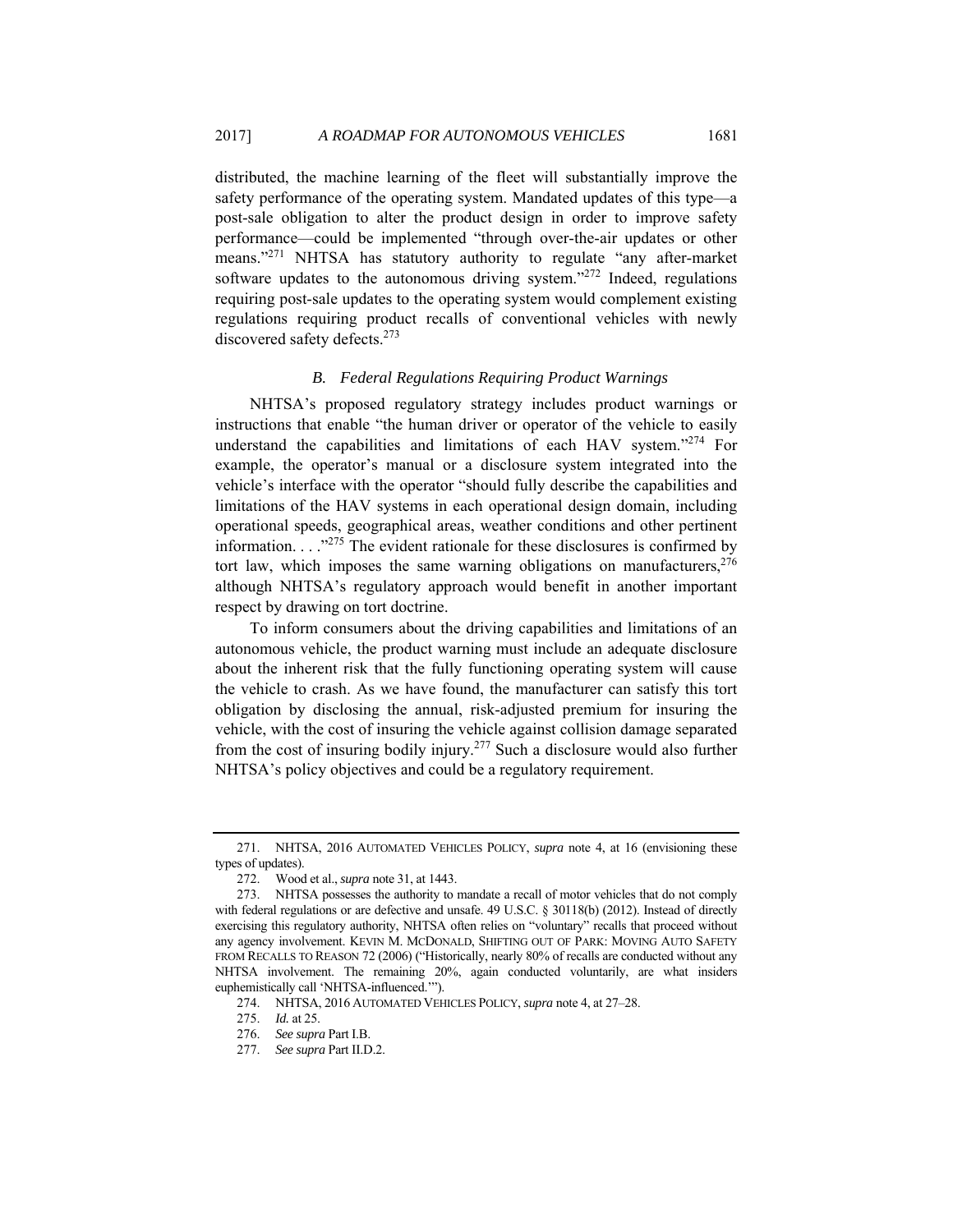distributed, the machine learning of the fleet will substantially improve the safety performance of the operating system. Mandated updates of this type—a post-sale obligation to alter the product design in order to improve safety performance—could be implemented "through over-the-air updates or other means."<sup>271</sup> NHTSA has statutory authority to regulate "any after-market" software updates to the autonomous driving system."<sup>272</sup> Indeed, regulations requiring post-sale updates to the operating system would complement existing regulations requiring product recalls of conventional vehicles with newly discovered safety defects.<sup>273</sup>

### *B. Federal Regulations Requiring Product Warnings*

NHTSA's proposed regulatory strategy includes product warnings or instructions that enable "the human driver or operator of the vehicle to easily understand the capabilities and limitations of each HAV system."<sup>274</sup> For example, the operator's manual or a disclosure system integrated into the vehicle's interface with the operator "should fully describe the capabilities and limitations of the HAV systems in each operational design domain, including operational speeds, geographical areas, weather conditions and other pertinent information.  $\ldots$ <sup>275</sup> The evident rationale for these disclosures is confirmed by tort law, which imposes the same warning obligations on manufacturers,  $276$ although NHTSA's regulatory approach would benefit in another important respect by drawing on tort doctrine.

To inform consumers about the driving capabilities and limitations of an autonomous vehicle, the product warning must include an adequate disclosure about the inherent risk that the fully functioning operating system will cause the vehicle to crash. As we have found, the manufacturer can satisfy this tort obligation by disclosing the annual, risk-adjusted premium for insuring the vehicle, with the cost of insuring the vehicle against collision damage separated from the cost of insuring bodily injury.277 Such a disclosure would also further NHTSA's policy objectives and could be a regulatory requirement.

 <sup>271.</sup> NHTSA, 2016 AUTOMATED VEHICLES POLICY, *supra* note 4, at 16 (envisioning these types of updates).

 <sup>272.</sup> Wood et al., *supra* note 31, at 1443.

 <sup>273.</sup> NHTSA possesses the authority to mandate a recall of motor vehicles that do not comply with federal regulations or are defective and unsafe. 49 U.S.C. § 30118(b) (2012). Instead of directly exercising this regulatory authority, NHTSA often relies on "voluntary" recalls that proceed without any agency involvement. KEVIN M. MCDONALD, SHIFTING OUT OF PARK: MOVING AUTO SAFETY FROM RECALLS TO REASON 72 (2006) ("Historically, nearly 80% of recalls are conducted without any NHTSA involvement. The remaining 20%, again conducted voluntarily, are what insiders euphemistically call 'NHTSA-influenced.'").

 <sup>274.</sup> NHTSA, 2016 AUTOMATED VEHICLES POLICY, *supra* note 4, at 27–28.

<sup>275.</sup> *Id.* at 25.

<sup>276.</sup> *See supra* Part I.B.

<sup>277.</sup> *See supra* Part II.D.2.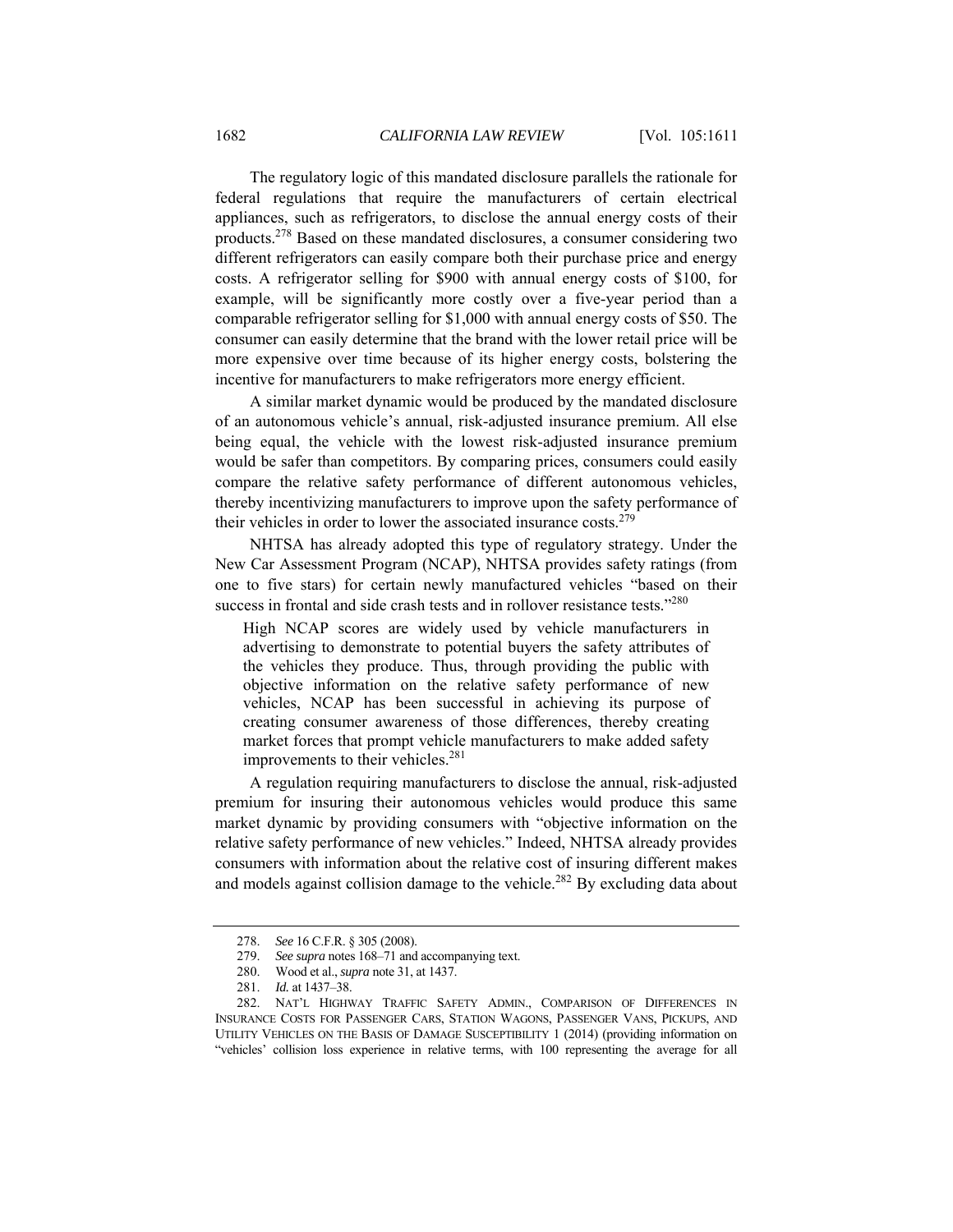The regulatory logic of this mandated disclosure parallels the rationale for federal regulations that require the manufacturers of certain electrical appliances, such as refrigerators, to disclose the annual energy costs of their products.278 Based on these mandated disclosures, a consumer considering two different refrigerators can easily compare both their purchase price and energy costs. A refrigerator selling for \$900 with annual energy costs of \$100, for example, will be significantly more costly over a five-year period than a comparable refrigerator selling for \$1,000 with annual energy costs of \$50. The consumer can easily determine that the brand with the lower retail price will be more expensive over time because of its higher energy costs, bolstering the incentive for manufacturers to make refrigerators more energy efficient.

A similar market dynamic would be produced by the mandated disclosure of an autonomous vehicle's annual, risk-adjusted insurance premium. All else being equal, the vehicle with the lowest risk-adjusted insurance premium would be safer than competitors. By comparing prices, consumers could easily compare the relative safety performance of different autonomous vehicles, thereby incentivizing manufacturers to improve upon the safety performance of their vehicles in order to lower the associated insurance costs.<sup>279</sup>

NHTSA has already adopted this type of regulatory strategy. Under the New Car Assessment Program (NCAP), NHTSA provides safety ratings (from one to five stars) for certain newly manufactured vehicles "based on their success in frontal and side crash tests and in rollover resistance tests."<sup>280</sup>

High NCAP scores are widely used by vehicle manufacturers in advertising to demonstrate to potential buyers the safety attributes of the vehicles they produce. Thus, through providing the public with objective information on the relative safety performance of new vehicles, NCAP has been successful in achieving its purpose of creating consumer awareness of those differences, thereby creating market forces that prompt vehicle manufacturers to make added safety improvements to their vehicles.<sup>281</sup>

A regulation requiring manufacturers to disclose the annual, risk-adjusted premium for insuring their autonomous vehicles would produce this same market dynamic by providing consumers with "objective information on the relative safety performance of new vehicles." Indeed, NHTSA already provides consumers with information about the relative cost of insuring different makes and models against collision damage to the vehicle.<sup>282</sup> By excluding data about

<sup>278.</sup> *See* 16 C.F.R. § 305 (2008).

<sup>279.</sup> *See supra* notes 168–71 and accompanying text.

 <sup>280.</sup> Wood et al., *supra* note 31, at 1437.

<sup>281.</sup> *Id.* at 1437–38.

 <sup>282.</sup> NAT'L HIGHWAY TRAFFIC SAFETY ADMIN., COMPARISON OF DIFFERENCES IN INSURANCE COSTS FOR PASSENGER CARS, STATION WAGONS, PASSENGER VANS, PICKUPS, AND UTILITY VEHICLES ON THE BASIS OF DAMAGE SUSCEPTIBILITY 1 (2014) (providing information on "vehicles' collision loss experience in relative terms, with 100 representing the average for all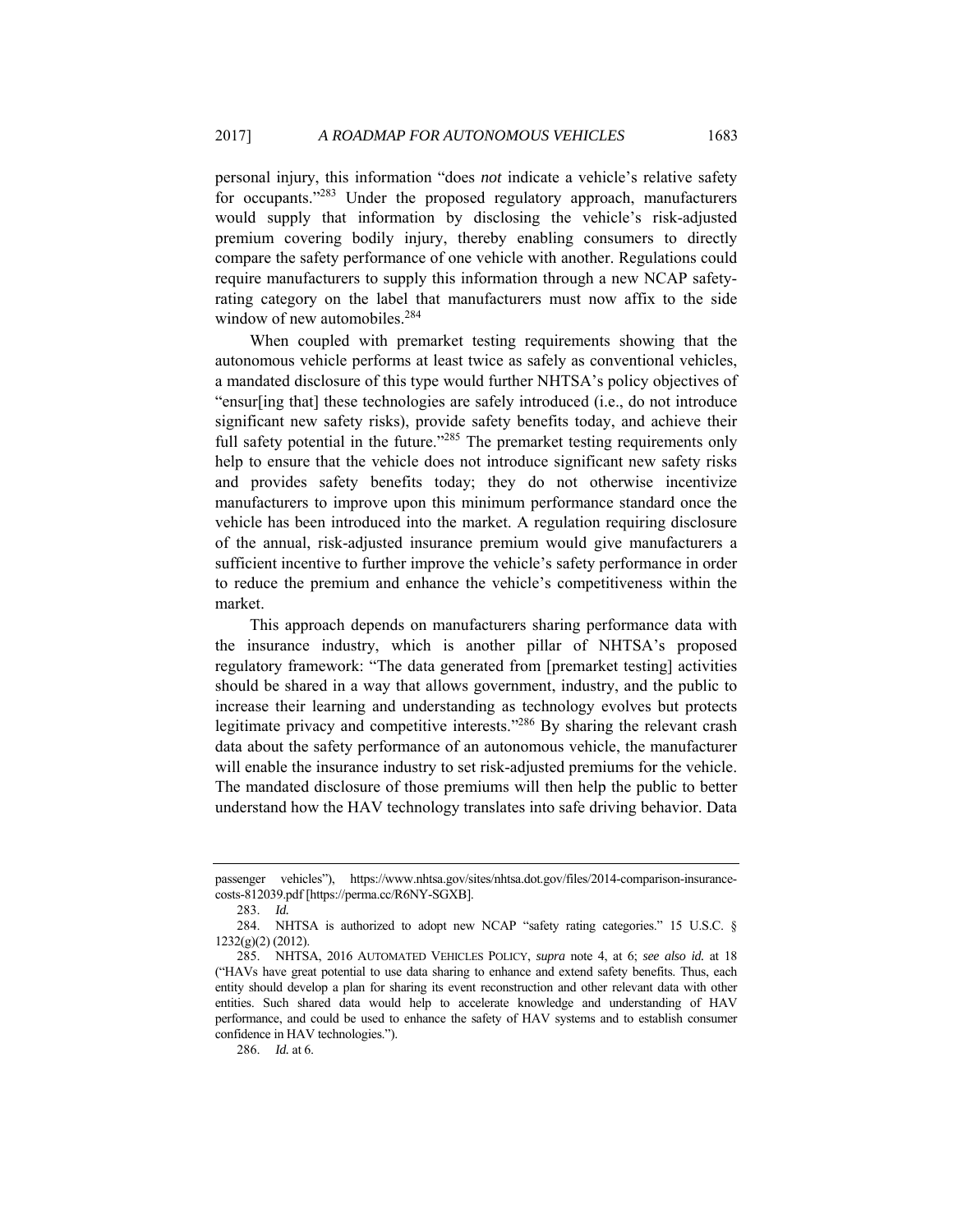personal injury, this information "does *not* indicate a vehicle's relative safety for occupants."<sup>283</sup> Under the proposed regulatory approach, manufacturers would supply that information by disclosing the vehicle's risk-adjusted premium covering bodily injury, thereby enabling consumers to directly compare the safety performance of one vehicle with another. Regulations could require manufacturers to supply this information through a new NCAP safetyrating category on the label that manufacturers must now affix to the side window of new automobiles.<sup>284</sup>

When coupled with premarket testing requirements showing that the autonomous vehicle performs at least twice as safely as conventional vehicles, a mandated disclosure of this type would further NHTSA's policy objectives of "ensur[ing that] these technologies are safely introduced (i.e., do not introduce significant new safety risks), provide safety benefits today, and achieve their full safety potential in the future."<sup>285</sup> The premarket testing requirements only help to ensure that the vehicle does not introduce significant new safety risks and provides safety benefits today; they do not otherwise incentivize manufacturers to improve upon this minimum performance standard once the vehicle has been introduced into the market. A regulation requiring disclosure of the annual, risk-adjusted insurance premium would give manufacturers a sufficient incentive to further improve the vehicle's safety performance in order to reduce the premium and enhance the vehicle's competitiveness within the market.

This approach depends on manufacturers sharing performance data with the insurance industry, which is another pillar of NHTSA's proposed regulatory framework: "The data generated from [premarket testing] activities should be shared in a way that allows government, industry, and the public to increase their learning and understanding as technology evolves but protects legitimate privacy and competitive interests."286 By sharing the relevant crash data about the safety performance of an autonomous vehicle, the manufacturer will enable the insurance industry to set risk-adjusted premiums for the vehicle. The mandated disclosure of those premiums will then help the public to better understand how the HAV technology translates into safe driving behavior. Data

283. *Id.*

286. *Id.* at 6.

passenger vehicles"), https://www.nhtsa.gov/sites/nhtsa.dot.gov/files/2014-comparison-insurancecosts-812039.pdf [https://perma.cc/R6NY-SGXB].

 <sup>284.</sup> NHTSA is authorized to adopt new NCAP "safety rating categories." 15 U.S.C. § 1232(g)(2) (2012).

 <sup>285.</sup> NHTSA, 2016 AUTOMATED VEHICLES POLICY, *supra* note 4, at 6; *see also id.* at 18 ("HAVs have great potential to use data sharing to enhance and extend safety benefits. Thus, each entity should develop a plan for sharing its event reconstruction and other relevant data with other entities. Such shared data would help to accelerate knowledge and understanding of HAV performance, and could be used to enhance the safety of HAV systems and to establish consumer confidence in HAV technologies.").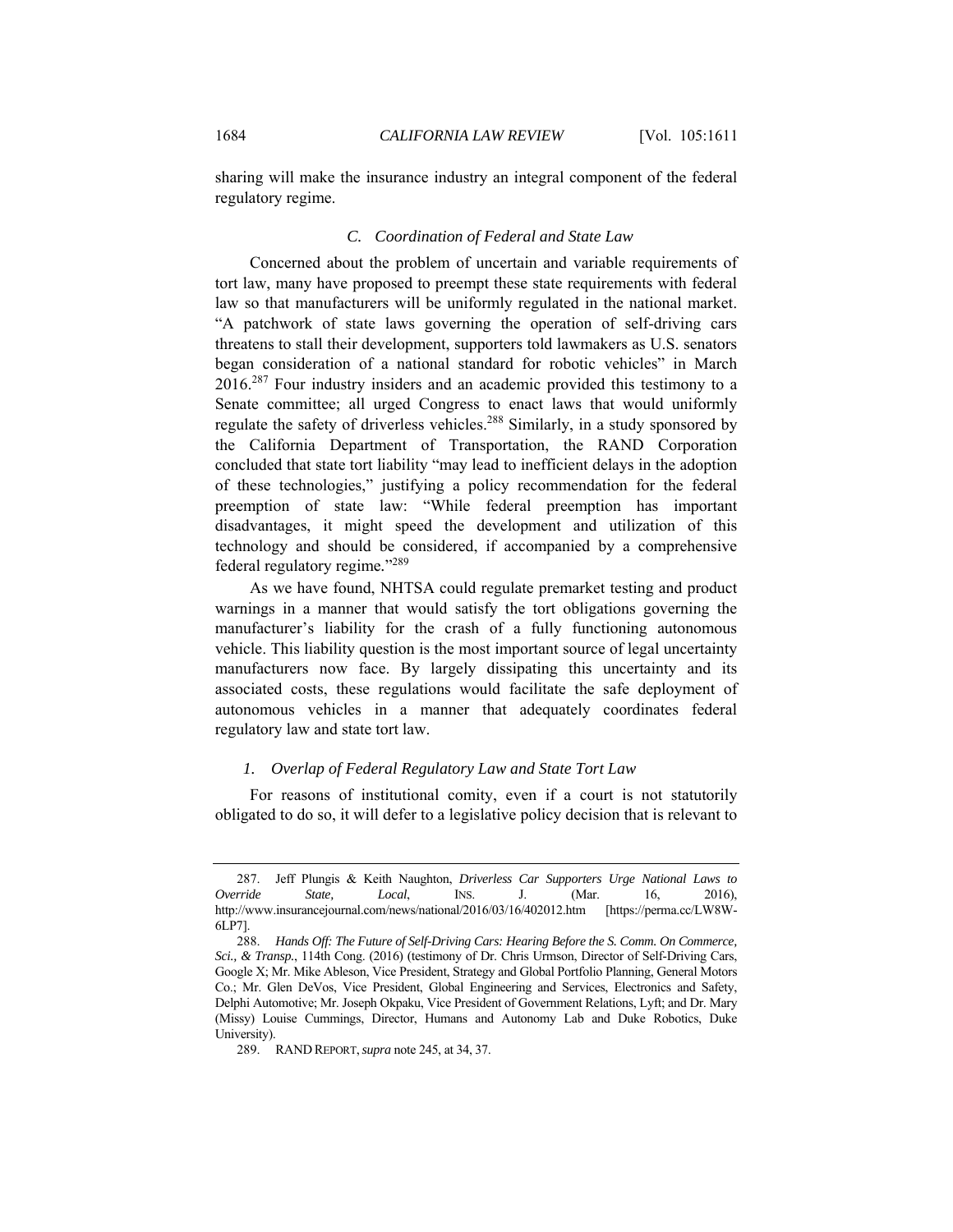sharing will make the insurance industry an integral component of the federal regulatory regime.

## *C. Coordination of Federal and State Law*

Concerned about the problem of uncertain and variable requirements of tort law, many have proposed to preempt these state requirements with federal law so that manufacturers will be uniformly regulated in the national market. "A patchwork of state laws governing the operation of self-driving cars threatens to stall their development, supporters told lawmakers as U.S. senators began consideration of a national standard for robotic vehicles" in March 2016.<sup>287</sup> Four industry insiders and an academic provided this testimony to a Senate committee; all urged Congress to enact laws that would uniformly regulate the safety of driverless vehicles.<sup>288</sup> Similarly, in a study sponsored by the California Department of Transportation, the RAND Corporation concluded that state tort liability "may lead to inefficient delays in the adoption of these technologies," justifying a policy recommendation for the federal preemption of state law: "While federal preemption has important disadvantages, it might speed the development and utilization of this technology and should be considered, if accompanied by a comprehensive federal regulatory regime*.*"<sup>289</sup>

As we have found, NHTSA could regulate premarket testing and product warnings in a manner that would satisfy the tort obligations governing the manufacturer's liability for the crash of a fully functioning autonomous vehicle. This liability question is the most important source of legal uncertainty manufacturers now face. By largely dissipating this uncertainty and its associated costs, these regulations would facilitate the safe deployment of autonomous vehicles in a manner that adequately coordinates federal regulatory law and state tort law.

## *1. Overlap of Federal Regulatory Law and State Tort Law*

For reasons of institutional comity, even if a court is not statutorily obligated to do so, it will defer to a legislative policy decision that is relevant to

 <sup>287.</sup> Jeff Plungis & Keith Naughton, *Driverless Car Supporters Urge National Laws to Override State, Local*, INS. J. (Mar. 16, 2016), http://www.insurancejournal.com/news/national/2016/03/16/402012.htm [https://perma.cc/LW8W-6LP7].

<sup>288.</sup> *Hands Off: The Future of Self-Driving Cars: Hearing Before the S. Comm. On Commerce, Sci., & Transp.*, 114th Cong. (2016) (testimony of Dr. Chris Urmson, Director of Self-Driving Cars, Google X; Mr. Mike Ableson, Vice President, Strategy and Global Portfolio Planning, General Motors Co.; Mr. Glen DeVos, Vice President, Global Engineering and Services, Electronics and Safety, Delphi Automotive; Mr. Joseph Okpaku, Vice President of Government Relations, Lyft; and Dr. Mary (Missy) Louise Cummings, Director, Humans and Autonomy Lab and Duke Robotics, Duke University).

 <sup>289.</sup> RAND REPORT,*supra* note 245, at 34, 37.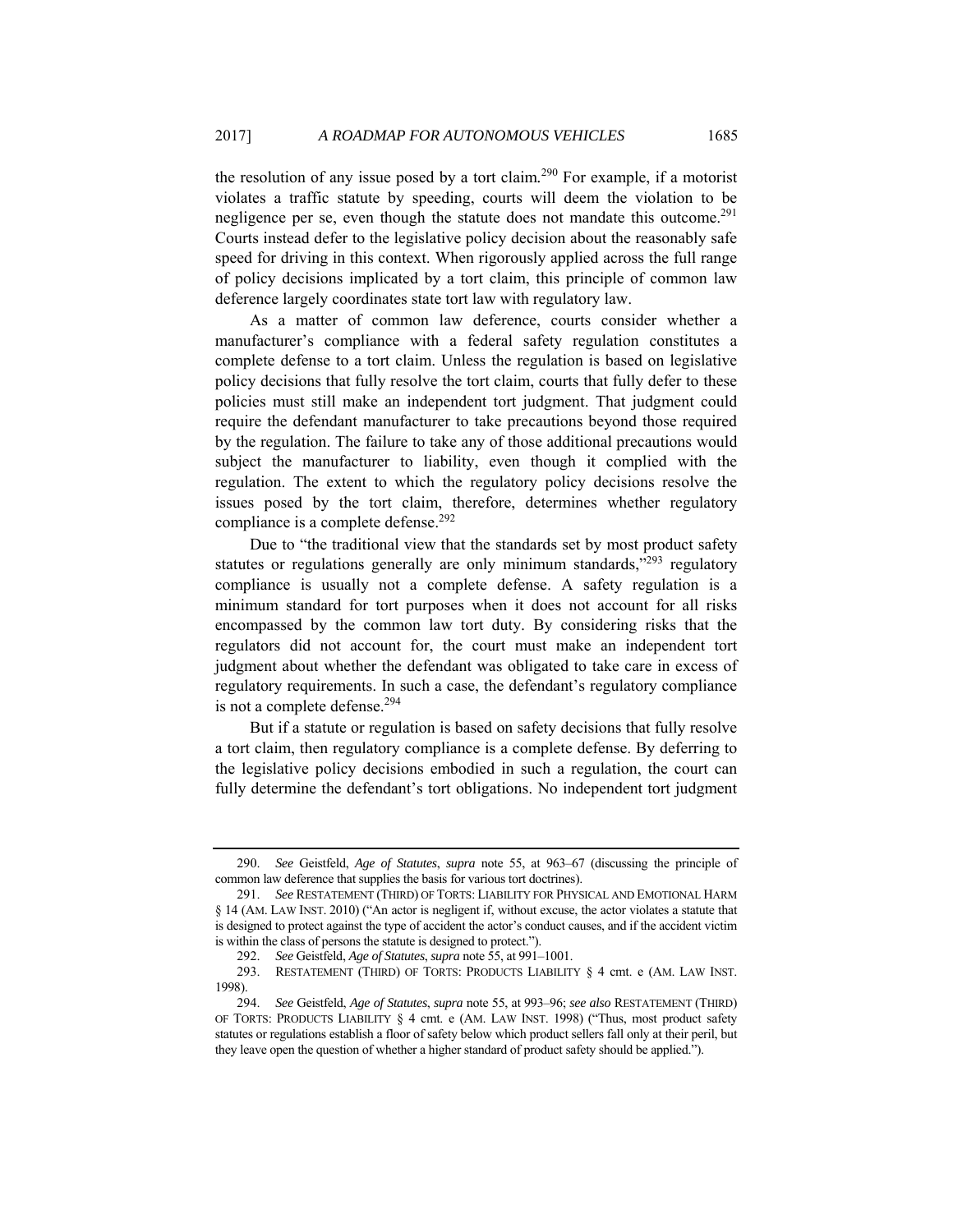the resolution of any issue posed by a tort claim*.* <sup>290</sup> For example, if a motorist violates a traffic statute by speeding, courts will deem the violation to be negligence per se, even though the statute does not mandate this outcome.<sup>291</sup> Courts instead defer to the legislative policy decision about the reasonably safe speed for driving in this context. When rigorously applied across the full range of policy decisions implicated by a tort claim, this principle of common law deference largely coordinates state tort law with regulatory law.

As a matter of common law deference, courts consider whether a manufacturer's compliance with a federal safety regulation constitutes a complete defense to a tort claim. Unless the regulation is based on legislative policy decisions that fully resolve the tort claim, courts that fully defer to these policies must still make an independent tort judgment. That judgment could require the defendant manufacturer to take precautions beyond those required by the regulation. The failure to take any of those additional precautions would subject the manufacturer to liability, even though it complied with the regulation. The extent to which the regulatory policy decisions resolve the issues posed by the tort claim, therefore, determines whether regulatory compliance is a complete defense.<sup>292</sup>

Due to "the traditional view that the standards set by most product safety statutes or regulations generally are only minimum standards,"293 regulatory compliance is usually not a complete defense. A safety regulation is a minimum standard for tort purposes when it does not account for all risks encompassed by the common law tort duty. By considering risks that the regulators did not account for, the court must make an independent tort judgment about whether the defendant was obligated to take care in excess of regulatory requirements. In such a case, the defendant's regulatory compliance is not a complete defense.<sup>294</sup>

But if a statute or regulation is based on safety decisions that fully resolve a tort claim, then regulatory compliance is a complete defense. By deferring to the legislative policy decisions embodied in such a regulation, the court can fully determine the defendant's tort obligations. No independent tort judgment

<sup>290.</sup> *See* Geistfeld, *Age of Statutes*, *supra* note 55, at 963–67 (discussing the principle of common law deference that supplies the basis for various tort doctrines).

<sup>291.</sup> *See* RESTATEMENT (THIRD) OF TORTS: LIABILITY FOR PHYSICAL AND EMOTIONAL HARM § 14 (AM. LAW INST. 2010) ("An actor is negligent if, without excuse, the actor violates a statute that is designed to protect against the type of accident the actor's conduct causes, and if the accident victim is within the class of persons the statute is designed to protect.").

<sup>292.</sup> *See* Geistfeld, *Age of Statutes*, *supra* note 55, at 991–1001.

 <sup>293.</sup> RESTATEMENT (THIRD) OF TORTS: PRODUCTS LIABILITY § 4 cmt. e (AM. LAW INST. 1998).

<sup>294.</sup> *See* Geistfeld, *Age of Statutes*, *supra* note 55, at 993–96; *see also* RESTATEMENT (THIRD) OF TORTS: PRODUCTS LIABILITY § 4 cmt. e (AM. LAW INST. 1998) ("Thus, most product safety statutes or regulations establish a floor of safety below which product sellers fall only at their peril, but they leave open the question of whether a higher standard of product safety should be applied.").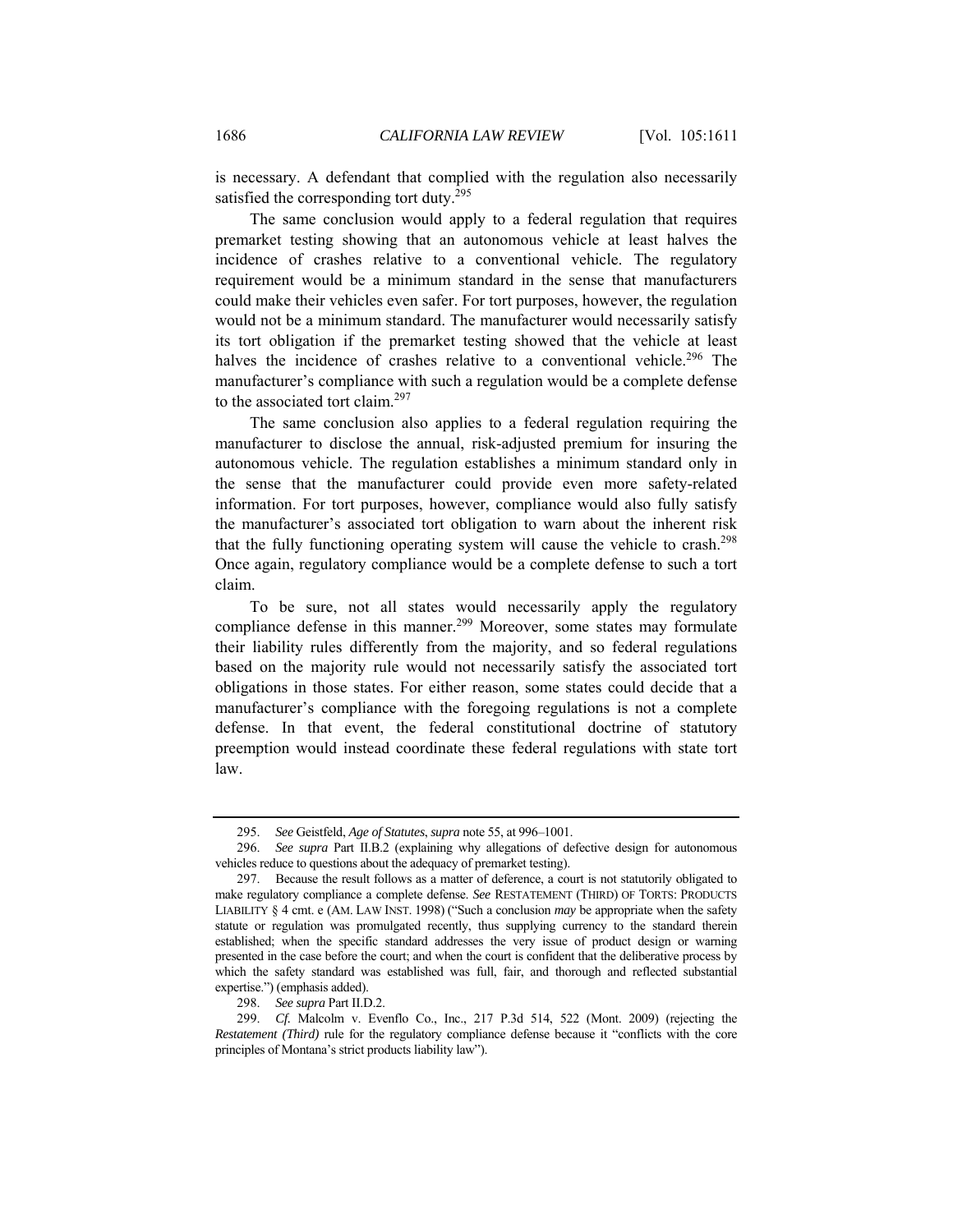is necessary. A defendant that complied with the regulation also necessarily satisfied the corresponding tort duty.<sup>295</sup>

The same conclusion would apply to a federal regulation that requires premarket testing showing that an autonomous vehicle at least halves the incidence of crashes relative to a conventional vehicle. The regulatory requirement would be a minimum standard in the sense that manufacturers could make their vehicles even safer. For tort purposes, however, the regulation would not be a minimum standard. The manufacturer would necessarily satisfy its tort obligation if the premarket testing showed that the vehicle at least halves the incidence of crashes relative to a conventional vehicle.<sup>296</sup> The manufacturer's compliance with such a regulation would be a complete defense to the associated tort claim.<sup>297</sup>

The same conclusion also applies to a federal regulation requiring the manufacturer to disclose the annual, risk-adjusted premium for insuring the autonomous vehicle. The regulation establishes a minimum standard only in the sense that the manufacturer could provide even more safety-related information. For tort purposes, however, compliance would also fully satisfy the manufacturer's associated tort obligation to warn about the inherent risk that the fully functioning operating system will cause the vehicle to crash.<sup>298</sup> Once again, regulatory compliance would be a complete defense to such a tort claim.

To be sure, not all states would necessarily apply the regulatory compliance defense in this manner.<sup>299</sup> Moreover, some states may formulate their liability rules differently from the majority, and so federal regulations based on the majority rule would not necessarily satisfy the associated tort obligations in those states. For either reason, some states could decide that a manufacturer's compliance with the foregoing regulations is not a complete defense. In that event, the federal constitutional doctrine of statutory preemption would instead coordinate these federal regulations with state tort law.

<sup>295.</sup> *See* Geistfeld, *Age of Statutes*, *supra* note 55, at 996–1001.

<sup>296.</sup> *See supra* Part II.B.2 (explaining why allegations of defective design for autonomous vehicles reduce to questions about the adequacy of premarket testing).

 <sup>297.</sup> Because the result follows as a matter of deference, a court is not statutorily obligated to make regulatory compliance a complete defense. *See* RESTATEMENT (THIRD) OF TORTS: PRODUCTS LIABILITY § 4 cmt. e (AM. LAW INST. 1998) ("Such a conclusion *may* be appropriate when the safety statute or regulation was promulgated recently, thus supplying currency to the standard therein established; when the specific standard addresses the very issue of product design or warning presented in the case before the court; and when the court is confident that the deliberative process by which the safety standard was established was full, fair, and thorough and reflected substantial expertise.") (emphasis added).

<sup>298.</sup> *See supra* Part II.D.2.

<sup>299.</sup> *Cf.* Malcolm v. Evenflo Co., Inc., 217 P.3d 514, 522 (Mont. 2009) (rejecting the *Restatement (Third)* rule for the regulatory compliance defense because it "conflicts with the core principles of Montana's strict products liability law").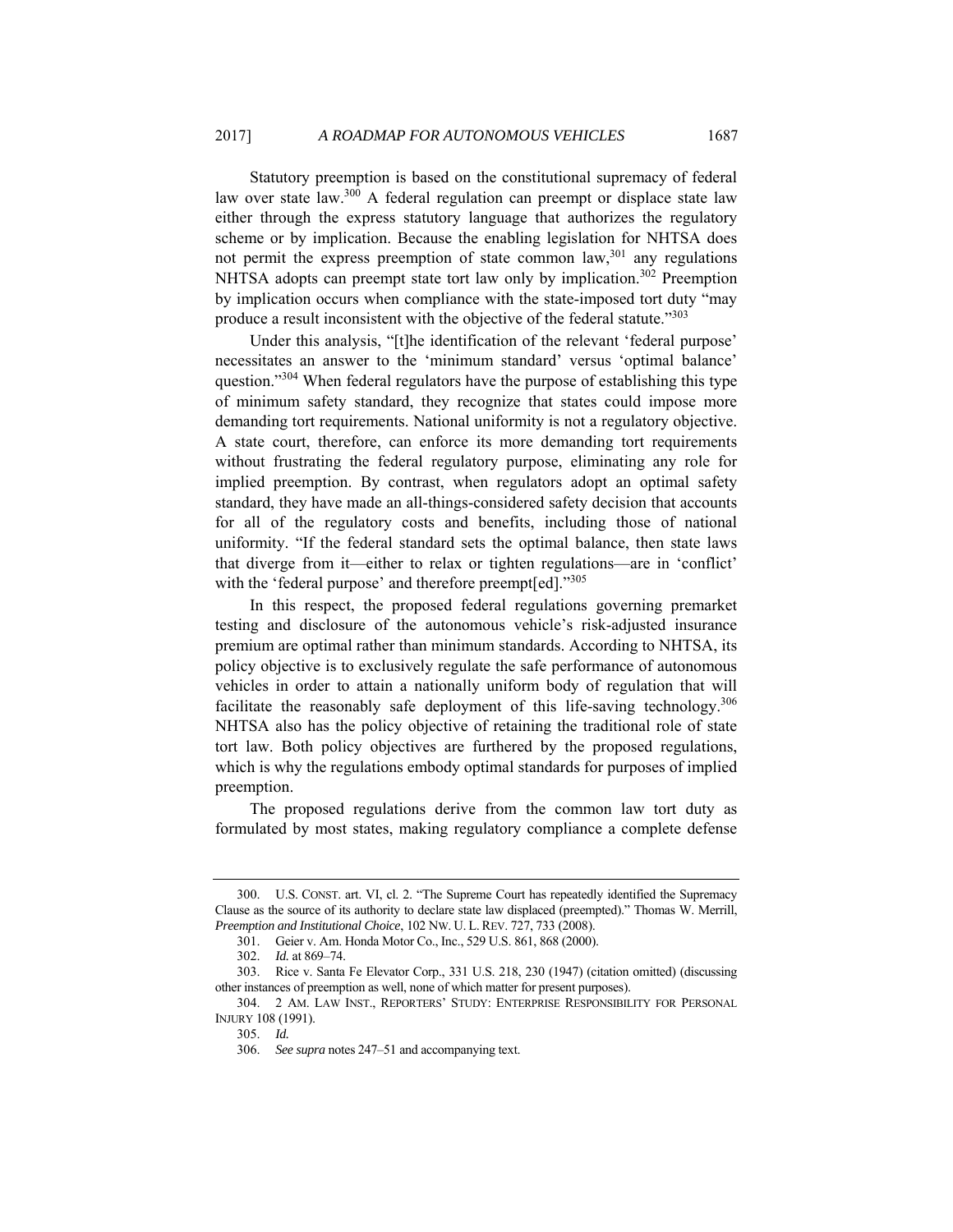Statutory preemption is based on the constitutional supremacy of federal law over state law.<sup>300</sup> A federal regulation can preempt or displace state law either through the express statutory language that authorizes the regulatory scheme or by implication. Because the enabling legislation for NHTSA does not permit the express preemption of state common law,  $301$  any regulations NHTSA adopts can preempt state tort law only by implication.<sup>302</sup> Preemption by implication occurs when compliance with the state-imposed tort duty "may produce a result inconsistent with the objective of the federal statute."<sup>303</sup>

Under this analysis, "[t]he identification of the relevant 'federal purpose' necessitates an answer to the 'minimum standard' versus 'optimal balance' question."304 When federal regulators have the purpose of establishing this type of minimum safety standard, they recognize that states could impose more demanding tort requirements. National uniformity is not a regulatory objective. A state court, therefore, can enforce its more demanding tort requirements without frustrating the federal regulatory purpose, eliminating any role for implied preemption. By contrast, when regulators adopt an optimal safety standard, they have made an all-things-considered safety decision that accounts for all of the regulatory costs and benefits, including those of national uniformity. "If the federal standard sets the optimal balance, then state laws that diverge from it—either to relax or tighten regulations—are in 'conflict' with the 'federal purpose' and therefore preempt[ed]."305

In this respect, the proposed federal regulations governing premarket testing and disclosure of the autonomous vehicle's risk-adjusted insurance premium are optimal rather than minimum standards. According to NHTSA, its policy objective is to exclusively regulate the safe performance of autonomous vehicles in order to attain a nationally uniform body of regulation that will facilitate the reasonably safe deployment of this life-saving technology.306 NHTSA also has the policy objective of retaining the traditional role of state tort law. Both policy objectives are furthered by the proposed regulations, which is why the regulations embody optimal standards for purposes of implied preemption.

The proposed regulations derive from the common law tort duty as formulated by most states, making regulatory compliance a complete defense

 <sup>300.</sup> U.S. CONST. art. VI, cl. 2. "The Supreme Court has repeatedly identified the Supremacy Clause as the source of its authority to declare state law displaced (preempted)." Thomas W. Merrill, *Preemption and Institutional Choice*, 102 NW. U. L. REV. 727, 733 (2008).

 <sup>301.</sup> Geier v. Am. Honda Motor Co., Inc., 529 U.S. 861, 868 (2000).

<sup>302.</sup> *Id.* at 869–74.

 <sup>303.</sup> Rice v. Santa Fe Elevator Corp., 331 U.S. 218, 230 (1947) (citation omitted) (discussing other instances of preemption as well, none of which matter for present purposes).

 <sup>304. 2</sup> AM. LAW INST., REPORTERS' STUDY: ENTERPRISE RESPONSIBILITY FOR PERSONAL INJURY 108 (1991).

<sup>305.</sup> *Id.* 

<sup>306.</sup> *See supra* notes 247–51 and accompanying text.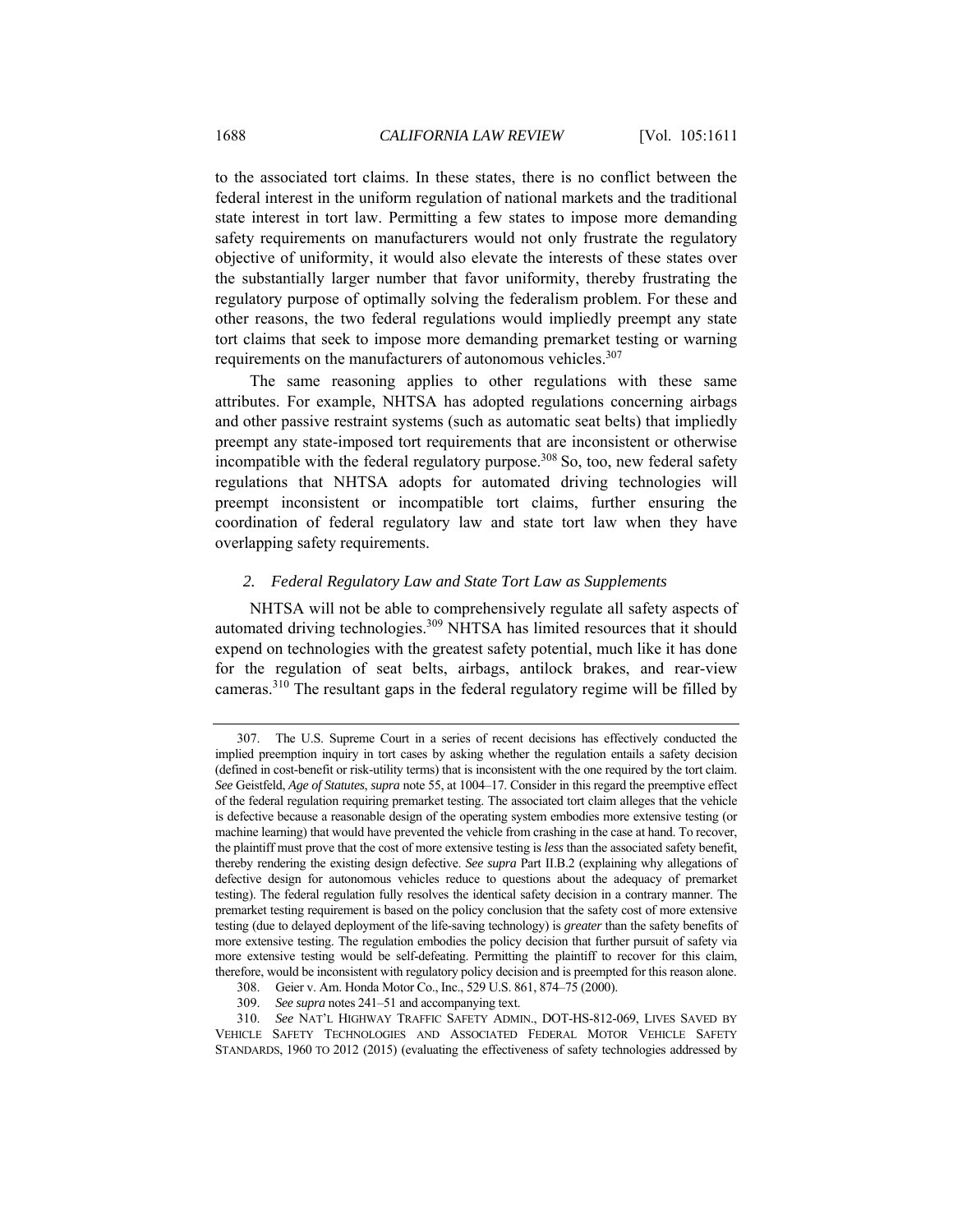to the associated tort claims. In these states, there is no conflict between the federal interest in the uniform regulation of national markets and the traditional state interest in tort law. Permitting a few states to impose more demanding safety requirements on manufacturers would not only frustrate the regulatory objective of uniformity, it would also elevate the interests of these states over the substantially larger number that favor uniformity, thereby frustrating the regulatory purpose of optimally solving the federalism problem. For these and other reasons, the two federal regulations would impliedly preempt any state tort claims that seek to impose more demanding premarket testing or warning requirements on the manufacturers of autonomous vehicles.<sup>307</sup>

The same reasoning applies to other regulations with these same attributes. For example, NHTSA has adopted regulations concerning airbags and other passive restraint systems (such as automatic seat belts) that impliedly preempt any state-imposed tort requirements that are inconsistent or otherwise incompatible with the federal regulatory purpose.<sup>308</sup> So, too, new federal safety regulations that NHTSA adopts for automated driving technologies will preempt inconsistent or incompatible tort claims, further ensuring the coordination of federal regulatory law and state tort law when they have overlapping safety requirements.

## *2. Federal Regulatory Law and State Tort Law as Supplements*

NHTSA will not be able to comprehensively regulate all safety aspects of automated driving technologies.<sup>309</sup> NHTSA has limited resources that it should expend on technologies with the greatest safety potential, much like it has done for the regulation of seat belts, airbags, antilock brakes, and rear-view cameras.310 The resultant gaps in the federal regulatory regime will be filled by

 <sup>307.</sup> The U.S. Supreme Court in a series of recent decisions has effectively conducted the implied preemption inquiry in tort cases by asking whether the regulation entails a safety decision (defined in cost-benefit or risk-utility terms) that is inconsistent with the one required by the tort claim. *See* Geistfeld, *Age of Statutes*, *supra* note 55, at 1004–17. Consider in this regard the preemptive effect of the federal regulation requiring premarket testing. The associated tort claim alleges that the vehicle is defective because a reasonable design of the operating system embodies more extensive testing (or machine learning) that would have prevented the vehicle from crashing in the case at hand. To recover, the plaintiff must prove that the cost of more extensive testing is *less* than the associated safety benefit, thereby rendering the existing design defective. *See supra* Part II.B.2 (explaining why allegations of defective design for autonomous vehicles reduce to questions about the adequacy of premarket testing). The federal regulation fully resolves the identical safety decision in a contrary manner. The premarket testing requirement is based on the policy conclusion that the safety cost of more extensive testing (due to delayed deployment of the life-saving technology) is *greater* than the safety benefits of more extensive testing. The regulation embodies the policy decision that further pursuit of safety via more extensive testing would be self-defeating. Permitting the plaintiff to recover for this claim, therefore, would be inconsistent with regulatory policy decision and is preempted for this reason alone.

 <sup>308.</sup> Geier v. Am. Honda Motor Co., Inc., 529 U.S. 861, 874–75 (2000).

<sup>309.</sup> *See supra* notes 241–51 and accompanying text.

<sup>310.</sup> *See* NAT'L HIGHWAY TRAFFIC SAFETY ADMIN., DOT-HS-812-069, LIVES SAVED BY VEHICLE SAFETY TECHNOLOGIES AND ASSOCIATED FEDERAL MOTOR VEHICLE SAFETY STANDARDS, 1960 TO 2012 (2015) (evaluating the effectiveness of safety technologies addressed by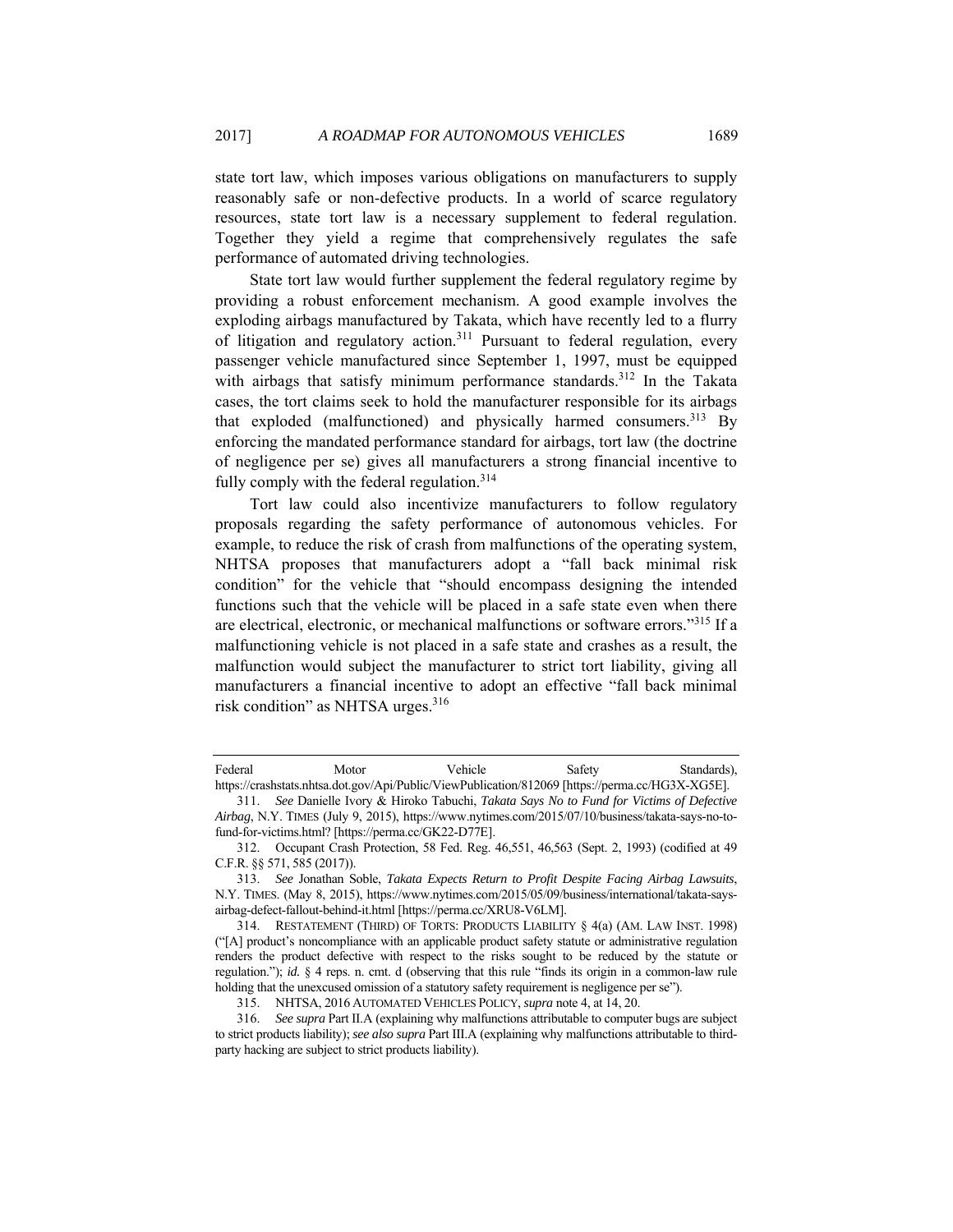state tort law, which imposes various obligations on manufacturers to supply reasonably safe or non-defective products. In a world of scarce regulatory resources, state tort law is a necessary supplement to federal regulation. Together they yield a regime that comprehensively regulates the safe performance of automated driving technologies.

State tort law would further supplement the federal regulatory regime by providing a robust enforcement mechanism. A good example involves the exploding airbags manufactured by Takata, which have recently led to a flurry of litigation and regulatory action.<sup>311</sup> Pursuant to federal regulation, every passenger vehicle manufactured since September 1, 1997, must be equipped with airbags that satisfy minimum performance standards.<sup>312</sup> In the Takata cases, the tort claims seek to hold the manufacturer responsible for its airbags that exploded (malfunctioned) and physically harmed consumers.<sup>313</sup> By enforcing the mandated performance standard for airbags, tort law (the doctrine of negligence per se) gives all manufacturers a strong financial incentive to fully comply with the federal regulation.<sup>314</sup>

Tort law could also incentivize manufacturers to follow regulatory proposals regarding the safety performance of autonomous vehicles. For example, to reduce the risk of crash from malfunctions of the operating system, NHTSA proposes that manufacturers adopt a "fall back minimal risk condition" for the vehicle that "should encompass designing the intended functions such that the vehicle will be placed in a safe state even when there are electrical, electronic, or mechanical malfunctions or software errors."315 If a malfunctioning vehicle is not placed in a safe state and crashes as a result, the malfunction would subject the manufacturer to strict tort liability, giving all manufacturers a financial incentive to adopt an effective "fall back minimal risk condition" as NHTSA urges.<sup>316</sup>

Federal Motor Vehicle Safety Standards), https://crashstats.nhtsa.dot.gov/Api/Public/ViewPublication/812069 [https://perma.cc/HG3X-XG5E].

<sup>311.</sup> *See* Danielle Ivory & Hiroko Tabuchi, *Takata Says No to Fund for Victims of Defective Airbag*, N.Y. TIMES (July 9, 2015), https://www.nytimes.com/2015/07/10/business/takata-says-no-tofund-for-victims.html? [https://perma.cc/GK22-D77E].

 <sup>312.</sup> Occupant Crash Protection, 58 Fed. Reg. 46,551, 46,563 (Sept. 2, 1993) (codified at 49 C.F.R. §§ 571, 585 (2017)).

<sup>313.</sup> *See* Jonathan Soble, *Takata Expects Return to Profit Despite Facing Airbag Lawsuits*, N.Y. TIMES. (May 8, 2015), https://www.nytimes.com/2015/05/09/business/international/takata-saysairbag-defect-fallout-behind-it.html [https://perma.cc/XRU8-V6LM].

 <sup>314.</sup> RESTATEMENT (THIRD) OF TORTS: PRODUCTS LIABILITY § 4(a) (AM. LAW INST. 1998) ("[A] product's noncompliance with an applicable product safety statute or administrative regulation renders the product defective with respect to the risks sought to be reduced by the statute or regulation."); *id.* § 4 reps. n. cmt. d (observing that this rule "finds its origin in a common-law rule holding that the unexcused omission of a statutory safety requirement is negligence per se").

 <sup>315.</sup> NHTSA, 2016 AUTOMATED VEHICLES POLICY, *supra* note 4, at 14, 20.

<sup>316.</sup> *See supra* Part II.A (explaining why malfunctions attributable to computer bugs are subject to strict products liability); *see also supra* Part III.A (explaining why malfunctions attributable to thirdparty hacking are subject to strict products liability).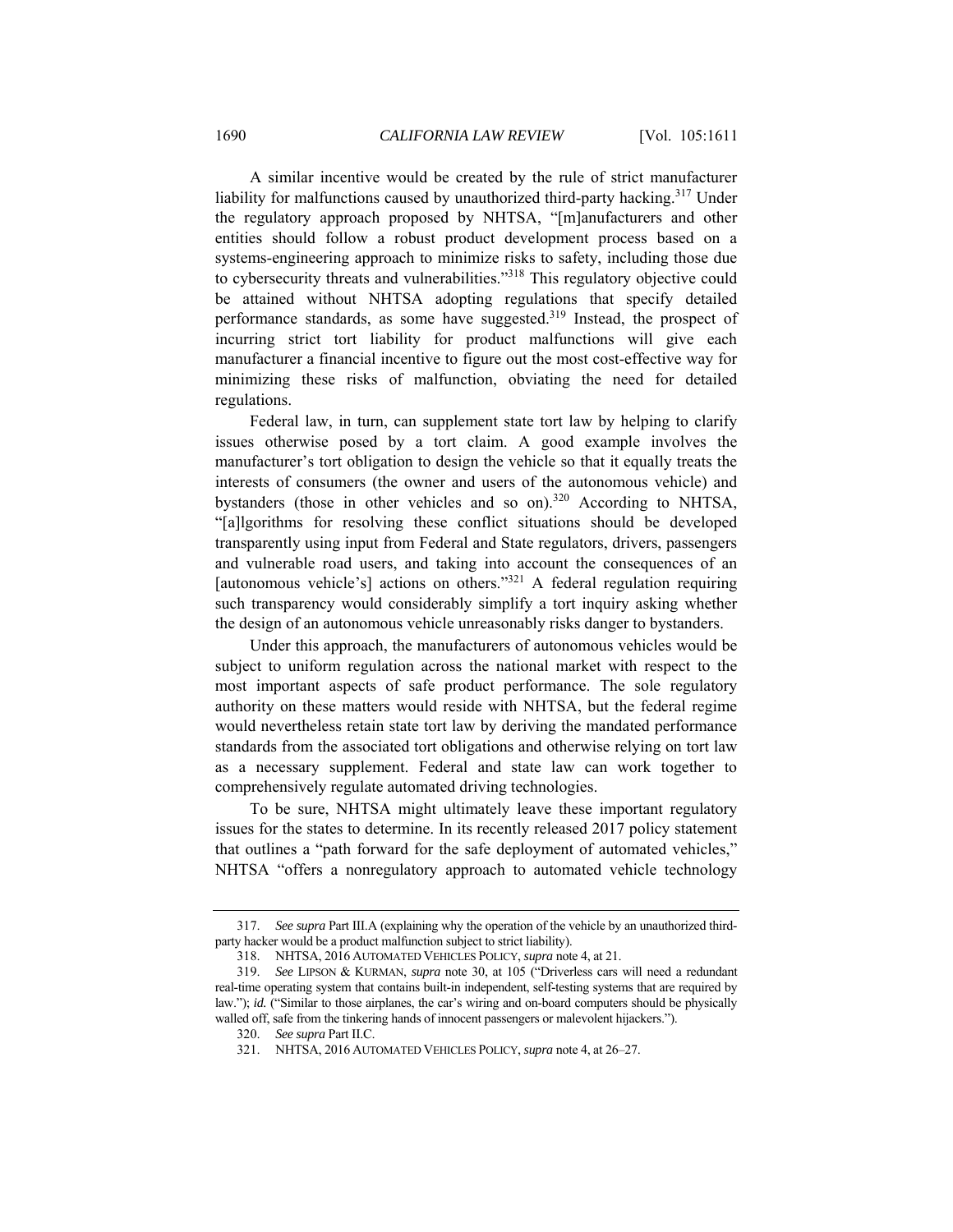A similar incentive would be created by the rule of strict manufacturer liability for malfunctions caused by unauthorized third-party hacking.<sup>317</sup> Under the regulatory approach proposed by NHTSA, "[m]anufacturers and other entities should follow a robust product development process based on a systems-engineering approach to minimize risks to safety, including those due to cybersecurity threats and vulnerabilities."318 This regulatory objective could be attained without NHTSA adopting regulations that specify detailed performance standards, as some have suggested.<sup>319</sup> Instead, the prospect of incurring strict tort liability for product malfunctions will give each manufacturer a financial incentive to figure out the most cost-effective way for minimizing these risks of malfunction, obviating the need for detailed regulations.

Federal law, in turn, can supplement state tort law by helping to clarify issues otherwise posed by a tort claim. A good example involves the manufacturer's tort obligation to design the vehicle so that it equally treats the interests of consumers (the owner and users of the autonomous vehicle) and bystanders (those in other vehicles and so on).<sup>320</sup> According to NHTSA, "[a]lgorithms for resolving these conflict situations should be developed transparently using input from Federal and State regulators, drivers, passengers and vulnerable road users, and taking into account the consequences of an [autonomous vehicle's] actions on others."<sup>321</sup> A federal regulation requiring such transparency would considerably simplify a tort inquiry asking whether the design of an autonomous vehicle unreasonably risks danger to bystanders.

Under this approach, the manufacturers of autonomous vehicles would be subject to uniform regulation across the national market with respect to the most important aspects of safe product performance. The sole regulatory authority on these matters would reside with NHTSA, but the federal regime would nevertheless retain state tort law by deriving the mandated performance standards from the associated tort obligations and otherwise relying on tort law as a necessary supplement. Federal and state law can work together to comprehensively regulate automated driving technologies.

To be sure, NHTSA might ultimately leave these important regulatory issues for the states to determine. In its recently released 2017 policy statement that outlines a "path forward for the safe deployment of automated vehicles," NHTSA "offers a nonregulatory approach to automated vehicle technology

<sup>317.</sup> *See supra* Part III.A (explaining why the operation of the vehicle by an unauthorized thirdparty hacker would be a product malfunction subject to strict liability).

 <sup>318.</sup> NHTSA, 2016 AUTOMATED VEHICLES POLICY, *supra* note 4, at 21.

<sup>319.</sup> *See* LIPSON & KURMAN, *supra* note 30, at 105 ("Driverless cars will need a redundant real-time operating system that contains built-in independent, self-testing systems that are required by law."); *id.* ("Similar to those airplanes, the car's wiring and on-board computers should be physically walled off, safe from the tinkering hands of innocent passengers or malevolent hijackers.").

<sup>320.</sup> *See supra* Part II.C.

 <sup>321.</sup> NHTSA, 2016 AUTOMATED VEHICLES POLICY, *supra* note 4, at 26–27.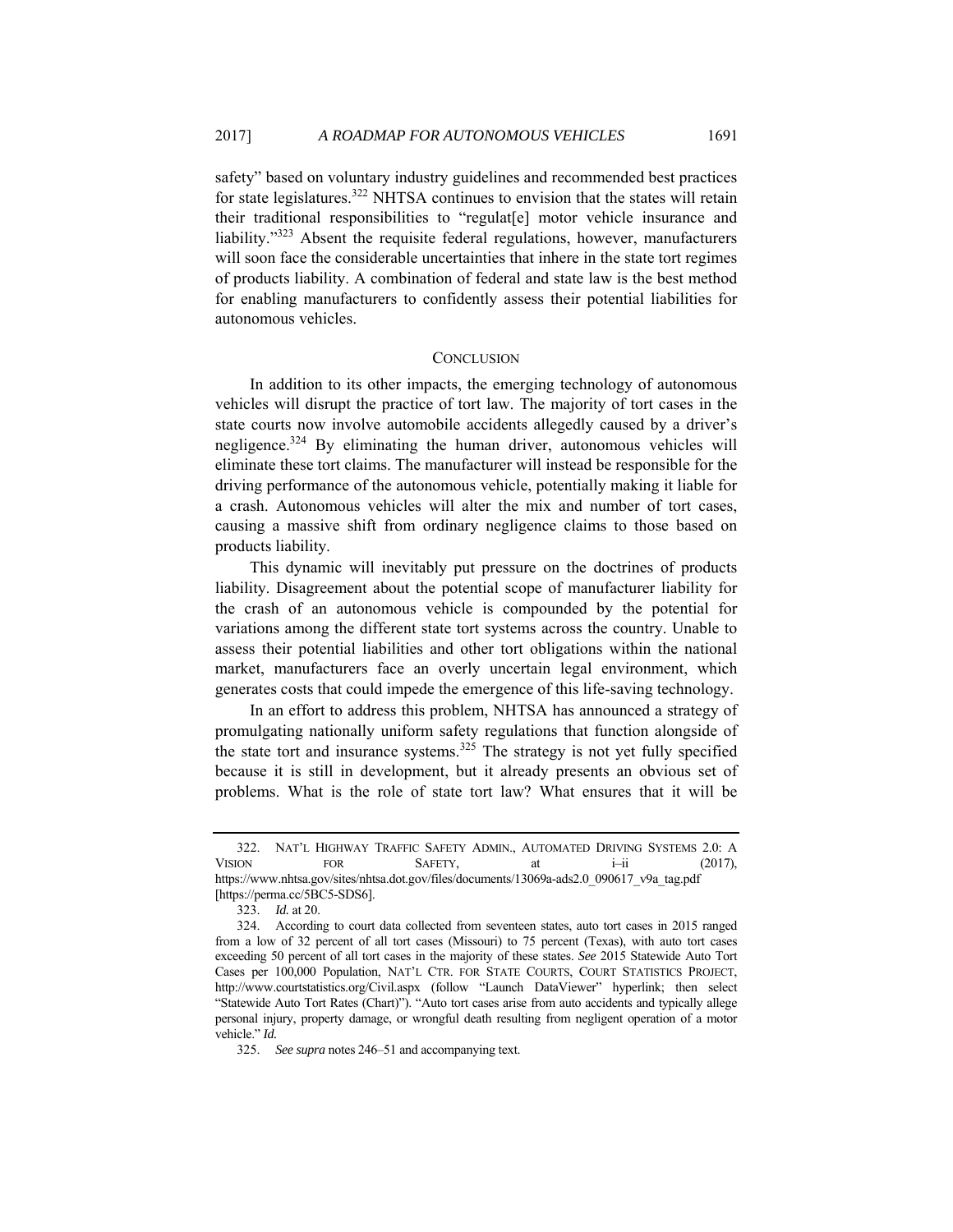safety" based on voluntary industry guidelines and recommended best practices for state legislatures.<sup>322</sup> NHTSA continues to envision that the states will retain their traditional responsibilities to "regulat[e] motor vehicle insurance and liability."323 Absent the requisite federal regulations, however, manufacturers will soon face the considerable uncertainties that inhere in the state tort regimes of products liability. A combination of federal and state law is the best method for enabling manufacturers to confidently assess their potential liabilities for autonomous vehicles.

## **CONCLUSION**

In addition to its other impacts, the emerging technology of autonomous vehicles will disrupt the practice of tort law. The majority of tort cases in the state courts now involve automobile accidents allegedly caused by a driver's negligence.324 By eliminating the human driver, autonomous vehicles will eliminate these tort claims. The manufacturer will instead be responsible for the driving performance of the autonomous vehicle, potentially making it liable for a crash. Autonomous vehicles will alter the mix and number of tort cases, causing a massive shift from ordinary negligence claims to those based on products liability.

This dynamic will inevitably put pressure on the doctrines of products liability. Disagreement about the potential scope of manufacturer liability for the crash of an autonomous vehicle is compounded by the potential for variations among the different state tort systems across the country. Unable to assess their potential liabilities and other tort obligations within the national market, manufacturers face an overly uncertain legal environment, which generates costs that could impede the emergence of this life-saving technology.

In an effort to address this problem, NHTSA has announced a strategy of promulgating nationally uniform safety regulations that function alongside of the state tort and insurance systems.<sup>325</sup> The strategy is not yet fully specified because it is still in development, but it already presents an obvious set of problems. What is the role of state tort law? What ensures that it will be

 <sup>322.</sup> NAT'L HIGHWAY TRAFFIC SAFETY ADMIN., AUTOMATED DRIVING SYSTEMS 2.0: A VISION FOR SAFETY, at  $i$ –ii (2017), https://www.nhtsa.gov/sites/nhtsa.dot.gov/files/documents/13069a-ads2.0\_090617\_v9a\_tag.pdf [https://perma.cc/5BC5-SDS6].

<sup>323.</sup> *Id.* at 20.

 <sup>324.</sup> According to court data collected from seventeen states, auto tort cases in 2015 ranged from a low of 32 percent of all tort cases (Missouri) to 75 percent (Texas), with auto tort cases exceeding 50 percent of all tort cases in the majority of these states. *See* 2015 Statewide Auto Tort Cases per 100,000 Population, NAT'L CTR. FOR STATE COURTS, COURT STATISTICS PROJECT, http://www.courtstatistics.org/Civil.aspx (follow "Launch DataViewer" hyperlink; then select "Statewide Auto Tort Rates (Chart)"). "Auto tort cases arise from auto accidents and typically allege personal injury, property damage, or wrongful death resulting from negligent operation of a motor vehicle." *Id.* 

<sup>325.</sup> *See supra* notes 246–51 and accompanying text.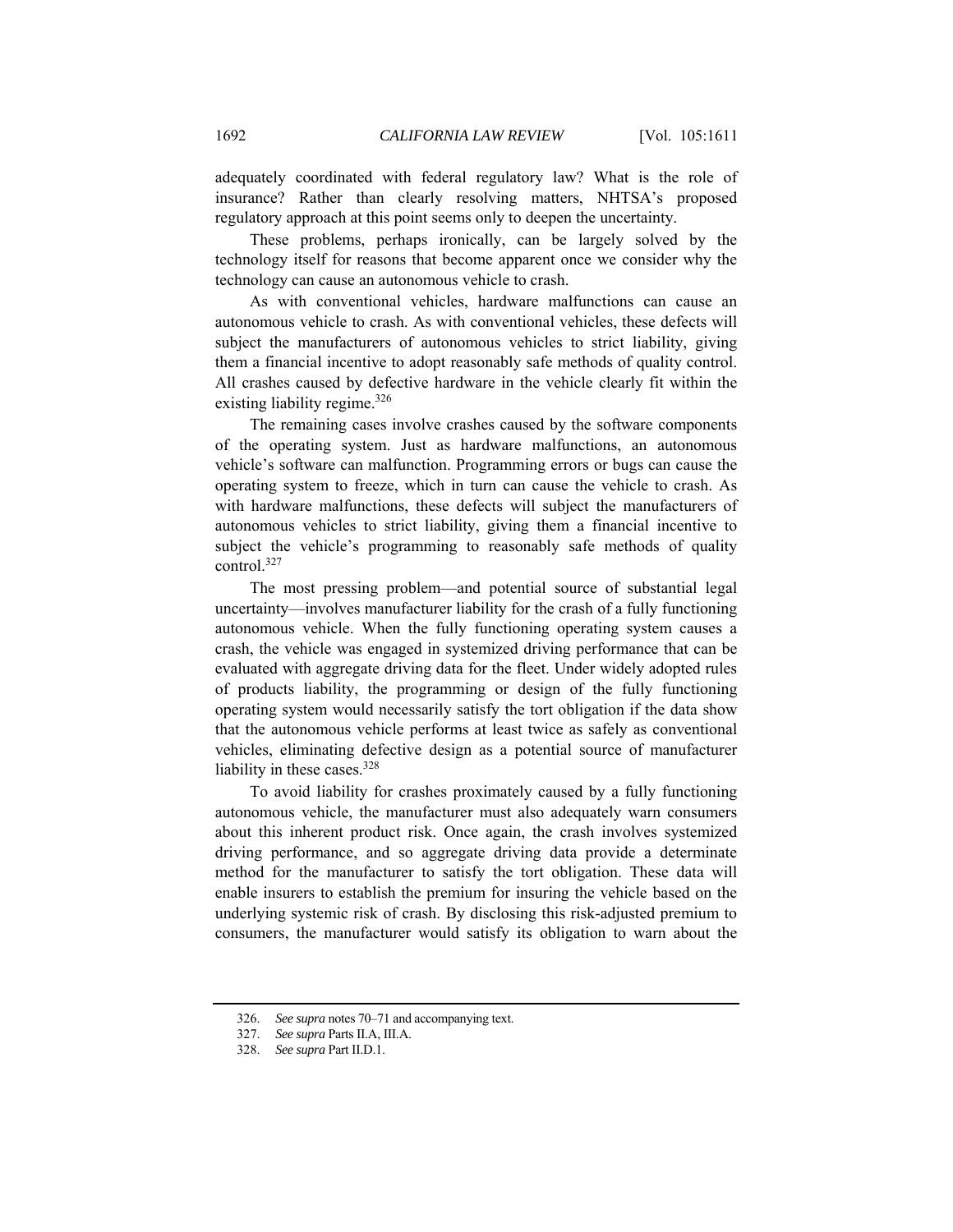adequately coordinated with federal regulatory law? What is the role of insurance? Rather than clearly resolving matters, NHTSA's proposed regulatory approach at this point seems only to deepen the uncertainty.

These problems, perhaps ironically, can be largely solved by the technology itself for reasons that become apparent once we consider why the technology can cause an autonomous vehicle to crash.

As with conventional vehicles, hardware malfunctions can cause an autonomous vehicle to crash. As with conventional vehicles, these defects will subject the manufacturers of autonomous vehicles to strict liability, giving them a financial incentive to adopt reasonably safe methods of quality control. All crashes caused by defective hardware in the vehicle clearly fit within the existing liability regime.<sup>326</sup>

The remaining cases involve crashes caused by the software components of the operating system. Just as hardware malfunctions, an autonomous vehicle's software can malfunction. Programming errors or bugs can cause the operating system to freeze, which in turn can cause the vehicle to crash. As with hardware malfunctions, these defects will subject the manufacturers of autonomous vehicles to strict liability, giving them a financial incentive to subject the vehicle's programming to reasonably safe methods of quality control.327

The most pressing problem—and potential source of substantial legal uncertainty—involves manufacturer liability for the crash of a fully functioning autonomous vehicle. When the fully functioning operating system causes a crash, the vehicle was engaged in systemized driving performance that can be evaluated with aggregate driving data for the fleet. Under widely adopted rules of products liability, the programming or design of the fully functioning operating system would necessarily satisfy the tort obligation if the data show that the autonomous vehicle performs at least twice as safely as conventional vehicles, eliminating defective design as a potential source of manufacturer liability in these cases.<sup>328</sup>

To avoid liability for crashes proximately caused by a fully functioning autonomous vehicle, the manufacturer must also adequately warn consumers about this inherent product risk. Once again, the crash involves systemized driving performance, and so aggregate driving data provide a determinate method for the manufacturer to satisfy the tort obligation. These data will enable insurers to establish the premium for insuring the vehicle based on the underlying systemic risk of crash. By disclosing this risk-adjusted premium to consumers, the manufacturer would satisfy its obligation to warn about the

<sup>326.</sup> *See supra* notes 70–71 and accompanying text.

<sup>327.</sup> *See supra* Parts II.A, III.A.

<sup>328.</sup> *See supra* Part II.D.1.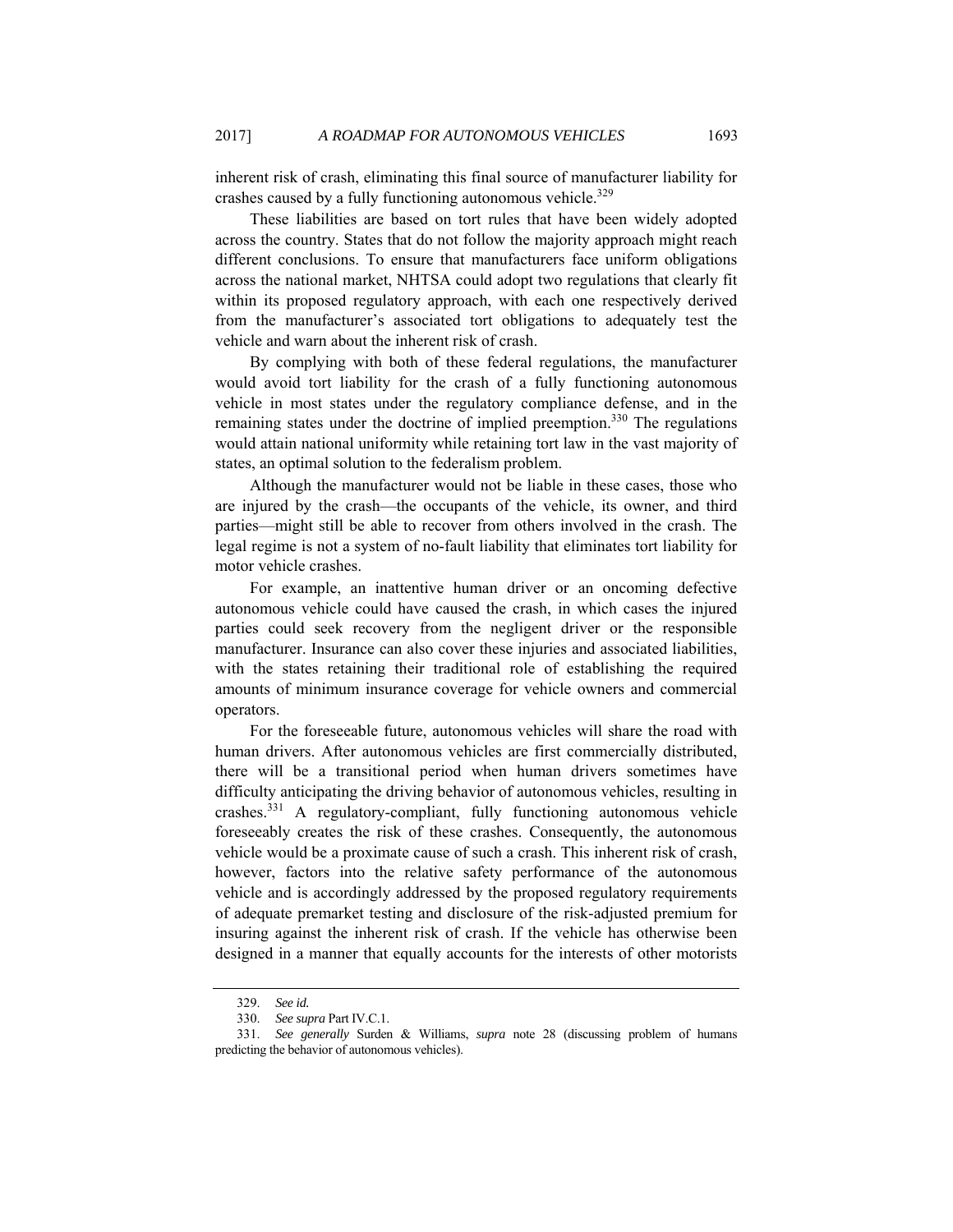inherent risk of crash, eliminating this final source of manufacturer liability for crashes caused by a fully functioning autonomous vehicle.<sup>329</sup>

These liabilities are based on tort rules that have been widely adopted across the country. States that do not follow the majority approach might reach different conclusions. To ensure that manufacturers face uniform obligations across the national market, NHTSA could adopt two regulations that clearly fit within its proposed regulatory approach, with each one respectively derived from the manufacturer's associated tort obligations to adequately test the vehicle and warn about the inherent risk of crash.

By complying with both of these federal regulations, the manufacturer would avoid tort liability for the crash of a fully functioning autonomous vehicle in most states under the regulatory compliance defense, and in the remaining states under the doctrine of implied preemption.<sup>330</sup> The regulations would attain national uniformity while retaining tort law in the vast majority of states, an optimal solution to the federalism problem.

Although the manufacturer would not be liable in these cases, those who are injured by the crash—the occupants of the vehicle, its owner, and third parties—might still be able to recover from others involved in the crash. The legal regime is not a system of no-fault liability that eliminates tort liability for motor vehicle crashes.

For example, an inattentive human driver or an oncoming defective autonomous vehicle could have caused the crash, in which cases the injured parties could seek recovery from the negligent driver or the responsible manufacturer. Insurance can also cover these injuries and associated liabilities, with the states retaining their traditional role of establishing the required amounts of minimum insurance coverage for vehicle owners and commercial operators.

For the foreseeable future, autonomous vehicles will share the road with human drivers. After autonomous vehicles are first commercially distributed, there will be a transitional period when human drivers sometimes have difficulty anticipating the driving behavior of autonomous vehicles, resulting in crashes.331 A regulatory-compliant, fully functioning autonomous vehicle foreseeably creates the risk of these crashes. Consequently, the autonomous vehicle would be a proximate cause of such a crash. This inherent risk of crash, however, factors into the relative safety performance of the autonomous vehicle and is accordingly addressed by the proposed regulatory requirements of adequate premarket testing and disclosure of the risk-adjusted premium for insuring against the inherent risk of crash. If the vehicle has otherwise been designed in a manner that equally accounts for the interests of other motorists

<sup>329.</sup> *See id.*

<sup>330.</sup> *See supra* Part IV.C.1.

<sup>331.</sup> *See generally* Surden & Williams, *supra* note 28 (discussing problem of humans predicting the behavior of autonomous vehicles).